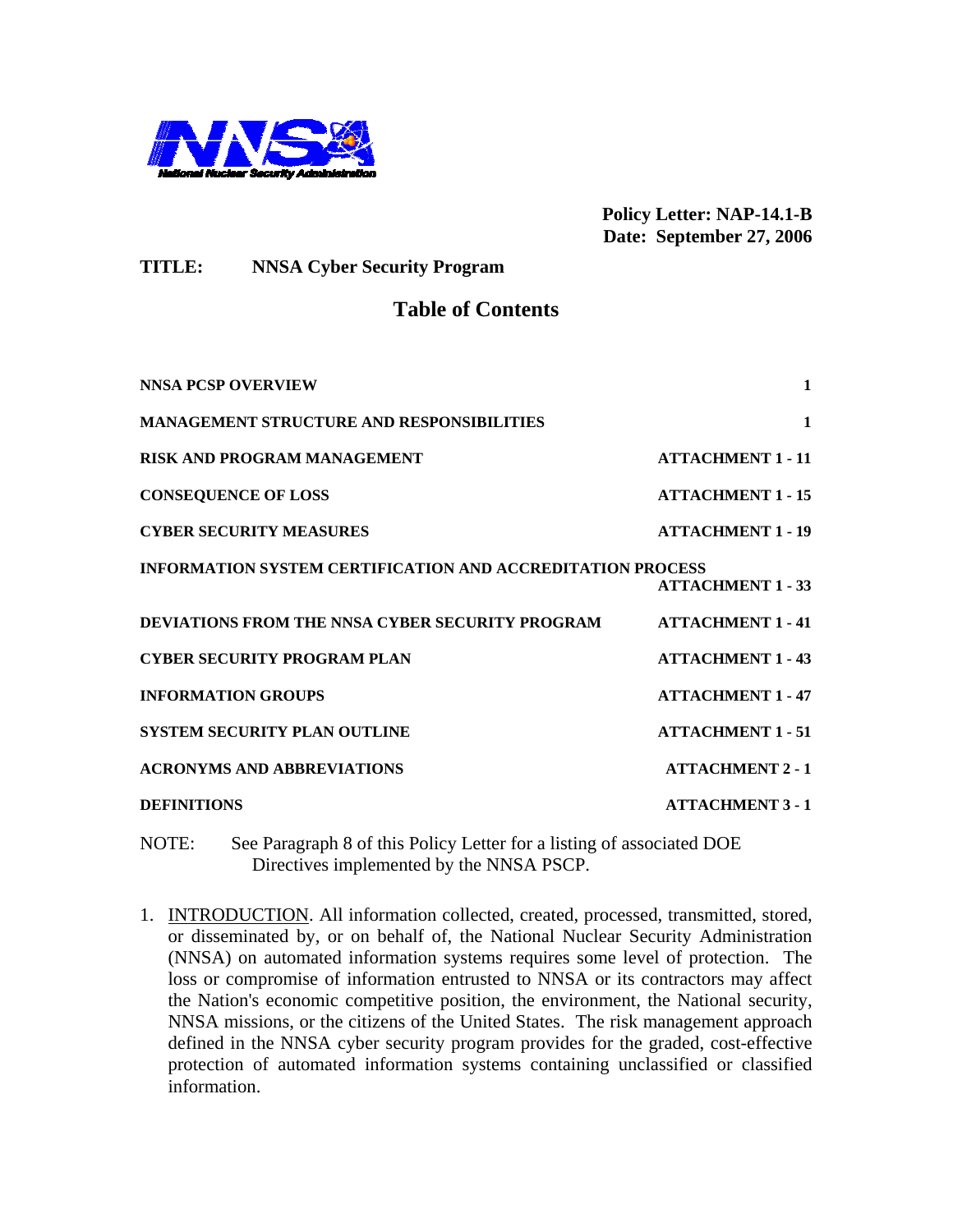

**TITLE: NNSA Cyber Security Program** 

# **Table of Contents**

| NNSA PCSP OVERVIEW                                                | 1                        |
|-------------------------------------------------------------------|--------------------------|
| <b>MANAGEMENT STRUCTURE AND RESPONSIBILITIES</b>                  | 1                        |
| <b>RISK AND PROGRAM MANAGEMENT</b>                                | <b>ATTACHMENT 1 - 11</b> |
| <b>CONSEQUENCE OF LOSS</b>                                        | <b>ATTACHMENT 1 - 15</b> |
| <b>CYBER SECURITY MEASURES</b>                                    | <b>ATTACHMENT 1 - 19</b> |
| <b>INFORMATION SYSTEM CERTIFICATION AND ACCREDITATION PROCESS</b> | <b>ATTACHMENT 1 - 33</b> |
| DEVIATIONS FROM THE NNSA CYBER SECURITY PROGRAM                   | <b>ATTACHMENT 1 - 41</b> |
| <b>CYBER SECURITY PROGRAM PLAN</b>                                | <b>ATTACHMENT 1 - 43</b> |
| <b>INFORMATION GROUPS</b>                                         | <b>ATTACHMENT 1 - 47</b> |
| <b>SYSTEM SECURITY PLAN OUTLINE</b>                               | <b>ATTACHMENT 1 - 51</b> |
| <b>ACRONYMS AND ABBREVIATIONS</b>                                 | <b>ATTACHMENT 2 - 1</b>  |
| <b>DEFINITIONS</b>                                                | <b>ATTACHMENT 3 - 1</b>  |

NOTE: See Paragraph 8 of this Policy Letter for a listing of associated DOE Directives implemented by the NNSA PSCP.

1. INTRODUCTION. All information collected, created, processed, transmitted, stored, or disseminated by, or on behalf of, the National Nuclear Security Administration (NNSA) on automated information systems requires some level of protection. The loss or compromise of information entrusted to NNSA or its contractors may affect the Nation's economic competitive position, the environment, the National security, NNSA missions, or the citizens of the United States. The risk management approach defined in the NNSA cyber security program provides for the graded, cost-effective protection of automated information systems containing unclassified or classified information.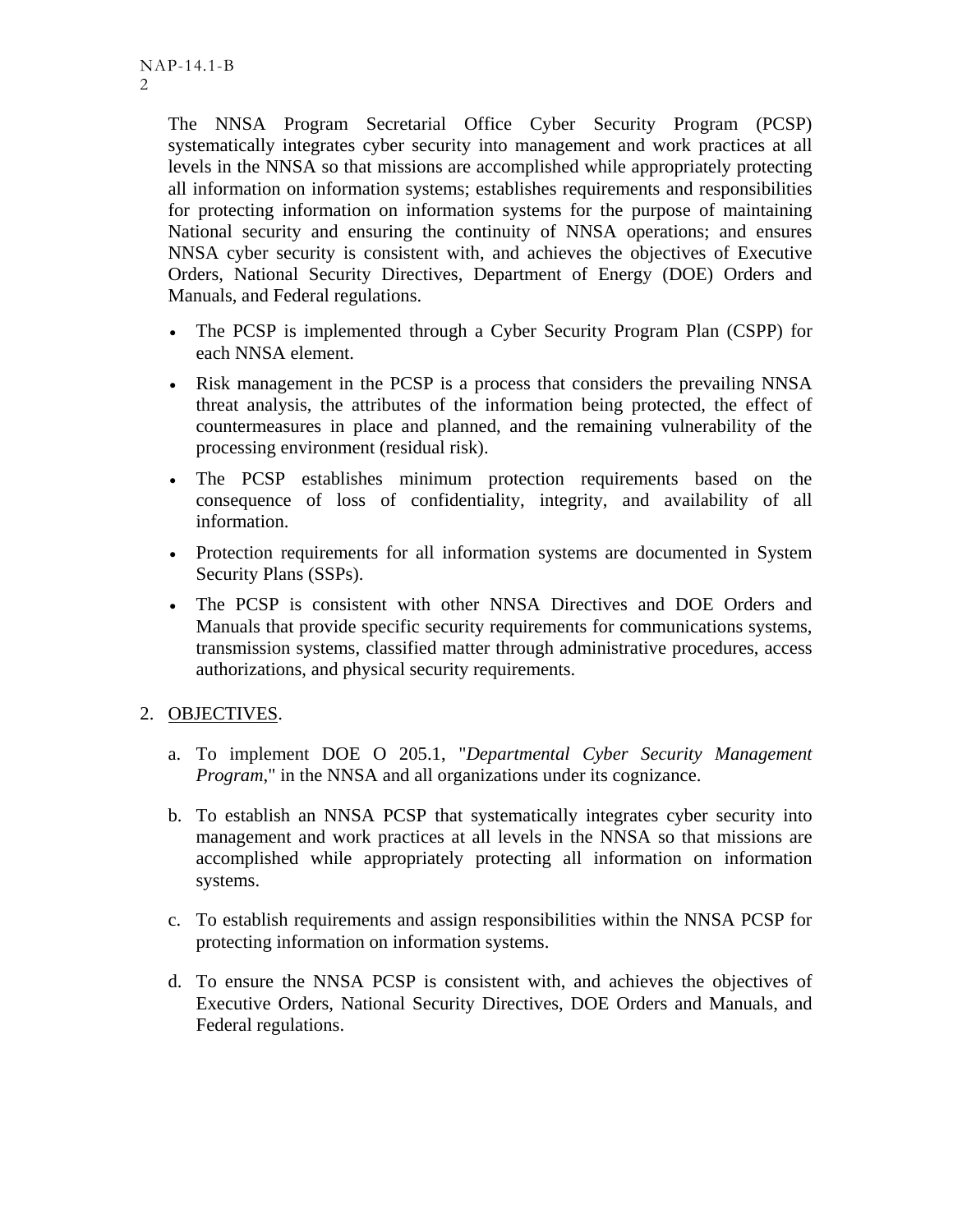The NNSA Program Secretarial Office Cyber Security Program (PCSP) systematically integrates cyber security into management and work practices at all levels in the NNSA so that missions are accomplished while appropriately protecting all information on information systems; establishes requirements and responsibilities for protecting information on information systems for the purpose of maintaining National security and ensuring the continuity of NNSA operations; and ensures NNSA cyber security is consistent with, and achieves the objectives of Executive Orders, National Security Directives, Department of Energy (DOE) Orders and Manuals, and Federal regulations.

- The PCSP is implemented through a Cyber Security Program Plan (CSPP) for each NNSA element.
- Risk management in the PCSP is a process that considers the prevailing NNSA threat analysis, the attributes of the information being protected, the effect of countermeasures in place and planned, and the remaining vulnerability of the processing environment (residual risk).
- The PCSP establishes minimum protection requirements based on the consequence of loss of confidentiality, integrity, and availability of all information.
- Protection requirements for all information systems are documented in System Security Plans (SSPs).
- The PCSP is consistent with other NNSA Directives and DOE Orders and Manuals that provide specific security requirements for communications systems, transmission systems, classified matter through administrative procedures, access authorizations, and physical security requirements.

## 2. OBJECTIVES.

- a. To implement DOE O 205.1, "*Departmental Cyber Security Management Program*," in the NNSA and all organizations under its cognizance.
- b. To establish an NNSA PCSP that systematically integrates cyber security into management and work practices at all levels in the NNSA so that missions are accomplished while appropriately protecting all information on information systems.
- c. To establish requirements and assign responsibilities within the NNSA PCSP for protecting information on information systems.
- d. To ensure the NNSA PCSP is consistent with, and achieves the objectives of Executive Orders, National Security Directives, DOE Orders and Manuals, and Federal regulations.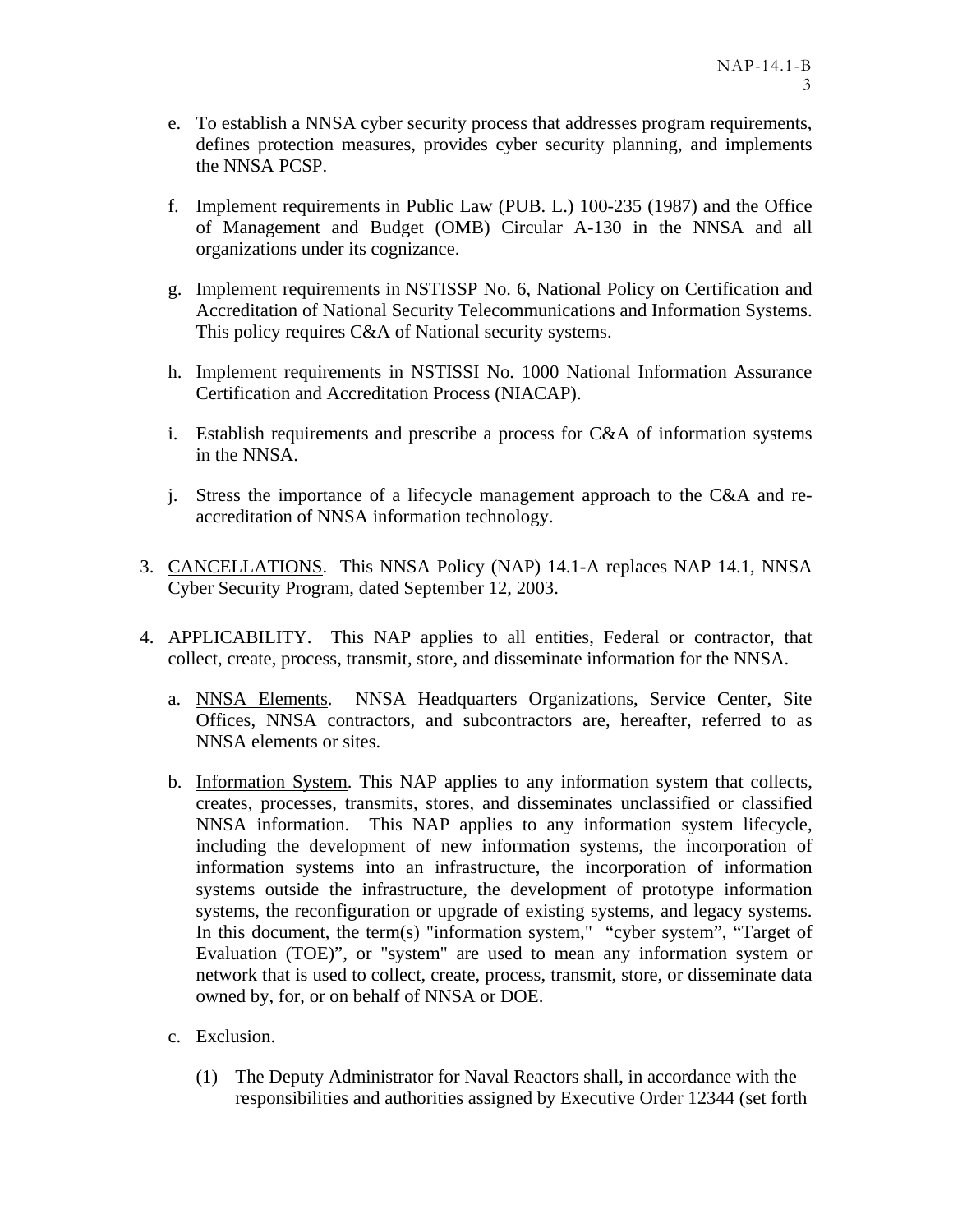- e. To establish a NNSA cyber security process that addresses program requirements, defines protection measures, provides cyber security planning, and implements the NNSA PCSP.
- f. Implement requirements in Public Law (PUB. L.) 100-235 (1987) and the Office of Management and Budget (OMB) Circular A-130 in the NNSA and all organizations under its cognizance.
- g. Implement requirements in NSTISSP No. 6, National Policy on Certification and Accreditation of National Security Telecommunications and Information Systems. This policy requires C&A of National security systems.
- h. Implement requirements in NSTISSI No. 1000 National Information Assurance Certification and Accreditation Process (NIACAP).
- i. Establish requirements and prescribe a process for C&A of information systems in the NNSA.
- j. Stress the importance of a lifecycle management approach to the C&A and reaccreditation of NNSA information technology.
- 3. CANCELLATIONS. This NNSA Policy (NAP) 14.1-A replaces NAP 14.1, NNSA Cyber Security Program, dated September 12, 2003.
- 4. **APPLICABILITY**. This NAP applies to all entities, Federal or contractor, that collect, create, process, transmit, store, and disseminate information for the NNSA.
	- a. NNSA Elements. NNSA Headquarters Organizations, Service Center, Site Offices, NNSA contractors, and subcontractors are, hereafter, referred to as NNSA elements or sites.
	- b. Information System. This NAP applies to any information system that collects, creates, processes, transmits, stores, and disseminates unclassified or classified NNSA information. This NAP applies to any information system lifecycle, including the development of new information systems, the incorporation of information systems into an infrastructure, the incorporation of information systems outside the infrastructure, the development of prototype information systems, the reconfiguration or upgrade of existing systems, and legacy systems. In this document, the term(s) "information system," "cyber system", "Target of Evaluation (TOE)", or "system" are used to mean any information system or network that is used to collect, create, process, transmit, store, or disseminate data owned by, for, or on behalf of NNSA or DOE.
	- c. Exclusion.
		- (1) The Deputy Administrator for Naval Reactors shall, in accordance with the responsibilities and authorities assigned by Executive Order 12344 (set forth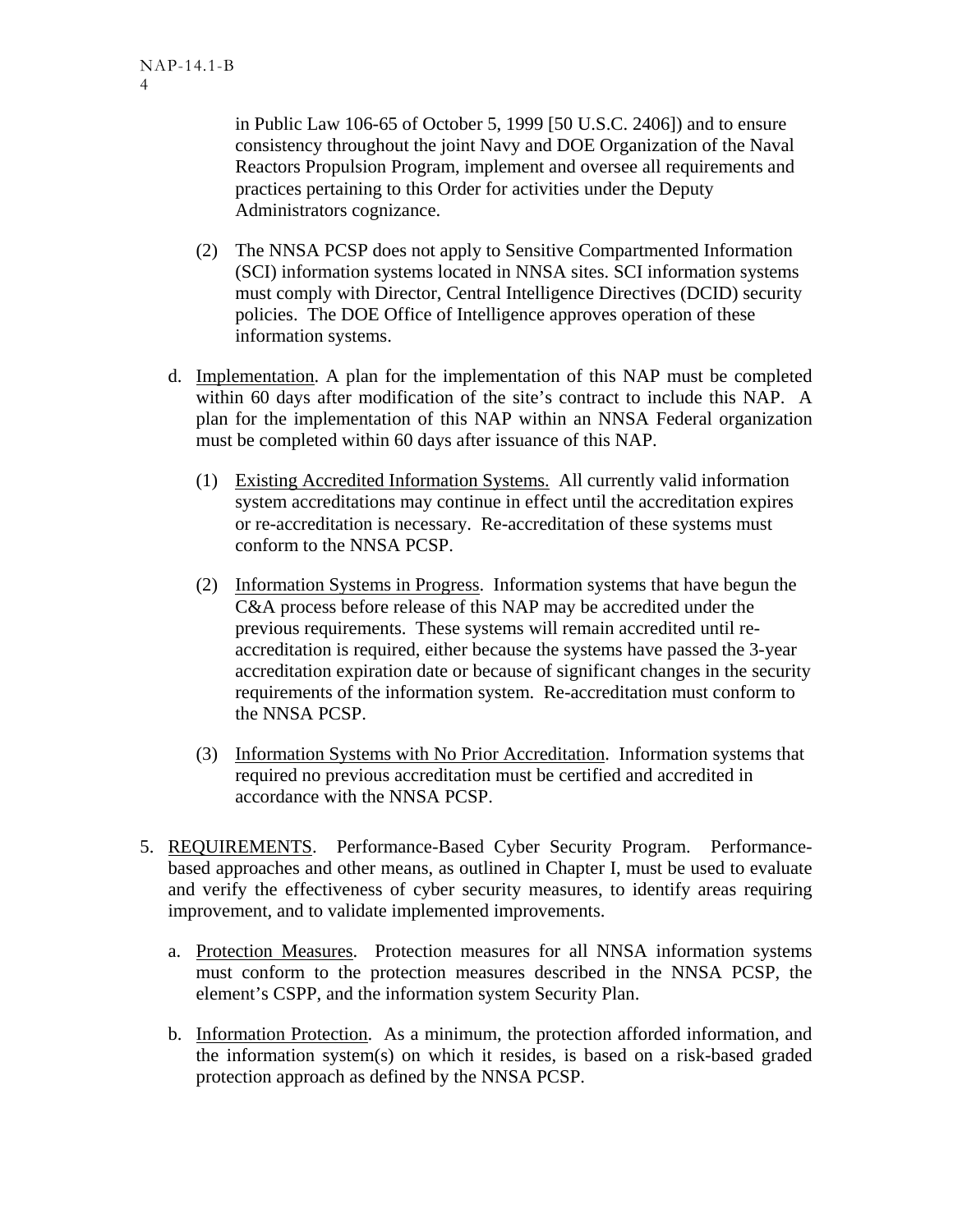in Public Law 106-65 of October 5, 1999 [50 U.S.C. 2406]) and to ensure consistency throughout the joint Navy and DOE Organization of the Naval Reactors Propulsion Program, implement and oversee all requirements and practices pertaining to this Order for activities under the Deputy Administrators cognizance.

- (2) The NNSA PCSP does not apply to Sensitive Compartmented Information (SCI) information systems located in NNSA sites. SCI information systems must comply with Director, Central Intelligence Directives (DCID) security policies. The DOE Office of Intelligence approves operation of these information systems.
- d. Implementation. A plan for the implementation of this NAP must be completed within 60 days after modification of the site's contract to include this NAP. A plan for the implementation of this NAP within an NNSA Federal organization must be completed within 60 days after issuance of this NAP.
	- (1) Existing Accredited Information Systems. All currently valid information system accreditations may continue in effect until the accreditation expires or re-accreditation is necessary. Re-accreditation of these systems must conform to the NNSA PCSP.
	- (2) Information Systems in Progress. Information systems that have begun the C&A process before release of this NAP may be accredited under the previous requirements. These systems will remain accredited until reaccreditation is required, either because the systems have passed the 3-year accreditation expiration date or because of significant changes in the security requirements of the information system. Re-accreditation must conform to the NNSA PCSP.
	- (3) Information Systems with No Prior Accreditation. Information systems that required no previous accreditation must be certified and accredited in accordance with the NNSA PCSP.
- 5. REQUIREMENTS. Performance-Based Cyber Security Program. Performancebased approaches and other means, as outlined in Chapter I, must be used to evaluate and verify the effectiveness of cyber security measures, to identify areas requiring improvement, and to validate implemented improvements.
	- a. Protection Measures. Protection measures for all NNSA information systems must conform to the protection measures described in the NNSA PCSP, the element's CSPP, and the information system Security Plan.
	- b. Information Protection. As a minimum, the protection afforded information, and the information system(s) on which it resides, is based on a risk-based graded protection approach as defined by the NNSA PCSP.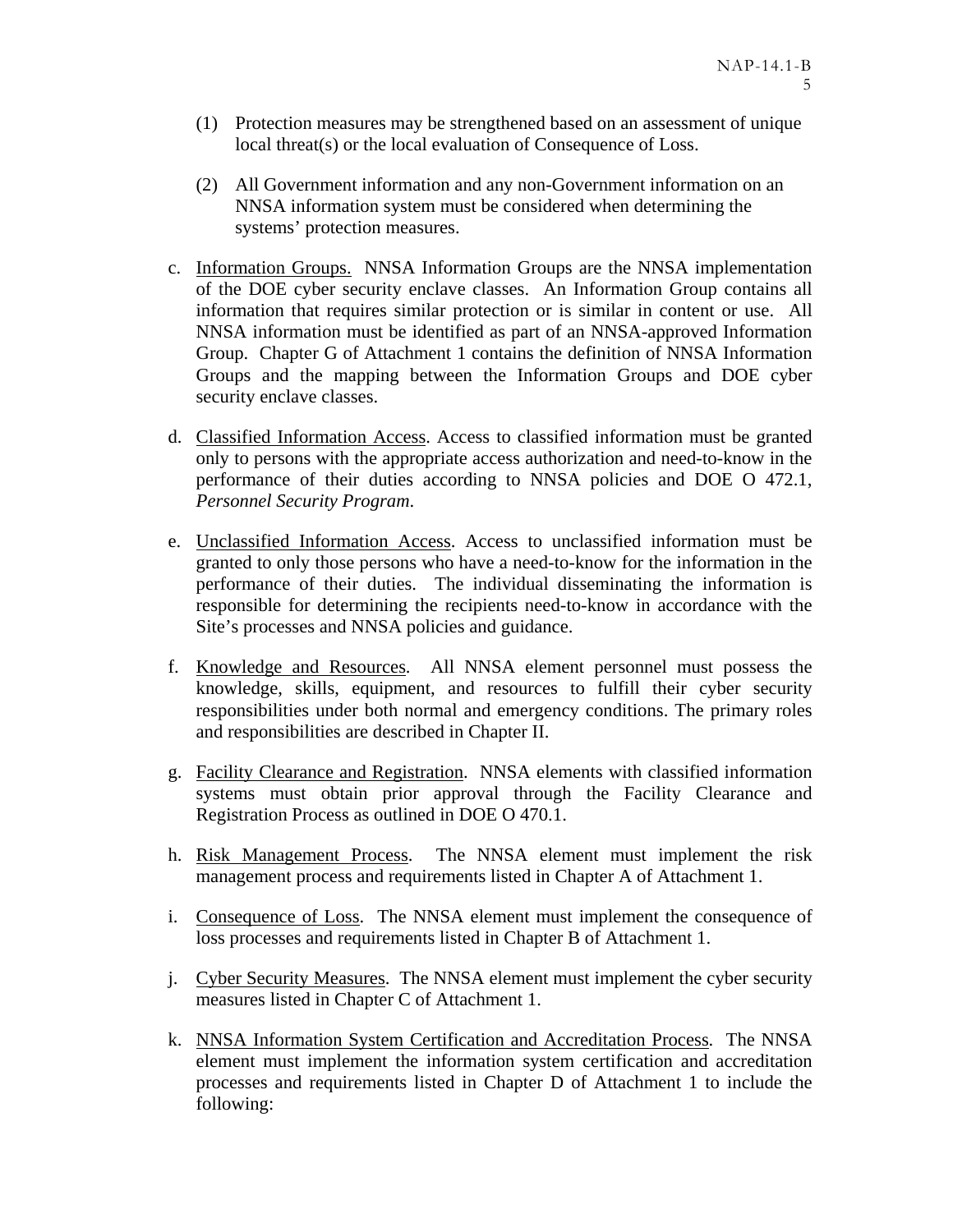- (1) Protection measures may be strengthened based on an assessment of unique local threat(s) or the local evaluation of Consequence of Loss.
- (2) All Government information and any non-Government information on an NNSA information system must be considered when determining the systems' protection measures.
- c. Information Groups. NNSA Information Groups are the NNSA implementation of the DOE cyber security enclave classes. An Information Group contains all information that requires similar protection or is similar in content or use. All NNSA information must be identified as part of an NNSA-approved Information Group. Chapter G of Attachment 1 contains the definition of NNSA Information Groups and the mapping between the Information Groups and DOE cyber security enclave classes.
- d. Classified Information Access. Access to classified information must be granted only to persons with the appropriate access authorization and need-to-know in the performance of their duties according to NNSA policies and DOE O 472.1, *Personnel Security Program*.
- e. Unclassified Information Access. Access to unclassified information must be granted to only those persons who have a need-to-know for the information in the performance of their duties. The individual disseminating the information is responsible for determining the recipients need-to-know in accordance with the Site's processes and NNSA policies and guidance.
- f. Knowledge and Resources. All NNSA element personnel must possess the knowledge, skills, equipment, and resources to fulfill their cyber security responsibilities under both normal and emergency conditions. The primary roles and responsibilities are described in Chapter II.
- g. Facility Clearance and Registration. NNSA elements with classified information systems must obtain prior approval through the Facility Clearance and Registration Process as outlined in DOE O 470.1.
- h. Risk Management Process. The NNSA element must implement the risk management process and requirements listed in Chapter A of Attachment 1.
- i. Consequence of Loss. The NNSA element must implement the consequence of loss processes and requirements listed in Chapter B of Attachment 1.
- j. Cyber Security Measures. The NNSA element must implement the cyber security measures listed in Chapter C of Attachment 1.
- k. NNSA Information System Certification and Accreditation Process. The NNSA element must implement the information system certification and accreditation processes and requirements listed in Chapter D of Attachment 1 to include the following: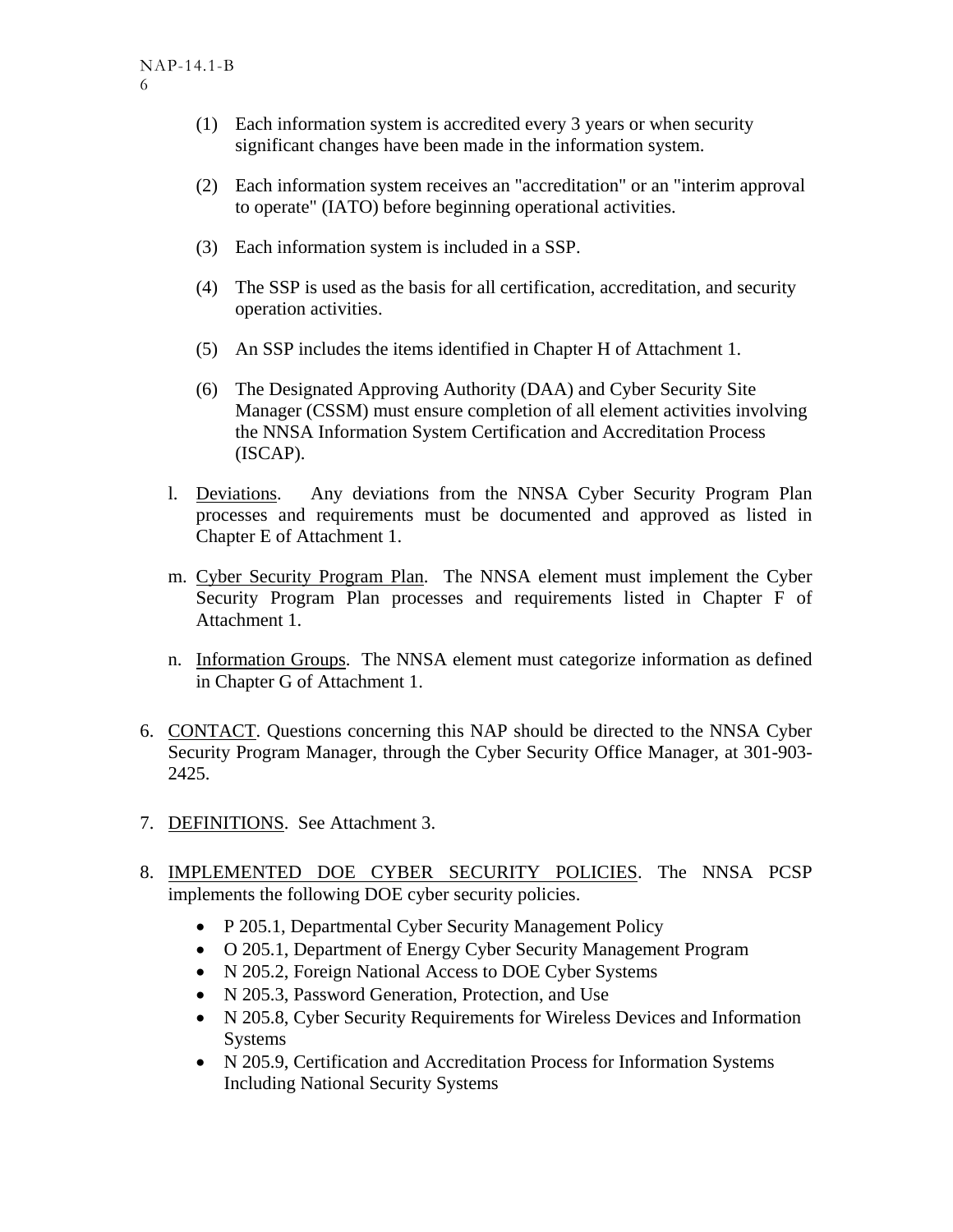- (1) Each information system is accredited every 3 years or when security significant changes have been made in the information system.
- (2) Each information system receives an "accreditation" or an "interim approval to operate" (IATO) before beginning operational activities.
- (3) Each information system is included in a SSP.
- (4) The SSP is used as the basis for all certification, accreditation, and security operation activities.
- (5) An SSP includes the items identified in Chapter H of Attachment 1.
- (6) The Designated Approving Authority (DAA) and Cyber Security Site Manager (CSSM) must ensure completion of all element activities involving the NNSA Information System Certification and Accreditation Process (ISCAP).
- l. Deviations. Any deviations from the NNSA Cyber Security Program Plan processes and requirements must be documented and approved as listed in Chapter E of Attachment 1.
- m. Cyber Security Program Plan. The NNSA element must implement the Cyber Security Program Plan processes and requirements listed in Chapter F of Attachment 1.
- n. Information Groups. The NNSA element must categorize information as defined in Chapter G of Attachment 1.
- 6. CONTACT. Questions concerning this NAP should be directed to the NNSA Cyber Security Program Manager, through the Cyber Security Office Manager, at 301-903- 2425.
- 7. DEFINITIONS. See Attachment 3.
- 8. IMPLEMENTED DOE CYBER SECURITY POLICIES. The NNSA PCSP implements the following DOE cyber security policies.
	- P 205.1, Departmental Cyber Security Management Policy
	- O 205.1, Department of Energy Cyber Security Management Program
	- N 205.2, Foreign National Access to DOE Cyber Systems
	- N 205.3, Password Generation, Protection, and Use
	- N 205.8, Cyber Security Requirements for Wireless Devices and Information Systems
	- N 205.9, Certification and Accreditation Process for Information Systems Including National Security Systems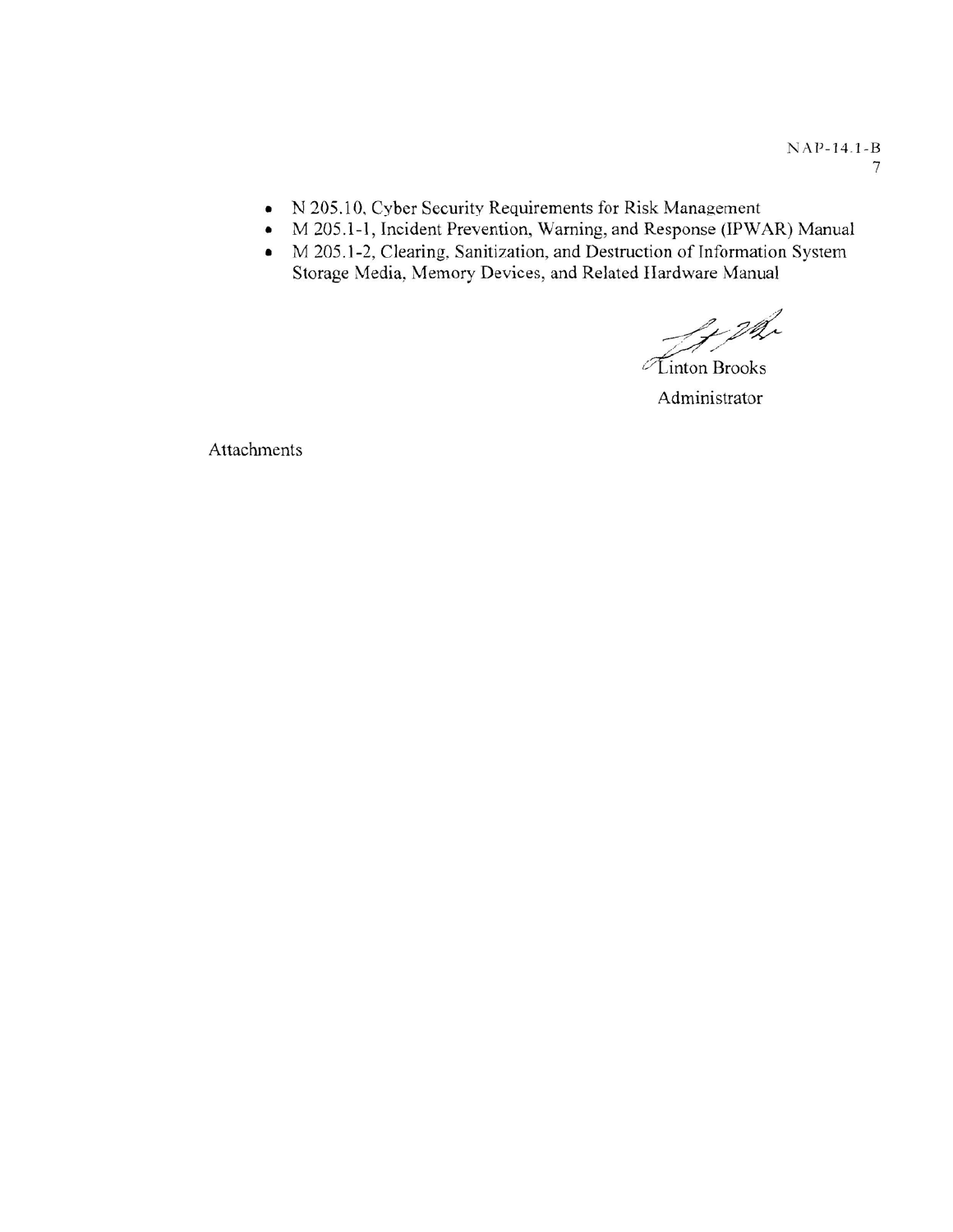- N 205.10, Cyber Security Requirements for Risk Management  $\bullet$
- M 205.1-1, Incident Prevention, Warning, and Response (IPWAR) Manual  $\bullet$
- M 205.1-2, Clearing, Sanitization, and Destruction of Information System Storage Media, Memory Devices, and Related Hardware Manual

lz ph

 $\mathcal{T}$ inton Brooks

Administrator

Attachments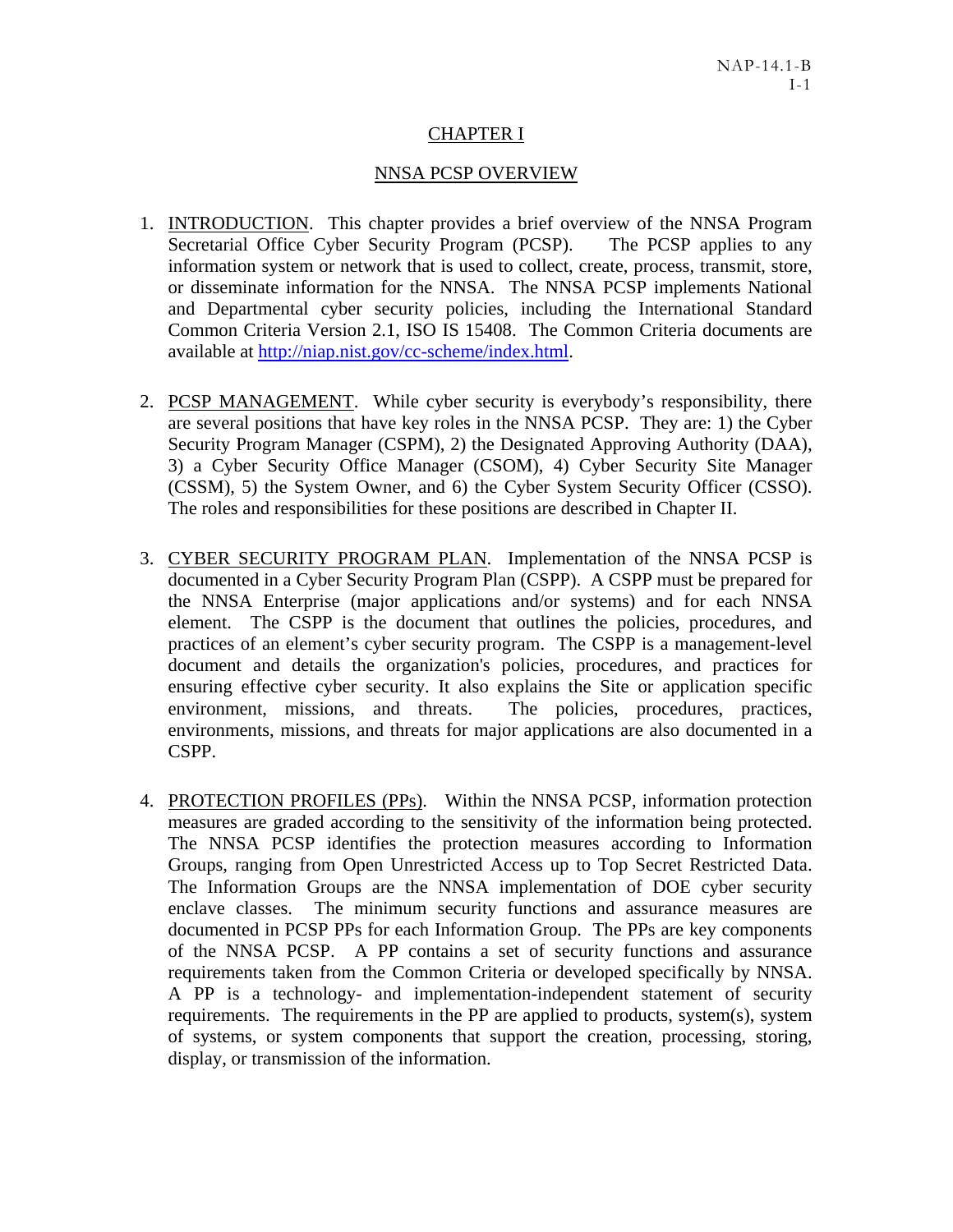## CHAPTER I

#### NNSA PCSP OVERVIEW

- 1. INTRODUCTION. This chapter provides a brief overview of the NNSA Program Secretarial Office Cyber Security Program (PCSP). The PCSP applies to any information system or network that is used to collect, create, process, transmit, store, or disseminate information for the NNSA. The NNSA PCSP implements National and Departmental cyber security policies, including the International Standard Common Criteria Version 2.1, ISO IS 15408. The Common Criteria documents are available at [http://niap.nist.gov/cc-scheme/index.html.](http://niap.nist.gov/cc-scheme/index.html)
- 2. PCSP MANAGEMENT. While cyber security is everybody's responsibility, there are several positions that have key roles in the NNSA PCSP. They are: 1) the Cyber Security Program Manager (CSPM), 2) the Designated Approving Authority (DAA), 3) a Cyber Security Office Manager (CSOM), 4) Cyber Security Site Manager (CSSM), 5) the System Owner, and 6) the Cyber System Security Officer (CSSO). The roles and responsibilities for these positions are described in Chapter II.
- 3. CYBER SECURITY PROGRAM PLAN. Implementation of the NNSA PCSP is documented in a Cyber Security Program Plan (CSPP). A CSPP must be prepared for the NNSA Enterprise (major applications and/or systems) and for each NNSA element. The CSPP is the document that outlines the policies, procedures, and practices of an element's cyber security program. The CSPP is a management-level document and details the organization's policies, procedures, and practices for ensuring effective cyber security. It also explains the Site or application specific environment, missions, and threats. The policies, procedures, practices, environments, missions, and threats for major applications are also documented in a CSPP.
- 4. PROTECTION PROFILES (PPs). Within the NNSA PCSP, information protection measures are graded according to the sensitivity of the information being protected. The NNSA PCSP identifies the protection measures according to Information Groups, ranging from Open Unrestricted Access up to Top Secret Restricted Data. The Information Groups are the NNSA implementation of DOE cyber security enclave classes. The minimum security functions and assurance measures are documented in PCSP PPs for each Information Group. The PPs are key components of the NNSA PCSP. A PP contains a set of security functions and assurance requirements taken from the Common Criteria or developed specifically by NNSA. A PP is a technology- and implementation-independent statement of security requirements. The requirements in the PP are applied to products, system(s), system of systems, or system components that support the creation, processing, storing, display, or transmission of the information.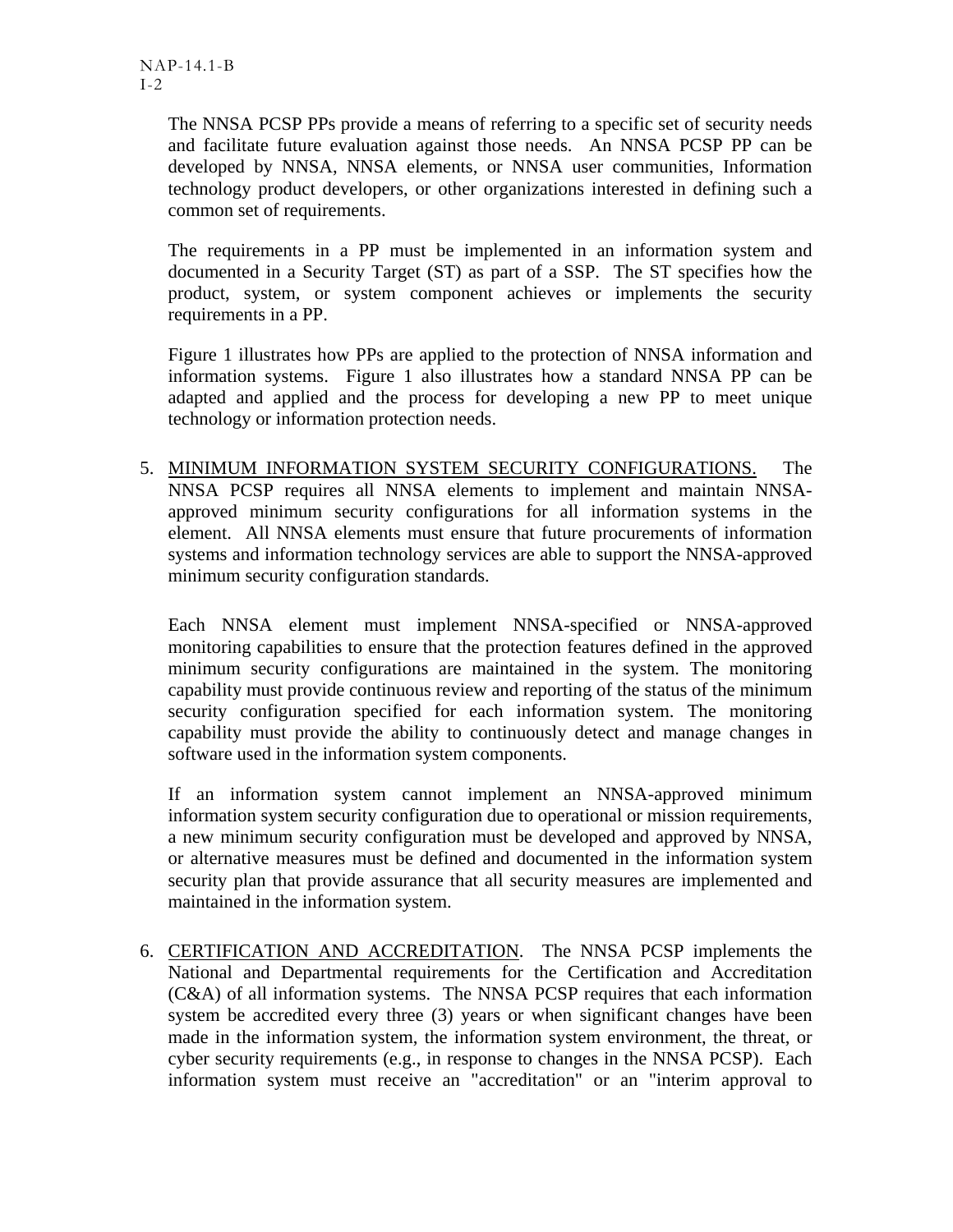The NNSA PCSP PPs provide a means of referring to a specific set of security needs and facilitate future evaluation against those needs. An NNSA PCSP PP can be developed by NNSA, NNSA elements, or NNSA user communities, Information technology product developers, or other organizations interested in defining such a common set of requirements.

The requirements in a PP must be implemented in an information system and documented in a Security Target (ST) as part of a SSP. The ST specifies how the product, system, or system component achieves or implements the security requirements in a PP.

[Figure 1](#page-11-0) illustrates how PPs are applied to the protection of NNSA information and information systems. [Figure 1](#page-11-0) also illustrates how a standard NNSA PP can be adapted and applied and the process for developing a new PP to meet unique technology or information protection needs.

5. MINIMUM INFORMATION SYSTEM SECURITY CONFIGURATIONS. The NNSA PCSP requires all NNSA elements to implement and maintain NNSAapproved minimum security configurations for all information systems in the element. All NNSA elements must ensure that future procurements of information systems and information technology services are able to support the NNSA-approved minimum security configuration standards.

Each NNSA element must implement NNSA-specified or NNSA-approved monitoring capabilities to ensure that the protection features defined in the approved minimum security configurations are maintained in the system. The monitoring capability must provide continuous review and reporting of the status of the minimum security configuration specified for each information system. The monitoring capability must provide the ability to continuously detect and manage changes in software used in the information system components.

If an information system cannot implement an NNSA-approved minimum information system security configuration due to operational or mission requirements, a new minimum security configuration must be developed and approved by NNSA, or alternative measures must be defined and documented in the information system security plan that provide assurance that all security measures are implemented and maintained in the information system.

6. CERTIFICATION AND ACCREDITATION. The NNSA PCSP implements the National and Departmental requirements for the Certification and Accreditation (C&A) of all information systems. The NNSA PCSP requires that each information system be accredited every three (3) years or when significant changes have been made in the information system, the information system environment, the threat, or cyber security requirements (e.g., in response to changes in the NNSA PCSP). Each information system must receive an "accreditation" or an "interim approval to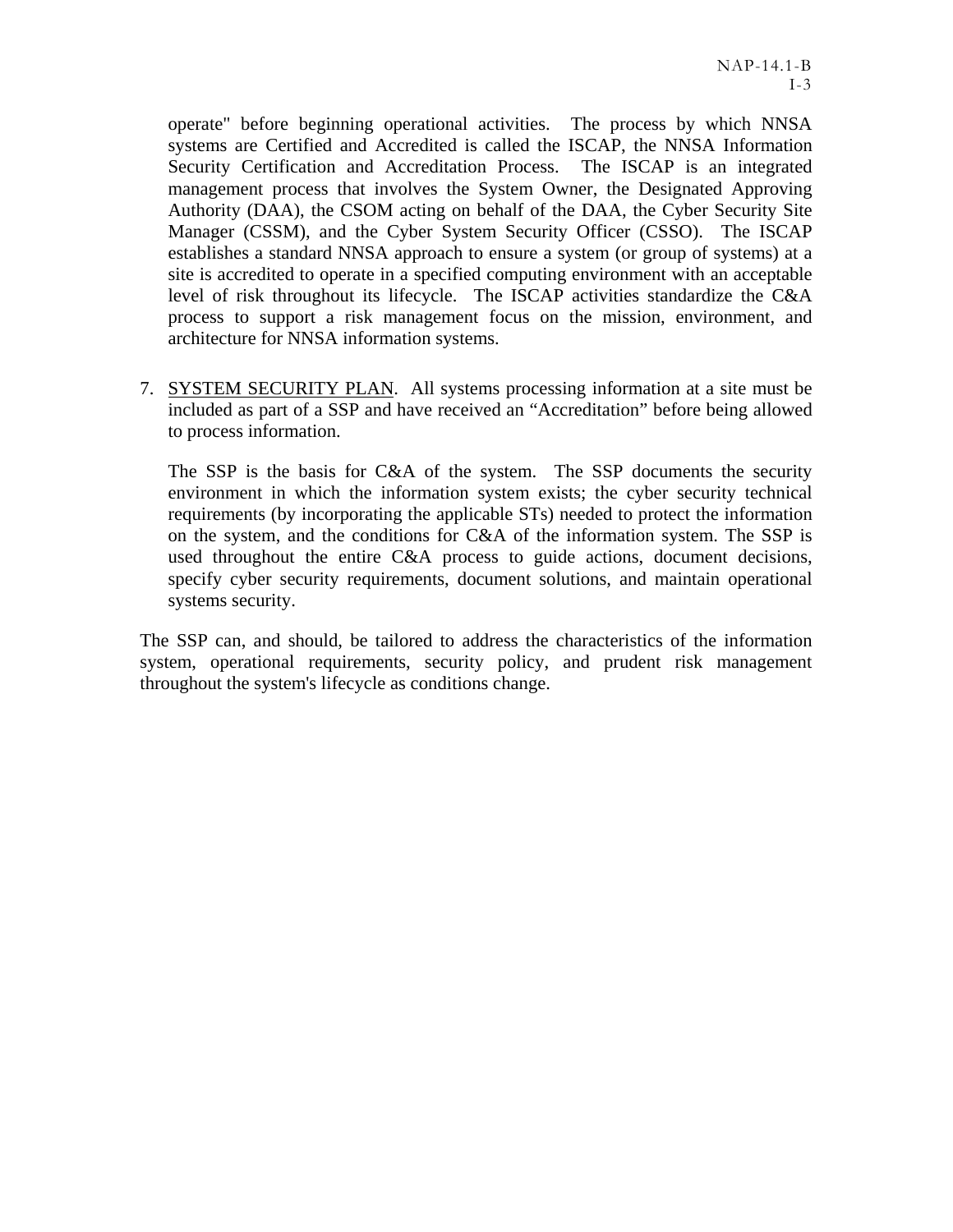operate" before beginning operational activities. The process by which NNSA systems are Certified and Accredited is called the ISCAP, the NNSA Information Security Certification and Accreditation Process. The ISCAP is an integrated management process that involves the System Owner, the Designated Approving Authority (DAA), the CSOM acting on behalf of the DAA, the Cyber Security Site Manager (CSSM), and the Cyber System Security Officer (CSSO). The ISCAP establishes a standard NNSA approach to ensure a system (or group of systems) at a site is accredited to operate in a specified computing environment with an acceptable level of risk throughout its lifecycle. The ISCAP activities standardize the C&A process to support a risk management focus on the mission, environment, and architecture for NNSA information systems.

7. SYSTEM SECURITY PLAN. All systems processing information at a site must be included as part of a SSP and have received an "Accreditation" before being allowed to process information.

The SSP is the basis for C&A of the system. The SSP documents the security environment in which the information system exists; the cyber security technical requirements (by incorporating the applicable STs) needed to protect the information on the system, and the conditions for C&A of the information system. The SSP is used throughout the entire C&A process to guide actions, document decisions, specify cyber security requirements, document solutions, and maintain operational systems security.

The SSP can, and should, be tailored to address the characteristics of the information system, operational requirements, security policy, and prudent risk management throughout the system's lifecycle as conditions change.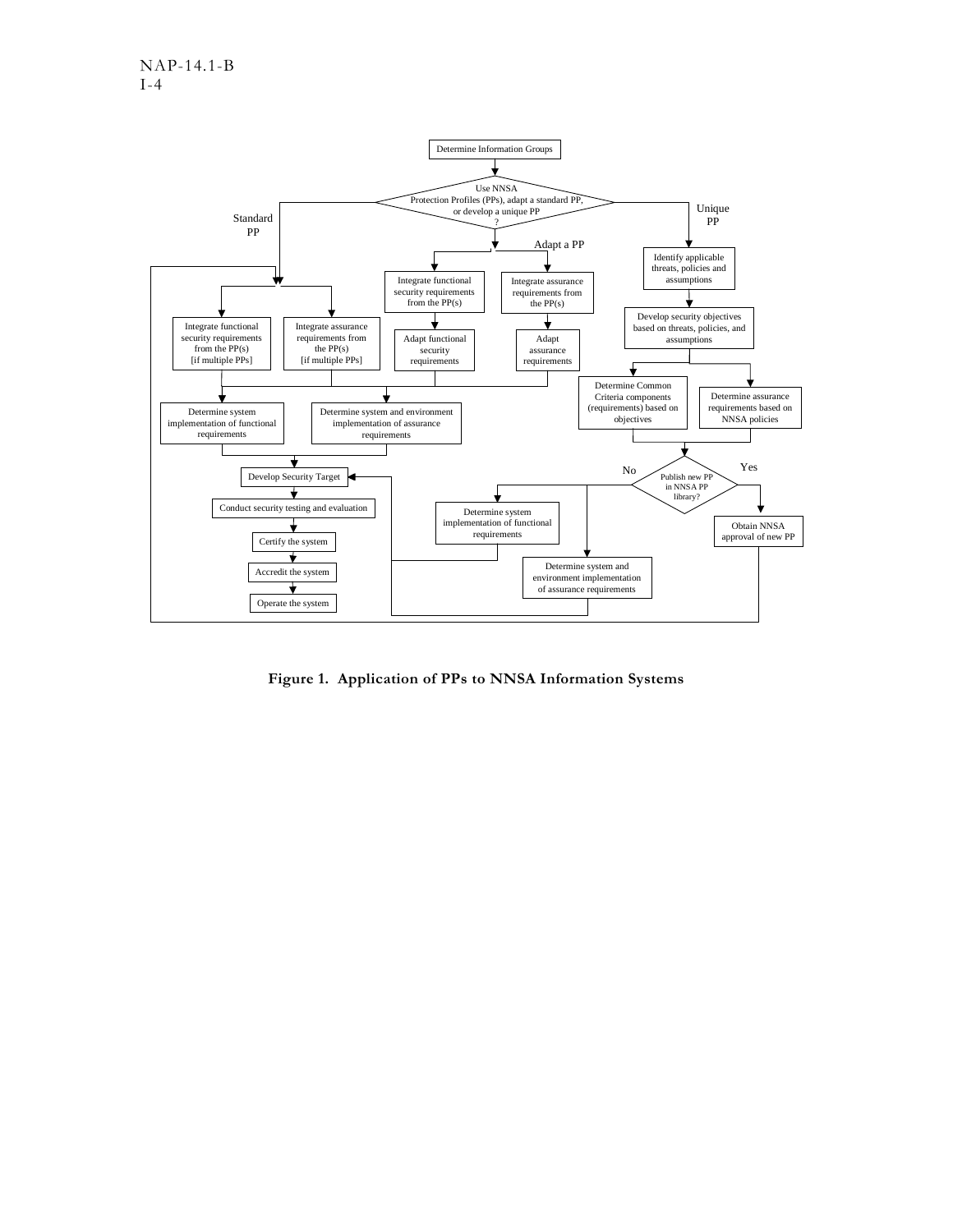

<span id="page-11-0"></span>**Figure 1. Application of PPs to NNSA Information Systems**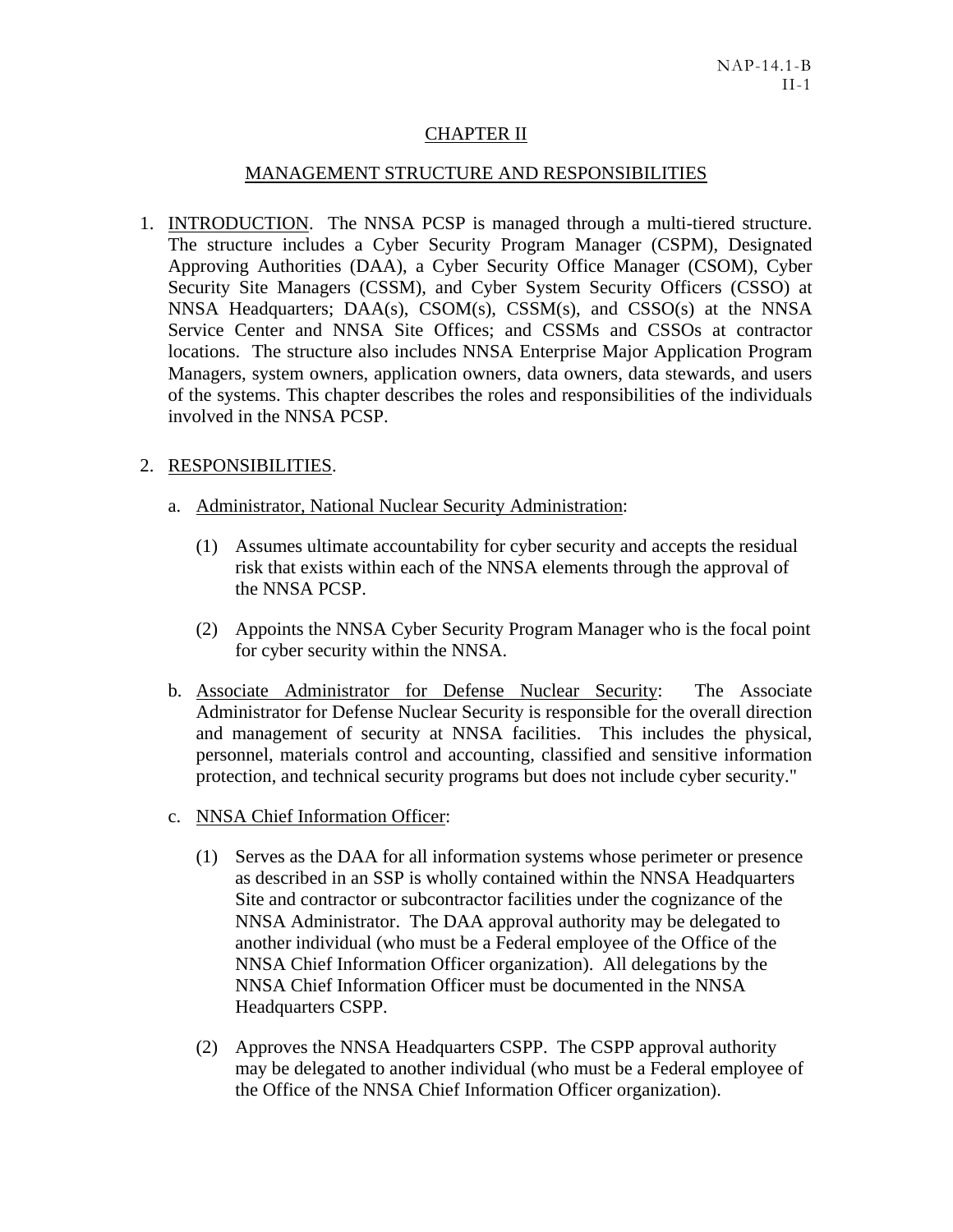## CHAPTER II

### MANAGEMENT STRUCTURE AND RESPONSIBILITIES

1. INTRODUCTION. The NNSA PCSP is managed through a multi-tiered structure. The structure includes a Cyber Security Program Manager (CSPM), Designated Approving Authorities (DAA), a Cyber Security Office Manager (CSOM), Cyber Security Site Managers (CSSM), and Cyber System Security Officers (CSSO) at NNSA Headquarters; DAA(s), CSOM(s), CSSM(s), and CSSO(s) at the NNSA Service Center and NNSA Site Offices; and CSSMs and CSSOs at contractor locations. The structure also includes NNSA Enterprise Major Application Program Managers, system owners, application owners, data owners, data stewards, and users of the systems. This chapter describes the roles and responsibilities of the individuals involved in the NNSA PCSP.

### 2. RESPONSIBILITIES.

- a. Administrator, National Nuclear Security Administration:
	- (1) Assumes ultimate accountability for cyber security and accepts the residual risk that exists within each of the NNSA elements through the approval of the NNSA PCSP.
	- (2) Appoints the NNSA Cyber Security Program Manager who is the focal point for cyber security within the NNSA.
- b. Associate Administrator for Defense Nuclear Security: The Associate Administrator for Defense Nuclear Security is responsible for the overall direction and management of security at NNSA facilities. This includes the physical, personnel, materials control and accounting, classified and sensitive information protection, and technical security programs but does not include cyber security."
- c. NNSA Chief Information Officer:
	- (1) Serves as the DAA for all information systems whose perimeter or presence as described in an SSP is wholly contained within the NNSA Headquarters Site and contractor or subcontractor facilities under the cognizance of the NNSA Administrator. The DAA approval authority may be delegated to another individual (who must be a Federal employee of the Office of the NNSA Chief Information Officer organization). All delegations by the NNSA Chief Information Officer must be documented in the NNSA Headquarters CSPP.
	- (2) Approves the NNSA Headquarters CSPP. The CSPP approval authority may be delegated to another individual (who must be a Federal employee of the Office of the NNSA Chief Information Officer organization).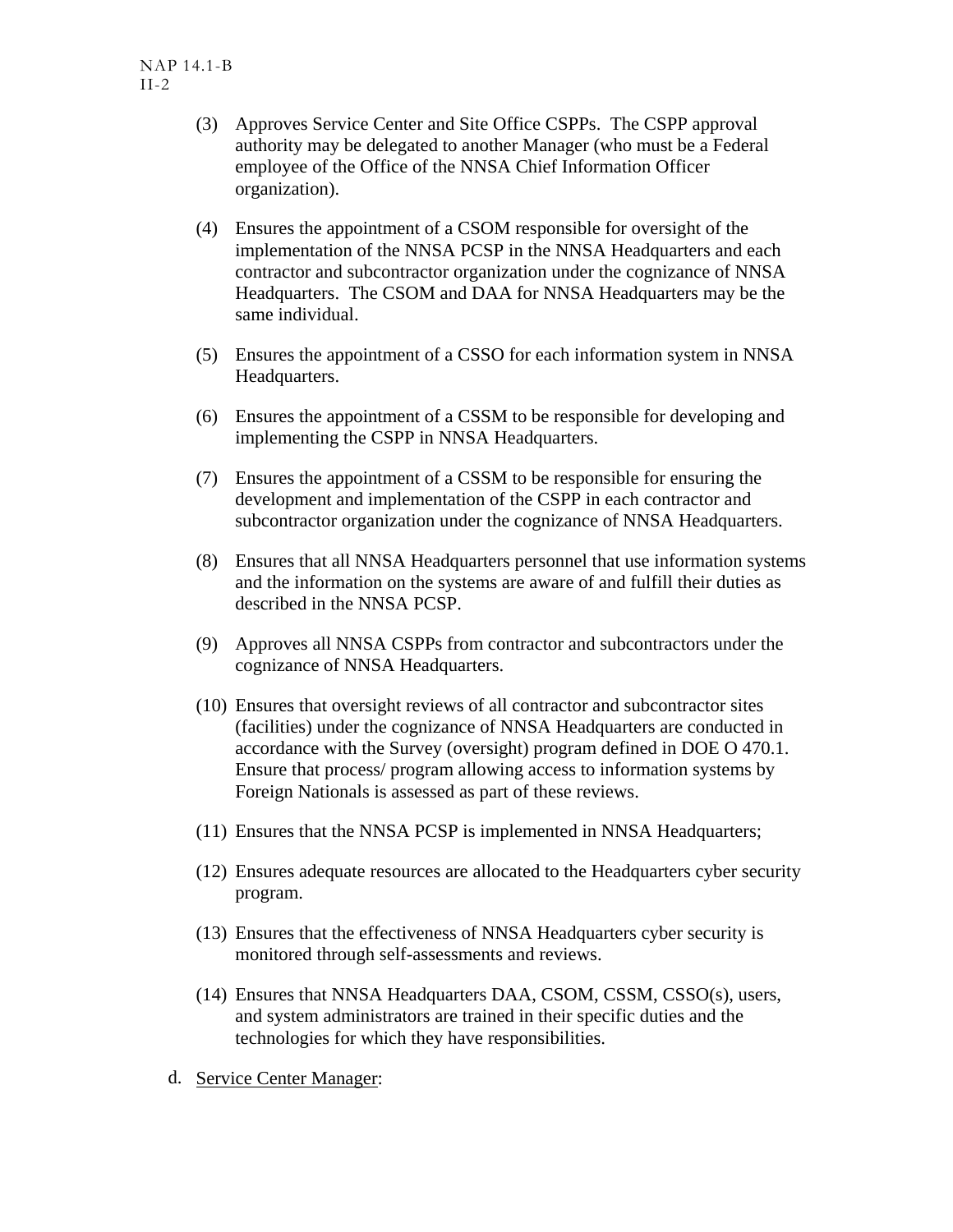- (3) Approves Service Center and Site Office CSPPs. The CSPP approval authority may be delegated to another Manager (who must be a Federal employee of the Office of the NNSA Chief Information Officer organization).
- (4) Ensures the appointment of a CSOM responsible for oversight of the implementation of the NNSA PCSP in the NNSA Headquarters and each contractor and subcontractor organization under the cognizance of NNSA Headquarters. The CSOM and DAA for NNSA Headquarters may be the same individual.
- (5) Ensures the appointment of a CSSO for each information system in NNSA Headquarters.
- (6) Ensures the appointment of a CSSM to be responsible for developing and implementing the CSPP in NNSA Headquarters.
- (7) Ensures the appointment of a CSSM to be responsible for ensuring the development and implementation of the CSPP in each contractor and subcontractor organization under the cognizance of NNSA Headquarters.
- (8) Ensures that all NNSA Headquarters personnel that use information systems and the information on the systems are aware of and fulfill their duties as described in the NNSA PCSP.
- (9) Approves all NNSA CSPPs from contractor and subcontractors under the cognizance of NNSA Headquarters.
- (10) Ensures that oversight reviews of all contractor and subcontractor sites (facilities) under the cognizance of NNSA Headquarters are conducted in accordance with the Survey (oversight) program defined in DOE O 470.1. Ensure that process/ program allowing access to information systems by Foreign Nationals is assessed as part of these reviews.
- (11) Ensures that the NNSA PCSP is implemented in NNSA Headquarters;
- (12) Ensures adequate resources are allocated to the Headquarters cyber security program.
- (13) Ensures that the effectiveness of NNSA Headquarters cyber security is monitored through self-assessments and reviews.
- (14) Ensures that NNSA Headquarters DAA, CSOM, CSSM, CSSO(s), users, and system administrators are trained in their specific duties and the technologies for which they have responsibilities.
- d. Service Center Manager: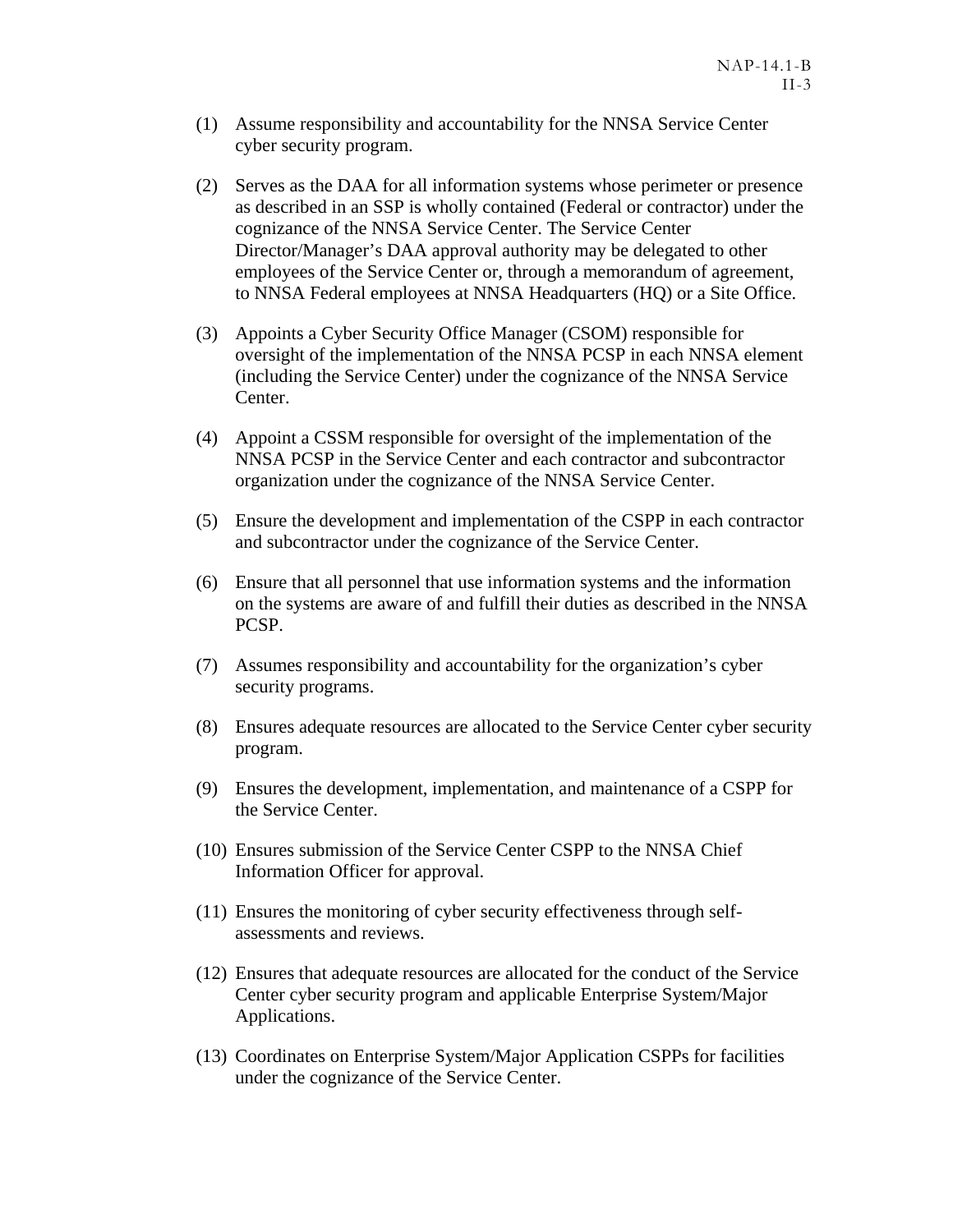- (1) Assume responsibility and accountability for the NNSA Service Center cyber security program.
- (2) Serves as the DAA for all information systems whose perimeter or presence as described in an SSP is wholly contained (Federal or contractor) under the cognizance of the NNSA Service Center. The Service Center Director/Manager's DAA approval authority may be delegated to other employees of the Service Center or, through a memorandum of agreement, to NNSA Federal employees at NNSA Headquarters (HQ) or a Site Office.
- (3) Appoints a Cyber Security Office Manager (CSOM) responsible for oversight of the implementation of the NNSA PCSP in each NNSA element (including the Service Center) under the cognizance of the NNSA Service Center.
- (4) Appoint a CSSM responsible for oversight of the implementation of the NNSA PCSP in the Service Center and each contractor and subcontractor organization under the cognizance of the NNSA Service Center.
- (5) Ensure the development and implementation of the CSPP in each contractor and subcontractor under the cognizance of the Service Center.
- (6) Ensure that all personnel that use information systems and the information on the systems are aware of and fulfill their duties as described in the NNSA PCSP.
- (7) Assumes responsibility and accountability for the organization's cyber security programs.
- (8) Ensures adequate resources are allocated to the Service Center cyber security program.
- (9) Ensures the development, implementation, and maintenance of a CSPP for the Service Center.
- (10) Ensures submission of the Service Center CSPP to the NNSA Chief Information Officer for approval.
- (11) Ensures the monitoring of cyber security effectiveness through selfassessments and reviews.
- (12) Ensures that adequate resources are allocated for the conduct of the Service Center cyber security program and applicable Enterprise System/Major Applications.
- (13) Coordinates on Enterprise System/Major Application CSPPs for facilities under the cognizance of the Service Center.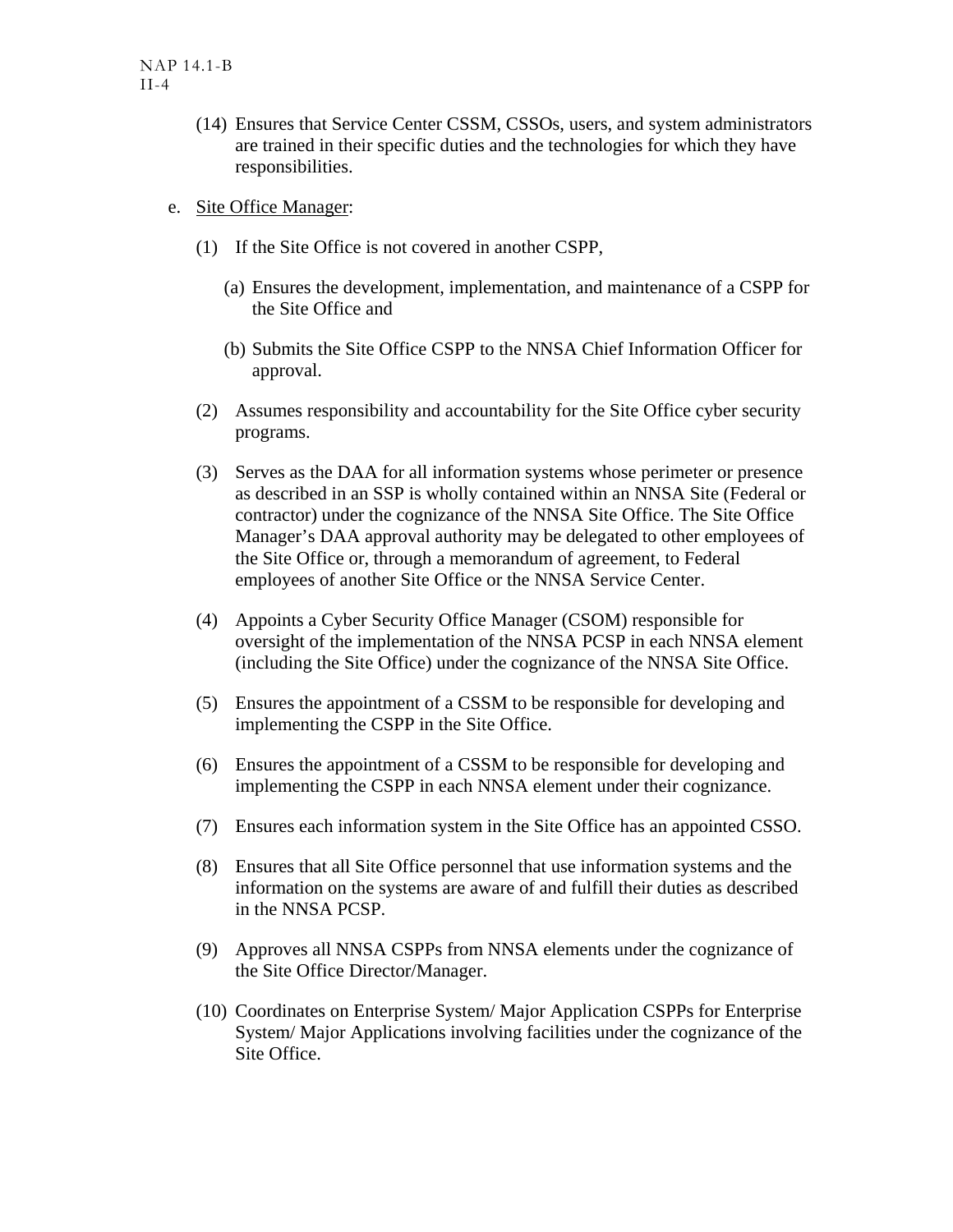- (14) Ensures that Service Center CSSM, CSSOs, users, and system administrators are trained in their specific duties and the technologies for which they have responsibilities.
- e. Site Office Manager:
	- (1) If the Site Office is not covered in another CSPP,
		- (a) Ensures the development, implementation, and maintenance of a CSPP for the Site Office and
		- (b) Submits the Site Office CSPP to the NNSA Chief Information Officer for approval.
	- (2) Assumes responsibility and accountability for the Site Office cyber security programs.
	- (3) Serves as the DAA for all information systems whose perimeter or presence as described in an SSP is wholly contained within an NNSA Site (Federal or contractor) under the cognizance of the NNSA Site Office. The Site Office Manager's DAA approval authority may be delegated to other employees of the Site Office or, through a memorandum of agreement, to Federal employees of another Site Office or the NNSA Service Center.
	- (4) Appoints a Cyber Security Office Manager (CSOM) responsible for oversight of the implementation of the NNSA PCSP in each NNSA element (including the Site Office) under the cognizance of the NNSA Site Office.
	- (5) Ensures the appointment of a CSSM to be responsible for developing and implementing the CSPP in the Site Office.
	- (6) Ensures the appointment of a CSSM to be responsible for developing and implementing the CSPP in each NNSA element under their cognizance.
	- (7) Ensures each information system in the Site Office has an appointed CSSO.
	- (8) Ensures that all Site Office personnel that use information systems and the information on the systems are aware of and fulfill their duties as described in the NNSA PCSP.
	- (9) Approves all NNSA CSPPs from NNSA elements under the cognizance of the Site Office Director/Manager.
	- (10) Coordinates on Enterprise System/ Major Application CSPPs for Enterprise System/ Major Applications involving facilities under the cognizance of the Site Office.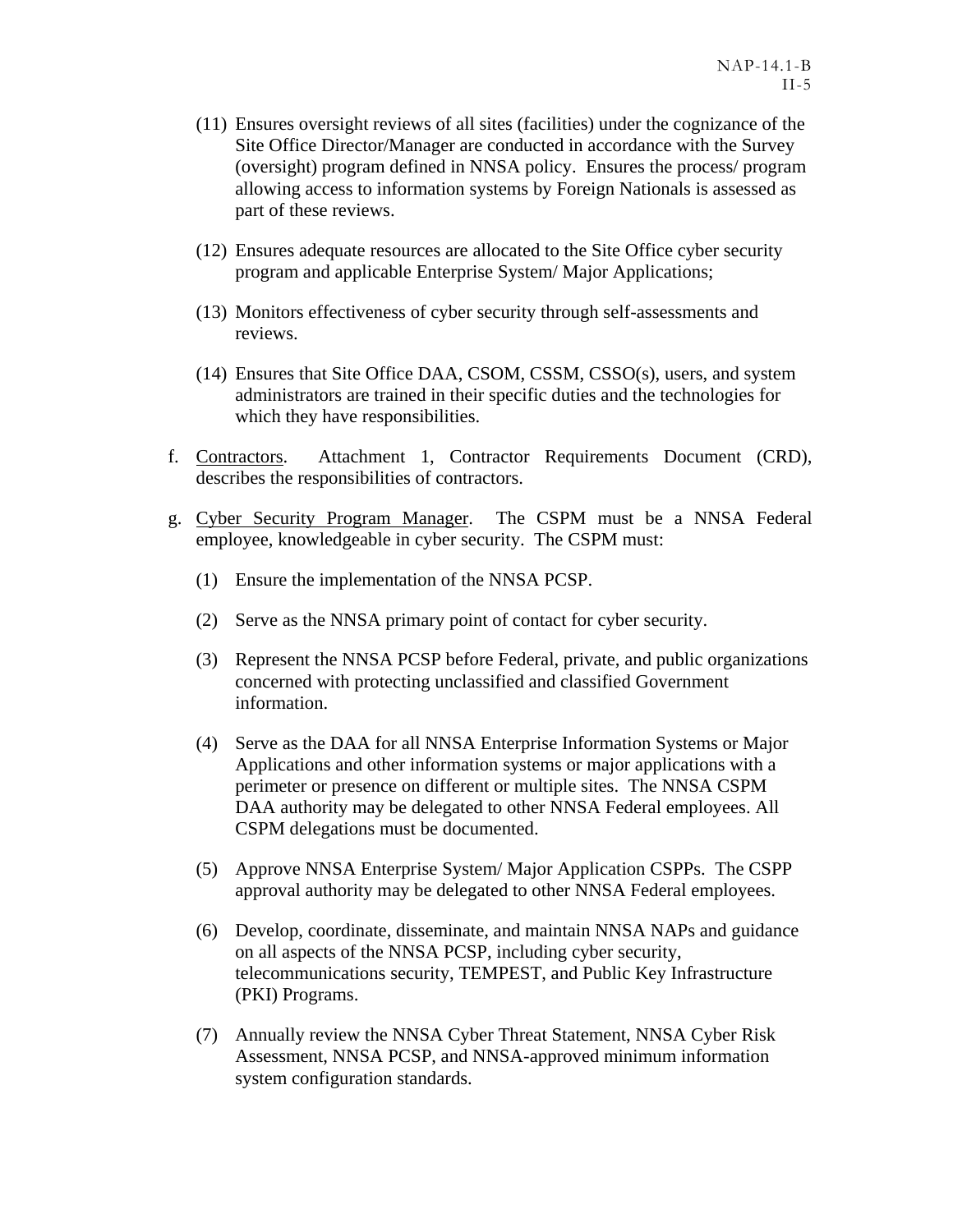- (11) Ensures oversight reviews of all sites (facilities) under the cognizance of the Site Office Director/Manager are conducted in accordance with the Survey (oversight) program defined in NNSA policy. Ensures the process/ program allowing access to information systems by Foreign Nationals is assessed as part of these reviews.
- (12) Ensures adequate resources are allocated to the Site Office cyber security program and applicable Enterprise System/ Major Applications;
- (13) Monitors effectiveness of cyber security through self-assessments and reviews.
- (14) Ensures that Site Office DAA, CSOM, CSSM, CSSO(s), users, and system administrators are trained in their specific duties and the technologies for which they have responsibilities.
- f. Contractors. Attachment 1, Contractor Requirements Document (CRD), describes the responsibilities of contractors.
- g. Cyber Security Program Manager. The CSPM must be a NNSA Federal employee, knowledgeable in cyber security. The CSPM must:
	- (1) Ensure the implementation of the NNSA PCSP.
	- (2) Serve as the NNSA primary point of contact for cyber security.
	- (3) Represent the NNSA PCSP before Federal, private, and public organizations concerned with protecting unclassified and classified Government information.
	- (4) Serve as the DAA for all NNSA Enterprise Information Systems or Major Applications and other information systems or major applications with a perimeter or presence on different or multiple sites. The NNSA CSPM DAA authority may be delegated to other NNSA Federal employees. All CSPM delegations must be documented.
	- (5) Approve NNSA Enterprise System/ Major Application CSPPs. The CSPP approval authority may be delegated to other NNSA Federal employees.
	- (6) Develop, coordinate, disseminate, and maintain NNSA NAPs and guidance on all aspects of the NNSA PCSP, including cyber security, telecommunications security, TEMPEST, and Public Key Infrastructure (PKI) Programs.
	- (7) Annually review the NNSA Cyber Threat Statement, NNSA Cyber Risk Assessment, NNSA PCSP, and NNSA-approved minimum information system configuration standards.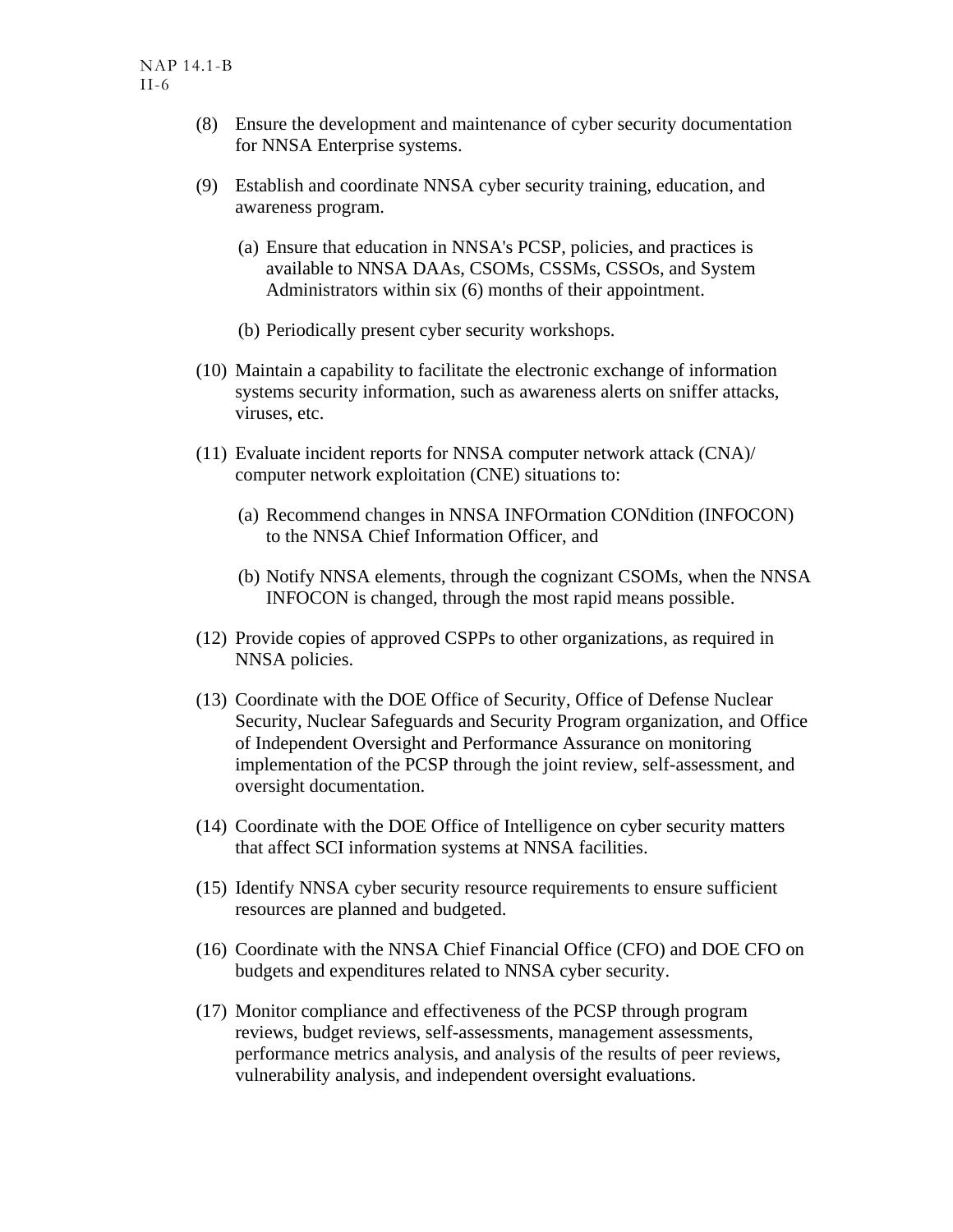- (8) Ensure the development and maintenance of cyber security documentation for NNSA Enterprise systems.
- (9) Establish and coordinate NNSA cyber security training, education, and awareness program.
	- (a) Ensure that education in NNSA's PCSP, policies, and practices is available to NNSA DAAs, CSOMs, CSSMs, CSSOs, and System Administrators within six (6) months of their appointment.
	- (b) Periodically present cyber security workshops.
- (10) Maintain a capability to facilitate the electronic exchange of information systems security information, such as awareness alerts on sniffer attacks, viruses, etc.
- (11) Evaluate incident reports for NNSA computer network attack (CNA)/ computer network exploitation (CNE) situations to:
	- (a) Recommend changes in NNSA INFOrmation CONdition (INFOCON) to the NNSA Chief Information Officer, and
	- (b) Notify NNSA elements, through the cognizant CSOMs, when the NNSA INFOCON is changed, through the most rapid means possible.
- (12) Provide copies of approved CSPPs to other organizations, as required in NNSA policies.
- (13) Coordinate with the DOE Office of Security, Office of Defense Nuclear Security, Nuclear Safeguards and Security Program organization, and Office of Independent Oversight and Performance Assurance on monitoring implementation of the PCSP through the joint review, self-assessment, and oversight documentation.
- (14) Coordinate with the DOE Office of Intelligence on cyber security matters that affect SCI information systems at NNSA facilities.
- (15) Identify NNSA cyber security resource requirements to ensure sufficient resources are planned and budgeted.
- (16) Coordinate with the NNSA Chief Financial Office (CFO) and DOE CFO on budgets and expenditures related to NNSA cyber security.
- (17) Monitor compliance and effectiveness of the PCSP through program reviews, budget reviews, self-assessments, management assessments, performance metrics analysis, and analysis of the results of peer reviews, vulnerability analysis, and independent oversight evaluations.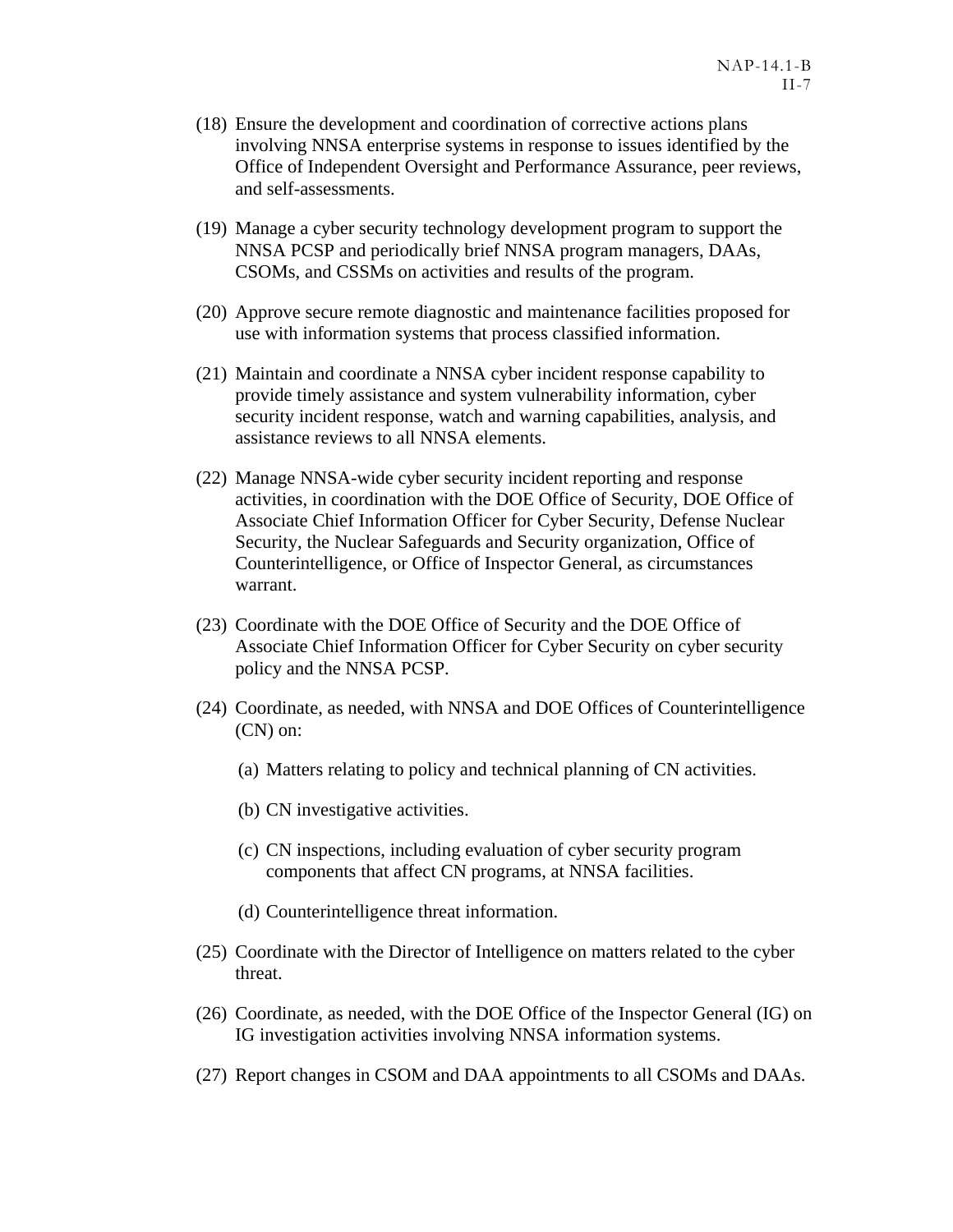- (18) Ensure the development and coordination of corrective actions plans involving NNSA enterprise systems in response to issues identified by the Office of Independent Oversight and Performance Assurance, peer reviews, and self-assessments.
- (19) Manage a cyber security technology development program to support the NNSA PCSP and periodically brief NNSA program managers, DAAs, CSOMs, and CSSMs on activities and results of the program.
- (20) Approve secure remote diagnostic and maintenance facilities proposed for use with information systems that process classified information.
- (21) Maintain and coordinate a NNSA cyber incident response capability to provide timely assistance and system vulnerability information, cyber security incident response, watch and warning capabilities, analysis, and assistance reviews to all NNSA elements.
- (22) Manage NNSA-wide cyber security incident reporting and response activities, in coordination with the DOE Office of Security, DOE Office of Associate Chief Information Officer for Cyber Security, Defense Nuclear Security, the Nuclear Safeguards and Security organization, Office of Counterintelligence, or Office of Inspector General, as circumstances warrant.
- (23) Coordinate with the DOE Office of Security and the DOE Office of Associate Chief Information Officer for Cyber Security on cyber security policy and the NNSA PCSP.
- (24) Coordinate, as needed, with NNSA and DOE Offices of Counterintelligence (CN) on:
	- (a) Matters relating to policy and technical planning of CN activities.
	- (b) CN investigative activities.
	- (c) CN inspections, including evaluation of cyber security program components that affect CN programs, at NNSA facilities.
	- (d) Counterintelligence threat information.
- (25) Coordinate with the Director of Intelligence on matters related to the cyber threat.
- (26) Coordinate, as needed, with the DOE Office of the Inspector General (IG) on IG investigation activities involving NNSA information systems.
- (27) Report changes in CSOM and DAA appointments to all CSOMs and DAAs.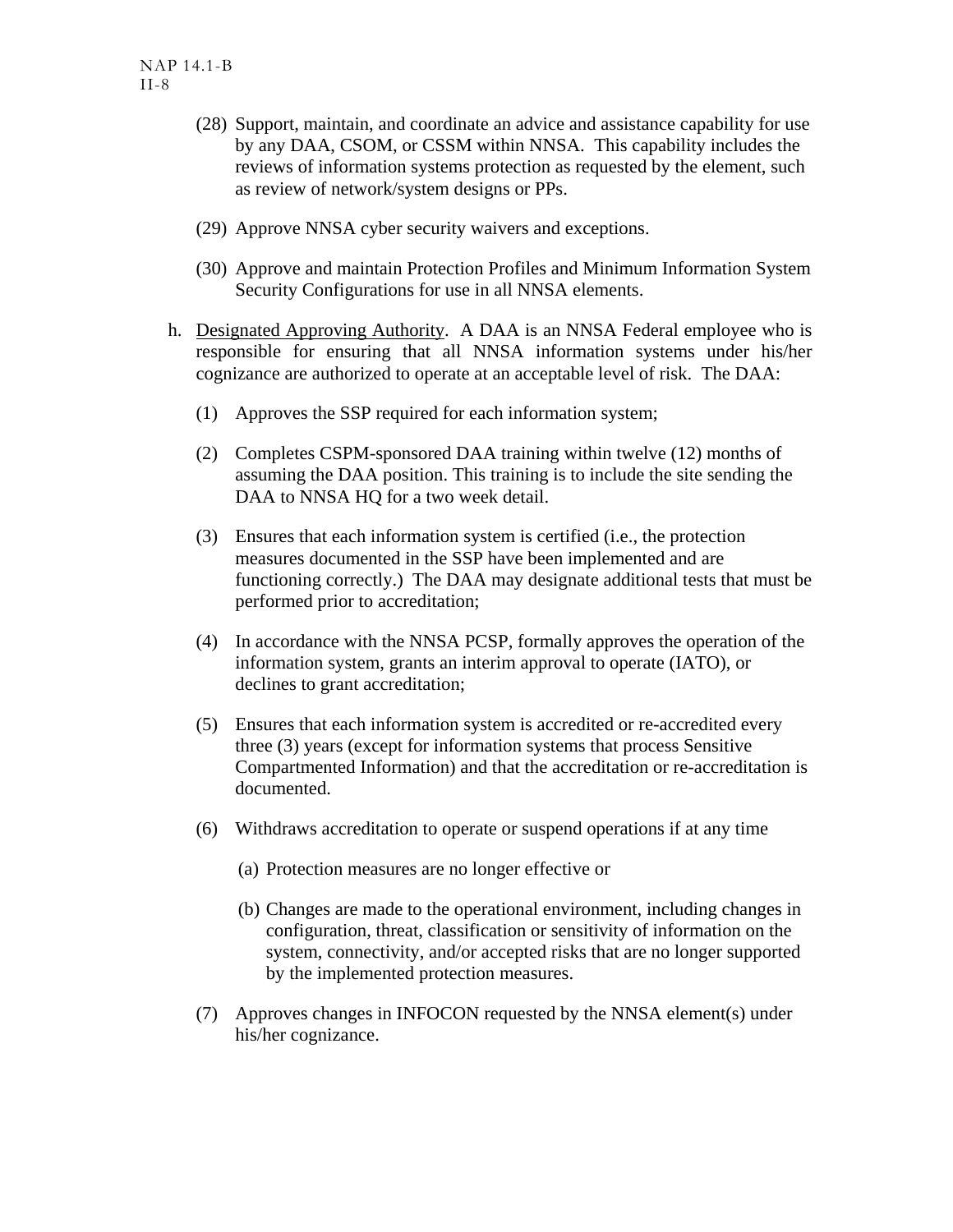- (28) Support, maintain, and coordinate an advice and assistance capability for use by any DAA, CSOM, or CSSM within NNSA. This capability includes the reviews of information systems protection as requested by the element, such as review of network/system designs or PPs.
- (29) Approve NNSA cyber security waivers and exceptions.
- (30) Approve and maintain Protection Profiles and Minimum Information System Security Configurations for use in all NNSA elements.
- h. Designated Approving Authority. A DAA is an NNSA Federal employee who is responsible for ensuring that all NNSA information systems under his/her cognizance are authorized to operate at an acceptable level of risk. The DAA:
	- (1) Approves the SSP required for each information system;
	- (2) Completes CSPM-sponsored DAA training within twelve (12) months of assuming the DAA position. This training is to include the site sending the DAA to NNSA HQ for a two week detail.
	- (3) Ensures that each information system is certified (i.e., the protection measures documented in the SSP have been implemented and are functioning correctly.) The DAA may designate additional tests that must be performed prior to accreditation;
	- (4) In accordance with the NNSA PCSP, formally approves the operation of the information system, grants an interim approval to operate (IATO), or declines to grant accreditation;
	- (5) Ensures that each information system is accredited or re-accredited every three (3) years (except for information systems that process Sensitive Compartmented Information) and that the accreditation or re-accreditation is documented.
	- (6) Withdraws accreditation to operate or suspend operations if at any time
		- (a) Protection measures are no longer effective or
		- (b) Changes are made to the operational environment, including changes in configuration, threat, classification or sensitivity of information on the system, connectivity, and/or accepted risks that are no longer supported by the implemented protection measures.
	- (7) Approves changes in INFOCON requested by the NNSA element(s) under his/her cognizance.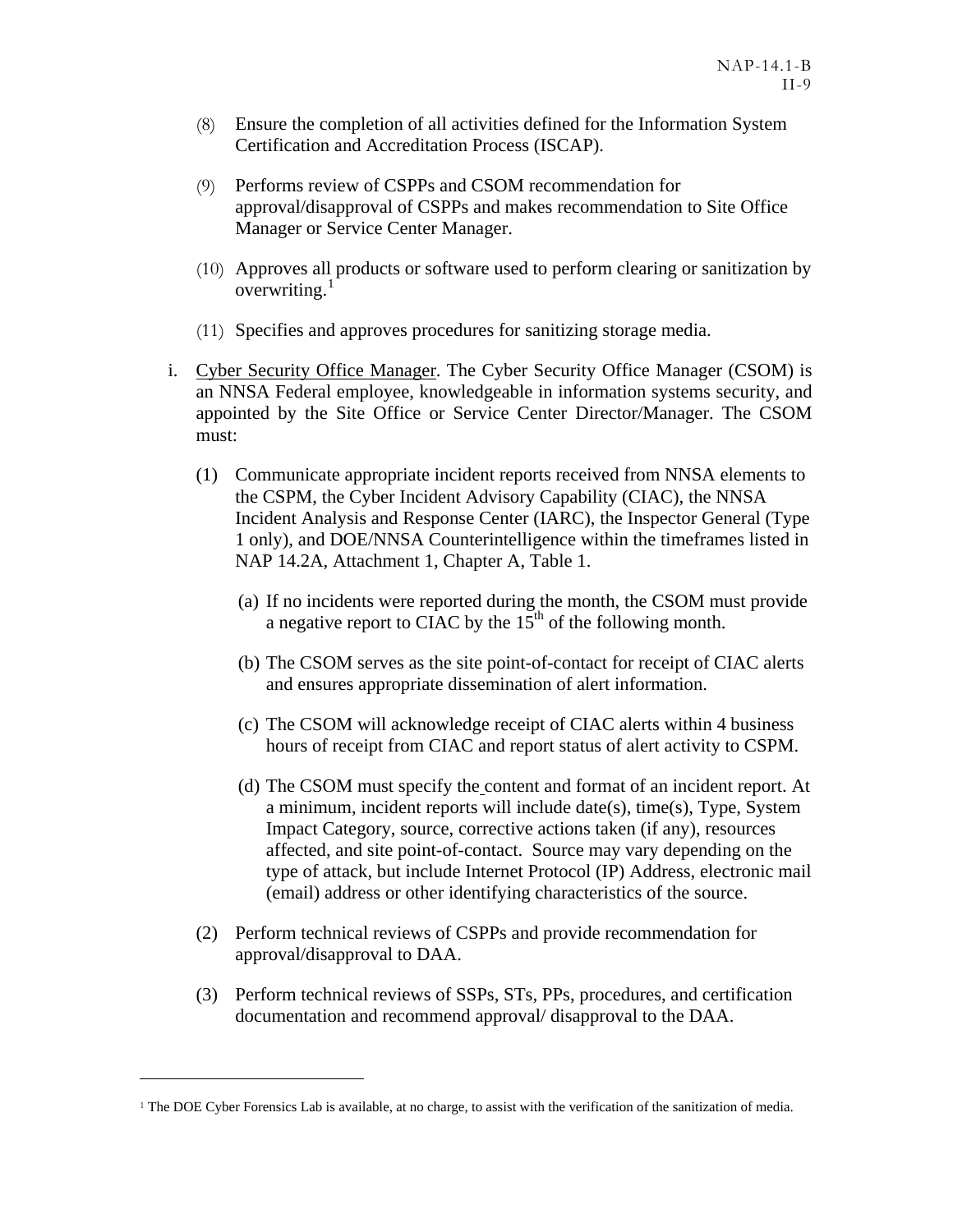- <span id="page-20-0"></span>(8) Ensure the completion of all activities defined for the Information System Certification and Accreditation Process (ISCAP).
- (9) Performs review of CSPPs and CSOM recommendation for approval/disapproval of CSPPs and makes recommendation to Site Office Manager or Service Center Manager.
- (10) Approves all products or software used to perform clearing or sanitization by overwriting. $<sup>1</sup>$  $<sup>1</sup>$  $<sup>1</sup>$ </sup>
- (11) Specifies and approves procedures for sanitizing storage media.
- i. Cyber Security Office Manager. The Cyber Security Office Manager (CSOM) is an NNSA Federal employee, knowledgeable in information systems security, and appointed by the Site Office or Service Center Director/Manager. The CSOM must:
	- (1) Communicate appropriate incident reports received from NNSA elements to the CSPM, the Cyber Incident Advisory Capability (CIAC), the NNSA Incident Analysis and Response Center (IARC), the Inspector General (Type 1 only), and DOE/NNSA Counterintelligence within the timeframes listed in NAP 14.2A, Attachment 1, Chapter A, Table 1.
		- (a) If no incidents were reported during the month, the CSOM must provide a negative report to CIAC by the  $15<sup>th</sup>$  of the following month.
		- (b) The CSOM serves as the site point-of-contact for receipt of CIAC alerts and ensures appropriate dissemination of alert information.
		- (c) The CSOM will acknowledge receipt of CIAC alerts within 4 business hours of receipt from CIAC and report status of alert activity to CSPM.
		- (d) The CSOM must specify the content and format of an incident report. At a minimum, incident reports will include date(s), time(s), Type, System Impact Category, source, corrective actions taken (if any), resources affected, and site point-of-contact. Source may vary depending on the type of attack, but include Internet Protocol (IP) Address, electronic mail (email) address or other identifying characteristics of the source.
	- (2) Perform technical reviews of CSPPs and provide recommendation for approval/disapproval to DAA.
	- (3) Perform technical reviews of SSPs, STs, PPs, procedures, and certification documentation and recommend approval/ disapproval to the DAA.

 $\overline{a}$ 

<sup>&</sup>lt;sup>1</sup> The DOE Cyber Forensics Lab is available, at no charge, to assist with the verification of the sanitization of media.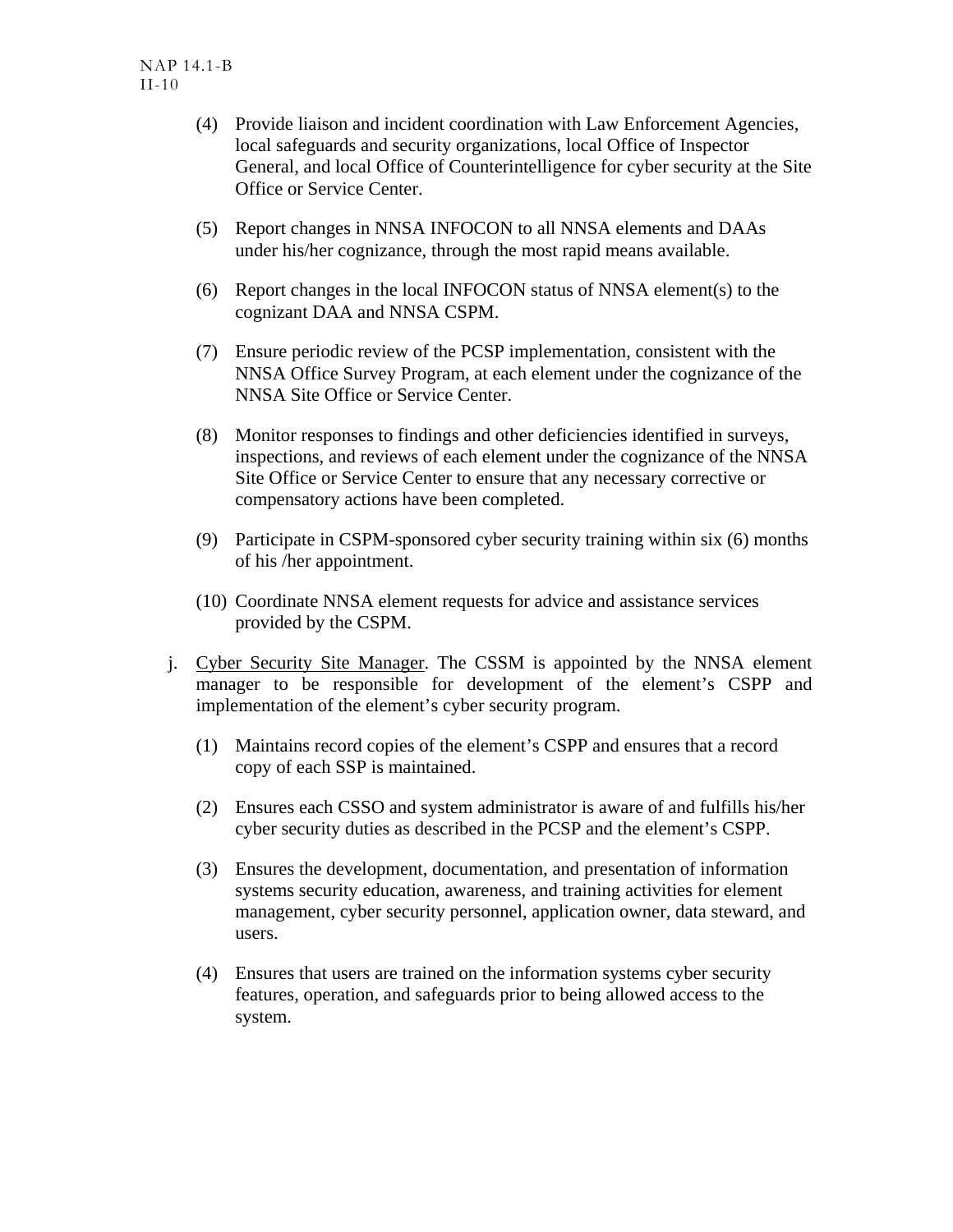- (4) Provide liaison and incident coordination with Law Enforcement Agencies, local safeguards and security organizations, local Office of Inspector General, and local Office of Counterintelligence for cyber security at the Site Office or Service Center.
- (5) Report changes in NNSA INFOCON to all NNSA elements and DAAs under his/her cognizance, through the most rapid means available.
- (6) Report changes in the local INFOCON status of NNSA element(s) to the cognizant DAA and NNSA CSPM.
- (7) Ensure periodic review of the PCSP implementation, consistent with the NNSA Office Survey Program, at each element under the cognizance of the NNSA Site Office or Service Center.
- (8) Monitor responses to findings and other deficiencies identified in surveys, inspections, and reviews of each element under the cognizance of the NNSA Site Office or Service Center to ensure that any necessary corrective or compensatory actions have been completed.
- (9) Participate in CSPM-sponsored cyber security training within six (6) months of his /her appointment.
- (10) Coordinate NNSA element requests for advice and assistance services provided by the CSPM.
- j. Cyber Security Site Manager. The CSSM is appointed by the NNSA element manager to be responsible for development of the element's CSPP and implementation of the element's cyber security program.
	- (1) Maintains record copies of the element's CSPP and ensures that a record copy of each SSP is maintained.
	- (2) Ensures each CSSO and system administrator is aware of and fulfills his/her cyber security duties as described in the PCSP and the element's CSPP.
	- (3) Ensures the development, documentation, and presentation of information systems security education, awareness, and training activities for element management, cyber security personnel, application owner, data steward, and users.
	- (4) Ensures that users are trained on the information systems cyber security features, operation, and safeguards prior to being allowed access to the system.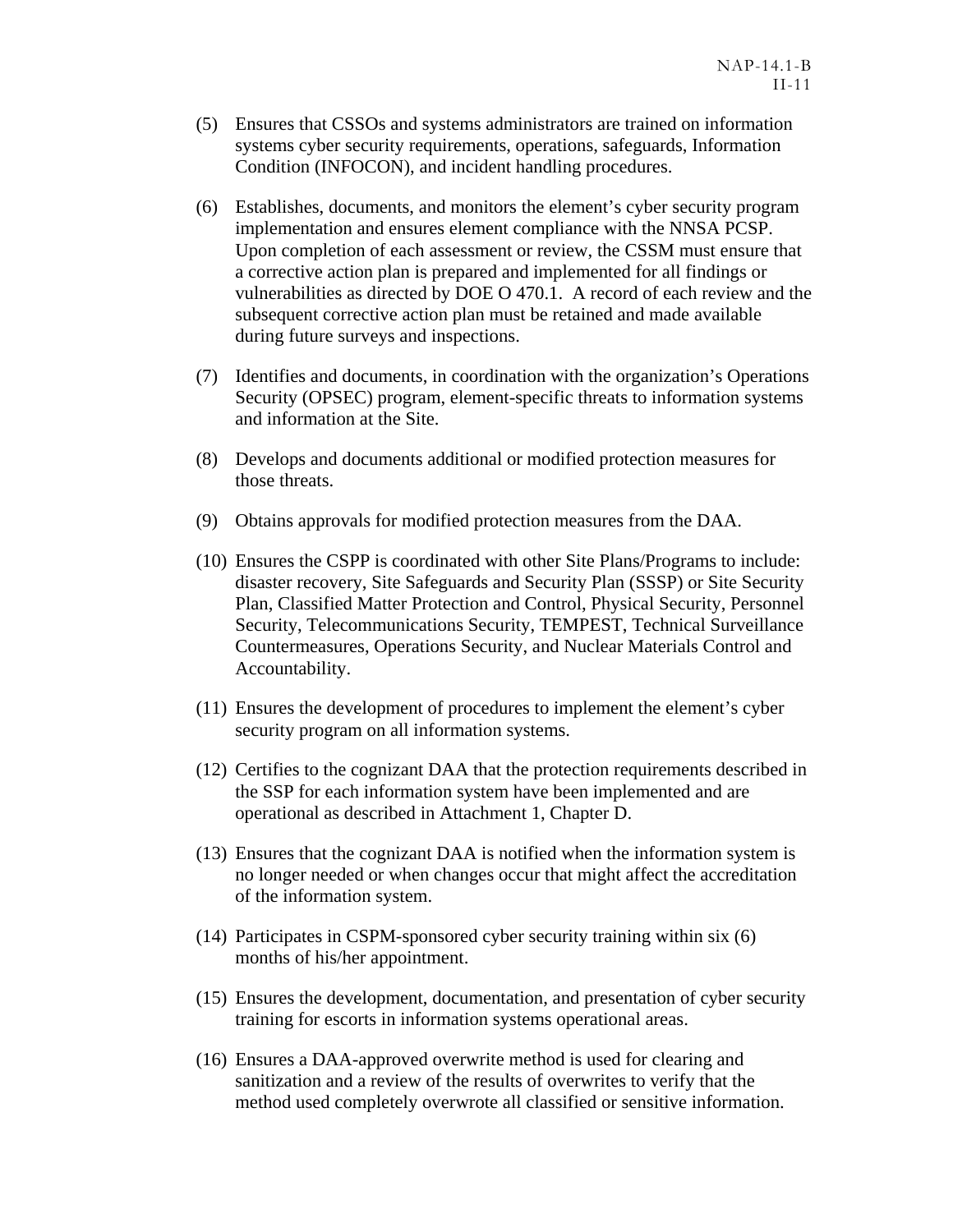- (5) Ensures that CSSOs and systems administrators are trained on information systems cyber security requirements, operations, safeguards, Information Condition (INFOCON), and incident handling procedures.
- (6) Establishes, documents, and monitors the element's cyber security program implementation and ensures element compliance with the NNSA PCSP. Upon completion of each assessment or review, the CSSM must ensure that a corrective action plan is prepared and implemented for all findings or vulnerabilities as directed by DOE O 470.1. A record of each review and the subsequent corrective action plan must be retained and made available during future surveys and inspections.
- (7) Identifies and documents, in coordination with the organization's Operations Security (OPSEC) program, element-specific threats to information systems and information at the Site.
- (8) Develops and documents additional or modified protection measures for those threats.
- (9) Obtains approvals for modified protection measures from the DAA.
- (10) Ensures the CSPP is coordinated with other Site Plans/Programs to include: disaster recovery, Site Safeguards and Security Plan (SSSP) or Site Security Plan, Classified Matter Protection and Control, Physical Security, Personnel Security, Telecommunications Security, TEMPEST, Technical Surveillance Countermeasures, Operations Security, and Nuclear Materials Control and Accountability.
- (11) Ensures the development of procedures to implement the element's cyber security program on all information systems.
- (12) Certifies to the cognizant DAA that the protection requirements described in the SSP for each information system have been implemented and are operational as described in Attachment 1, Chapter D.
- (13) Ensures that the cognizant DAA is notified when the information system is no longer needed or when changes occur that might affect the accreditation of the information system.
- (14) Participates in CSPM-sponsored cyber security training within six (6) months of his/her appointment.
- (15) Ensures the development, documentation, and presentation of cyber security training for escorts in information systems operational areas.
- (16) Ensures a DAA-approved overwrite method is used for clearing and sanitization and a review of the results of overwrites to verify that the method used completely overwrote all classified or sensitive information.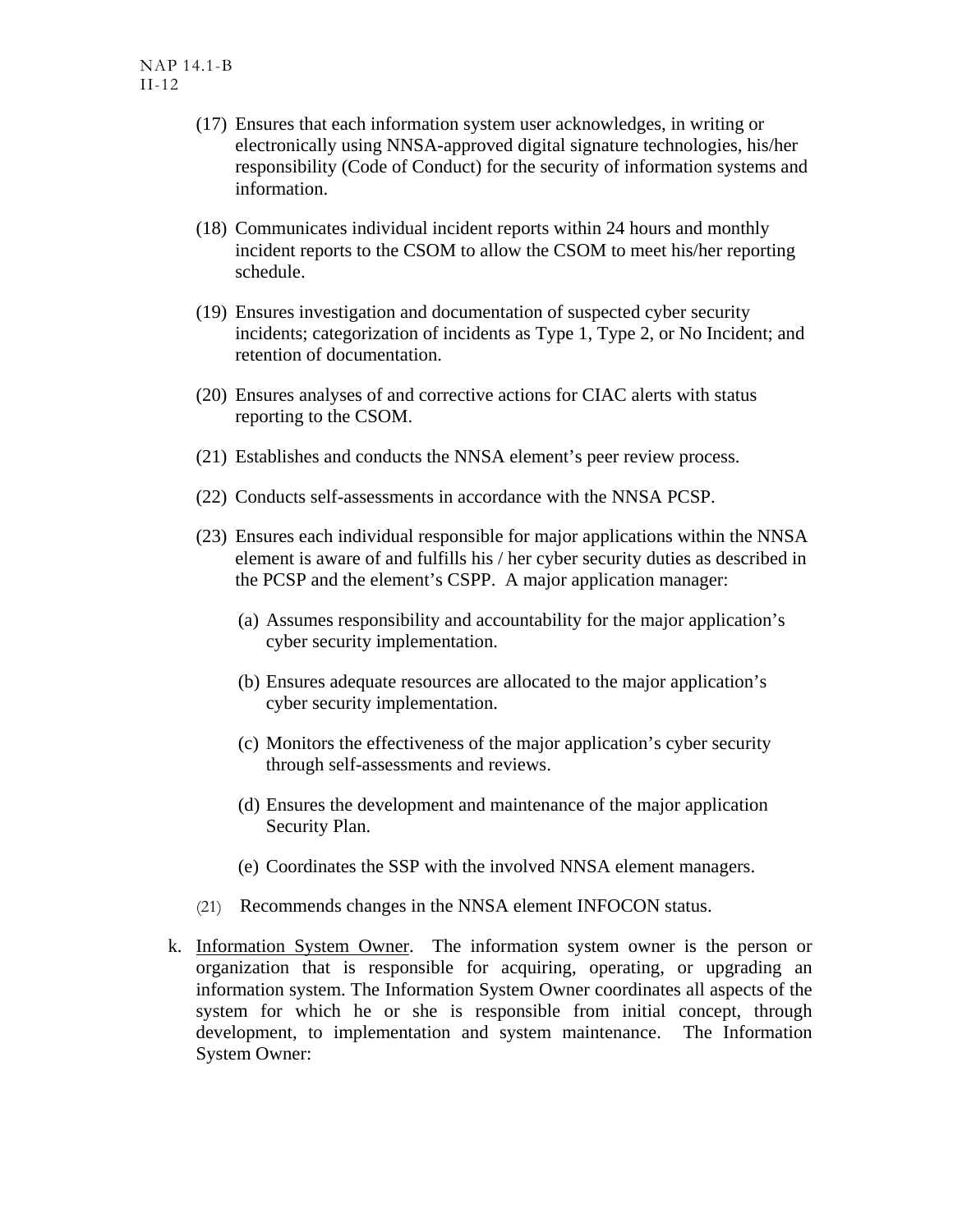- (17) Ensures that each information system user acknowledges, in writing or electronically using NNSA-approved digital signature technologies, his/her responsibility (Code of Conduct) for the security of information systems and information.
- (18) Communicates individual incident reports within 24 hours and monthly incident reports to the CSOM to allow the CSOM to meet his/her reporting schedule.
- (19) Ensures investigation and documentation of suspected cyber security incidents; categorization of incidents as Type 1, Type 2, or No Incident; and retention of documentation.
- (20) Ensures analyses of and corrective actions for CIAC alerts with status reporting to the CSOM.
- (21) Establishes and conducts the NNSA element's peer review process.
- (22) Conducts self-assessments in accordance with the NNSA PCSP.
- (23) Ensures each individual responsible for major applications within the NNSA element is aware of and fulfills his / her cyber security duties as described in the PCSP and the element's CSPP. A major application manager:
	- (a) Assumes responsibility and accountability for the major application's cyber security implementation.
	- (b) Ensures adequate resources are allocated to the major application's cyber security implementation.
	- (c) Monitors the effectiveness of the major application's cyber security through self-assessments and reviews.
	- (d) Ensures the development and maintenance of the major application Security Plan.
	- (e) Coordinates the SSP with the involved NNSA element managers.
- (21) Recommends changes in the NNSA element INFOCON status.
- k. Information System Owner. The information system owner is the person or organization that is responsible for acquiring, operating, or upgrading an information system. The Information System Owner coordinates all aspects of the system for which he or she is responsible from initial concept, through development, to implementation and system maintenance. The Information System Owner: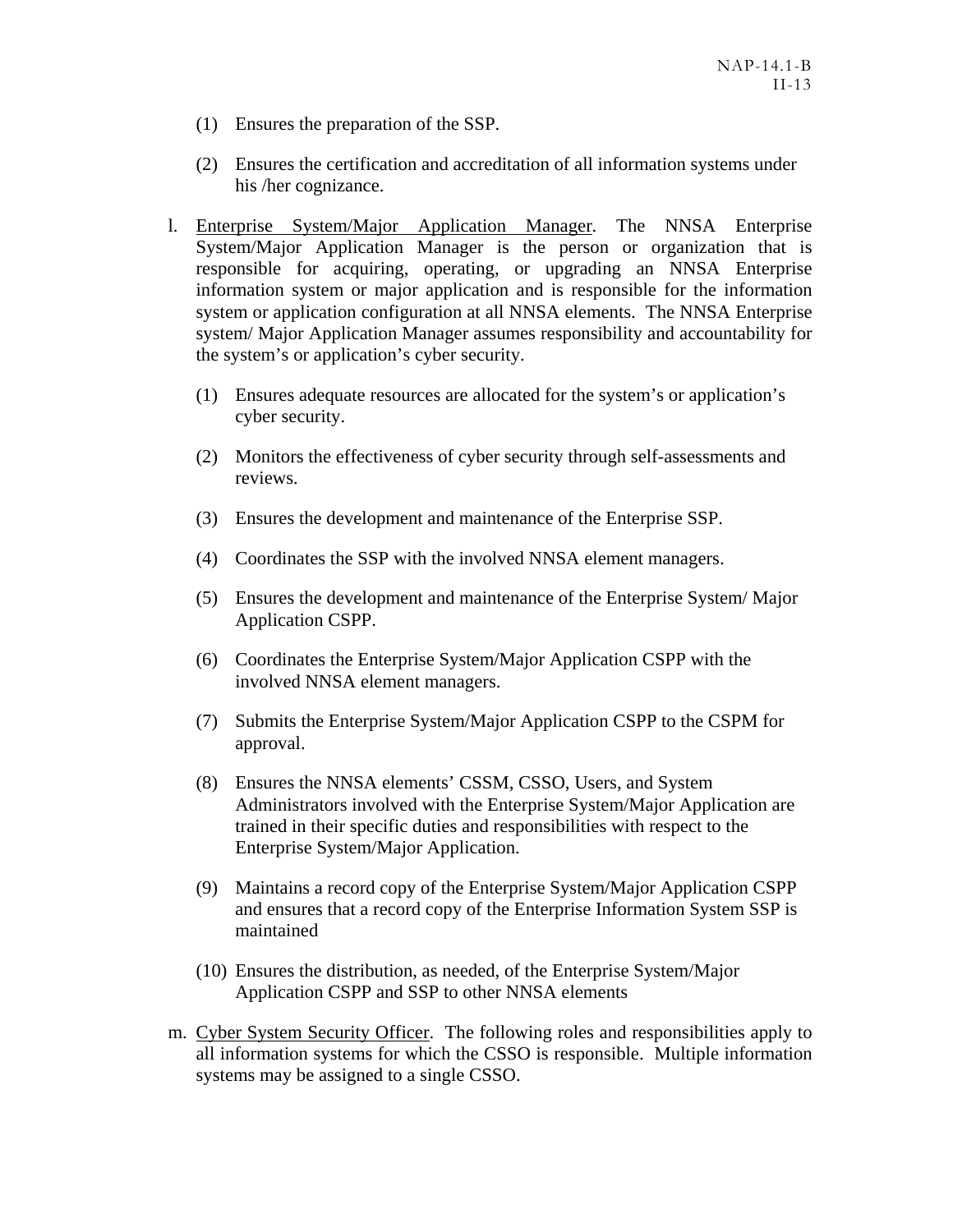- (1) Ensures the preparation of the SSP.
- (2) Ensures the certification and accreditation of all information systems under his /her cognizance.
- l. Enterprise System/Major Application Manager. The NNSA Enterprise System/Major Application Manager is the person or organization that is responsible for acquiring, operating, or upgrading an NNSA Enterprise information system or major application and is responsible for the information system or application configuration at all NNSA elements. The NNSA Enterprise system/ Major Application Manager assumes responsibility and accountability for the system's or application's cyber security.
	- (1) Ensures adequate resources are allocated for the system's or application's cyber security.
	- (2) Monitors the effectiveness of cyber security through self-assessments and reviews.
	- (3) Ensures the development and maintenance of the Enterprise SSP.
	- (4) Coordinates the SSP with the involved NNSA element managers.
	- (5) Ensures the development and maintenance of the Enterprise System/ Major Application CSPP.
	- (6) Coordinates the Enterprise System/Major Application CSPP with the involved NNSA element managers.
	- (7) Submits the Enterprise System/Major Application CSPP to the CSPM for approval.
	- (8) Ensures the NNSA elements' CSSM, CSSO, Users, and System Administrators involved with the Enterprise System/Major Application are trained in their specific duties and responsibilities with respect to the Enterprise System/Major Application.
	- (9) Maintains a record copy of the Enterprise System/Major Application CSPP and ensures that a record copy of the Enterprise Information System SSP is maintained
	- (10) Ensures the distribution, as needed, of the Enterprise System/Major Application CSPP and SSP to other NNSA elements
- m. Cyber System Security Officer. The following roles and responsibilities apply to all information systems for which the CSSO is responsible. Multiple information systems may be assigned to a single CSSO.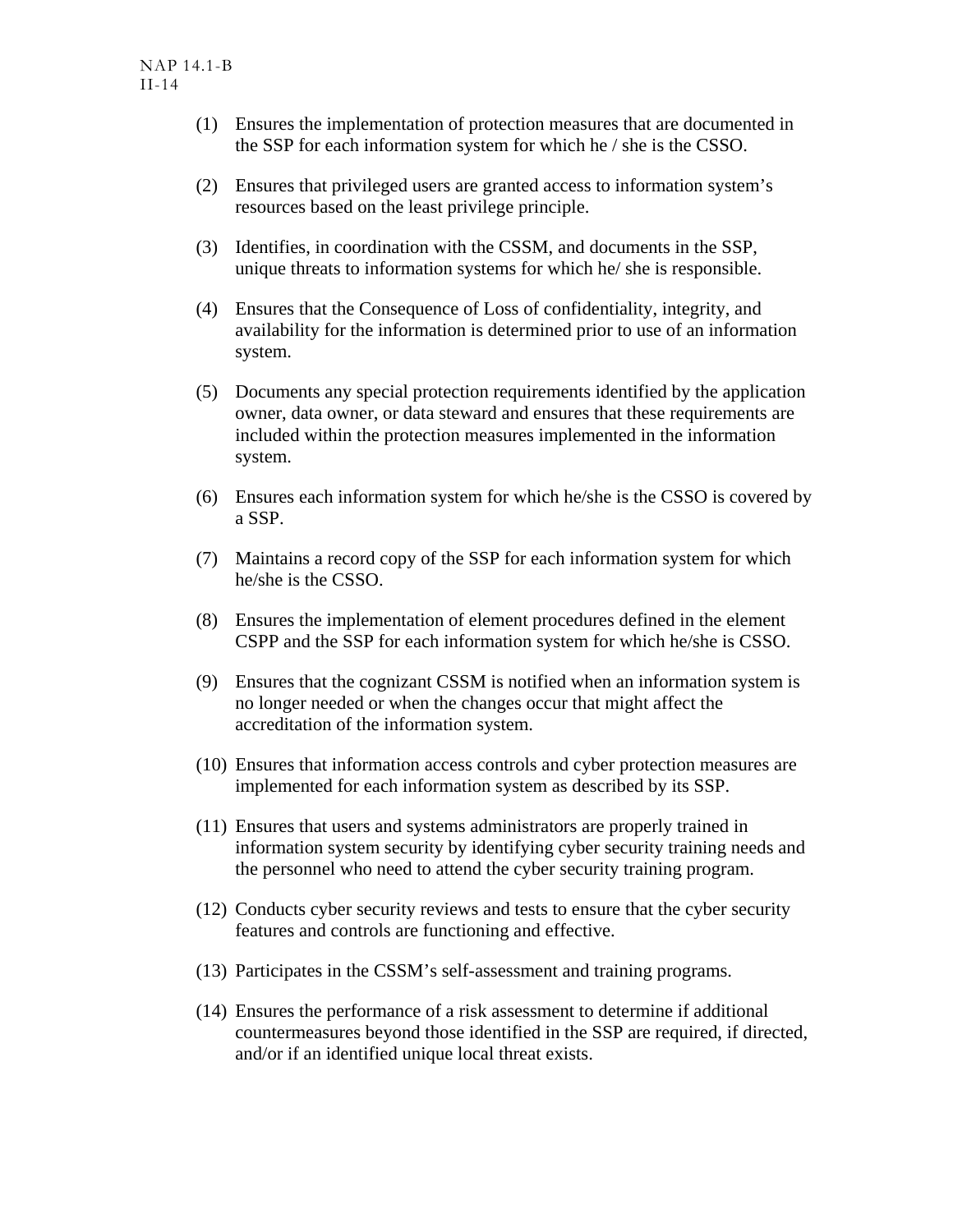- (1) Ensures the implementation of protection measures that are documented in the SSP for each information system for which he / she is the CSSO.
- (2) Ensures that privileged users are granted access to information system's resources based on the least privilege principle.
- (3) Identifies, in coordination with the CSSM, and documents in the SSP, unique threats to information systems for which he/ she is responsible.
- (4) Ensures that the Consequence of Loss of confidentiality, integrity, and availability for the information is determined prior to use of an information system.
- (5) Documents any special protection requirements identified by the application owner, data owner, or data steward and ensures that these requirements are included within the protection measures implemented in the information system.
- (6) Ensures each information system for which he/she is the CSSO is covered by a SSP.
- (7) Maintains a record copy of the SSP for each information system for which he/she is the CSSO.
- (8) Ensures the implementation of element procedures defined in the element CSPP and the SSP for each information system for which he/she is CSSO.
- (9) Ensures that the cognizant CSSM is notified when an information system is no longer needed or when the changes occur that might affect the accreditation of the information system.
- (10) Ensures that information access controls and cyber protection measures are implemented for each information system as described by its SSP.
- (11) Ensures that users and systems administrators are properly trained in information system security by identifying cyber security training needs and the personnel who need to attend the cyber security training program.
- (12) Conducts cyber security reviews and tests to ensure that the cyber security features and controls are functioning and effective.
- (13) Participates in the CSSM's self-assessment and training programs.
- (14) Ensures the performance of a risk assessment to determine if additional countermeasures beyond those identified in the SSP are required, if directed, and/or if an identified unique local threat exists.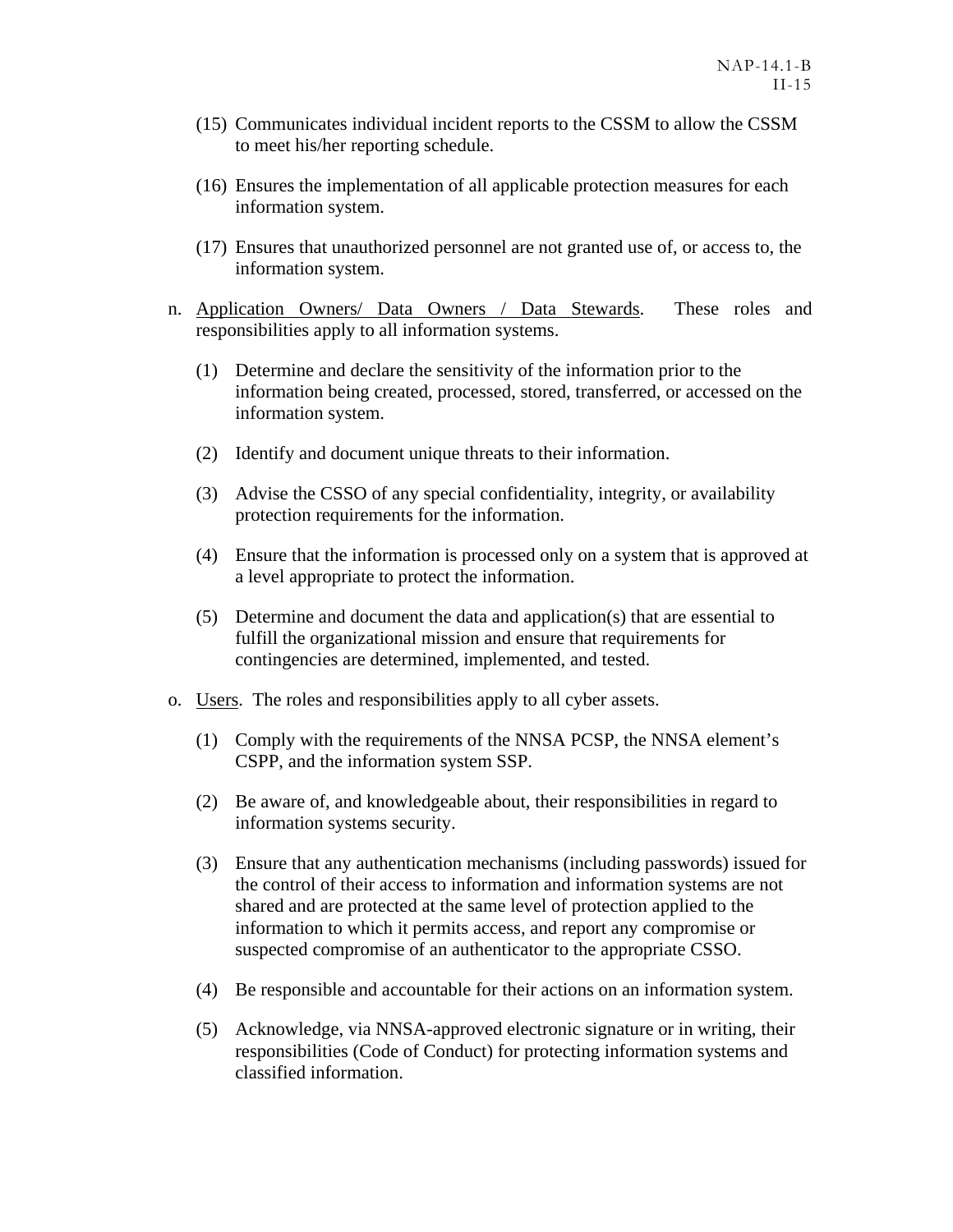- (15) Communicates individual incident reports to the CSSM to allow the CSSM to meet his/her reporting schedule.
- (16) Ensures the implementation of all applicable protection measures for each information system.
- (17) Ensures that unauthorized personnel are not granted use of, or access to, the information system.
- n. Application Owners/ Data Owners / Data Stewards. These roles and responsibilities apply to all information systems.
	- (1) Determine and declare the sensitivity of the information prior to the information being created, processed, stored, transferred, or accessed on the information system.
	- (2) Identify and document unique threats to their information.
	- (3) Advise the CSSO of any special confidentiality, integrity, or availability protection requirements for the information.
	- (4) Ensure that the information is processed only on a system that is approved at a level appropriate to protect the information.
	- (5) Determine and document the data and application(s) that are essential to fulfill the organizational mission and ensure that requirements for contingencies are determined, implemented, and tested.
- o. Users. The roles and responsibilities apply to all cyber assets.
	- (1) Comply with the requirements of the NNSA PCSP, the NNSA element's CSPP, and the information system SSP.
	- (2) Be aware of, and knowledgeable about, their responsibilities in regard to information systems security.
	- (3) Ensure that any authentication mechanisms (including passwords) issued for the control of their access to information and information systems are not shared and are protected at the same level of protection applied to the information to which it permits access, and report any compromise or suspected compromise of an authenticator to the appropriate CSSO.
	- (4) Be responsible and accountable for their actions on an information system.
	- (5) Acknowledge, via NNSA-approved electronic signature or in writing, their responsibilities (Code of Conduct) for protecting information systems and classified information.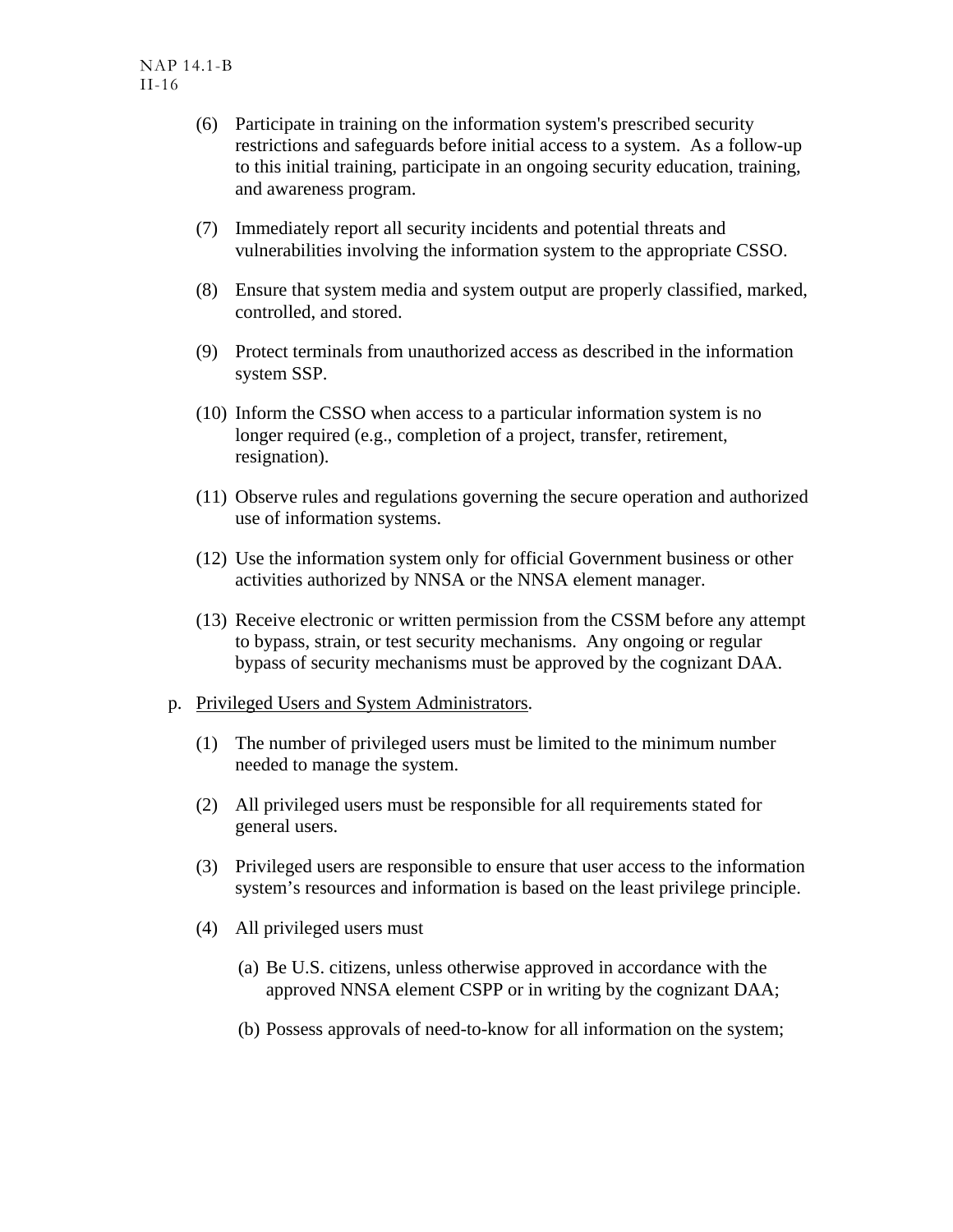- (6) Participate in training on the information system's prescribed security restrictions and safeguards before initial access to a system. As a follow-up to this initial training, participate in an ongoing security education, training, and awareness program.
- (7) Immediately report all security incidents and potential threats and vulnerabilities involving the information system to the appropriate CSSO.
- (8) Ensure that system media and system output are properly classified, marked, controlled, and stored.
- (9) Protect terminals from unauthorized access as described in the information system SSP.
- (10) Inform the CSSO when access to a particular information system is no longer required (e.g., completion of a project, transfer, retirement, resignation).
- (11) Observe rules and regulations governing the secure operation and authorized use of information systems.
- (12) Use the information system only for official Government business or other activities authorized by NNSA or the NNSA element manager.
- (13) Receive electronic or written permission from the CSSM before any attempt to bypass, strain, or test security mechanisms. Any ongoing or regular bypass of security mechanisms must be approved by the cognizant DAA.

#### p. Privileged Users and System Administrators.

- (1) The number of privileged users must be limited to the minimum number needed to manage the system.
- (2) All privileged users must be responsible for all requirements stated for general users.
- (3) Privileged users are responsible to ensure that user access to the information system's resources and information is based on the least privilege principle.
- (4) All privileged users must
	- (a) Be U.S. citizens, unless otherwise approved in accordance with the approved NNSA element CSPP or in writing by the cognizant DAA;
	- (b) Possess approvals of need-to-know for all information on the system;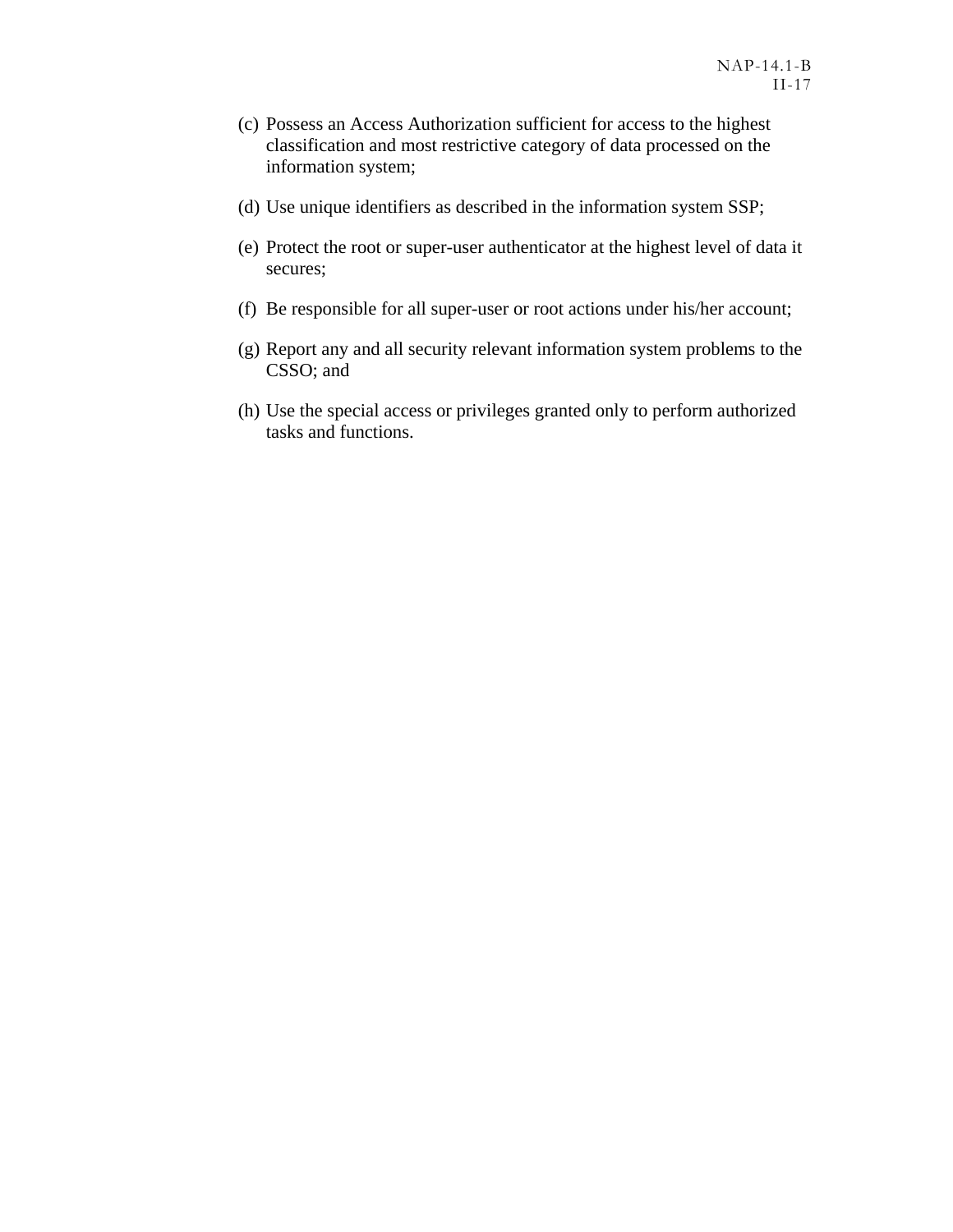- (c) Possess an Access Authorization sufficient for access to the highest classification and most restrictive category of data processed on the information system;
- (d) Use unique identifiers as described in the information system SSP;
- (e) Protect the root or super-user authenticator at the highest level of data it secures;
- (f) Be responsible for all super-user or root actions under his/her account;
- (g) Report any and all security relevant information system problems to the CSSO; and
- (h) Use the special access or privileges granted only to perform authorized tasks and functions.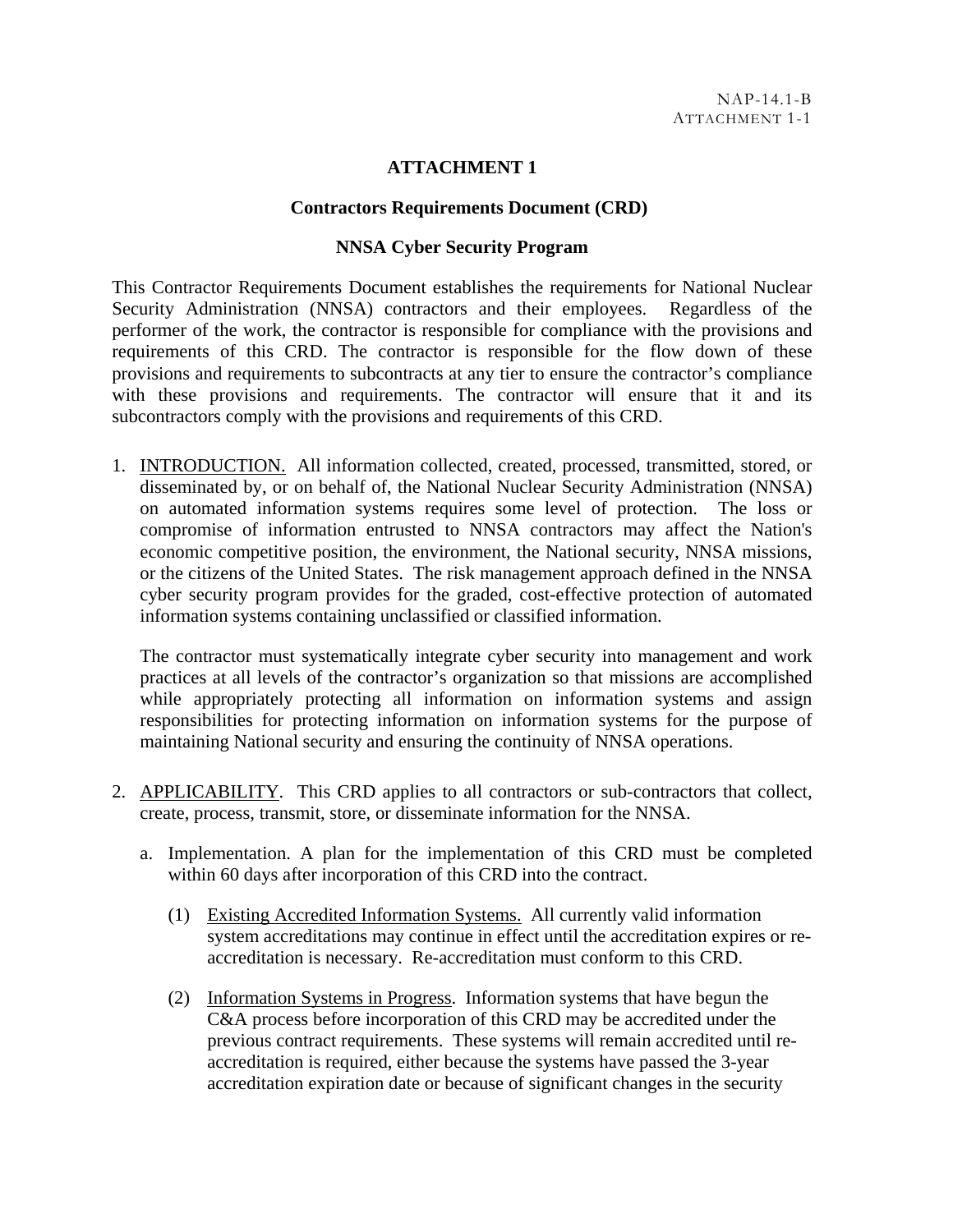### **ATTACHMENT 1**

#### **Contractors Requirements Document (CRD)**

#### **NNSA Cyber Security Program**

This Contractor Requirements Document establishes the requirements for National Nuclear Security Administration (NNSA) contractors and their employees. Regardless of the performer of the work, the contractor is responsible for compliance with the provisions and requirements of this CRD. The contractor is responsible for the flow down of these provisions and requirements to subcontracts at any tier to ensure the contractor's compliance with these provisions and requirements. The contractor will ensure that it and its subcontractors comply with the provisions and requirements of this CRD.

1. INTRODUCTION. All information collected, created, processed, transmitted, stored, or disseminated by, or on behalf of, the National Nuclear Security Administration (NNSA) on automated information systems requires some level of protection. The loss or compromise of information entrusted to NNSA contractors may affect the Nation's economic competitive position, the environment, the National security, NNSA missions, or the citizens of the United States. The risk management approach defined in the NNSA cyber security program provides for the graded, cost-effective protection of automated information systems containing unclassified or classified information.

The contractor must systematically integrate cyber security into management and work practices at all levels of the contractor's organization so that missions are accomplished while appropriately protecting all information on information systems and assign responsibilities for protecting information on information systems for the purpose of maintaining National security and ensuring the continuity of NNSA operations.

- 2. APPLICABILITY. This CRD applies to all contractors or sub-contractors that collect, create, process, transmit, store, or disseminate information for the NNSA.
	- a. Implementation. A plan for the implementation of this CRD must be completed within 60 days after incorporation of this CRD into the contract.
		- (1) Existing Accredited Information Systems. All currently valid information system accreditations may continue in effect until the accreditation expires or reaccreditation is necessary. Re-accreditation must conform to this CRD.
		- (2) Information Systems in Progress. Information systems that have begun the C&A process before incorporation of this CRD may be accredited under the previous contract requirements. These systems will remain accredited until reaccreditation is required, either because the systems have passed the 3-year accreditation expiration date or because of significant changes in the security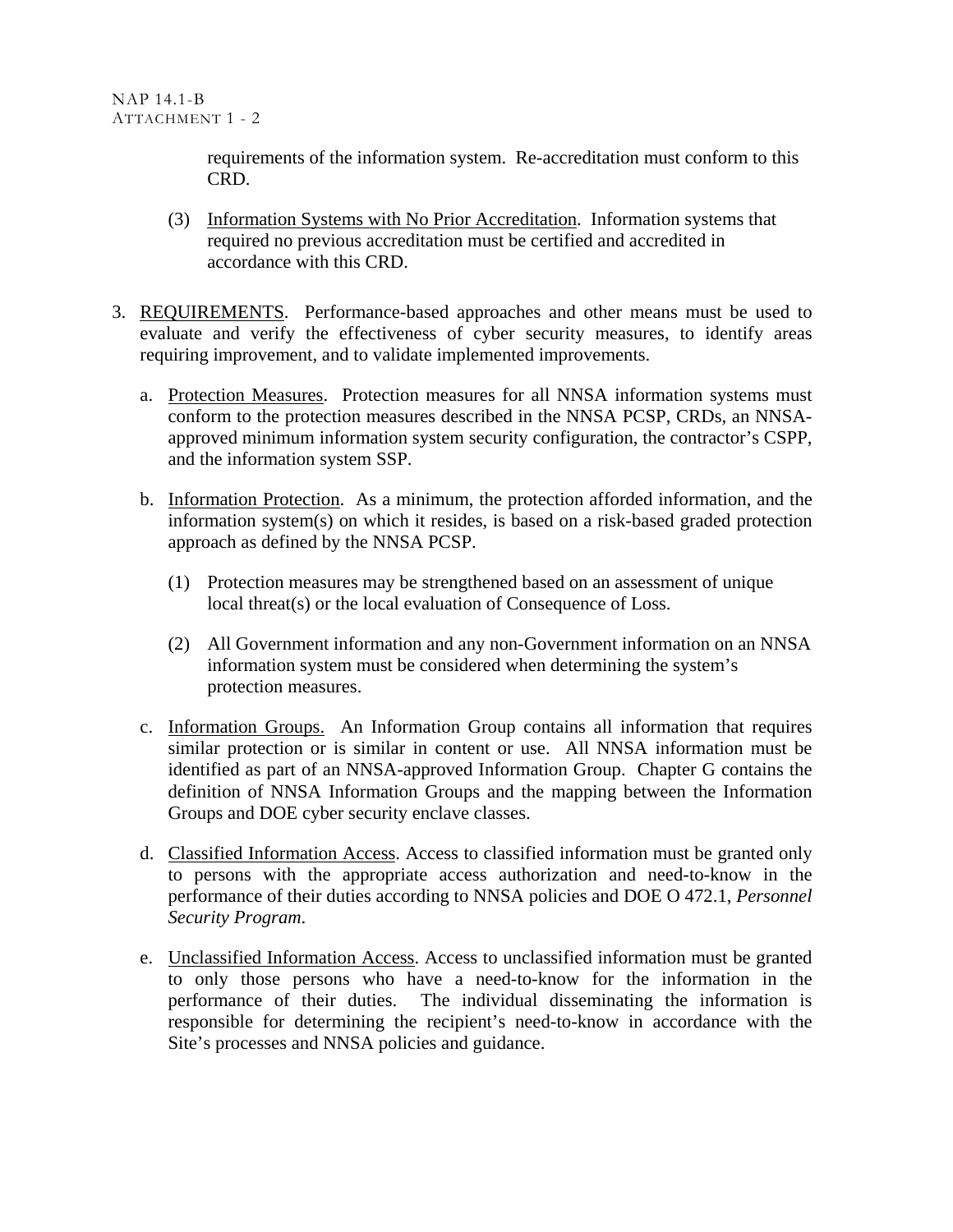requirements of the information system. Re-accreditation must conform to this CRD.

- (3) Information Systems with No Prior Accreditation. Information systems that required no previous accreditation must be certified and accredited in accordance with this CRD.
- 3. REQUIREMENTS. Performance-based approaches and other means must be used to evaluate and verify the effectiveness of cyber security measures, to identify areas requiring improvement, and to validate implemented improvements.
	- a. Protection Measures. Protection measures for all NNSA information systems must conform to the protection measures described in the NNSA PCSP, CRDs, an NNSAapproved minimum information system security configuration, the contractor's CSPP, and the information system SSP.
	- b. Information Protection. As a minimum, the protection afforded information, and the information system(s) on which it resides, is based on a risk-based graded protection approach as defined by the NNSA PCSP.
		- (1) Protection measures may be strengthened based on an assessment of unique local threat(s) or the local evaluation of Consequence of Loss.
		- (2) All Government information and any non-Government information on an NNSA information system must be considered when determining the system's protection measures.
	- c. Information Groups. An Information Group contains all information that requires similar protection or is similar in content or use. All NNSA information must be identified as part of an NNSA-approved Information Group. Chapter G contains the definition of NNSA Information Groups and the mapping between the Information Groups and DOE cyber security enclave classes.
	- d. Classified Information Access. Access to classified information must be granted only to persons with the appropriate access authorization and need-to-know in the performance of their duties according to NNSA policies and DOE O 472.1, *Personnel Security Program*.
	- e. Unclassified Information Access. Access to unclassified information must be granted to only those persons who have a need-to-know for the information in the performance of their duties. The individual disseminating the information is responsible for determining the recipient's need-to-know in accordance with the Site's processes and NNSA policies and guidance.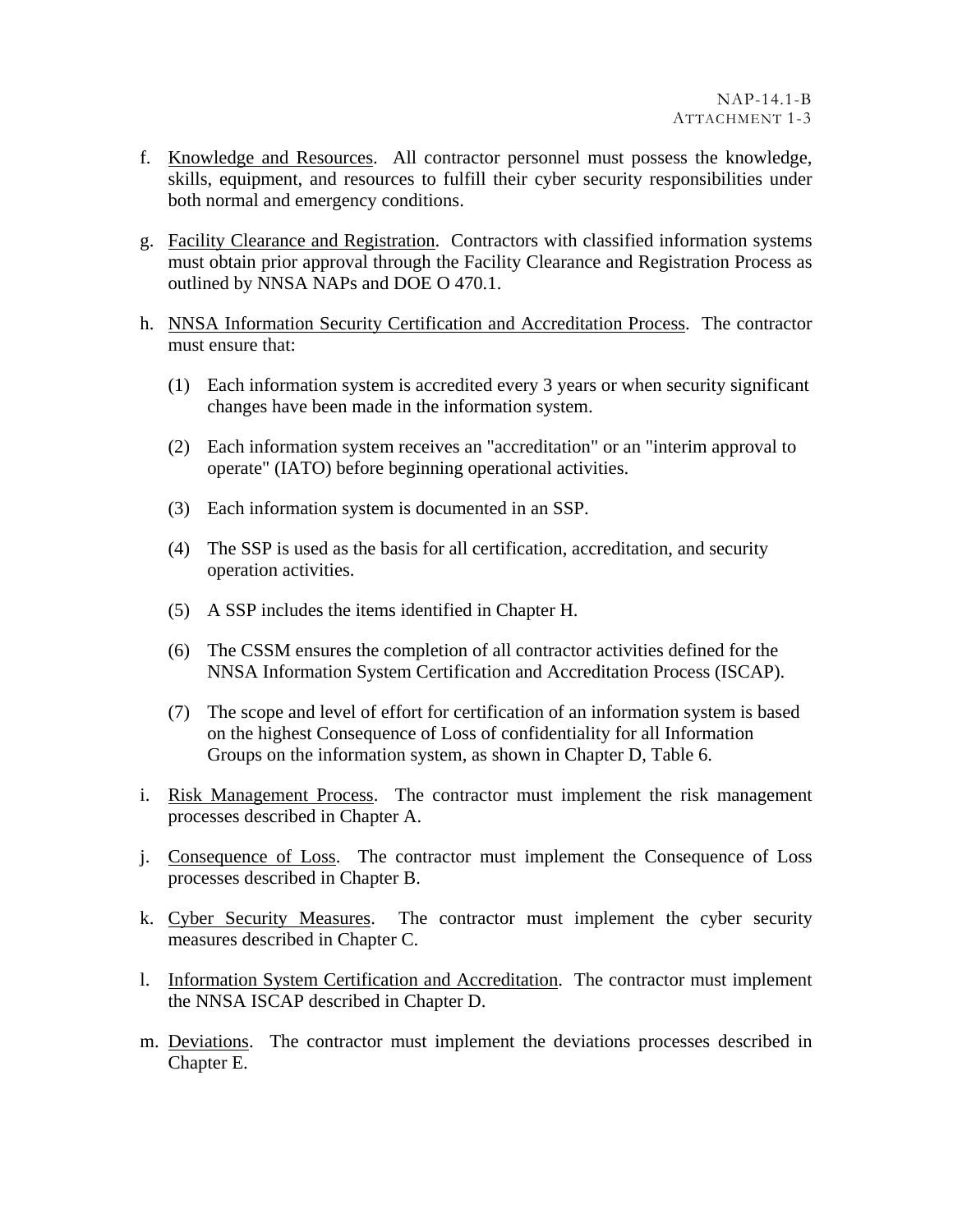- f. Knowledge and Resources. All contractor personnel must possess the knowledge, skills, equipment, and resources to fulfill their cyber security responsibilities under both normal and emergency conditions.
- g. Facility Clearance and Registration. Contractors with classified information systems must obtain prior approval through the Facility Clearance and Registration Process as outlined by NNSA NAPs and DOE O 470.1.
- h. NNSA Information Security Certification and Accreditation Process. The contractor must ensure that:
	- (1) Each information system is accredited every 3 years or when security significant changes have been made in the information system.
	- (2) Each information system receives an "accreditation" or an "interim approval to operate" (IATO) before beginning operational activities.
	- (3) Each information system is documented in an SSP.
	- (4) The SSP is used as the basis for all certification, accreditation, and security operation activities.
	- (5) A SSP includes the items identified in Chapter H.
	- (6) The CSSM ensures the completion of all contractor activities defined for the NNSA Information System Certification and Accreditation Process (ISCAP).
	- (7) The scope and level of effort for certification of an information system is based on the highest Consequence of Loss of confidentiality for all Information Groups on the information system, as shown in Chapter D, [Table 6.](#page-64-0)
- i. Risk Management Process. The contractor must implement the risk management processes described in Chapter A.
- j. Consequence of Loss. The contractor must implement the Consequence of Loss processes described in Chapter B.
- k. Cyber Security Measures. The contractor must implement the cyber security measures described in Chapter C.
- l. Information System Certification and Accreditation. The contractor must implement the NNSA ISCAP described in Chapter D.
- m. Deviations. The contractor must implement the deviations processes described in Chapter E.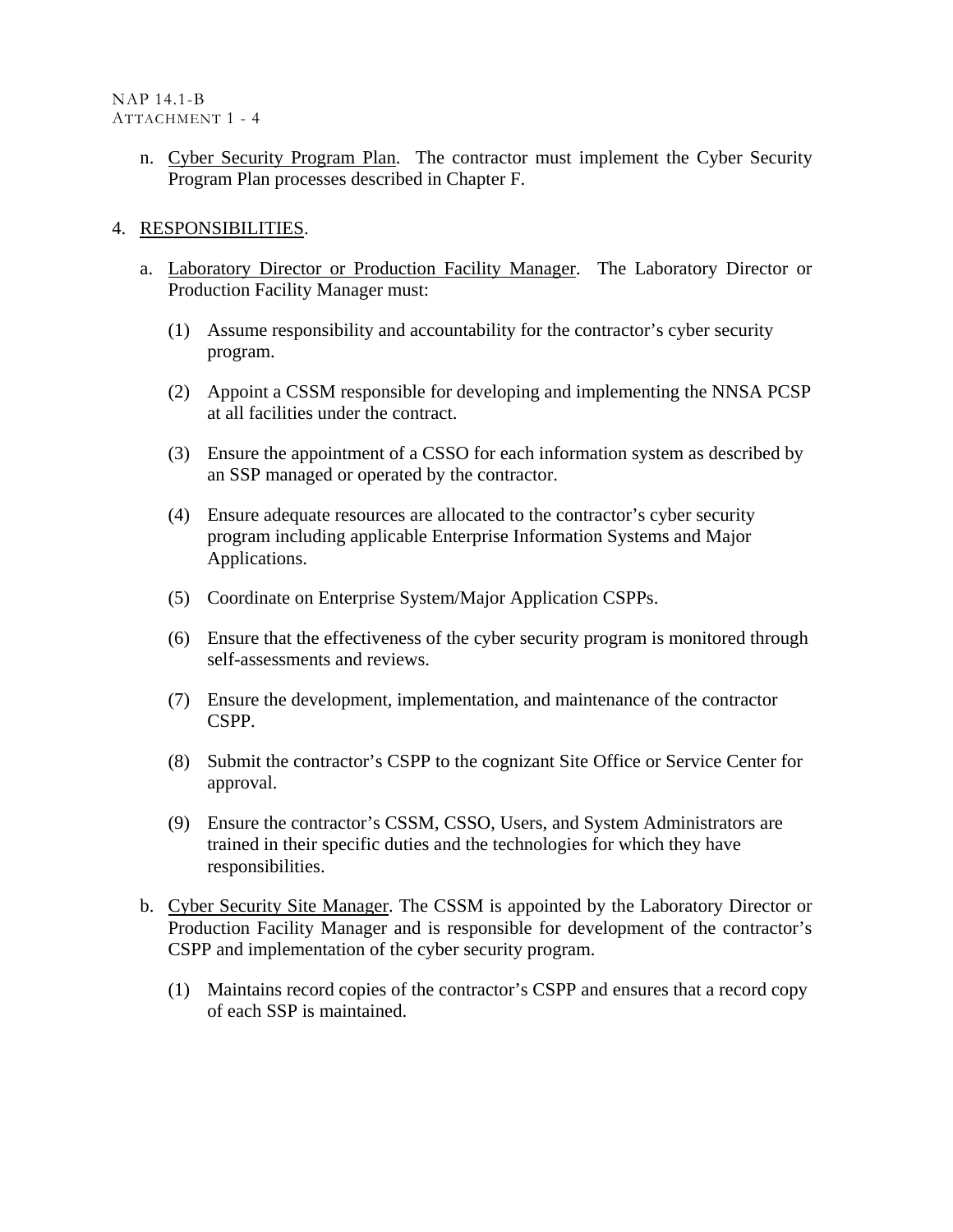n. Cyber Security Program Plan. The contractor must implement the Cyber Security Program Plan processes described in Chapter F.

### 4. RESPONSIBILITIES.

- a. Laboratory Director or Production Facility Manager. The Laboratory Director or Production Facility Manager must:
	- (1) Assume responsibility and accountability for the contractor's cyber security program.
	- (2) Appoint a CSSM responsible for developing and implementing the NNSA PCSP at all facilities under the contract.
	- (3) Ensure the appointment of a CSSO for each information system as described by an SSP managed or operated by the contractor.
	- (4) Ensure adequate resources are allocated to the contractor's cyber security program including applicable Enterprise Information Systems and Major Applications.
	- (5) Coordinate on Enterprise System/Major Application CSPPs.
	- (6) Ensure that the effectiveness of the cyber security program is monitored through self-assessments and reviews.
	- (7) Ensure the development, implementation, and maintenance of the contractor CSPP.
	- (8) Submit the contractor's CSPP to the cognizant Site Office or Service Center for approval.
	- (9) Ensure the contractor's CSSM, CSSO, Users, and System Administrators are trained in their specific duties and the technologies for which they have responsibilities.
- b. Cyber Security Site Manager. The CSSM is appointed by the Laboratory Director or Production Facility Manager and is responsible for development of the contractor's CSPP and implementation of the cyber security program.
	- (1) Maintains record copies of the contractor's CSPP and ensures that a record copy of each SSP is maintained.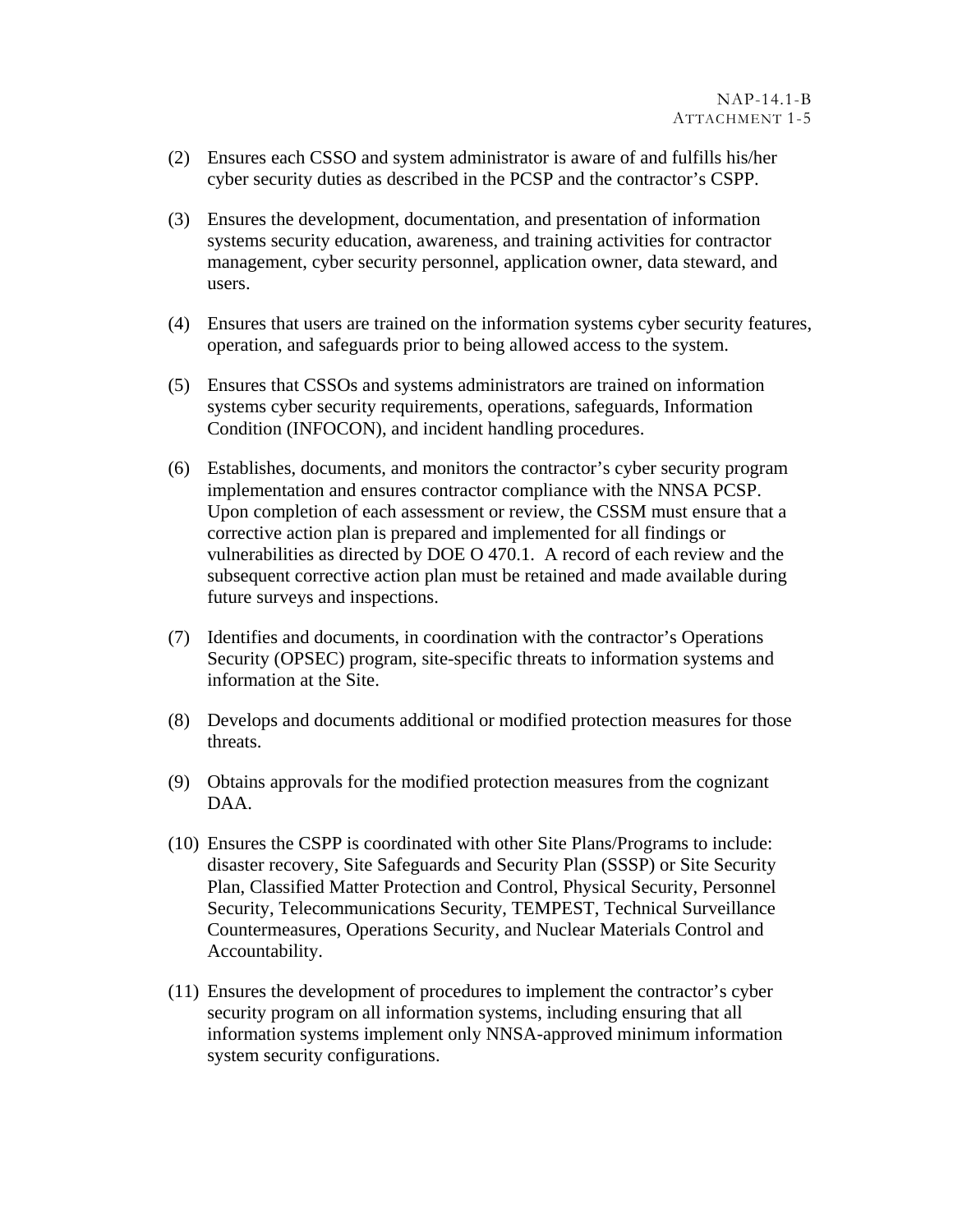- (2) Ensures each CSSO and system administrator is aware of and fulfills his/her cyber security duties as described in the PCSP and the contractor's CSPP.
- (3) Ensures the development, documentation, and presentation of information systems security education, awareness, and training activities for contractor management, cyber security personnel, application owner, data steward, and users.
- (4) Ensures that users are trained on the information systems cyber security features, operation, and safeguards prior to being allowed access to the system.
- (5) Ensures that CSSOs and systems administrators are trained on information systems cyber security requirements, operations, safeguards, Information Condition (INFOCON), and incident handling procedures.
- (6) Establishes, documents, and monitors the contractor's cyber security program implementation and ensures contractor compliance with the NNSA PCSP. Upon completion of each assessment or review, the CSSM must ensure that a corrective action plan is prepared and implemented for all findings or vulnerabilities as directed by DOE O 470.1. A record of each review and the subsequent corrective action plan must be retained and made available during future surveys and inspections.
- (7) Identifies and documents, in coordination with the contractor's Operations Security (OPSEC) program, site-specific threats to information systems and information at the Site.
- (8) Develops and documents additional or modified protection measures for those threats.
- (9) Obtains approvals for the modified protection measures from the cognizant DAA.
- (10) Ensures the CSPP is coordinated with other Site Plans/Programs to include: disaster recovery, Site Safeguards and Security Plan (SSSP) or Site Security Plan, Classified Matter Protection and Control, Physical Security, Personnel Security, Telecommunications Security, TEMPEST, Technical Surveillance Countermeasures, Operations Security, and Nuclear Materials Control and Accountability.
- (11) Ensures the development of procedures to implement the contractor's cyber security program on all information systems, including ensuring that all information systems implement only NNSA-approved minimum information system security configurations.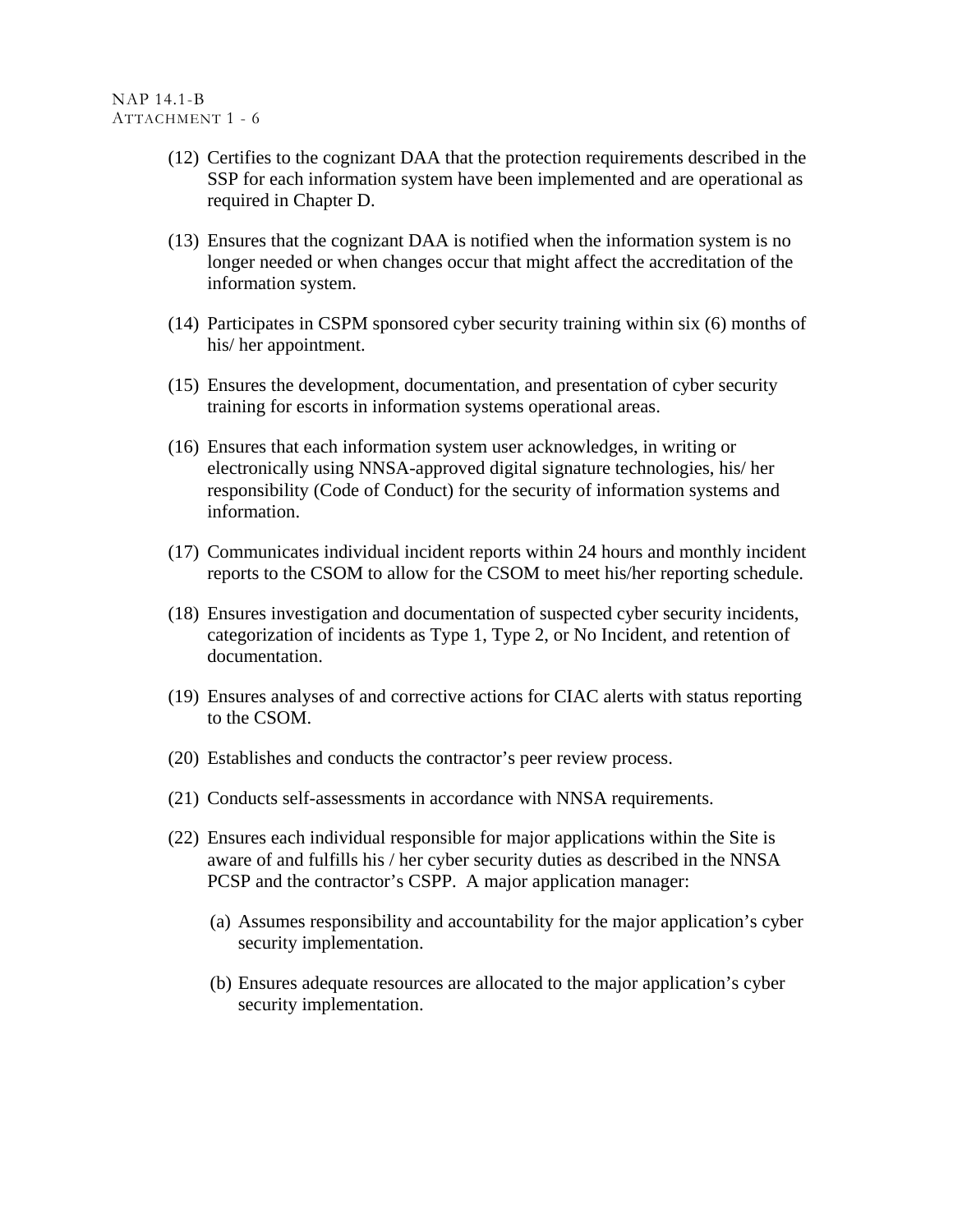- (12) Certifies to the cognizant DAA that the protection requirements described in the SSP for each information system have been implemented and are operational as required in Chapter D.
- (13) Ensures that the cognizant DAA is notified when the information system is no longer needed or when changes occur that might affect the accreditation of the information system.
- (14) Participates in CSPM sponsored cyber security training within six (6) months of his/ her appointment.
- (15) Ensures the development, documentation, and presentation of cyber security training for escorts in information systems operational areas.
- (16) Ensures that each information system user acknowledges, in writing or electronically using NNSA-approved digital signature technologies, his/ her responsibility (Code of Conduct) for the security of information systems and information.
- (17) Communicates individual incident reports within 24 hours and monthly incident reports to the CSOM to allow for the CSOM to meet his/her reporting schedule.
- (18) Ensures investigation and documentation of suspected cyber security incidents, categorization of incidents as Type 1, Type 2, or No Incident, and retention of documentation.
- (19) Ensures analyses of and corrective actions for CIAC alerts with status reporting to the CSOM.
- (20) Establishes and conducts the contractor's peer review process.
- (21) Conducts self-assessments in accordance with NNSA requirements.
- (22) Ensures each individual responsible for major applications within the Site is aware of and fulfills his / her cyber security duties as described in the NNSA PCSP and the contractor's CSPP. A major application manager:
	- (a) Assumes responsibility and accountability for the major application's cyber security implementation.
	- (b) Ensures adequate resources are allocated to the major application's cyber security implementation.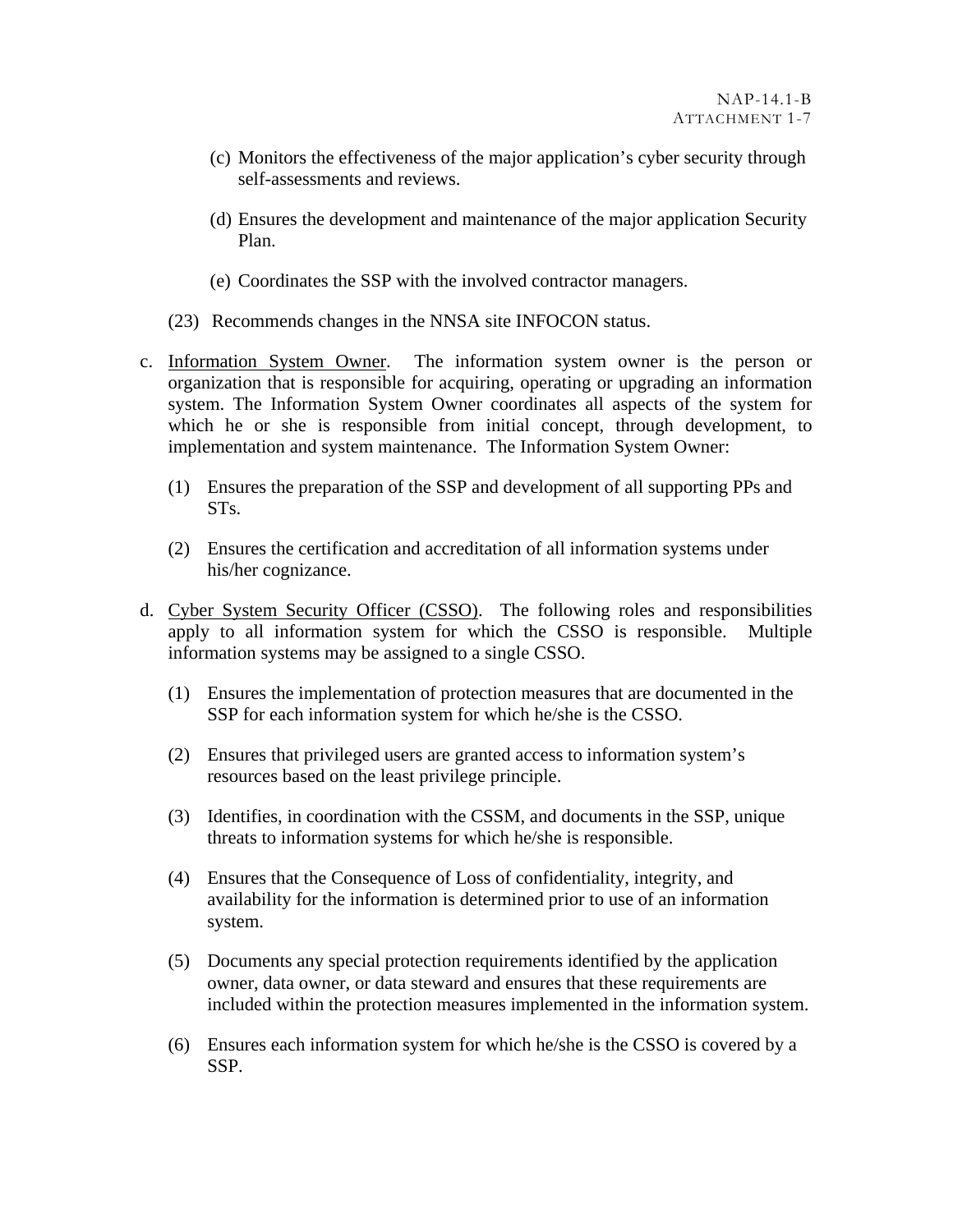- (c) Monitors the effectiveness of the major application's cyber security through self-assessments and reviews.
- (d) Ensures the development and maintenance of the major application Security Plan.
- (e) Coordinates the SSP with the involved contractor managers.
- (23) Recommends changes in the NNSA site INFOCON status.
- c. Information System Owner. The information system owner is the person or organization that is responsible for acquiring, operating or upgrading an information system. The Information System Owner coordinates all aspects of the system for which he or she is responsible from initial concept, through development, to implementation and system maintenance. The Information System Owner:
	- (1) Ensures the preparation of the SSP and development of all supporting PPs and STs.
	- (2) Ensures the certification and accreditation of all information systems under his/her cognizance.
- d. Cyber System Security Officer (CSSO). The following roles and responsibilities apply to all information system for which the CSSO is responsible. Multiple information systems may be assigned to a single CSSO.
	- (1) Ensures the implementation of protection measures that are documented in the SSP for each information system for which he/she is the CSSO.
	- (2) Ensures that privileged users are granted access to information system's resources based on the least privilege principle.
	- (3) Identifies, in coordination with the CSSM, and documents in the SSP, unique threats to information systems for which he/she is responsible.
	- (4) Ensures that the Consequence of Loss of confidentiality, integrity, and availability for the information is determined prior to use of an information system.
	- (5) Documents any special protection requirements identified by the application owner, data owner, or data steward and ensures that these requirements are included within the protection measures implemented in the information system.
	- (6) Ensures each information system for which he/she is the CSSO is covered by a SSP.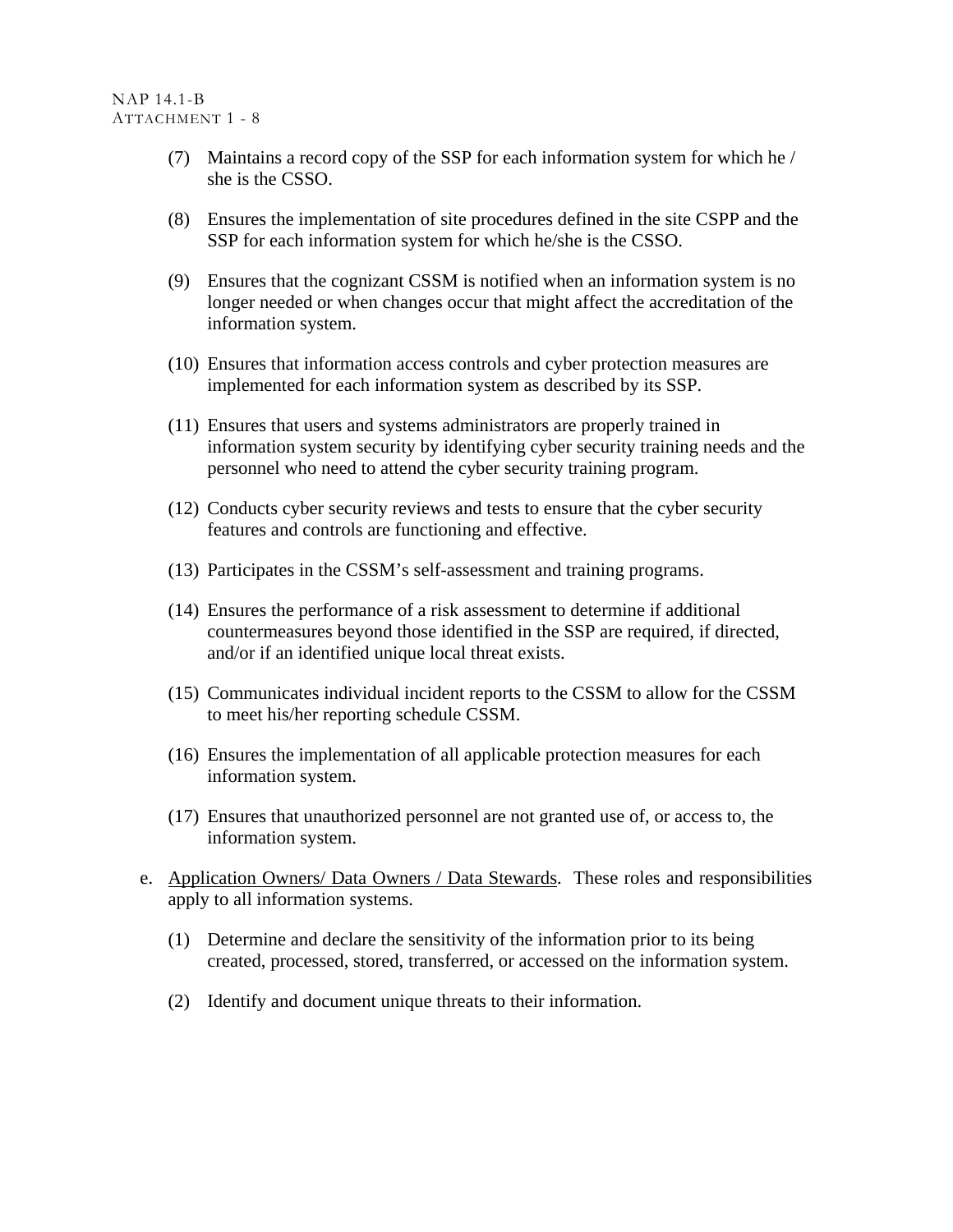- (7) Maintains a record copy of the SSP for each information system for which he / she is the CSSO.
- (8) Ensures the implementation of site procedures defined in the site CSPP and the SSP for each information system for which he/she is the CSSO.
- (9) Ensures that the cognizant CSSM is notified when an information system is no longer needed or when changes occur that might affect the accreditation of the information system.
- (10) Ensures that information access controls and cyber protection measures are implemented for each information system as described by its SSP.
- (11) Ensures that users and systems administrators are properly trained in information system security by identifying cyber security training needs and the personnel who need to attend the cyber security training program.
- (12) Conducts cyber security reviews and tests to ensure that the cyber security features and controls are functioning and effective.
- (13) Participates in the CSSM's self-assessment and training programs.
- (14) Ensures the performance of a risk assessment to determine if additional countermeasures beyond those identified in the SSP are required, if directed, and/or if an identified unique local threat exists.
- (15) Communicates individual incident reports to the CSSM to allow for the CSSM to meet his/her reporting schedule CSSM.
- (16) Ensures the implementation of all applicable protection measures for each information system.
- (17) Ensures that unauthorized personnel are not granted use of, or access to, the information system.
- e. Application Owners/ Data Owners / Data Stewards. These roles and responsibilities apply to all information systems.
	- (1) Determine and declare the sensitivity of the information prior to its being created, processed, stored, transferred, or accessed on the information system.
	- (2) Identify and document unique threats to their information.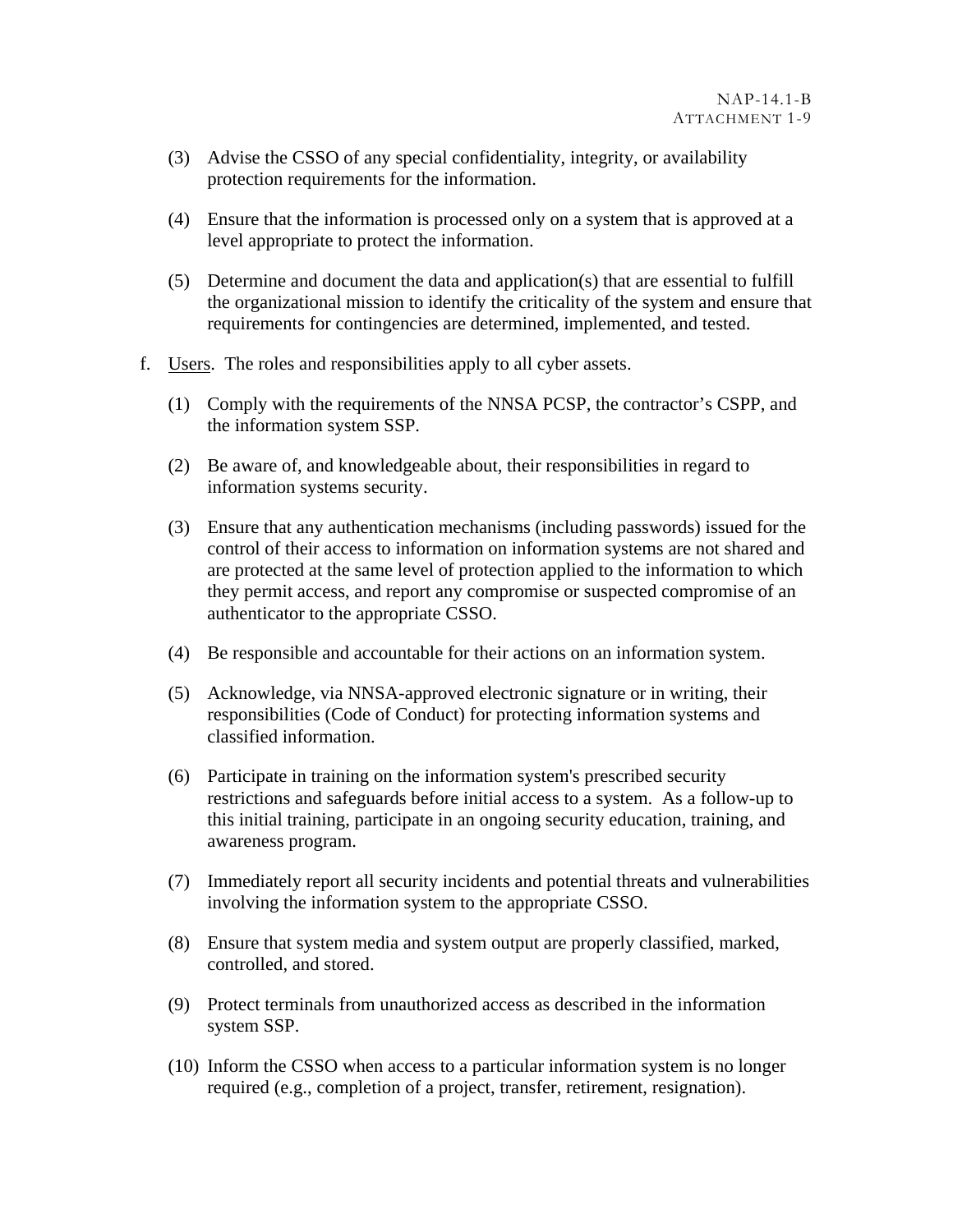- (3) Advise the CSSO of any special confidentiality, integrity, or availability protection requirements for the information.
- (4) Ensure that the information is processed only on a system that is approved at a level appropriate to protect the information.
- (5) Determine and document the data and application(s) that are essential to fulfill the organizational mission to identify the criticality of the system and ensure that requirements for contingencies are determined, implemented, and tested.
- f. Users. The roles and responsibilities apply to all cyber assets.
	- (1) Comply with the requirements of the NNSA PCSP, the contractor's CSPP, and the information system SSP.
	- (2) Be aware of, and knowledgeable about, their responsibilities in regard to information systems security.
	- (3) Ensure that any authentication mechanisms (including passwords) issued for the control of their access to information on information systems are not shared and are protected at the same level of protection applied to the information to which they permit access, and report any compromise or suspected compromise of an authenticator to the appropriate CSSO.
	- (4) Be responsible and accountable for their actions on an information system.
	- (5) Acknowledge, via NNSA-approved electronic signature or in writing, their responsibilities (Code of Conduct) for protecting information systems and classified information.
	- (6) Participate in training on the information system's prescribed security restrictions and safeguards before initial access to a system. As a follow-up to this initial training, participate in an ongoing security education, training, and awareness program.
	- (7) Immediately report all security incidents and potential threats and vulnerabilities involving the information system to the appropriate CSSO.
	- (8) Ensure that system media and system output are properly classified, marked, controlled, and stored.
	- (9) Protect terminals from unauthorized access as described in the information system SSP.
	- (10) Inform the CSSO when access to a particular information system is no longer required (e.g., completion of a project, transfer, retirement, resignation).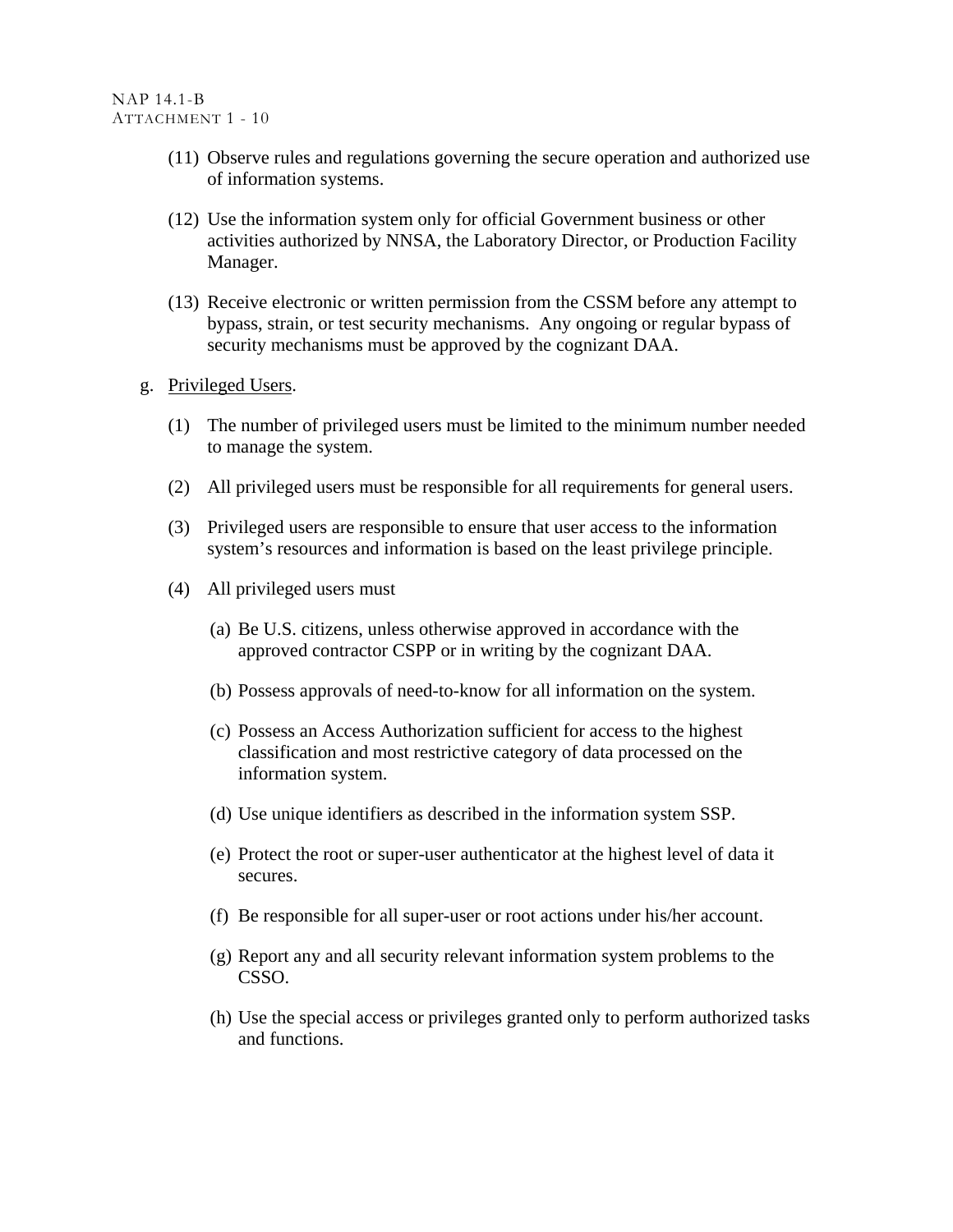- (11) Observe rules and regulations governing the secure operation and authorized use of information systems.
- (12) Use the information system only for official Government business or other activities authorized by NNSA, the Laboratory Director, or Production Facility Manager.
- (13) Receive electronic or written permission from the CSSM before any attempt to bypass, strain, or test security mechanisms. Any ongoing or regular bypass of security mechanisms must be approved by the cognizant DAA.

#### g. Privileged Users.

- (1) The number of privileged users must be limited to the minimum number needed to manage the system.
- (2) All privileged users must be responsible for all requirements for general users.
- (3) Privileged users are responsible to ensure that user access to the information system's resources and information is based on the least privilege principle.
- (4) All privileged users must
	- (a) Be U.S. citizens, unless otherwise approved in accordance with the approved contractor CSPP or in writing by the cognizant DAA.
	- (b) Possess approvals of need-to-know for all information on the system.
	- (c) Possess an Access Authorization sufficient for access to the highest classification and most restrictive category of data processed on the information system.
	- (d) Use unique identifiers as described in the information system SSP.
	- (e) Protect the root or super-user authenticator at the highest level of data it secures.
	- (f) Be responsible for all super-user or root actions under his/her account.
	- (g) Report any and all security relevant information system problems to the CSSO.
	- (h) Use the special access or privileges granted only to perform authorized tasks and functions.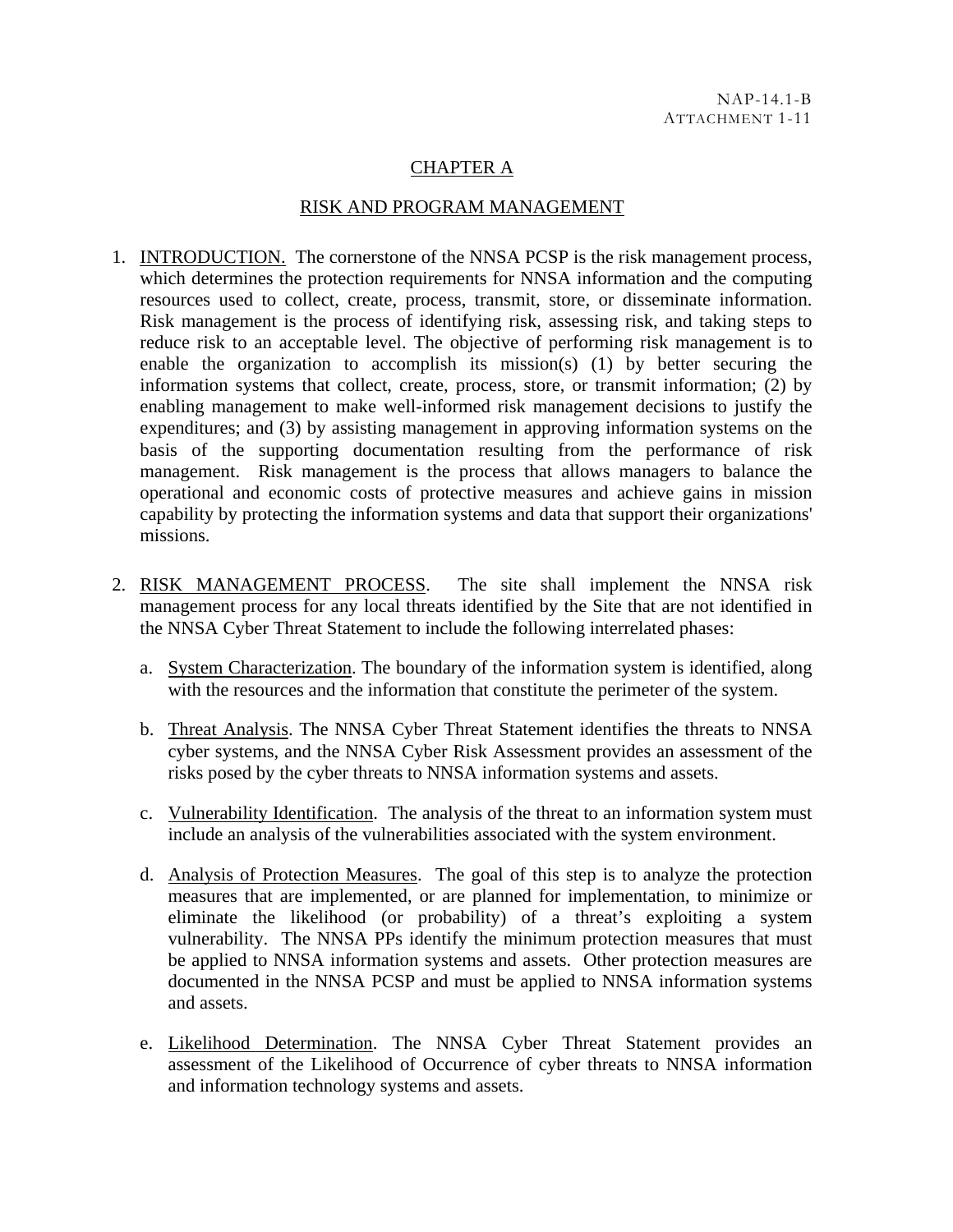### CHAPTER A

#### RISK AND PROGRAM MANAGEMENT

- 1. INTRODUCTION. The cornerstone of the NNSA PCSP is the risk management process, which determines the protection requirements for NNSA information and the computing resources used to collect, create, process, transmit, store, or disseminate information. Risk management is the process of identifying risk, assessing risk, and taking steps to reduce risk to an acceptable level. The objective of performing risk management is to enable the organization to accomplish its mission(s) (1) by better securing the information systems that collect, create, process, store, or transmit information; (2) by enabling management to make well-informed risk management decisions to justify the expenditures; and (3) by assisting management in approving information systems on the basis of the supporting documentation resulting from the performance of risk management. Risk management is the process that allows managers to balance the operational and economic costs of protective measures and achieve gains in mission capability by protecting the information systems and data that support their organizations' missions.
- 2. RISK MANAGEMENT PROCESS. The site shall implement the NNSA risk management process for any local threats identified by the Site that are not identified in the NNSA Cyber Threat Statement to include the following interrelated phases:
	- a. System Characterization. The boundary of the information system is identified, along with the resources and the information that constitute the perimeter of the system.
	- b. Threat Analysis. The NNSA Cyber Threat Statement identifies the threats to NNSA cyber systems, and the NNSA Cyber Risk Assessment provides an assessment of the risks posed by the cyber threats to NNSA information systems and assets.
	- c. Vulnerability Identification. The analysis of the threat to an information system must include an analysis of the vulnerabilities associated with the system environment.
	- d. Analysis of Protection Measures. The goal of this step is to analyze the protection measures that are implemented, or are planned for implementation, to minimize or eliminate the likelihood (or probability) of a threat's exploiting a system vulnerability. The NNSA PPs identify the minimum protection measures that must be applied to NNSA information systems and assets. Other protection measures are documented in the NNSA PCSP and must be applied to NNSA information systems and assets.
	- e. Likelihood Determination. The NNSA Cyber Threat Statement provides an assessment of the Likelihood of Occurrence of cyber threats to NNSA information and information technology systems and assets.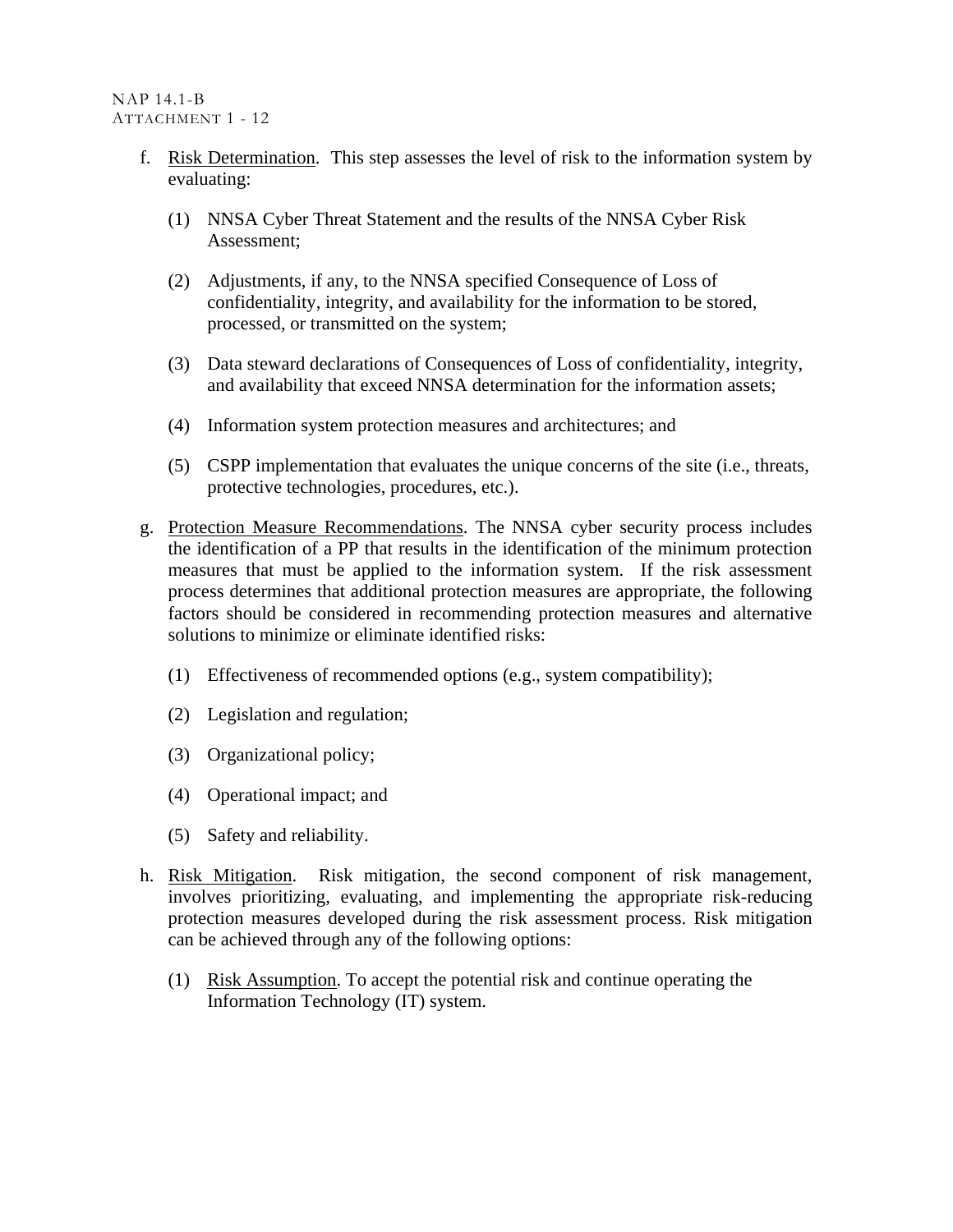- f. Risk Determination. This step assesses the level of risk to the information system by evaluating:
	- (1) NNSA Cyber Threat Statement and the results of the NNSA Cyber Risk Assessment;
	- (2) Adjustments, if any, to the NNSA specified Consequence of Loss of confidentiality, integrity, and availability for the information to be stored, processed, or transmitted on the system;
	- (3) Data steward declarations of Consequences of Loss of confidentiality, integrity, and availability that exceed NNSA determination for the information assets;
	- (4) Information system protection measures and architectures; and
	- (5) CSPP implementation that evaluates the unique concerns of the site (i.e., threats, protective technologies, procedures, etc.).
- g. Protection Measure Recommendations. The NNSA cyber security process includes the identification of a PP that results in the identification of the minimum protection measures that must be applied to the information system. If the risk assessment process determines that additional protection measures are appropriate, the following factors should be considered in recommending protection measures and alternative solutions to minimize or eliminate identified risks:
	- (1) Effectiveness of recommended options (e.g., system compatibility);
	- (2) Legislation and regulation;
	- (3) Organizational policy;
	- (4) Operational impact; and
	- (5) Safety and reliability.
- h. Risk Mitigation. Risk mitigation, the second component of risk management, involves prioritizing, evaluating, and implementing the appropriate risk-reducing protection measures developed during the risk assessment process. Risk mitigation can be achieved through any of the following options:
	- (1) Risk Assumption. To accept the potential risk and continue operating the Information Technology (IT) system.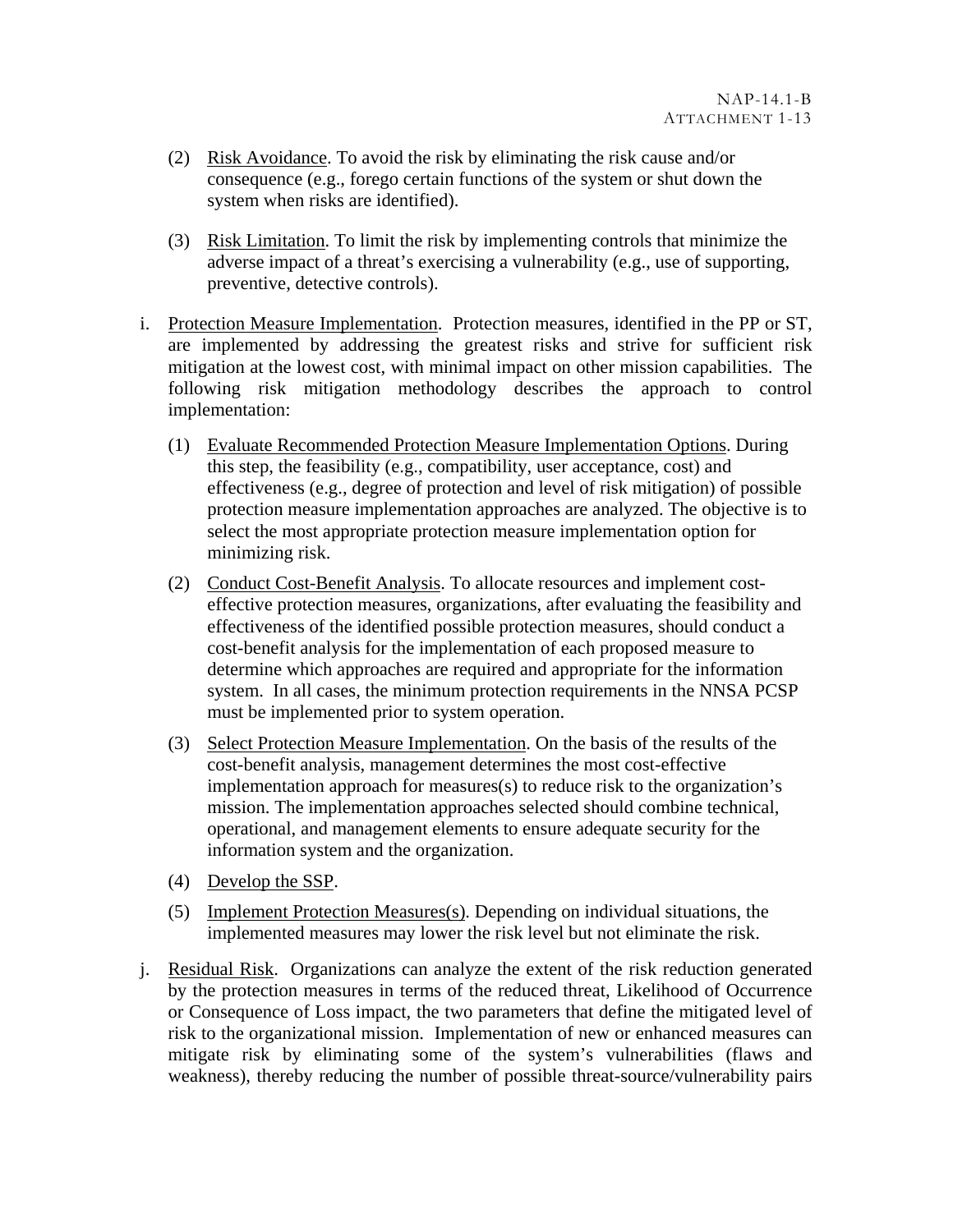- (2) Risk Avoidance. To avoid the risk by eliminating the risk cause and/or consequence (e.g., forego certain functions of the system or shut down the system when risks are identified).
- (3) Risk Limitation. To limit the risk by implementing controls that minimize the adverse impact of a threat's exercising a vulnerability (e.g., use of supporting, preventive, detective controls).
- i. Protection Measure Implementation. Protection measures, identified in the PP or ST, are implemented by addressing the greatest risks and strive for sufficient risk mitigation at the lowest cost, with minimal impact on other mission capabilities. The following risk mitigation methodology describes the approach to control implementation:
	- (1) Evaluate Recommended Protection Measure Implementation Options. During this step, the feasibility (e.g., compatibility, user acceptance, cost) and effectiveness (e.g., degree of protection and level of risk mitigation) of possible protection measure implementation approaches are analyzed. The objective is to select the most appropriate protection measure implementation option for minimizing risk.
	- (2) Conduct Cost-Benefit Analysis. To allocate resources and implement costeffective protection measures, organizations, after evaluating the feasibility and effectiveness of the identified possible protection measures, should conduct a cost-benefit analysis for the implementation of each proposed measure to determine which approaches are required and appropriate for the information system. In all cases, the minimum protection requirements in the NNSA PCSP must be implemented prior to system operation.
	- (3) Select Protection Measure Implementation. On the basis of the results of the cost-benefit analysis, management determines the most cost-effective implementation approach for measures(s) to reduce risk to the organization's mission. The implementation approaches selected should combine technical, operational, and management elements to ensure adequate security for the information system and the organization.
	- (4) Develop the SSP.
	- (5) Implement Protection Measures(s). Depending on individual situations, the implemented measures may lower the risk level but not eliminate the risk.
- j. Residual Risk. Organizations can analyze the extent of the risk reduction generated by the protection measures in terms of the reduced threat, Likelihood of Occurrence or Consequence of Loss impact, the two parameters that define the mitigated level of risk to the organizational mission. Implementation of new or enhanced measures can mitigate risk by eliminating some of the system's vulnerabilities (flaws and weakness), thereby reducing the number of possible threat-source/vulnerability pairs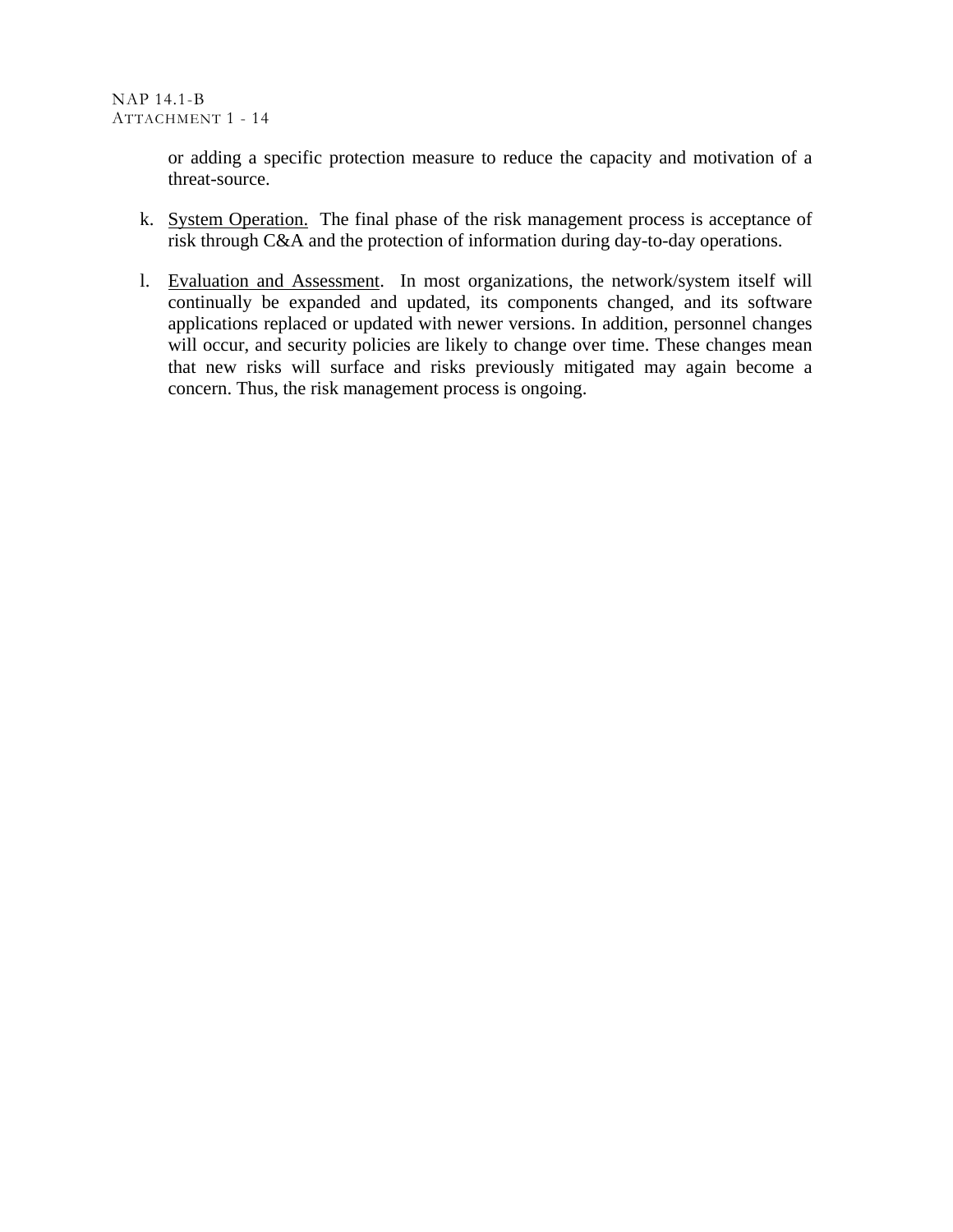or adding a specific protection measure to reduce the capacity and motivation of a threat-source.

- k. System Operation. The final phase of the risk management process is acceptance of risk through C&A and the protection of information during day-to-day operations.
- l. Evaluation and Assessment. In most organizations, the network/system itself will continually be expanded and updated, its components changed, and its software applications replaced or updated with newer versions. In addition, personnel changes will occur, and security policies are likely to change over time. These changes mean that new risks will surface and risks previously mitigated may again become a concern. Thus, the risk management process is ongoing.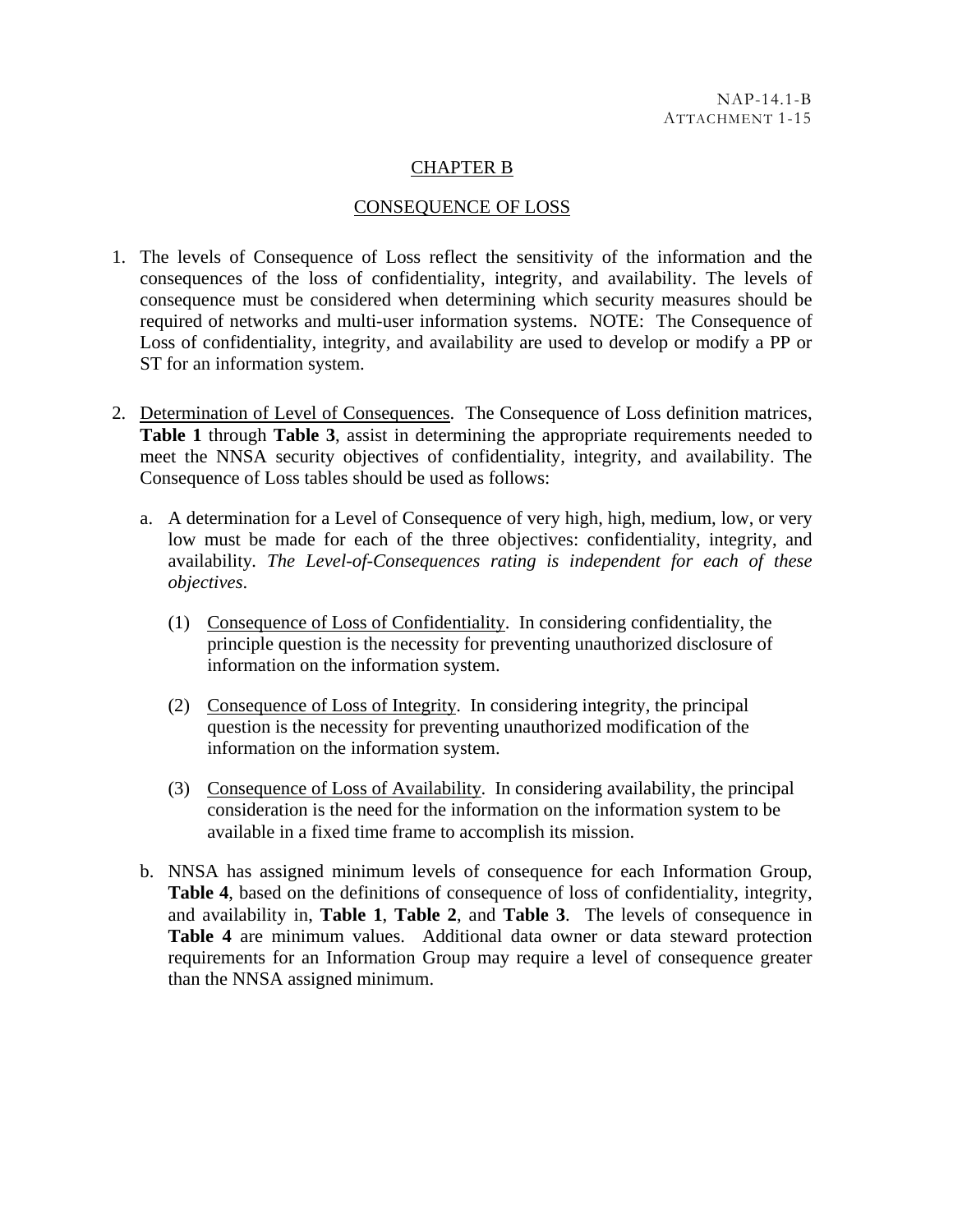### CHAPTER B

#### CONSEQUENCE OF LOSS

- 1. The levels of Consequence of Loss reflect the sensitivity of the information and the consequences of the loss of confidentiality, integrity, and availability. The levels of consequence must be considered when determining which security measures should be required of networks and multi-user information systems. NOTE: The Consequence of Loss of confidentiality, integrity, and availability are used to develop or modify a PP or ST for an information system.
- 2. Determination of Level of Consequences. The Consequence of Loss definition matrices, **[Table 1](#page-45-0)** through **[Table 3](#page-46-0)**, assist in determining the appropriate requirements needed to meet the NNSA security objectives of confidentiality, integrity, and availability. The Consequence of Loss tables should be used as follows:
	- a. A determination for a Level of Consequence of very high, high, medium, low, or very low must be made for each of the three objectives: confidentiality, integrity, and availability*. The Level-of-Consequences rating is independent for each of these objectives*.
		- (1) Consequence of Loss of Confidentiality. In considering confidentiality, the principle question is the necessity for preventing unauthorized disclosure of information on the information system.
		- (2) Consequence of Loss of Integrity. In considering integrity, the principal question is the necessity for preventing unauthorized modification of the information on the information system.
		- (3) Consequence of Loss of Availability. In considering availability, the principal consideration is the need for the information on the information system to be available in a fixed time frame to accomplish its mission.
	- b. NNSA has assigned minimum levels of consequence for each Information Group, **[Table 4](#page-47-0)**, based on the definitions of consequence of loss of confidentiality, integrity, and availability in, **[Table 1](#page-45-0)**, **[Table 2](#page-45-1)**, and **[Table 3](#page-46-0)**. The levels of consequence in **[Table 4](#page-47-0)** are minimum values. Additional data owner or data steward protection requirements for an Information Group may require a level of consequence greater than the NNSA assigned minimum.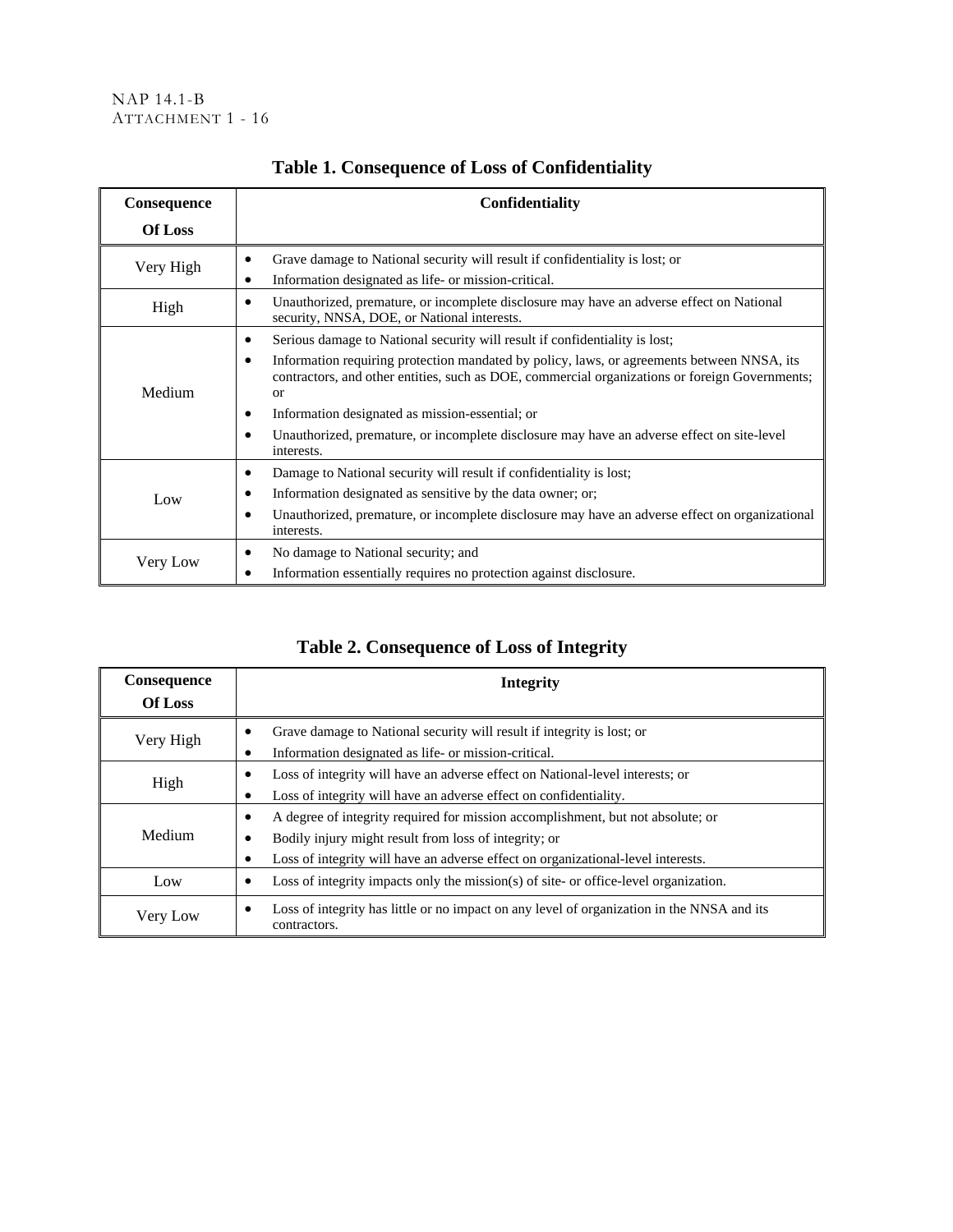<span id="page-45-0"></span>

| Consequence                                                                                                                                                 | Confidentiality                                                                                                                                                                                                                                                                                                                                                                                                                                                                            |  |  |
|-------------------------------------------------------------------------------------------------------------------------------------------------------------|--------------------------------------------------------------------------------------------------------------------------------------------------------------------------------------------------------------------------------------------------------------------------------------------------------------------------------------------------------------------------------------------------------------------------------------------------------------------------------------------|--|--|
| <b>Of Loss</b>                                                                                                                                              |                                                                                                                                                                                                                                                                                                                                                                                                                                                                                            |  |  |
| Grave damage to National security will result if confidentiality is lost; or<br>٠<br>Very High<br>Information designated as life- or mission-critical.<br>٠ |                                                                                                                                                                                                                                                                                                                                                                                                                                                                                            |  |  |
| High                                                                                                                                                        | Unauthorized, premature, or incomplete disclosure may have an adverse effect on National<br>$\bullet$<br>security, NNSA, DOE, or National interests.                                                                                                                                                                                                                                                                                                                                       |  |  |
| Medium                                                                                                                                                      | Serious damage to National security will result if confidentiality is lost;<br>٠<br>Information requiring protection mandated by policy, laws, or agreements between NNSA, its<br>$\bullet$<br>contractors, and other entities, such as DOE, commercial organizations or foreign Governments;<br>$\alpha$<br>Information designated as mission-essential; or<br>٠<br>Unauthorized, premature, or incomplete disclosure may have an adverse effect on site-level<br>$\bullet$<br>interests. |  |  |
| Low                                                                                                                                                         | Damage to National security will result if confidentiality is lost;<br>٠<br>Information designated as sensitive by the data owner; or;<br>٠<br>Unauthorized, premature, or incomplete disclosure may have an adverse effect on organizational<br>$\bullet$<br>interests.                                                                                                                                                                                                                   |  |  |
| Very Low                                                                                                                                                    | No damage to National security; and<br>$\bullet$<br>Information essentially requires no protection against disclosure.<br>٠                                                                                                                                                                                                                                                                                                                                                                |  |  |

# **Table 1. Consequence of Loss of Confidentiality**

# **Table 2. Consequence of Loss of Integrity**

<span id="page-45-1"></span>

| <b>Consequence</b><br><b>Of Loss</b> | Integrity                                                                                                                                                                                                                              |  |  |
|--------------------------------------|----------------------------------------------------------------------------------------------------------------------------------------------------------------------------------------------------------------------------------------|--|--|
| Very High                            | Grave damage to National security will result if integrity is lost; or<br>Information designated as life- or mission-critical.<br>٠                                                                                                    |  |  |
| High                                 | Loss of integrity will have an adverse effect on National-level interests; or<br>Loss of integrity will have an adverse effect on confidentiality.<br>٠                                                                                |  |  |
| Medium                               | A degree of integrity required for mission accomplishment, but not absolute; or<br>٠<br>Bodily injury might result from loss of integrity; or<br>٠<br>Loss of integrity will have an adverse effect on organizational-level interests. |  |  |
| Low                                  | Loss of integrity impacts only the mission(s) of site- or office-level organization.                                                                                                                                                   |  |  |
| Very Low                             | Loss of integrity has little or no impact on any level of organization in the NNSA and its<br>contractors.                                                                                                                             |  |  |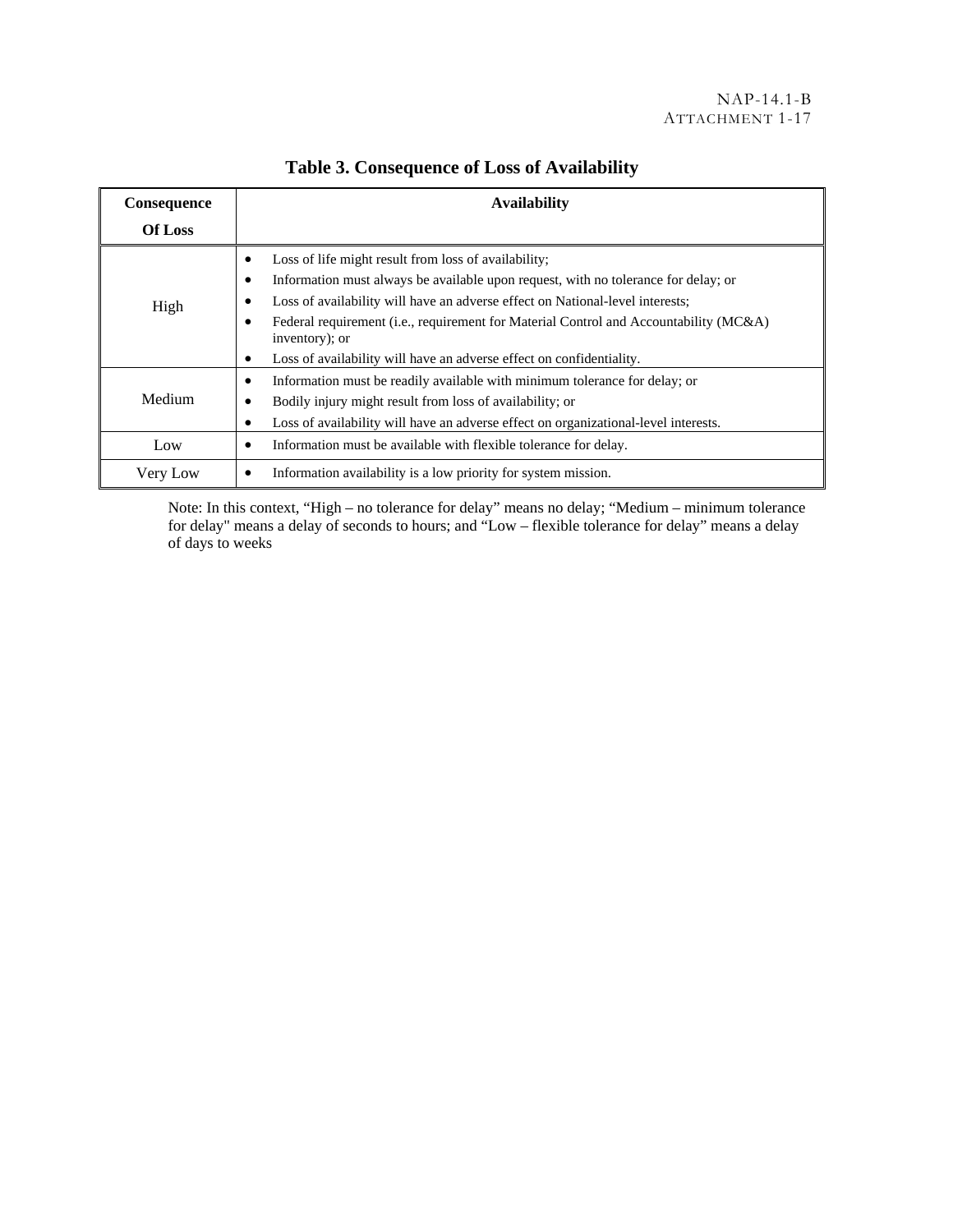<span id="page-46-0"></span>

| <b>Consequence</b> | <b>Availability</b>                                                                                                                                                                                                                                                                                                                                                                                                           |  |  |
|--------------------|-------------------------------------------------------------------------------------------------------------------------------------------------------------------------------------------------------------------------------------------------------------------------------------------------------------------------------------------------------------------------------------------------------------------------------|--|--|
| <b>Of Loss</b>     |                                                                                                                                                                                                                                                                                                                                                                                                                               |  |  |
| High               | Loss of life might result from loss of availability;<br>٠<br>Information must always be available upon request, with no tolerance for delay; or<br>Loss of availability will have an adverse effect on National-level interests;<br>٠<br>Federal requirement (i.e., requirement for Material Control and Accountability (MC&A)<br>inventory); or<br>Loss of availability will have an adverse effect on confidentiality.<br>٠ |  |  |
| Medium             | Information must be readily available with minimum tolerance for delay; or<br>٠<br>Bodily injury might result from loss of availability; or<br>٠<br>Loss of availability will have an adverse effect on organizational-level interests.<br>٠                                                                                                                                                                                  |  |  |
| Low                | Information must be available with flexible tolerance for delay.<br>٠                                                                                                                                                                                                                                                                                                                                                         |  |  |
| Very Low           | Information availability is a low priority for system mission.                                                                                                                                                                                                                                                                                                                                                                |  |  |

# **Table 3. Consequence of Loss of Availability**

Note: In this context, "High – no tolerance for delay" means no delay; "Medium – minimum tolerance for delay" means a delay of seconds to hours; and "Low – flexible tolerance for delay" means a delay of days to weeks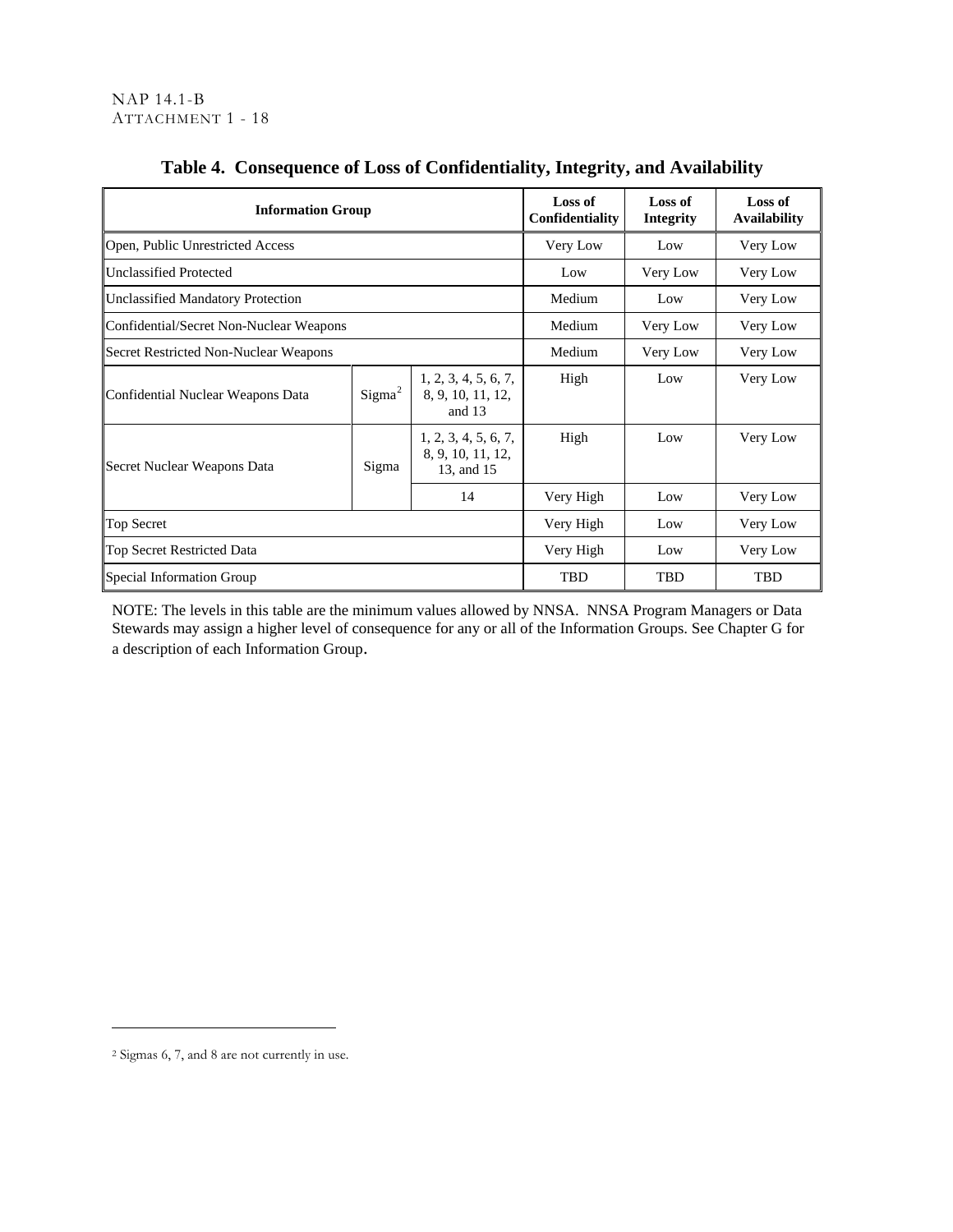<span id="page-47-1"></span><span id="page-47-0"></span>

| <b>Information Group</b>                     |                    |                                                         | Loss of<br>Confidentiality | Loss of<br><b>Integrity</b> | Loss of<br><b>Availability</b> |
|----------------------------------------------|--------------------|---------------------------------------------------------|----------------------------|-----------------------------|--------------------------------|
| Open, Public Unrestricted Access             |                    |                                                         | Very Low                   | Low                         | Very Low                       |
| <b>Unclassified Protected</b>                |                    |                                                         | Low                        | Very Low                    | Very Low                       |
| <b>Unclassified Mandatory Protection</b>     |                    |                                                         | Medium                     | Low                         | Very Low                       |
| Confidential/Secret Non-Nuclear Weapons      |                    |                                                         | Medium                     | Very Low                    | Very Low                       |
| <b>Secret Restricted Non-Nuclear Weapons</b> |                    |                                                         | Medium                     | Very Low                    | Very Low                       |
| Confidential Nuclear Weapons Data            | Sigma <sup>2</sup> | 1, 2, 3, 4, 5, 6, 7,<br>8, 9, 10, 11, 12,<br>and 13     | High                       | Low                         | Very Low                       |
| Secret Nuclear Weapons Data                  | Sigma              | 1, 2, 3, 4, 5, 6, 7,<br>8, 9, 10, 11, 12,<br>13, and 15 | High                       | Low                         | Very Low                       |
|                                              |                    | 14                                                      | Very High                  | Low                         | Very Low                       |
| <b>Top Secret</b>                            |                    |                                                         | Very High                  | Low                         | Very Low                       |
| Top Secret Restricted Data                   |                    |                                                         | Very High                  | Low                         | Very Low                       |
| Special Information Group                    |                    |                                                         | TBD                        | TBD                         | TBD                            |

# **Table 4. Consequence of Loss of Confidentiality, Integrity, and Availability**

NOTE: The levels in this table are the minimum values allowed by NNSA. NNSA Program Managers or Data Stewards may assign a higher level of consequence for any or all of the Information Groups. See Chapter G for a description of each Information Group.

 $\overline{a}$ 

<sup>2</sup> Sigmas 6, 7, and 8 are not currently in use.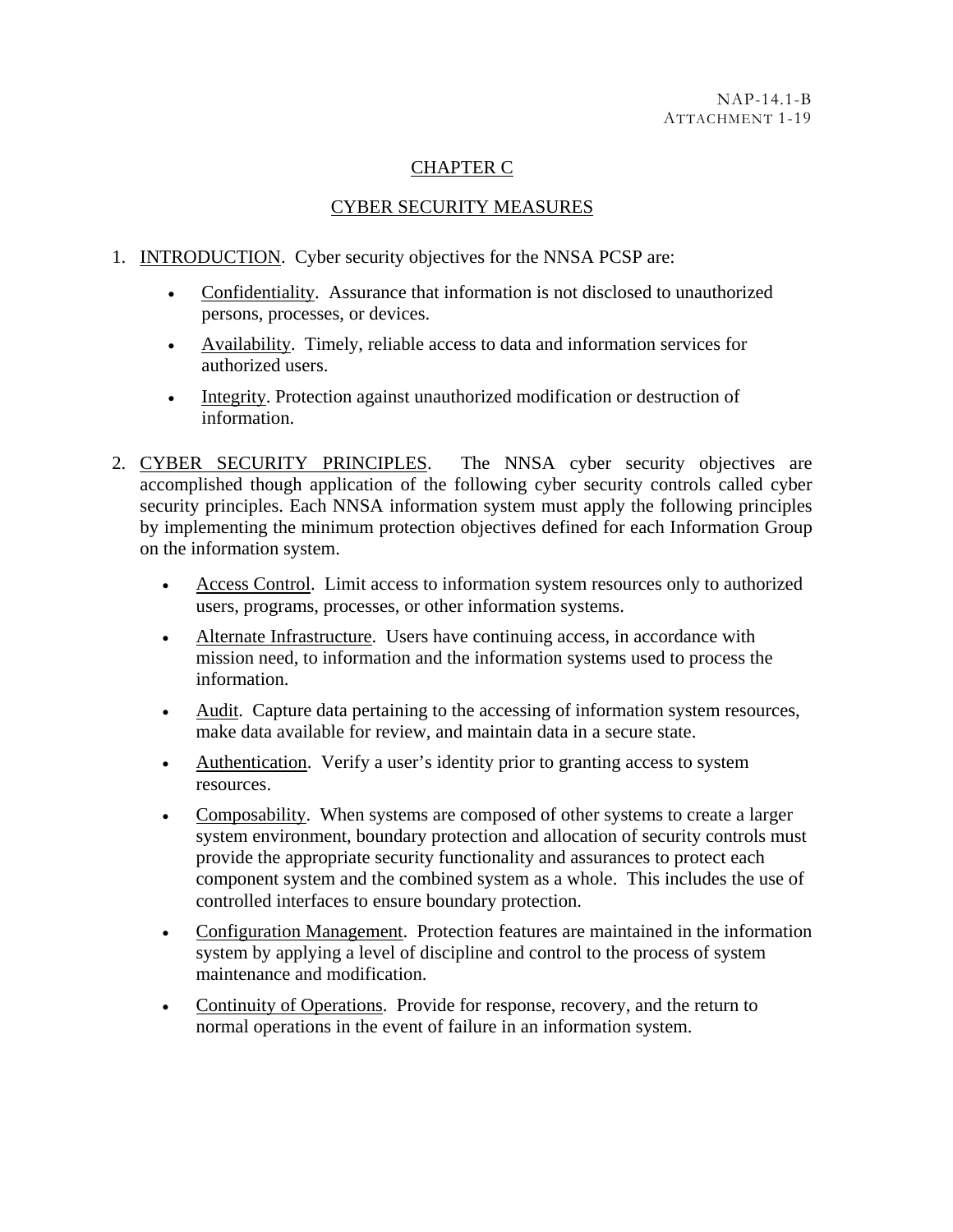### CHAPTER C

#### CYBER SECURITY MEASURES

- 1. INTRODUCTION. Cyber security objectives for the NNSA PCSP are:
	- Confidentiality. Assurance that information is not disclosed to unauthorized persons, processes, or devices.
	- Availability. Timely, reliable access to data and information services for authorized users.
	- Integrity. Protection against unauthorized modification or destruction of information.
- 2. CYBER SECURITY PRINCIPLES. The NNSA cyber security objectives are accomplished though application of the following cyber security controls called cyber security principles. Each NNSA information system must apply the following principles by implementing the minimum protection objectives defined for each Information Group on the information system.
	- Access Control. Limit access to information system resources only to authorized users, programs, processes, or other information systems.
	- Alternate Infrastructure. Users have continuing access, in accordance with mission need, to information and the information systems used to process the information.
	- Audit. Capture data pertaining to the accessing of information system resources, make data available for review, and maintain data in a secure state.
	- Authentication. Verify a user's identity prior to granting access to system resources.
	- Composability. When systems are composed of other systems to create a larger system environment, boundary protection and allocation of security controls must provide the appropriate security functionality and assurances to protect each component system and the combined system as a whole. This includes the use of controlled interfaces to ensure boundary protection.
	- Configuration Management. Protection features are maintained in the information system by applying a level of discipline and control to the process of system maintenance and modification.
	- Continuity of Operations. Provide for response, recovery, and the return to normal operations in the event of failure in an information system.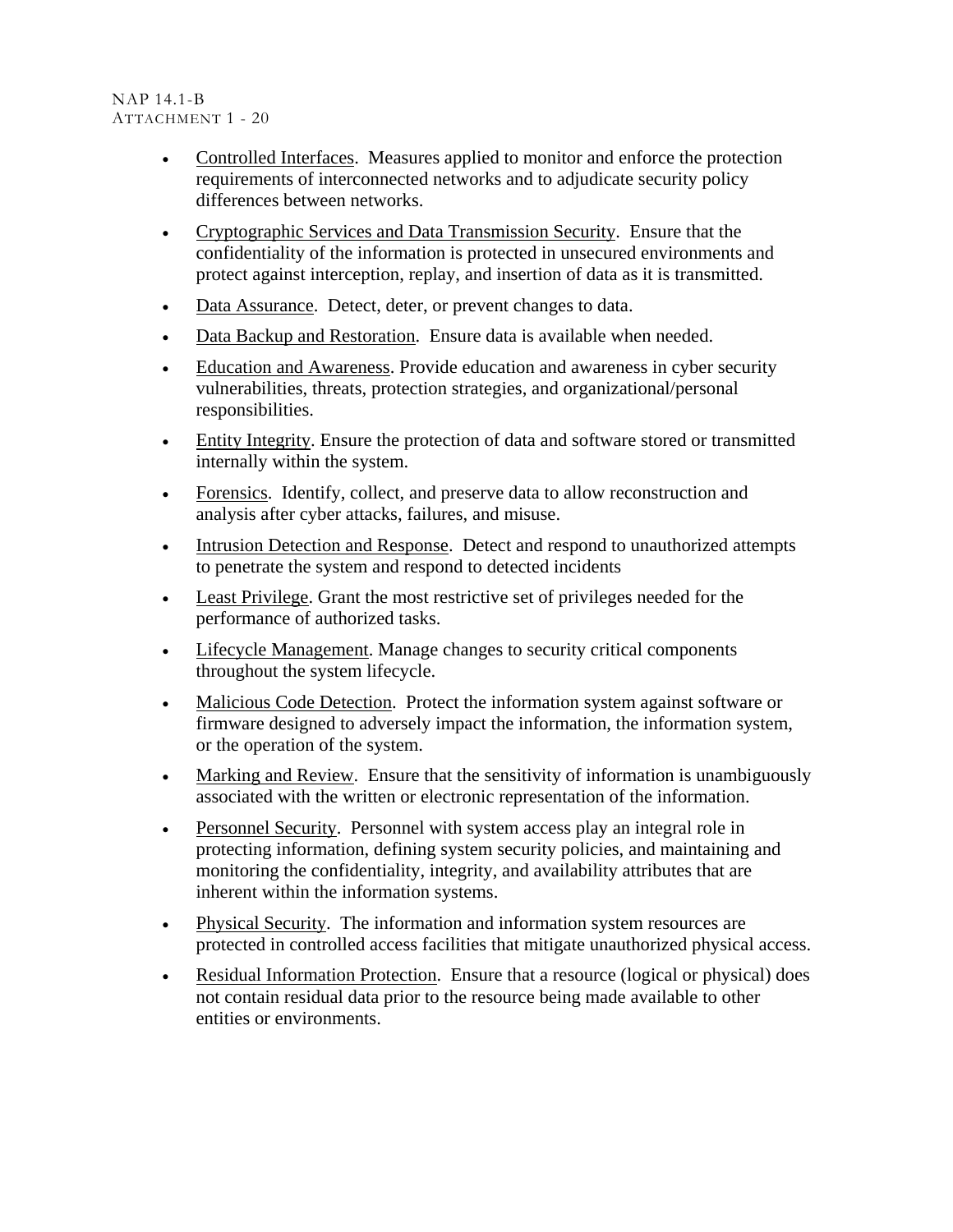- Controlled Interfaces. Measures applied to monitor and enforce the protection requirements of interconnected networks and to adjudicate security policy differences between networks.
- Cryptographic Services and Data Transmission Security. Ensure that the confidentiality of the information is protected in unsecured environments and protect against interception, replay, and insertion of data as it is transmitted.
- Data Assurance. Detect, deter, or prevent changes to data.
- Data Backup and Restoration. Ensure data is available when needed.
- Education and Awareness. Provide education and awareness in cyber security vulnerabilities, threats, protection strategies, and organizational/personal responsibilities.
- Entity Integrity. Ensure the protection of data and software stored or transmitted internally within the system.
- Forensics. Identify, collect, and preserve data to allow reconstruction and analysis after cyber attacks, failures, and misuse.
- Intrusion Detection and Response. Detect and respond to unauthorized attempts to penetrate the system and respond to detected incidents
- Least Privilege. Grant the most restrictive set of privileges needed for the performance of authorized tasks.
- Lifecycle Management. Manage changes to security critical components throughout the system lifecycle.
- Malicious Code Detection. Protect the information system against software or firmware designed to adversely impact the information, the information system, or the operation of the system.
- Marking and Review. Ensure that the sensitivity of information is unambiguously associated with the written or electronic representation of the information.
- Personnel Security. Personnel with system access play an integral role in protecting information, defining system security policies, and maintaining and monitoring the confidentiality, integrity, and availability attributes that are inherent within the information systems.
- Physical Security. The information and information system resources are protected in controlled access facilities that mitigate unauthorized physical access.
- Residual Information Protection. Ensure that a resource (logical or physical) does not contain residual data prior to the resource being made available to other entities or environments.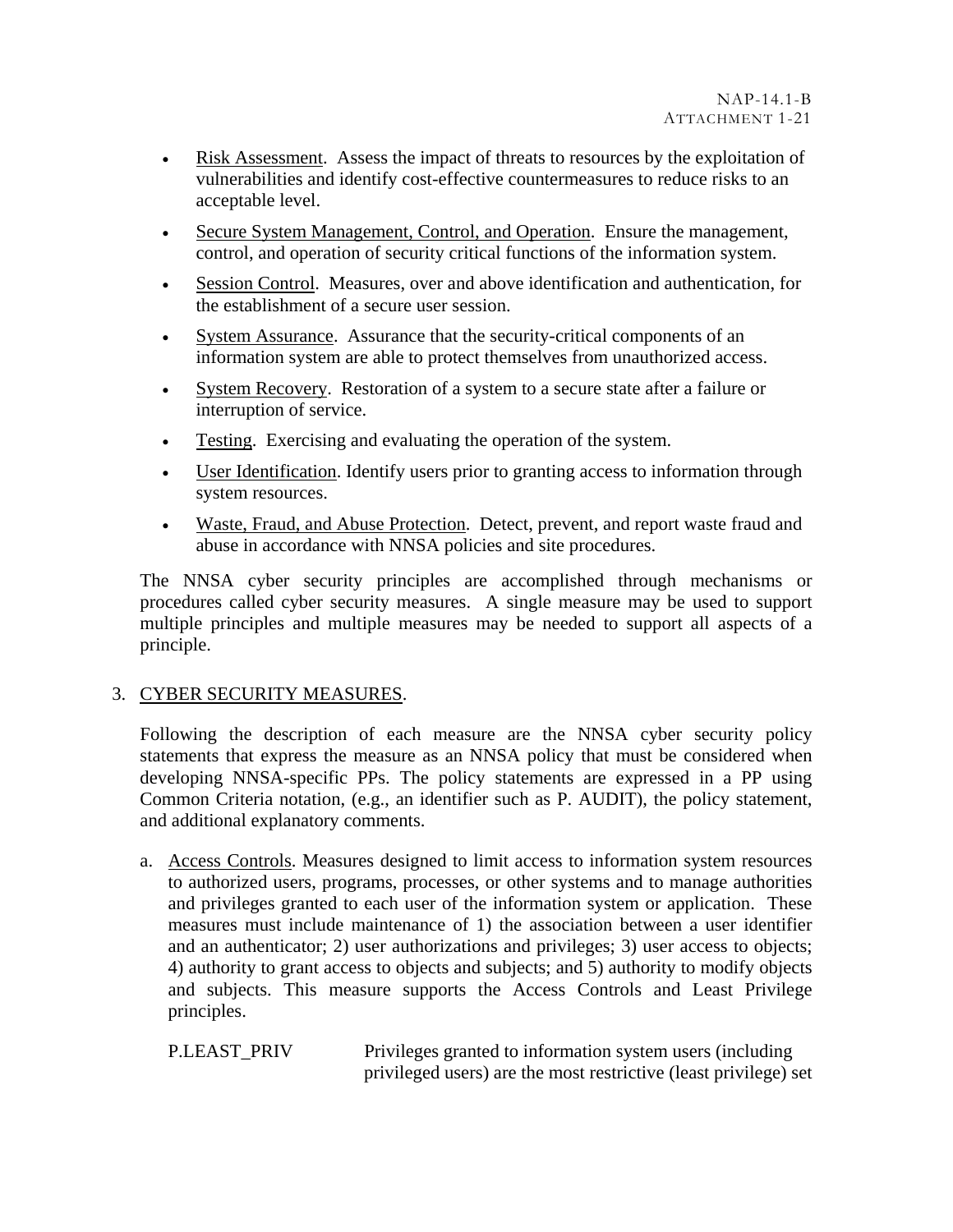- Risk Assessment. Assess the impact of threats to resources by the exploitation of vulnerabilities and identify cost-effective countermeasures to reduce risks to an acceptable level.
- Secure System Management, Control, and Operation. Ensure the management, control, and operation of security critical functions of the information system.
- Session Control. Measures, over and above identification and authentication, for the establishment of a secure user session.
- System Assurance. Assurance that the security-critical components of an information system are able to protect themselves from unauthorized access.
- System Recovery. Restoration of a system to a secure state after a failure or interruption of service.
- Testing. Exercising and evaluating the operation of the system.
- User Identification. Identify users prior to granting access to information through system resources.
- Waste, Fraud, and Abuse Protection. Detect, prevent, and report waste fraud and abuse in accordance with NNSA policies and site procedures.

The NNSA cyber security principles are accomplished through mechanisms or procedures called cyber security measures. A single measure may be used to support multiple principles and multiple measures may be needed to support all aspects of a principle.

#### 3. CYBER SECURITY MEASURES.

Following the description of each measure are the NNSA cyber security policy statements that express the measure as an NNSA policy that must be considered when developing NNSA-specific PPs. The policy statements are expressed in a PP using Common Criteria notation, (e.g., an identifier such as P. AUDIT), the policy statement, and additional explanatory comments.

a. Access Controls. Measures designed to limit access to information system resources to authorized users, programs, processes, or other systems and to manage authorities and privileges granted to each user of the information system or application. These measures must include maintenance of 1) the association between a user identifier and an authenticator; 2) user authorizations and privileges; 3) user access to objects; 4) authority to grant access to objects and subjects; and 5) authority to modify objects and subjects. This measure supports the Access Controls and Least Privilege principles.

P.LEAST PRIV Privileges granted to information system users (including privileged users) are the most restrictive (least privilege) set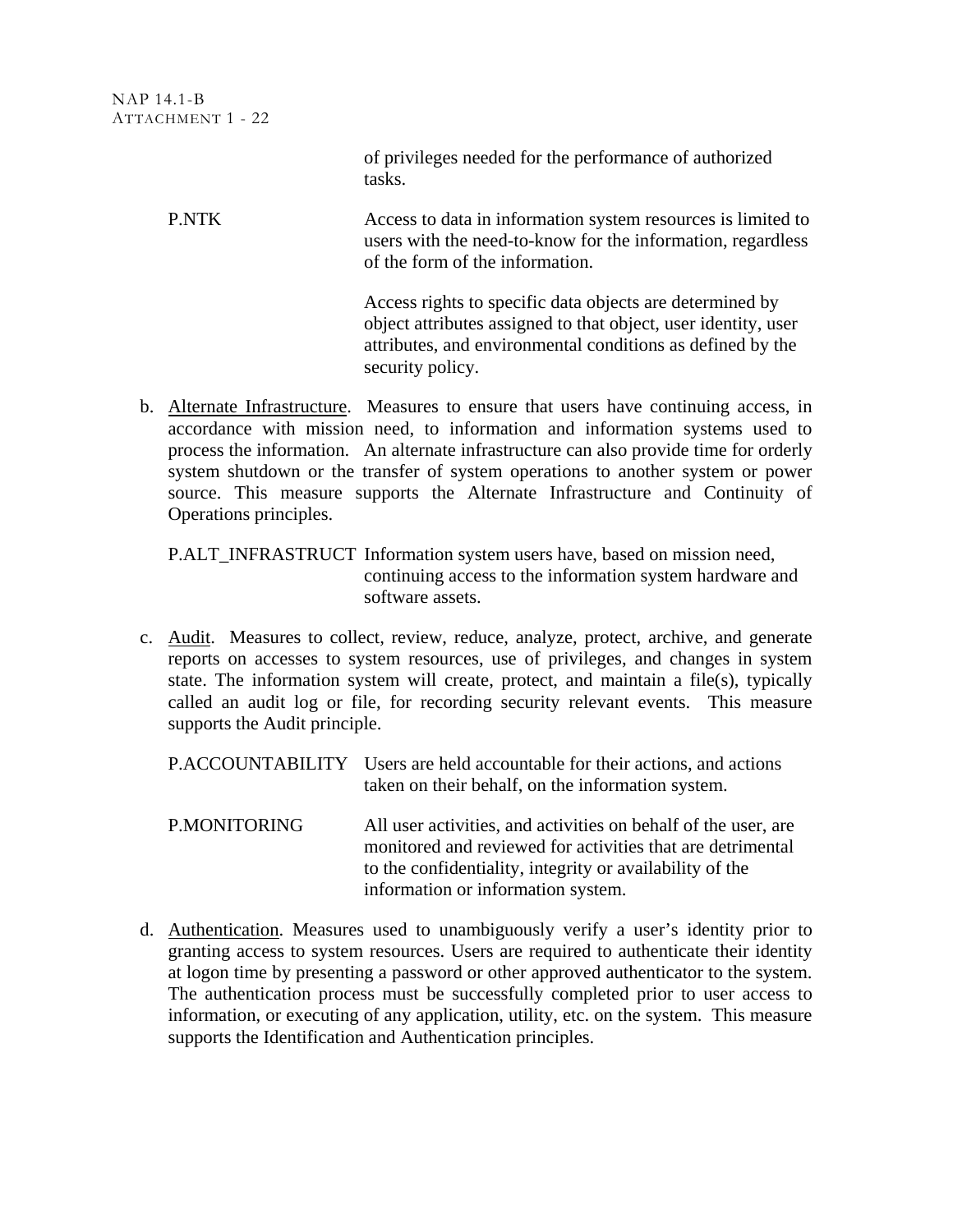of privileges needed for the performance of authorized tasks.

### P.NTK Access to data in information system resources is limited to users with the need-to-know for the information, regardless of the form of the information.

Access rights to specific data objects are determined by object attributes assigned to that object, user identity, user attributes, and environmental conditions as defined by the security policy.

b. Alternate Infrastructure. Measures to ensure that users have continuing access, in accordance with mission need, to information and information systems used to process the information. An alternate infrastructure can also provide time for orderly system shutdown or the transfer of system operations to another system or power source. This measure supports the Alternate Infrastructure and Continuity of Operations principles.

P.ALT\_INFRASTRUCT Information system users have, based on mission need, continuing access to the information system hardware and software assets.

c. Audit. Measures to collect, review, reduce, analyze, protect, archive, and generate reports on accesses to system resources, use of privileges, and changes in system state. The information system will create, protect, and maintain a file(s), typically called an audit log or file, for recording security relevant events. This measure supports the Audit principle.

P.ACCOUNTABILITY Users are held accountable for their actions, and actions taken on their behalf, on the information system.

- P.MONITORING All user activities, and activities on behalf of the user, are monitored and reviewed for activities that are detrimental to the confidentiality, integrity or availability of the information or information system.
- d. Authentication. Measures used to unambiguously verify a user's identity prior to granting access to system resources. Users are required to authenticate their identity at logon time by presenting a password or other approved authenticator to the system. The authentication process must be successfully completed prior to user access to information, or executing of any application, utility, etc. on the system. This measure supports the Identification and Authentication principles.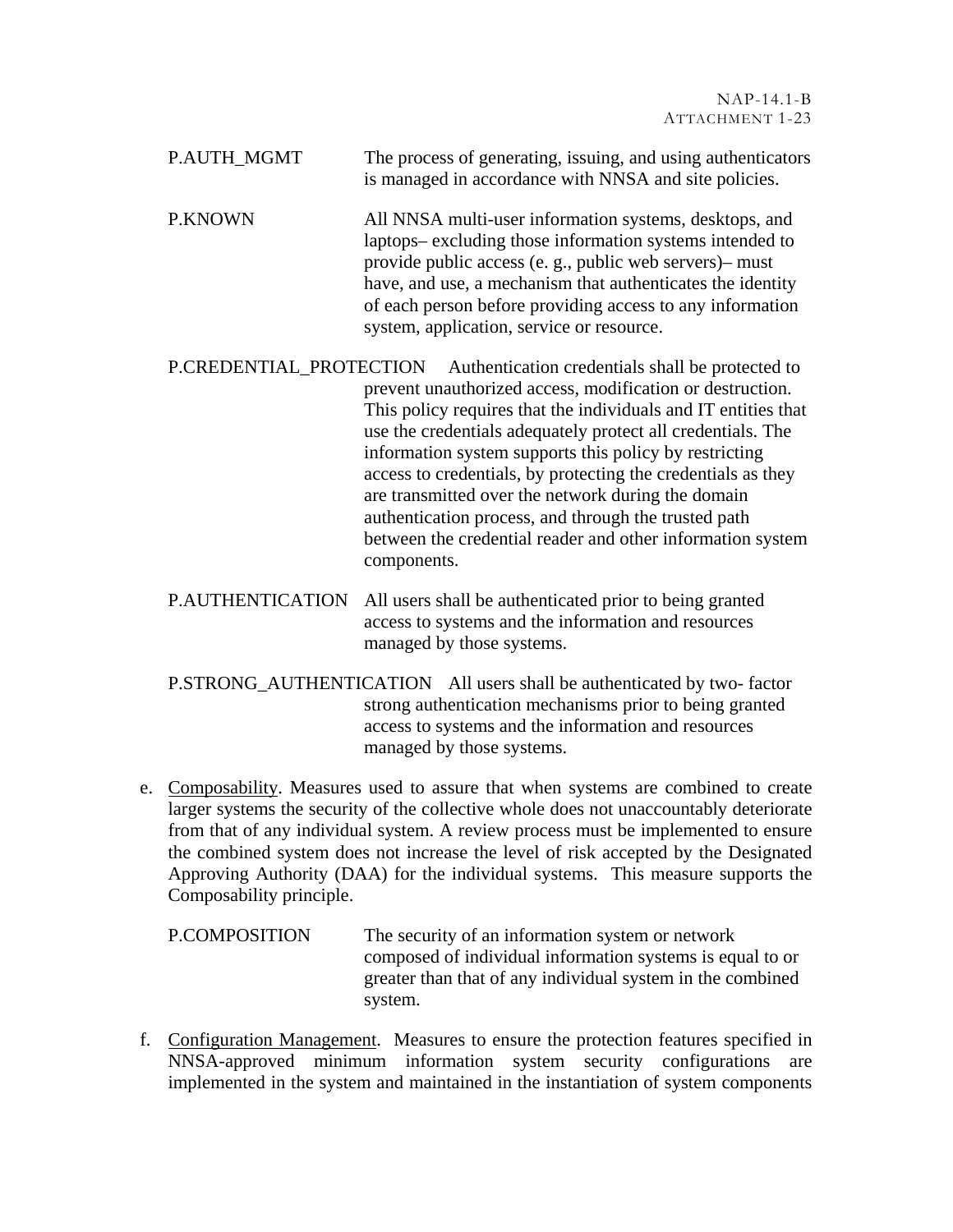- P.AUTH\_MGMT The process of generating, issuing, and using authenticators is managed in accordance with NNSA and site policies.
- P.KNOWN All NNSA multi-user information systems, desktops, and laptops– excluding those information systems intended to provide public access (e. g., public web servers)– must have, and use, a mechanism that authenticates the identity of each person before providing access to any information system, application, service or resource.
- P.CREDENTIAL\_PROTECTION Authentication credentials shall be protected to prevent unauthorized access, modification or destruction. This policy requires that the individuals and IT entities that use the credentials adequately protect all credentials. The information system supports this policy by restricting access to credentials, by protecting the credentials as they are transmitted over the network during the domain authentication process, and through the trusted path between the credential reader and other information system components.
- P.AUTHENTICATION All users shall be authenticated prior to being granted access to systems and the information and resources managed by those systems.
- P.STRONG\_AUTHENTICATION All users shall be authenticated by two- factor strong authentication mechanisms prior to being granted access to systems and the information and resources managed by those systems.
- e. Composability. Measures used to assure that when systems are combined to create larger systems the security of the collective whole does not unaccountably deteriorate from that of any individual system. A review process must be implemented to ensure the combined system does not increase the level of risk accepted by the Designated Approving Authority (DAA) for the individual systems. This measure supports the Composability principle.
	- P.COMPOSITION The security of an information system or network composed of individual information systems is equal to or greater than that of any individual system in the combined system.
- f. Configuration Management. Measures to ensure the protection features specified in NNSA-approved minimum information system security configurations are implemented in the system and maintained in the instantiation of system components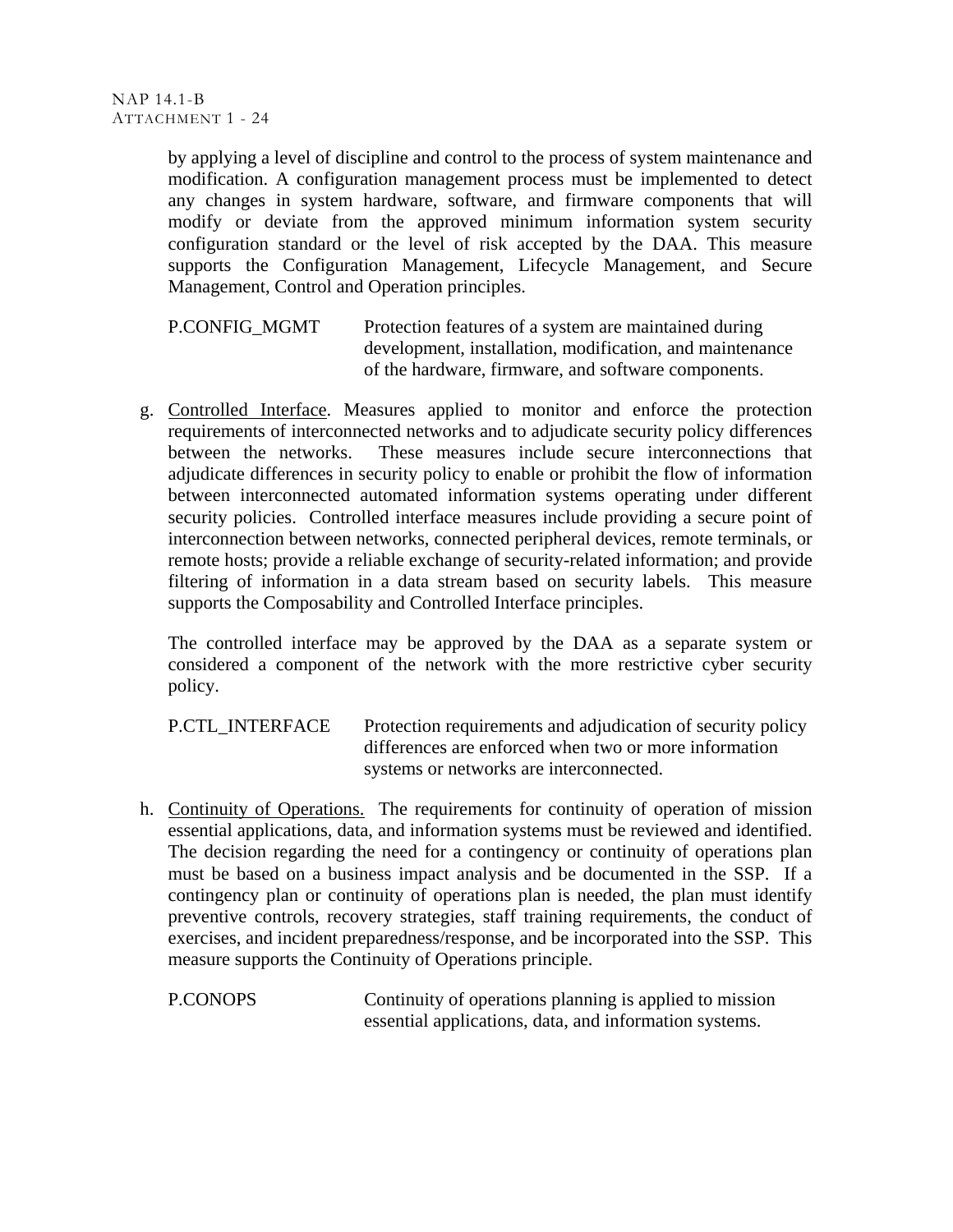by applying a level of discipline and control to the process of system maintenance and modification. A configuration management process must be implemented to detect any changes in system hardware, software, and firmware components that will modify or deviate from the approved minimum information system security configuration standard or the level of risk accepted by the DAA. This measure supports the Configuration Management, Lifecycle Management, and Secure Management, Control and Operation principles.

P.CONFIG\_MGMT Protection features of a system are maintained during development, installation, modification, and maintenance of the hardware, firmware, and software components.

g. Controlled Interface. Measures applied to monitor and enforce the protection requirements of interconnected networks and to adjudicate security policy differences between the networks. These measures include secure interconnections that adjudicate differences in security policy to enable or prohibit the flow of information between interconnected automated information systems operating under different security policies. Controlled interface measures include providing a secure point of interconnection between networks, connected peripheral devices, remote terminals, or remote hosts; provide a reliable exchange of security-related information; and provide filtering of information in a data stream based on security labels. This measure supports the Composability and Controlled Interface principles.

The controlled interface may be approved by the DAA as a separate system or considered a component of the network with the more restrictive cyber security policy.

P.CTL\_INTERFACE Protection requirements and adjudication of security policy differences are enforced when two or more information systems or networks are interconnected.

h. Continuity of Operations. The requirements for continuity of operation of mission essential applications, data, and information systems must be reviewed and identified. The decision regarding the need for a contingency or continuity of operations plan must be based on a business impact analysis and be documented in the SSP. If a contingency plan or continuity of operations plan is needed, the plan must identify preventive controls, recovery strategies, staff training requirements, the conduct of exercises, and incident preparedness/response, and be incorporated into the SSP. This measure supports the Continuity of Operations principle.

P.CONOPS Continuity of operations planning is applied to mission essential applications, data, and information systems.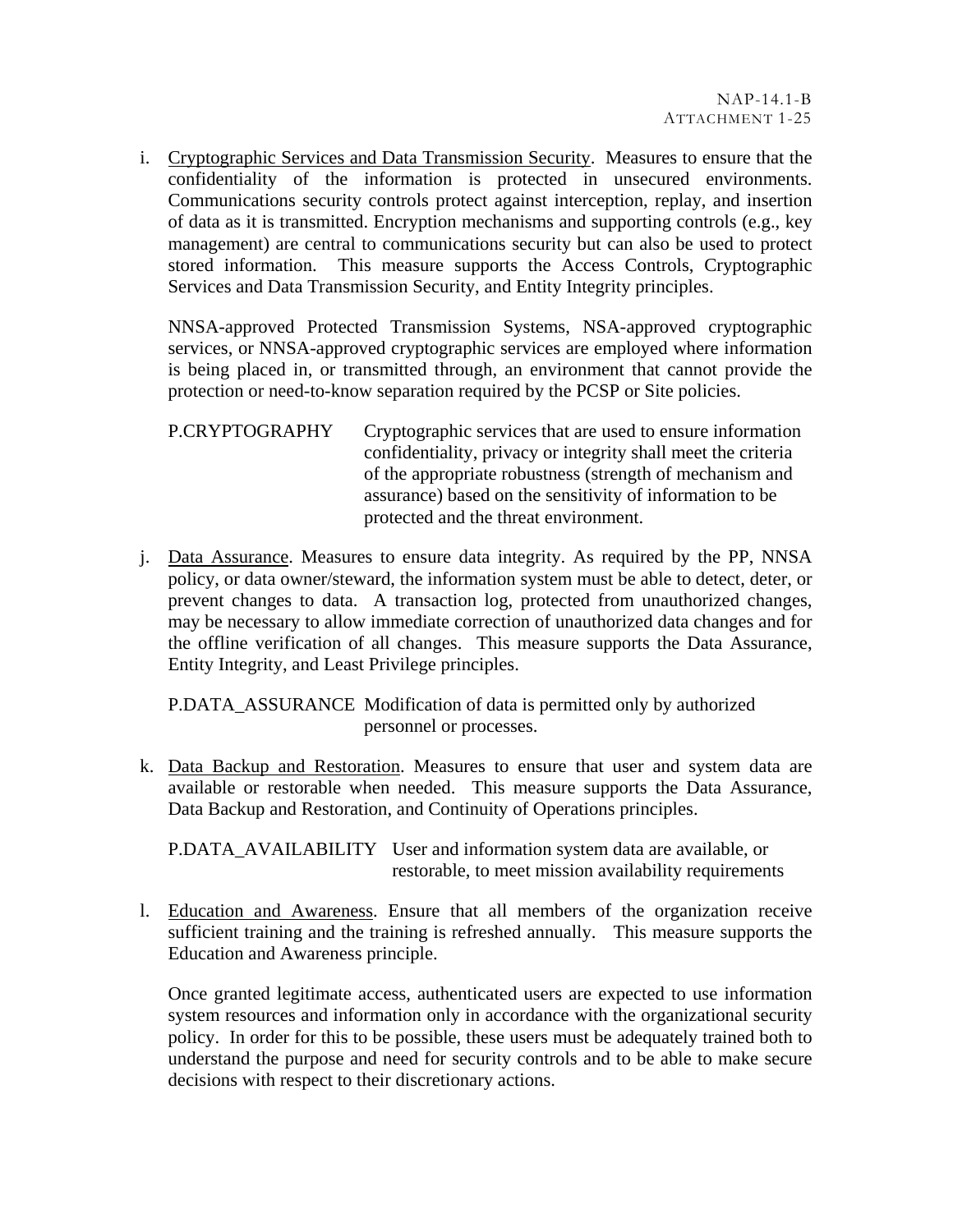i. Cryptographic Services and Data Transmission Security. Measures to ensure that the confidentiality of the information is protected in unsecured environments. Communications security controls protect against interception, replay, and insertion of data as it is transmitted. Encryption mechanisms and supporting controls (e.g., key management) are central to communications security but can also be used to protect stored information. This measure supports the Access Controls, Cryptographic Services and Data Transmission Security, and Entity Integrity principles.

NNSA-approved Protected Transmission Systems, NSA-approved cryptographic services, or NNSA-approved cryptographic services are employed where information is being placed in, or transmitted through, an environment that cannot provide the protection or need-to-know separation required by the PCSP or Site policies.

- P.CRYPTOGRAPHY Cryptographic services that are used to ensure information confidentiality, privacy or integrity shall meet the criteria of the appropriate robustness (strength of mechanism and assurance) based on the sensitivity of information to be protected and the threat environment.
- j. Data Assurance. Measures to ensure data integrity. As required by the PP, NNSA policy, or data owner/steward, the information system must be able to detect, deter, or prevent changes to data. A transaction log, protected from unauthorized changes, may be necessary to allow immediate correction of unauthorized data changes and for the offline verification of all changes. This measure supports the Data Assurance, Entity Integrity, and Least Privilege principles.

P.DATA\_ASSURANCE Modification of data is permitted only by authorized personnel or processes.

k. Data Backup and Restoration. Measures to ensure that user and system data are available or restorable when needed. This measure supports the Data Assurance, Data Backup and Restoration, and Continuity of Operations principles.

P.DATA\_AVAILABILITY User and information system data are available, or restorable, to meet mission availability requirements

l. Education and Awareness. Ensure that all members of the organization receive sufficient training and the training is refreshed annually. This measure supports the Education and Awareness principle.

Once granted legitimate access, authenticated users are expected to use information system resources and information only in accordance with the organizational security policy. In order for this to be possible, these users must be adequately trained both to understand the purpose and need for security controls and to be able to make secure decisions with respect to their discretionary actions.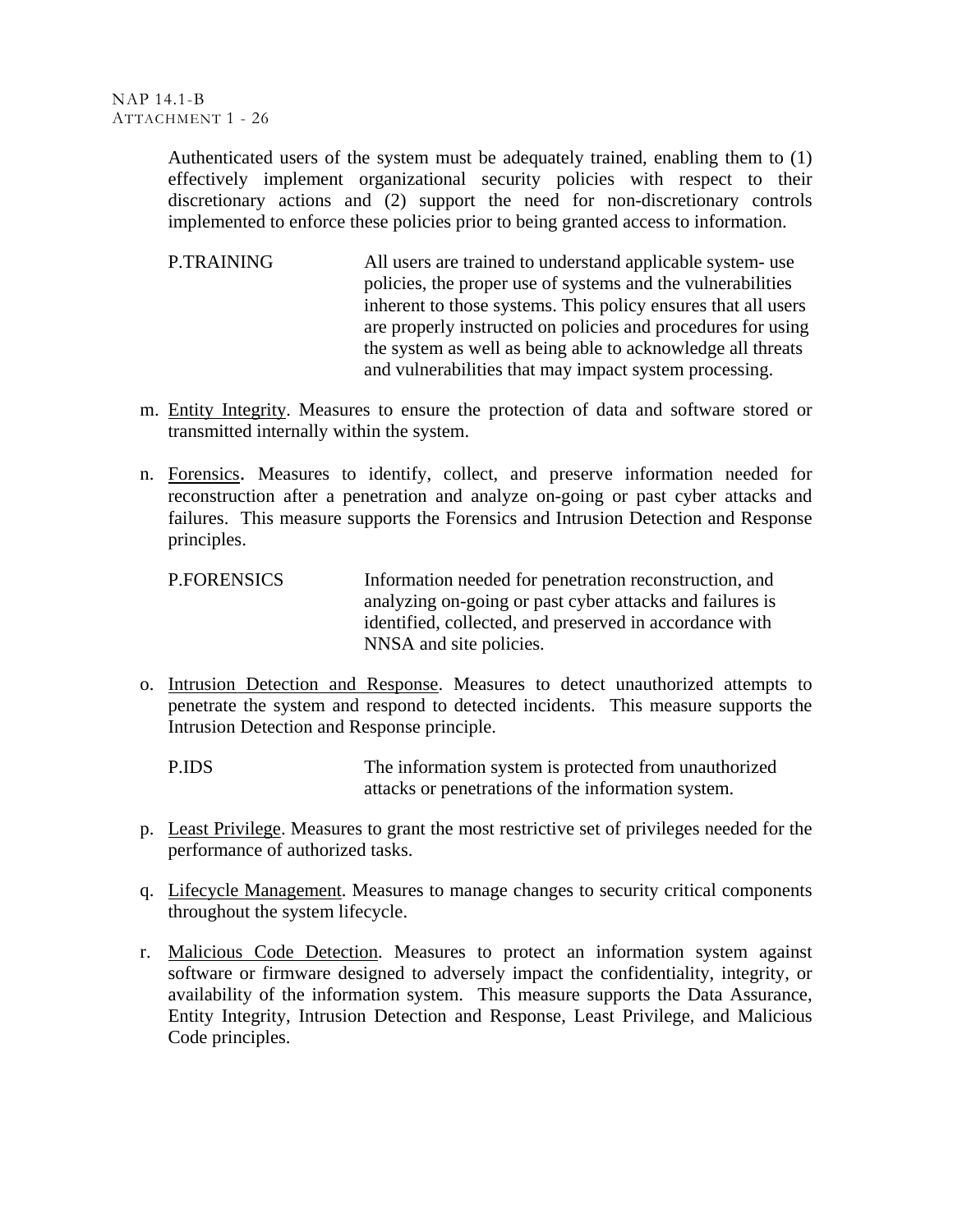Authenticated users of the system must be adequately trained, enabling them to (1) effectively implement organizational security policies with respect to their discretionary actions and (2) support the need for non-discretionary controls implemented to enforce these policies prior to being granted access to information.

P.TRAINING All users are trained to understand applicable system- use policies, the proper use of systems and the vulnerabilities inherent to those systems. This policy ensures that all users are properly instructed on policies and procedures for using the system as well as being able to acknowledge all threats and vulnerabilities that may impact system processing.

- m. Entity Integrity. Measures to ensure the protection of data and software stored or transmitted internally within the system.
- n. Forensics. Measures to identify, collect, and preserve information needed for reconstruction after a penetration and analyze on-going or past cyber attacks and failures. This measure supports the Forensics and Intrusion Detection and Response principles.

P.FORENSICS Information needed for penetration reconstruction, and analyzing on-going or past cyber attacks and failures is identified, collected, and preserved in accordance with NNSA and site policies.

o. Intrusion Detection and Response. Measures to detect unauthorized attempts to penetrate the system and respond to detected incidents.This measure supports the Intrusion Detection and Response principle.

P.IDS The information system is protected from unauthorized attacks or penetrations of the information system.

- p. Least Privilege. Measures to grant the most restrictive set of privileges needed for the performance of authorized tasks.
- q. Lifecycle Management. Measures to manage changes to security critical components throughout the system lifecycle.
- r. Malicious Code Detection. Measures to protect an information system against software or firmware designed to adversely impact the confidentiality, integrity, or availability of the information system. This measure supports the Data Assurance, Entity Integrity, Intrusion Detection and Response, Least Privilege, and Malicious Code principles.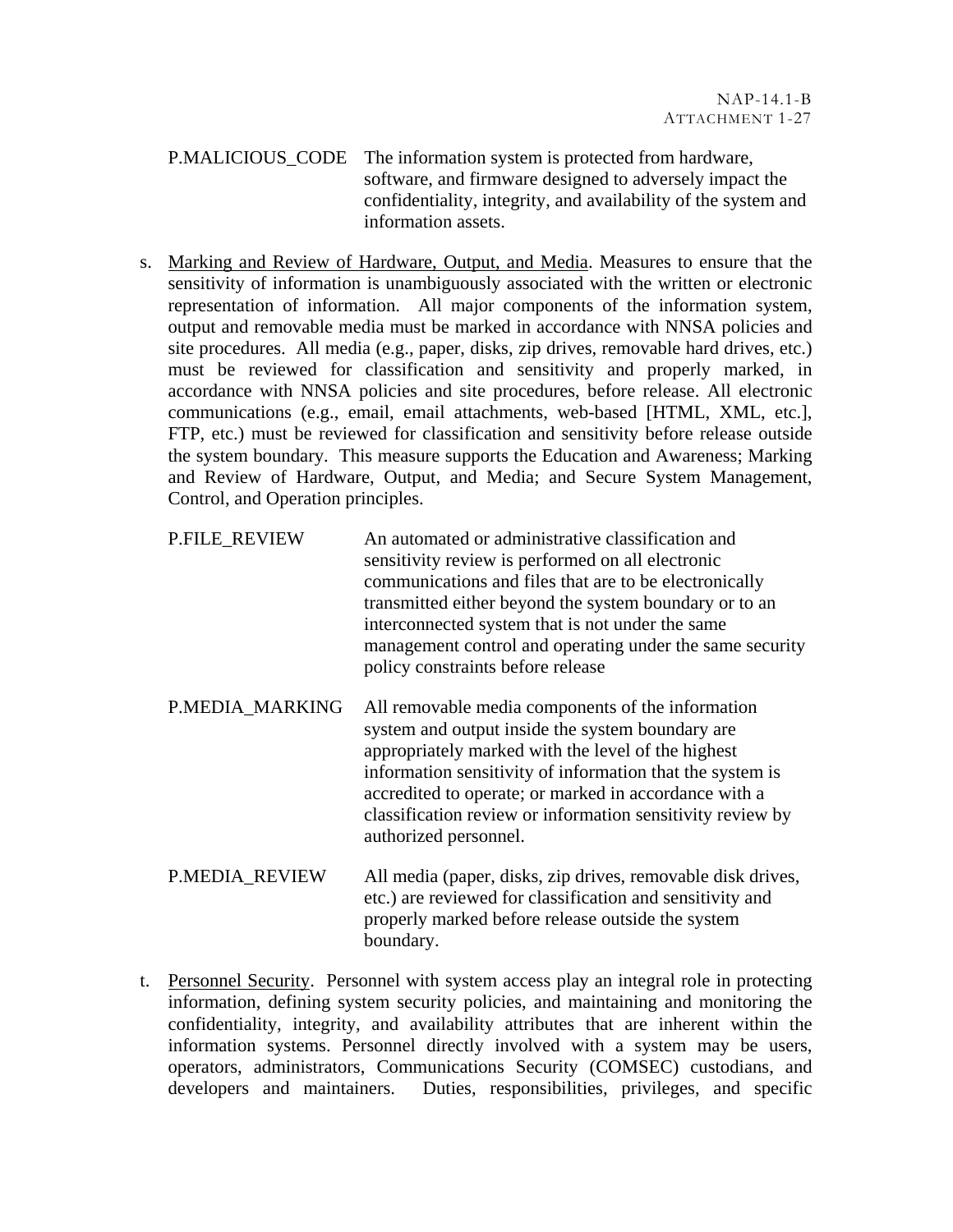- P.MALICIOUS\_CODE The information system is protected from hardware, software, and firmware designed to adversely impact the confidentiality, integrity, and availability of the system and information assets.
- s. Marking and Review of Hardware, Output, and Media. Measures to ensure that the sensitivity of information is unambiguously associated with the written or electronic representation of information. All major components of the information system, output and removable media must be marked in accordance with NNSA policies and site procedures. All media (e.g., paper, disks, zip drives, removable hard drives, etc.) must be reviewed for classification and sensitivity and properly marked, in accordance with NNSA policies and site procedures, before release. All electronic communications (e.g., email, email attachments, web-based [HTML, XML, etc.], FTP, etc.) must be reviewed for classification and sensitivity before release outside the system boundary. This measure supports the Education and Awareness; Marking and Review of Hardware, Output, and Media; and Secure System Management, Control, and Operation principles.
	- P.FILE\_REVIEW An automated or administrative classification and sensitivity review is performed on all electronic communications and files that are to be electronically transmitted either beyond the system boundary or to an interconnected system that is not under the same management control and operating under the same security policy constraints before release
	- P.MEDIA\_MARKING All removable media components of the information system and output inside the system boundary are appropriately marked with the level of the highest information sensitivity of information that the system is accredited to operate; or marked in accordance with a classification review or information sensitivity review by authorized personnel.
	- P.MEDIA\_REVIEW All media (paper, disks, zip drives, removable disk drives, etc.) are reviewed for classification and sensitivity and properly marked before release outside the system boundary.
- t. Personnel Security. Personnel with system access play an integral role in protecting information, defining system security policies, and maintaining and monitoring the confidentiality, integrity, and availability attributes that are inherent within the information systems. Personnel directly involved with a system may be users, operators, administrators, Communications Security (COMSEC) custodians, and developers and maintainers. Duties, responsibilities, privileges, and specific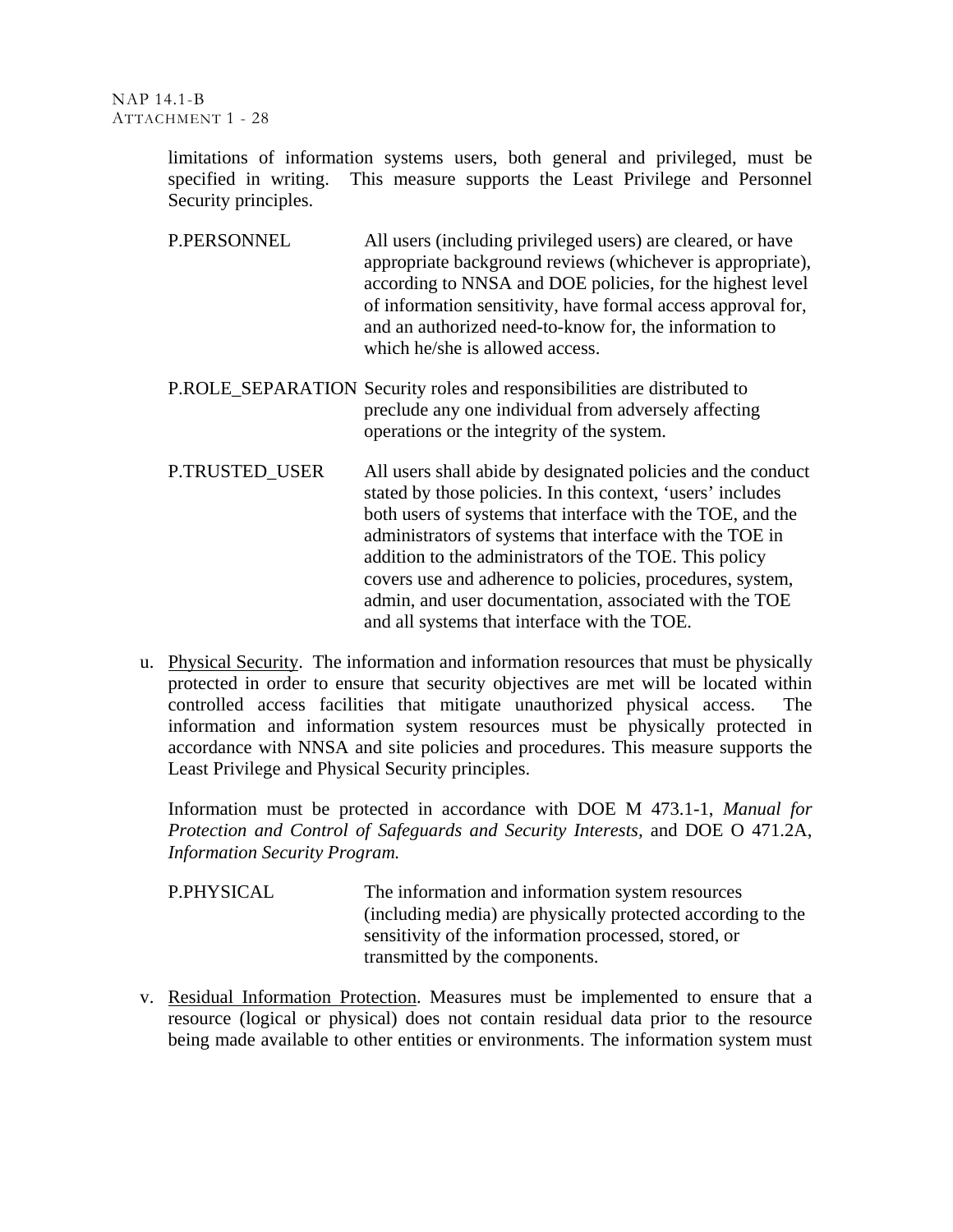limitations of information systems users, both general and privileged, must be specified in writing. This measure supports the Least Privilege and Personnel Security principles.

- P.PERSONNEL All users (including privileged users) are cleared, or have appropriate background reviews (whichever is appropriate), according to NNSA and DOE policies, for the highest level of information sensitivity, have formal access approval for, and an authorized need-to-know for, the information to which he/she is allowed access.
- P.ROLE\_SEPARATION Security roles and responsibilities are distributed to preclude any one individual from adversely affecting operations or the integrity of the system.
- P.TRUSTED USER All users shall abide by designated policies and the conduct stated by those policies. In this context, 'users' includes both users of systems that interface with the TOE, and the administrators of systems that interface with the TOE in addition to the administrators of the TOE. This policy covers use and adherence to policies, procedures, system, admin, and user documentation, associated with the TOE and all systems that interface with the TOE.
- u. Physical Security. The information and information resources that must be physically protected in order to ensure that security objectives are met will be located within controlled access facilities that mitigate unauthorized physical access. The information and information system resources must be physically protected in accordance with NNSA and site policies and procedures. This measure supports the Least Privilege and Physical Security principles.

Information must be protected in accordance with DOE M 473.1-1, *Manual for Protection and Control of Safeguards and Security Interests,* and DOE O 471.2A, *Information Security Program.*

P.PHYSICAL The information and information system resources (including media) are physically protected according to the sensitivity of the information processed, stored, or transmitted by the components.

v. Residual Information Protection. Measures must be implemented to ensure that a resource (logical or physical) does not contain residual data prior to the resource being made available to other entities or environments. The information system must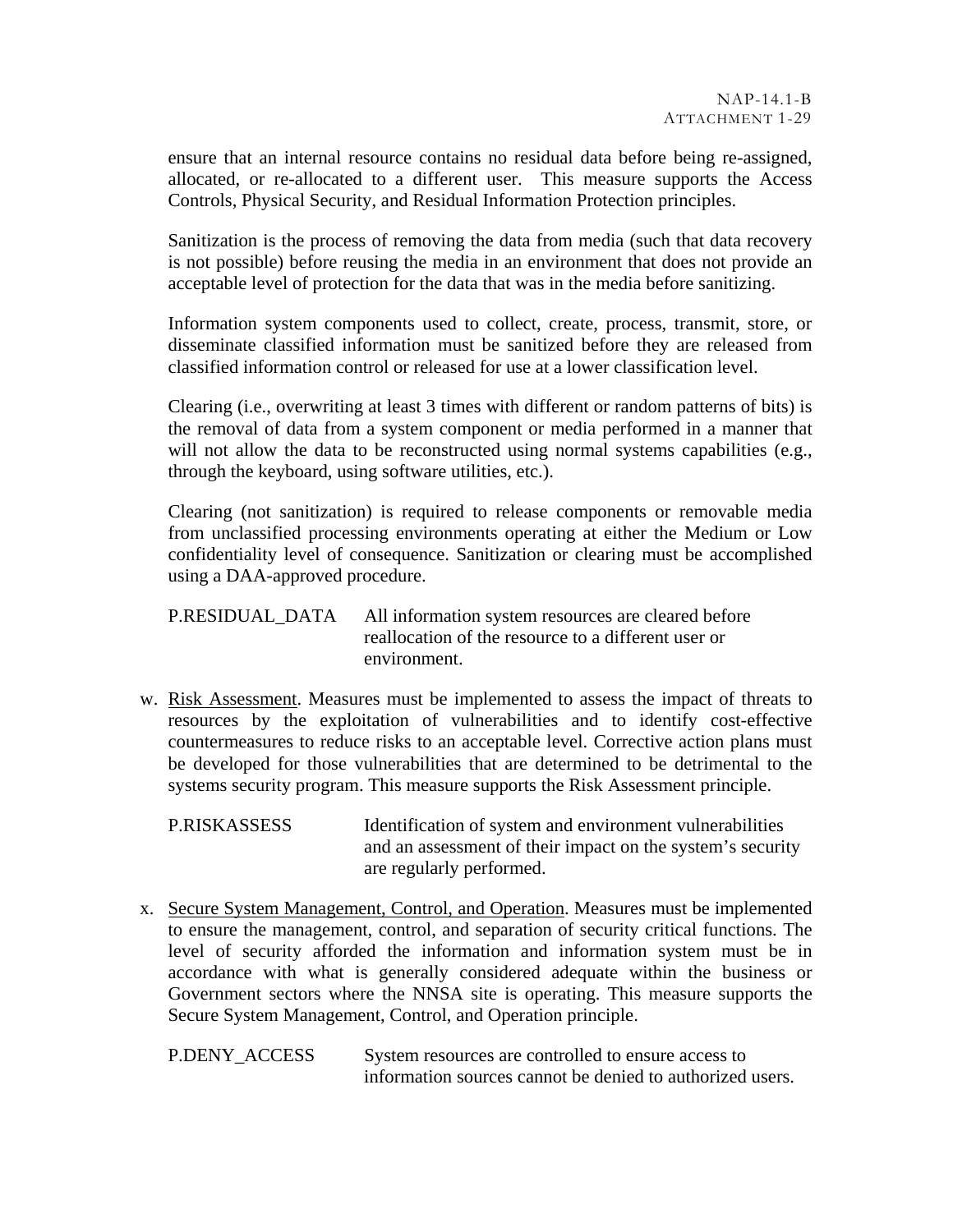ensure that an internal resource contains no residual data before being re-assigned, allocated, or re-allocated to a different user. This measure supports the Access Controls, Physical Security, and Residual Information Protection principles.

Sanitization is the process of removing the data from media (such that data recovery is not possible) before reusing the media in an environment that does not provide an acceptable level of protection for the data that was in the media before sanitizing.

Information system components used to collect, create, process, transmit, store, or disseminate classified information must be sanitized before they are released from classified information control or released for use at a lower classification level.

Clearing (i.e., overwriting at least 3 times with different or random patterns of bits) is the removal of data from a system component or media performed in a manner that will not allow the data to be reconstructed using normal systems capabilities (e.g., through the keyboard, using software utilities, etc.).

Clearing (not sanitization) is required to release components or removable media from unclassified processing environments operating at either the Medium or Low confidentiality level of consequence. Sanitization or clearing must be accomplished using a DAA-approved procedure.

P.RESIDUAL\_DATA All information system resources are cleared before reallocation of the resource to a different user or environment.

- w. Risk Assessment. Measures must be implemented to assess the impact of threats to resources by the exploitation of vulnerabilities and to identify cost-effective countermeasures to reduce risks to an acceptable level. Corrective action plans must be developed for those vulnerabilities that are determined to be detrimental to the systems security program. This measure supports the Risk Assessment principle.
	- P.RISKASSESS Identification of system and environment vulnerabilities and an assessment of their impact on the system's security are regularly performed.
- x. Secure System Management, Control, and Operation. Measures must be implemented to ensure the management, control, and separation of security critical functions. The level of security afforded the information and information system must be in accordance with what is generally considered adequate within the business or Government sectors where the NNSA site is operating. This measure supports the Secure System Management, Control, and Operation principle.

P.DENY ACCESS System resources are controlled to ensure access to information sources cannot be denied to authorized users.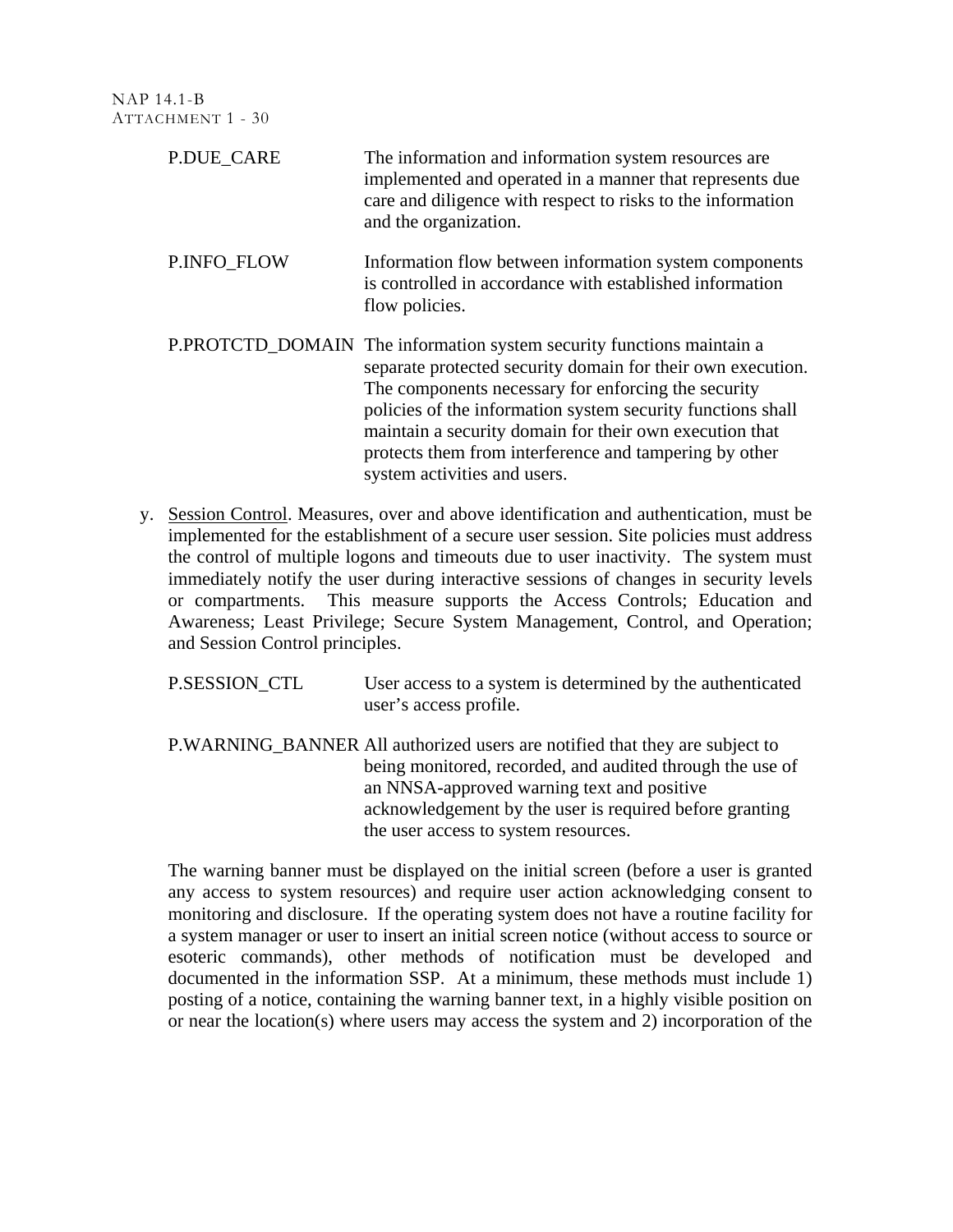| P.DUE_CARE  | The information and information system resources are<br>implemented and operated in a manner that represents due<br>care and diligence with respect to risks to the information<br>and the organization.                                                                                                                                                                                                        |
|-------------|-----------------------------------------------------------------------------------------------------------------------------------------------------------------------------------------------------------------------------------------------------------------------------------------------------------------------------------------------------------------------------------------------------------------|
| P.INFO FLOW | Information flow between information system components<br>is controlled in accordance with established information<br>flow policies.                                                                                                                                                                                                                                                                            |
|             | P.PROTCTD_DOMAIN The information system security functions maintain a<br>separate protected security domain for their own execution.<br>The components necessary for enforcing the security<br>policies of the information system security functions shall<br>maintain a security domain for their own execution that<br>protects them from interference and tampering by other<br>system activities and users. |

y. Session Control. Measures, over and above identification and authentication, must be implemented for the establishment of a secure user session. Site policies must address the control of multiple logons and timeouts due to user inactivity. The system must immediately notify the user during interactive sessions of changes in security levels or compartments. This measure supports the Access Controls; Education and Awareness; Least Privilege; Secure System Management, Control, and Operation; and Session Control principles.

P.SESSION\_CTL User access to a system is determined by the authenticated user's access profile.

P.WARNING\_BANNER All authorized users are notified that they are subject to being monitored, recorded, and audited through the use of an NNSA-approved warning text and positive acknowledgement by the user is required before granting the user access to system resources.

The warning banner must be displayed on the initial screen (before a user is granted any access to system resources) and require user action acknowledging consent to monitoring and disclosure. If the operating system does not have a routine facility for a system manager or user to insert an initial screen notice (without access to source or esoteric commands), other methods of notification must be developed and documented in the information SSP. At a minimum, these methods must include 1) posting of a notice, containing the warning banner text, in a highly visible position on or near the location(s) where users may access the system and 2) incorporation of the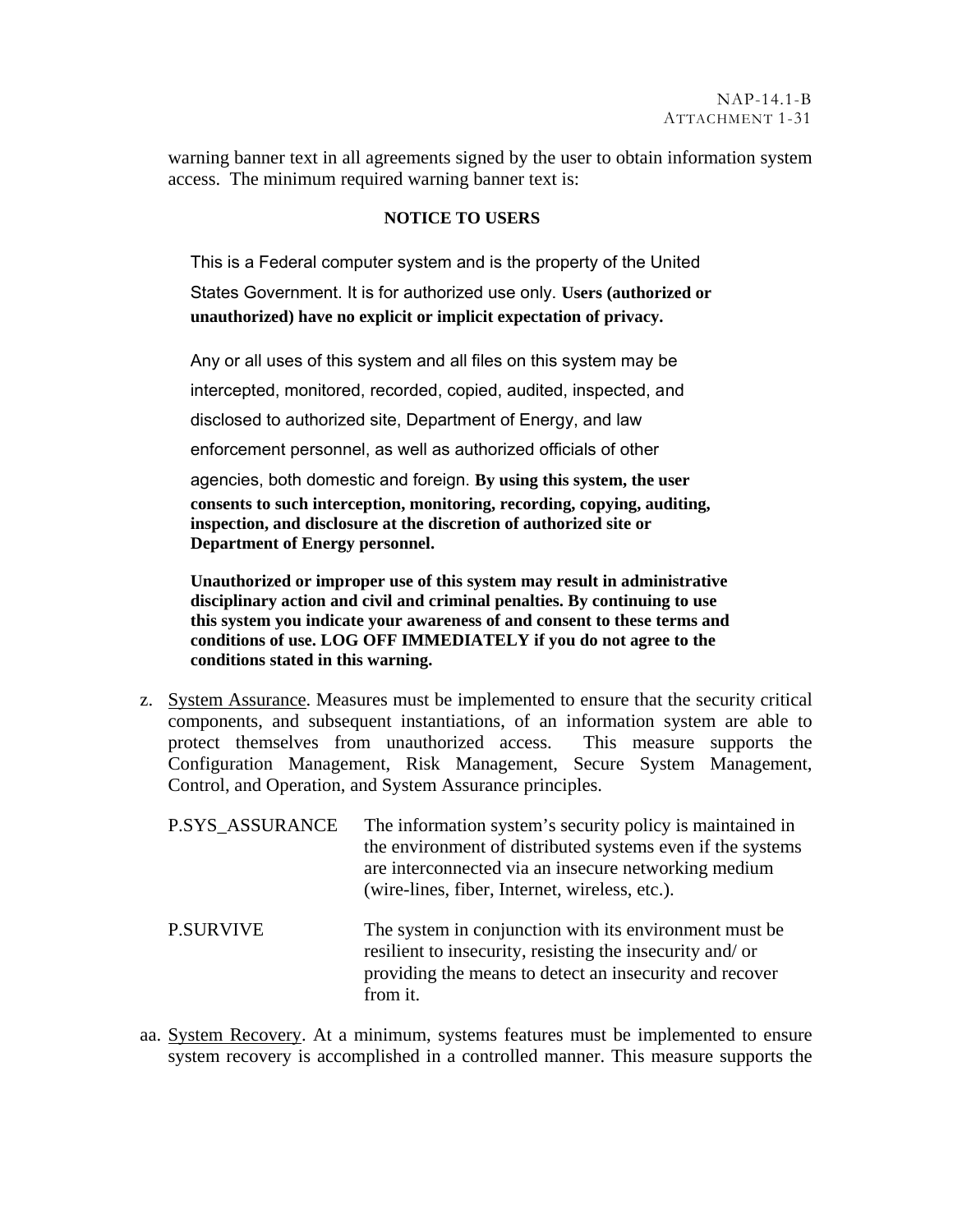warning banner text in all agreements signed by the user to obtain information system access. The minimum required warning banner text is:

#### **NOTICE TO USERS**

This is a Federal computer system and is the property of the United States Government. It is for authorized use only. **Users (authorized or unauthorized) have no explicit or implicit expectation of privacy.** 

Any or all uses of this system and all files on this system may be intercepted, monitored, recorded, copied, audited, inspected, and disclosed to authorized site, Department of Energy, and law enforcement personnel, as well as authorized officials of other agencies, both domestic and foreign. **By using this system, the user consents to such interception, monitoring, recording, copying, auditing, inspection, and disclosure at the discretion of authorized site or Department of Energy personnel.** 

**Unauthorized or improper use of this system may result in administrative disciplinary action and civil and criminal penalties. By continuing to use this system you indicate your awareness of and consent to these terms and conditions of use. LOG OFF IMMEDIATELY if you do not agree to the conditions stated in this warning.**

z. System Assurance. Measures must be implemented to ensure that the security critical components, and subsequent instantiations, of an information system are able to protect themselves from unauthorized access. This measure supports the Configuration Management, Risk Management, Secure System Management, Control, and Operation, and System Assurance principles.

| P.SYS_ASSURANCE  | The information system's security policy is maintained in<br>the environment of distributed systems even if the systems<br>are interconnected via an insecure networking medium<br>(wire-lines, fiber, Internet, wireless, etc.). |
|------------------|-----------------------------------------------------------------------------------------------------------------------------------------------------------------------------------------------------------------------------------|
| <b>P.SURVIVE</b> | The system in conjunction with its environment must be<br>resilient to insecurity, resisting the insecurity and/or<br>providing the means to detect an insecurity and recover<br>from it.                                         |

aa. System Recovery. At a minimum, systems features must be implemented to ensure system recovery is accomplished in a controlled manner. This measure supports the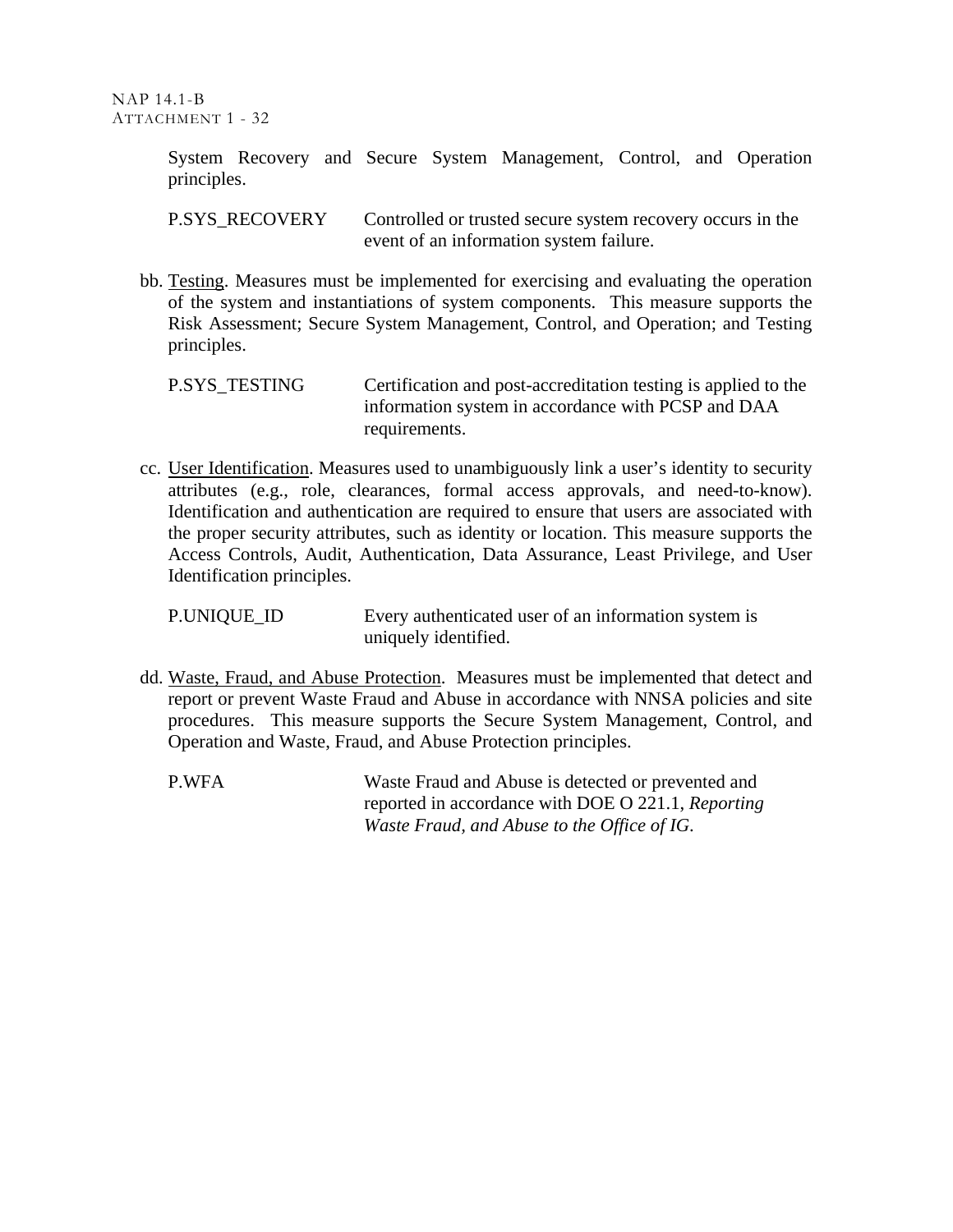System Recovery and Secure System Management, Control, and Operation principles.

P.SYS\_RECOVERY Controlled or trusted secure system recovery occurs in the event of an information system failure.

bb. Testing. Measures must be implemented for exercising and evaluating the operation of the system and instantiations of system components. This measure supports the Risk Assessment; Secure System Management, Control, and Operation; and Testing principles.

P.SYS\_TESTING Certification and post-accreditation testing is applied to the information system in accordance with PCSP and DAA requirements.

cc. User Identification. Measures used to unambiguously link a user's identity to security attributes (e.g., role, clearances, formal access approvals, and need-to-know). Identification and authentication are required to ensure that users are associated with the proper security attributes, such as identity or location. This measure supports the Access Controls, Audit, Authentication, Data Assurance, Least Privilege, and User Identification principles.

P.UNIQUE\_ID Every authenticated user of an information system is uniquely identified.

- dd. Waste, Fraud, and Abuse Protection. Measures must be implemented that detect and report or prevent Waste Fraud and Abuse in accordance with NNSA policies and site procedures. This measure supports the Secure System Management, Control, and Operation and Waste, Fraud, and Abuse Protection principles.
	- P.WFA Waste Fraud and Abuse is detected or prevented and reported in accordance with DOE O 221.1, *Reporting Waste Fraud, and Abuse to the Office of IG*.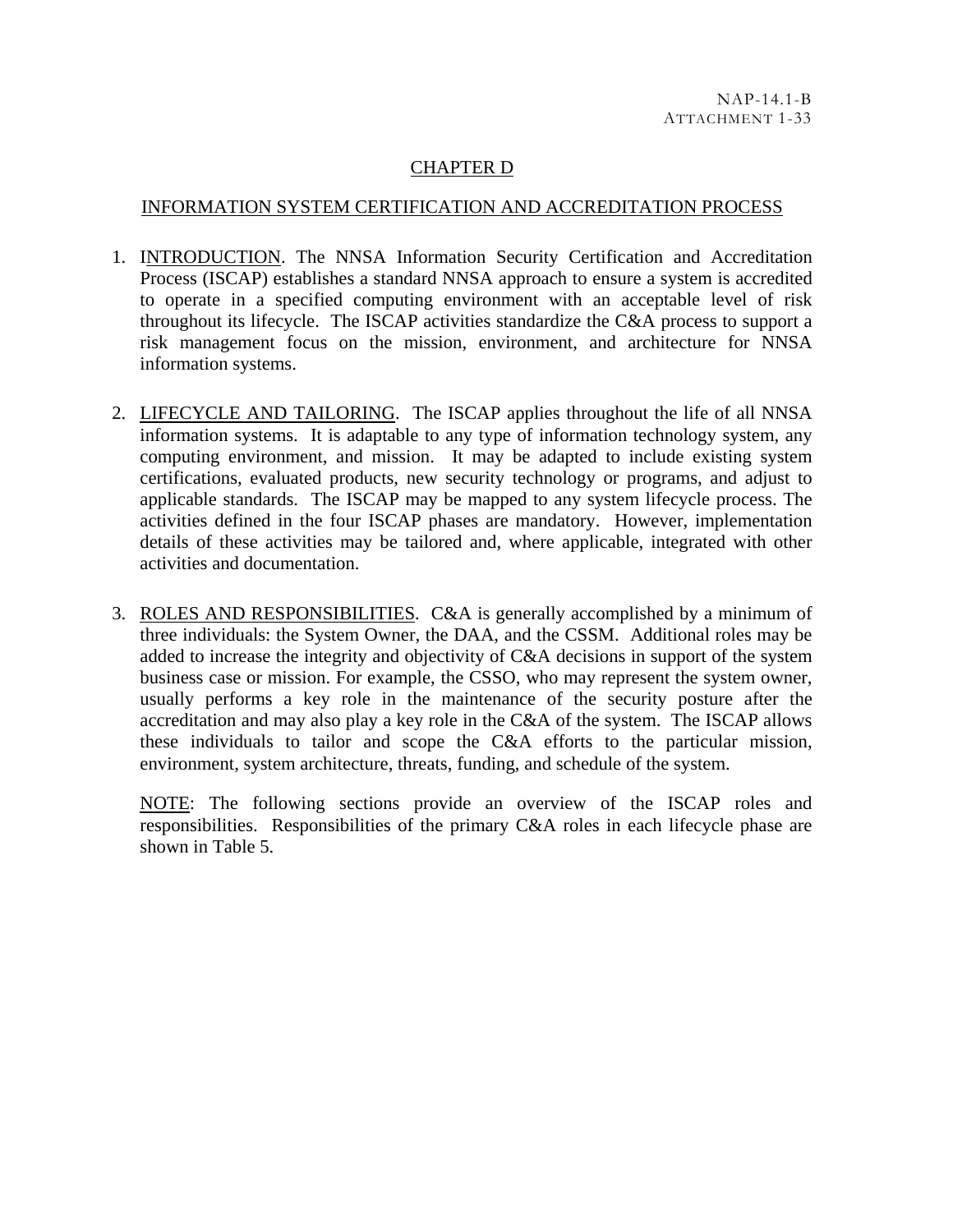### CHAPTER D

#### INFORMATION SYSTEM CERTIFICATION AND ACCREDITATION PROCESS

- 1. INTRODUCTION. The NNSA Information Security Certification and Accreditation Process (ISCAP) establishes a standard NNSA approach to ensure a system is accredited to operate in a specified computing environment with an acceptable level of risk throughout its lifecycle. The ISCAP activities standardize the C&A process to support a risk management focus on the mission, environment, and architecture for NNSA information systems.
- 2. LIFECYCLE AND TAILORING. The ISCAP applies throughout the life of all NNSA information systems. It is adaptable to any type of information technology system, any computing environment, and mission. It may be adapted to include existing system certifications, evaluated products, new security technology or programs, and adjust to applicable standards. The ISCAP may be mapped to any system lifecycle process. The activities defined in the four ISCAP phases are mandatory. However, implementation details of these activities may be tailored and, where applicable, integrated with other activities and documentation.
- 3. ROLES AND RESPONSIBILITIES. C&A is generally accomplished by a minimum of three individuals: the System Owner, the DAA, and the CSSM. Additional roles may be added to increase the integrity and objectivity of C&A decisions in support of the system business case or mission. For example, the CSSO, who may represent the system owner, usually performs a key role in the maintenance of the security posture after the accreditation and may also play a key role in the C&A of the system. The ISCAP allows these individuals to tailor and scope the C&A efforts to the particular mission, environment, system architecture, threats, funding, and schedule of the system.

NOTE: The following sections provide an overview of the ISCAP roles and responsibilities. Responsibilities of the primary C&A roles in each lifecycle phase are shown in [Table 5.](#page-63-0)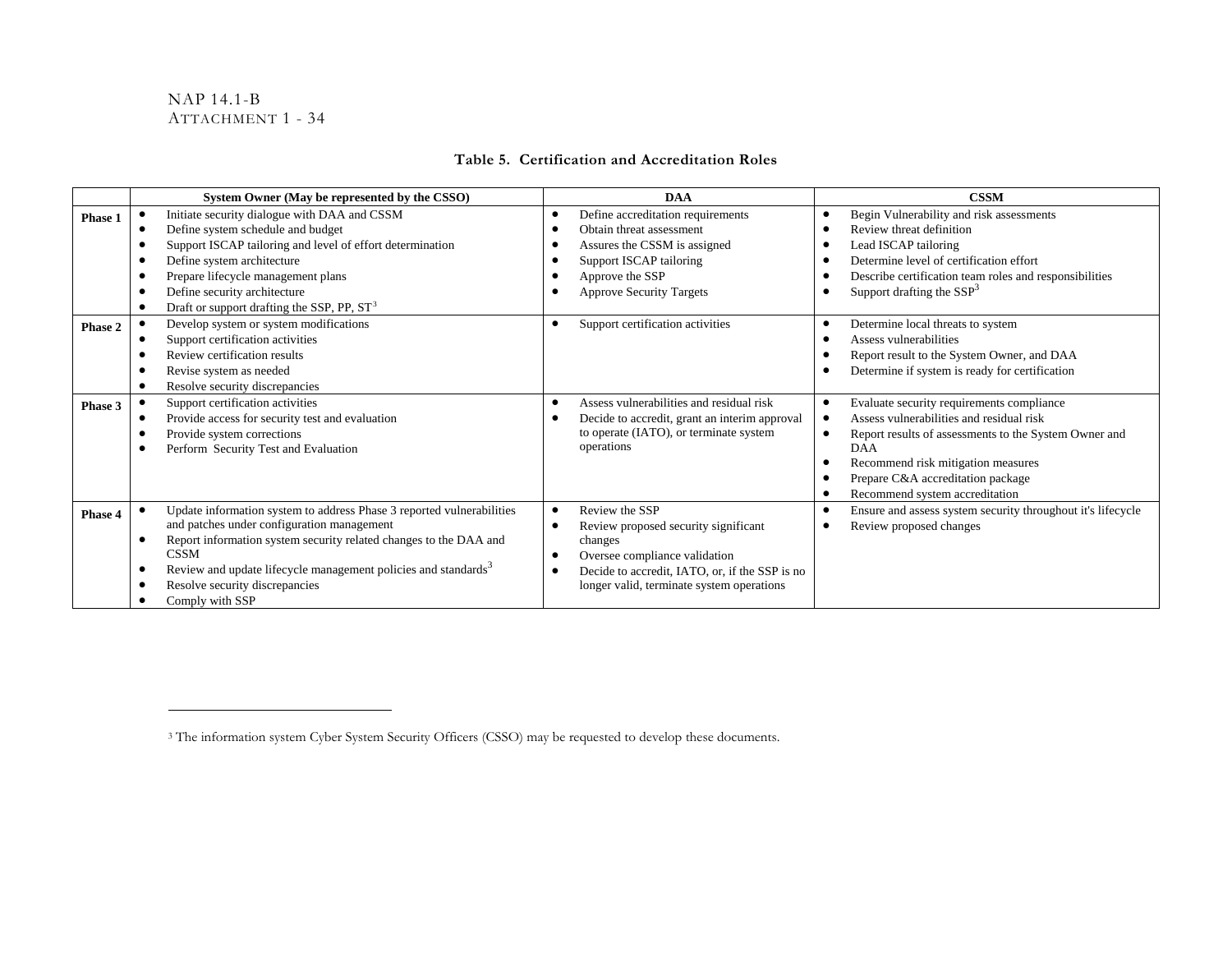#### NAP 14.1-B ATTACHMENT 1 - 34

#### **Table 5. Certification and Accreditation Roles**

<span id="page-63-2"></span>

|         | System Owner (May be represented by the CSSO)                                                                                                                                                                                                                                                                                              | <b>DAA</b>                                                                                                                                                                                             | <b>CSSM</b>                                                                                                                                                                                                                                                        |
|---------|--------------------------------------------------------------------------------------------------------------------------------------------------------------------------------------------------------------------------------------------------------------------------------------------------------------------------------------------|--------------------------------------------------------------------------------------------------------------------------------------------------------------------------------------------------------|--------------------------------------------------------------------------------------------------------------------------------------------------------------------------------------------------------------------------------------------------------------------|
| Phase 1 | Initiate security dialogue with DAA and CSSM<br>Define system schedule and budget<br>Support ISCAP tailoring and level of effort determination<br>Define system architecture<br>Prepare lifecycle management plans<br>Define security architecture<br>Draft or support drafting the SSP, PP, ST <sup>3</sup>                               | Define accreditation requirements<br>Obtain threat assessment<br>٠<br>Assures the CSSM is assigned<br>Support ISCAP tailoring<br>Approve the SSP<br><b>Approve Security Targets</b>                    | Begin Vulnerability and risk assessments<br>Review threat definition<br>Lead ISCAP tailoring<br>Determine level of certification effort<br>Describe certification team roles and responsibilities<br>Support drafting the SSP <sup>3</sup>                         |
| Phase 2 | Develop system or system modifications<br>Support certification activities<br>Review certification results<br>Revise system as needed<br>Resolve security discrepancies                                                                                                                                                                    | Support certification activities                                                                                                                                                                       | Determine local threats to system<br>Assess vulnerabilities<br>Report result to the System Owner, and DAA<br>Determine if system is ready for certification                                                                                                        |
| Phase 3 | Support certification activities<br>Provide access for security test and evaluation<br>Provide system corrections<br>Perform Security Test and Evaluation                                                                                                                                                                                  | Assess vulnerabilities and residual risk<br>٠<br>Decide to accredit, grant an interim approval<br>to operate (IATO), or terminate system<br>operations                                                 | Evaluate security requirements compliance<br>Assess vulnerabilities and residual risk<br>Report results of assessments to the System Owner and<br>DAA<br>Recommend risk mitigation measures<br>Prepare C&A accreditation package<br>Recommend system accreditation |
| Phase 4 | Update information system to address Phase 3 reported vulnerabilities<br>and patches under configuration management<br>Report information system security related changes to the DAA and<br><b>CSSM</b><br>Review and update lifecycle management policies and standards <sup>3</sup><br>Resolve security discrepancies<br>Comply with SSP | Review the SSP<br>Review proposed security significant<br>changes<br>Oversee compliance validation<br>Decide to accredit, IATO, or, if the SSP is no<br>٠<br>longer valid, terminate system operations | Ensure and assess system security throughout it's lifecycle<br>Review proposed changes                                                                                                                                                                             |

<span id="page-63-1"></span><span id="page-63-0"></span><sup>&</sup>lt;sup>3</sup> The information system Cyber System Security Officers (CSSO) may be requested to develop these documents.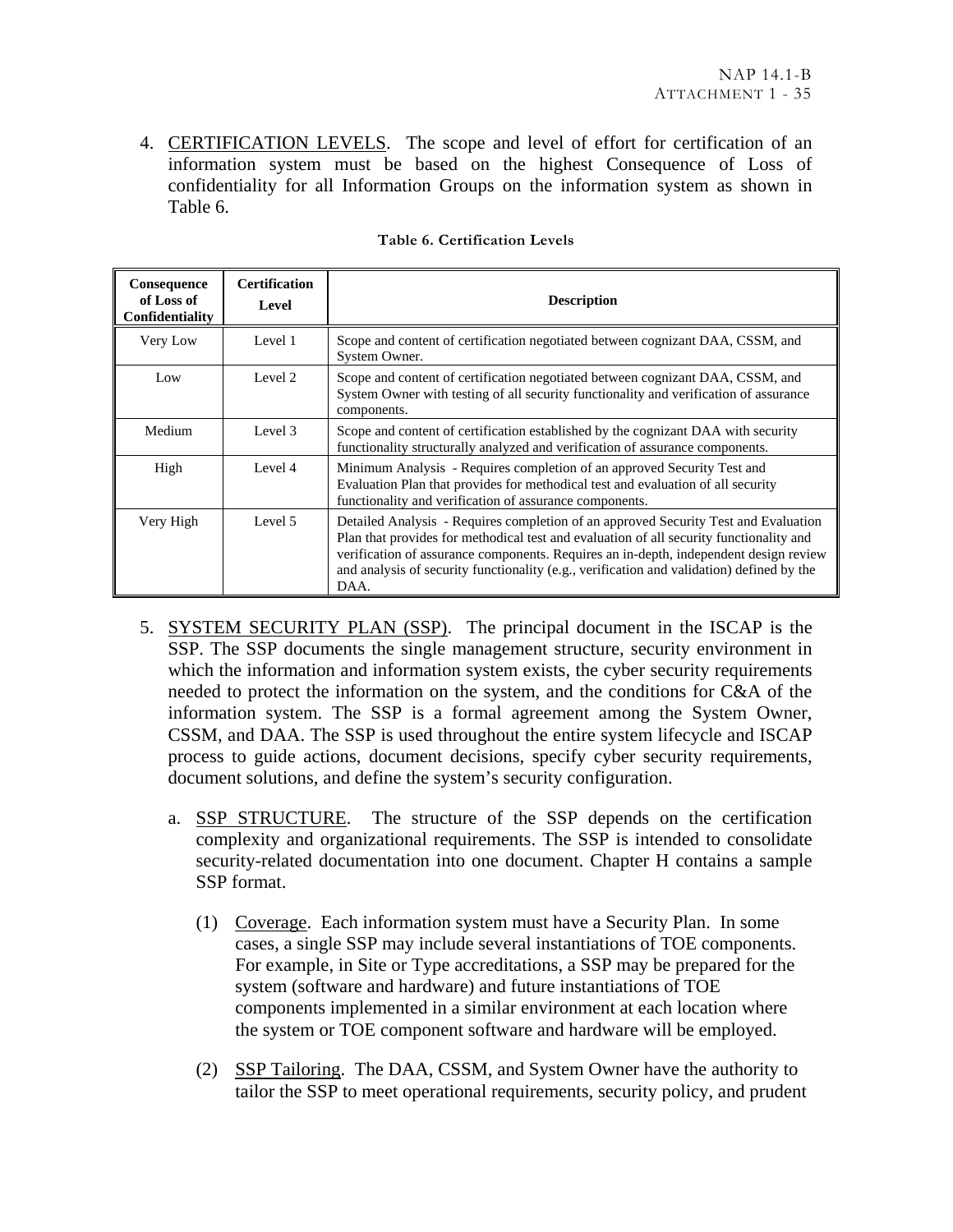4. CERTIFICATION LEVELS. The scope and level of effort for certification of an information system must be based on the highest Consequence of Loss of confidentiality for all Information Groups on the information system as shown in [Table 6](#page-64-0).

<span id="page-64-0"></span>

| Consequence<br>of Loss of<br>Confidentiality | <b>Certification</b><br>Level | <b>Description</b>                                                                                                                                                                                                                                                                                                                                                           |
|----------------------------------------------|-------------------------------|------------------------------------------------------------------------------------------------------------------------------------------------------------------------------------------------------------------------------------------------------------------------------------------------------------------------------------------------------------------------------|
| Very Low                                     | Level 1                       | Scope and content of certification negotiated between cognizant DAA, CSSM, and<br>System Owner.                                                                                                                                                                                                                                                                              |
| Low                                          | Level 2                       | Scope and content of certification negotiated between cognizant DAA, CSSM, and<br>System Owner with testing of all security functionality and verification of assurance<br>components.                                                                                                                                                                                       |
| Medium                                       | Level 3                       | Scope and content of certification established by the cognizant DAA with security<br>functionality structurally analyzed and verification of assurance components.                                                                                                                                                                                                           |
| High                                         | Level 4                       | Minimum Analysis - Requires completion of an approved Security Test and<br>Evaluation Plan that provides for methodical test and evaluation of all security<br>functionality and verification of assurance components.                                                                                                                                                       |
| Very High                                    | Level 5                       | Detailed Analysis - Requires completion of an approved Security Test and Evaluation<br>Plan that provides for methodical test and evaluation of all security functionality and<br>verification of assurance components. Requires an in-depth, independent design review<br>and analysis of security functionality (e.g., verification and validation) defined by the<br>DAA. |

#### **Table 6. Certification Levels**

- 5. SYSTEM SECURITY PLAN (SSP). The principal document in the ISCAP is the SSP. The SSP documents the single management structure, security environment in which the information and information system exists, the cyber security requirements needed to protect the information on the system, and the conditions for C&A of the information system. The SSP is a formal agreement among the System Owner, CSSM, and DAA. The SSP is used throughout the entire system lifecycle and ISCAP process to guide actions, document decisions, specify cyber security requirements, document solutions, and define the system's security configuration.
	- a. SSP STRUCTURE. The structure of the SSP depends on the certification complexity and organizational requirements. The SSP is intended to consolidate security-related documentation into one document. Chapter H contains a sample SSP format.
		- (1) Coverage. Each information system must have a Security Plan. In some cases, a single SSP may include several instantiations of TOE components. For example, in Site or Type accreditations, a SSP may be prepared for the system (software and hardware) and future instantiations of TOE components implemented in a similar environment at each location where the system or TOE component software and hardware will be employed.
		- (2) SSP Tailoring. The DAA, CSSM, and System Owner have the authority to tailor the SSP to meet operational requirements, security policy, and prudent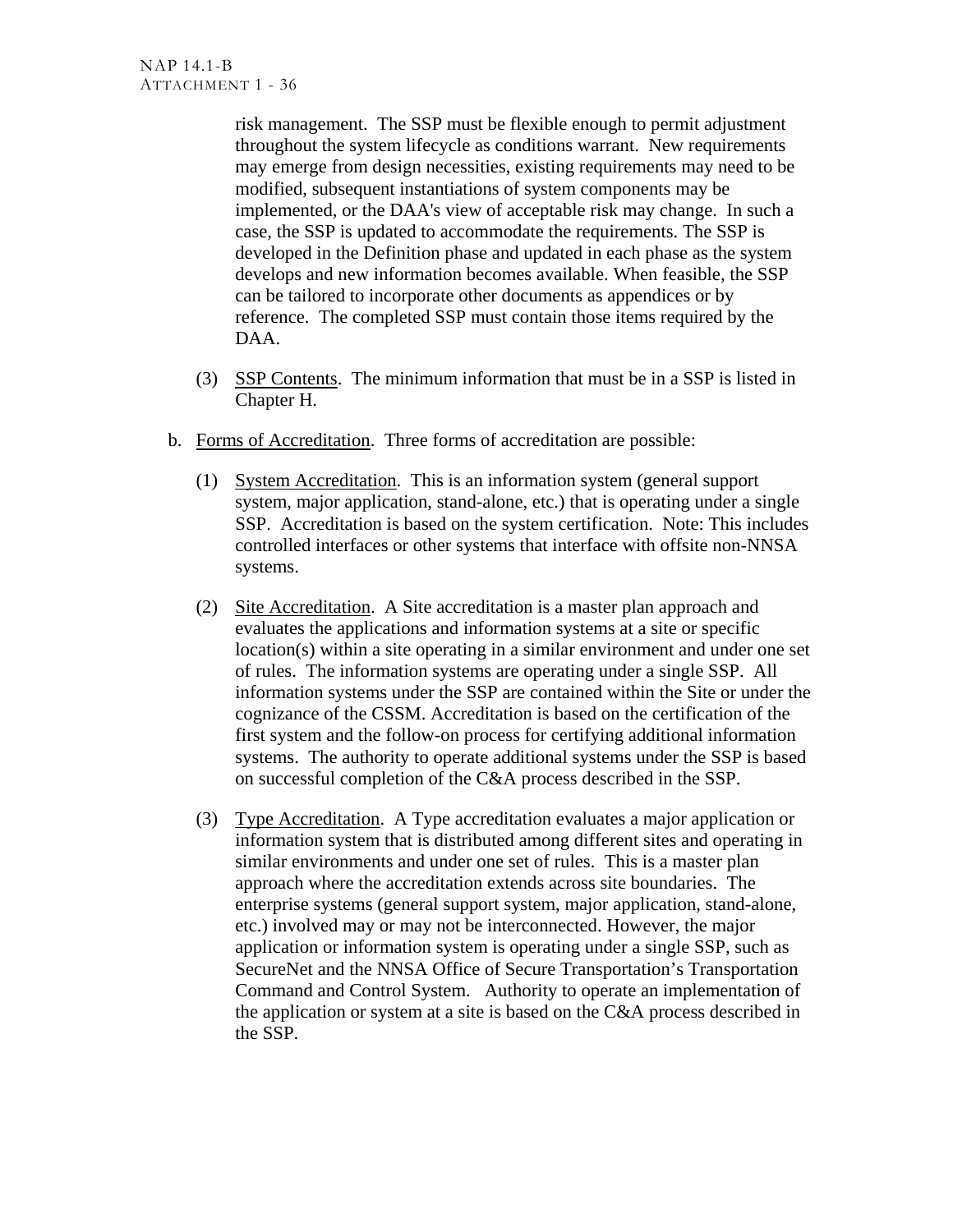risk management. The SSP must be flexible enough to permit adjustment throughout the system lifecycle as conditions warrant. New requirements may emerge from design necessities, existing requirements may need to be modified, subsequent instantiations of system components may be implemented, or the DAA's view of acceptable risk may change. In such a case, the SSP is updated to accommodate the requirements. The SSP is developed in the Definition phase and updated in each phase as the system develops and new information becomes available. When feasible, the SSP can be tailored to incorporate other documents as appendices or by reference. The completed SSP must contain those items required by the DAA.

- (3) SSP Contents. The minimum information that must be in a SSP is listed in Chapter H.
- b. Forms of Accreditation. Three forms of accreditation are possible:
	- (1) System Accreditation. This is an information system (general support system, major application, stand-alone, etc.) that is operating under a single SSP. Accreditation is based on the system certification. Note: This includes controlled interfaces or other systems that interface with offsite non-NNSA systems.
	- (2) Site Accreditation. A Site accreditation is a master plan approach and evaluates the applications and information systems at a site or specific location(s) within a site operating in a similar environment and under one set of rules. The information systems are operating under a single SSP. All information systems under the SSP are contained within the Site or under the cognizance of the CSSM. Accreditation is based on the certification of the first system and the follow-on process for certifying additional information systems. The authority to operate additional systems under the SSP is based on successful completion of the C&A process described in the SSP.
	- (3) Type Accreditation. A Type accreditation evaluates a major application or information system that is distributed among different sites and operating in similar environments and under one set of rules. This is a master plan approach where the accreditation extends across site boundaries. The enterprise systems (general support system, major application, stand-alone, etc.) involved may or may not be interconnected. However, the major application or information system is operating under a single SSP, such as SecureNet and the NNSA Office of Secure Transportation's Transportation Command and Control System. Authority to operate an implementation of the application or system at a site is based on the C&A process described in the SSP.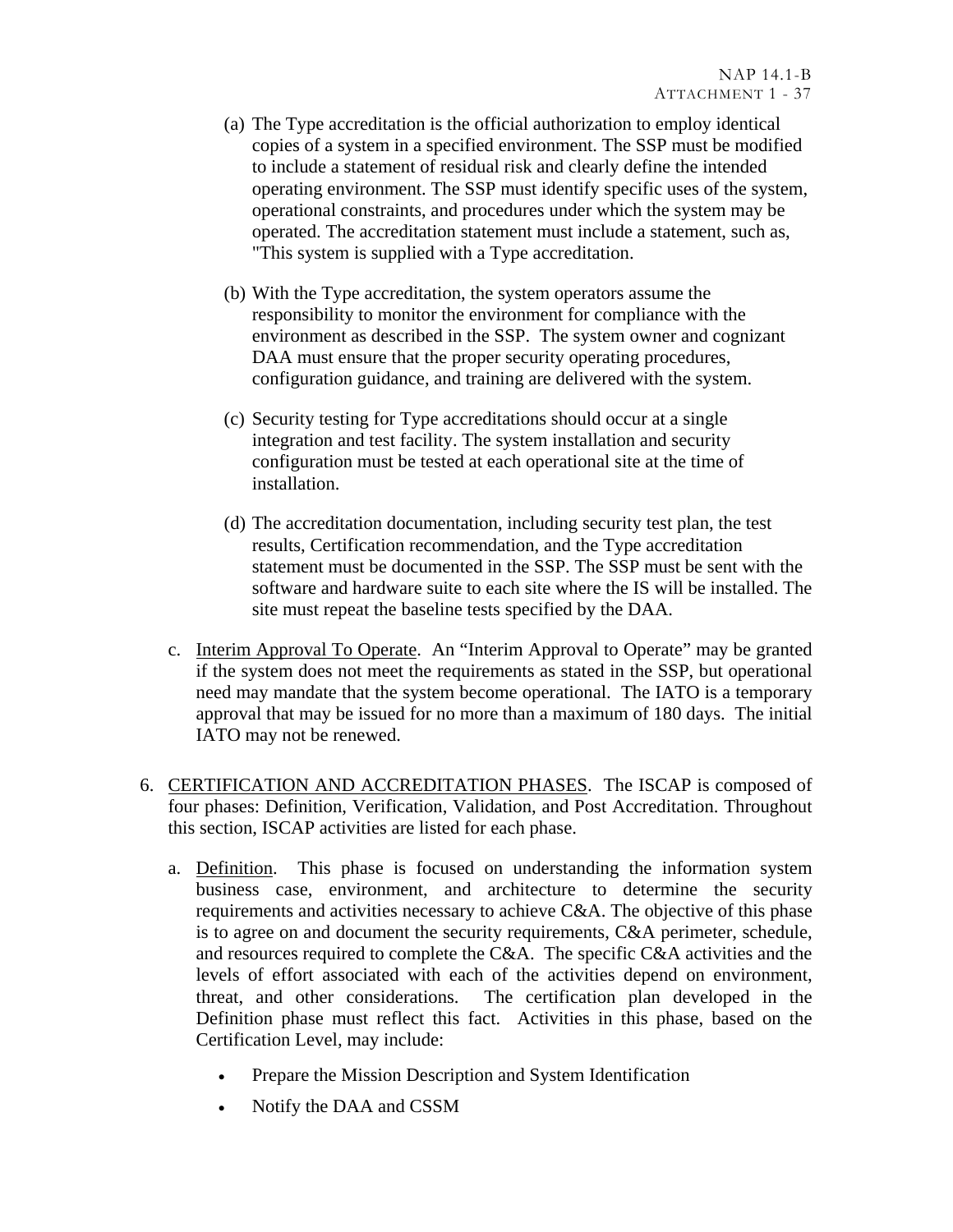- (a) The Type accreditation is the official authorization to employ identical copies of a system in a specified environment. The SSP must be modified to include a statement of residual risk and clearly define the intended operating environment. The SSP must identify specific uses of the system, operational constraints, and procedures under which the system may be operated. The accreditation statement must include a statement, such as, "This system is supplied with a Type accreditation.
- (b) With the Type accreditation, the system operators assume the responsibility to monitor the environment for compliance with the environment as described in the SSP. The system owner and cognizant DAA must ensure that the proper security operating procedures, configuration guidance, and training are delivered with the system.
- (c) Security testing for Type accreditations should occur at a single integration and test facility. The system installation and security configuration must be tested at each operational site at the time of installation.
- (d) The accreditation documentation, including security test plan, the test results, Certification recommendation, and the Type accreditation statement must be documented in the SSP. The SSP must be sent with the software and hardware suite to each site where the IS will be installed. The site must repeat the baseline tests specified by the DAA.
- c. Interim Approval To Operate. An "Interim Approval to Operate" may be granted if the system does not meet the requirements as stated in the SSP, but operational need may mandate that the system become operational. The IATO is a temporary approval that may be issued for no more than a maximum of 180 days. The initial IATO may not be renewed.
- 6. CERTIFICATION AND ACCREDITATION PHASES. The ISCAP is composed of four phases: Definition, Verification, Validation, and Post Accreditation. Throughout this section, ISCAP activities are listed for each phase.
	- a. Definition. This phase is focused on understanding the information system business case, environment, and architecture to determine the security requirements and activities necessary to achieve C&A. The objective of this phase is to agree on and document the security requirements, C&A perimeter, schedule, and resources required to complete the C&A. The specific C&A activities and the levels of effort associated with each of the activities depend on environment, threat, and other considerations. The certification plan developed in the Definition phase must reflect this fact. Activities in this phase, based on the Certification Level, may include:
		- Prepare the Mission Description and System Identification
		- Notify the DAA and CSSM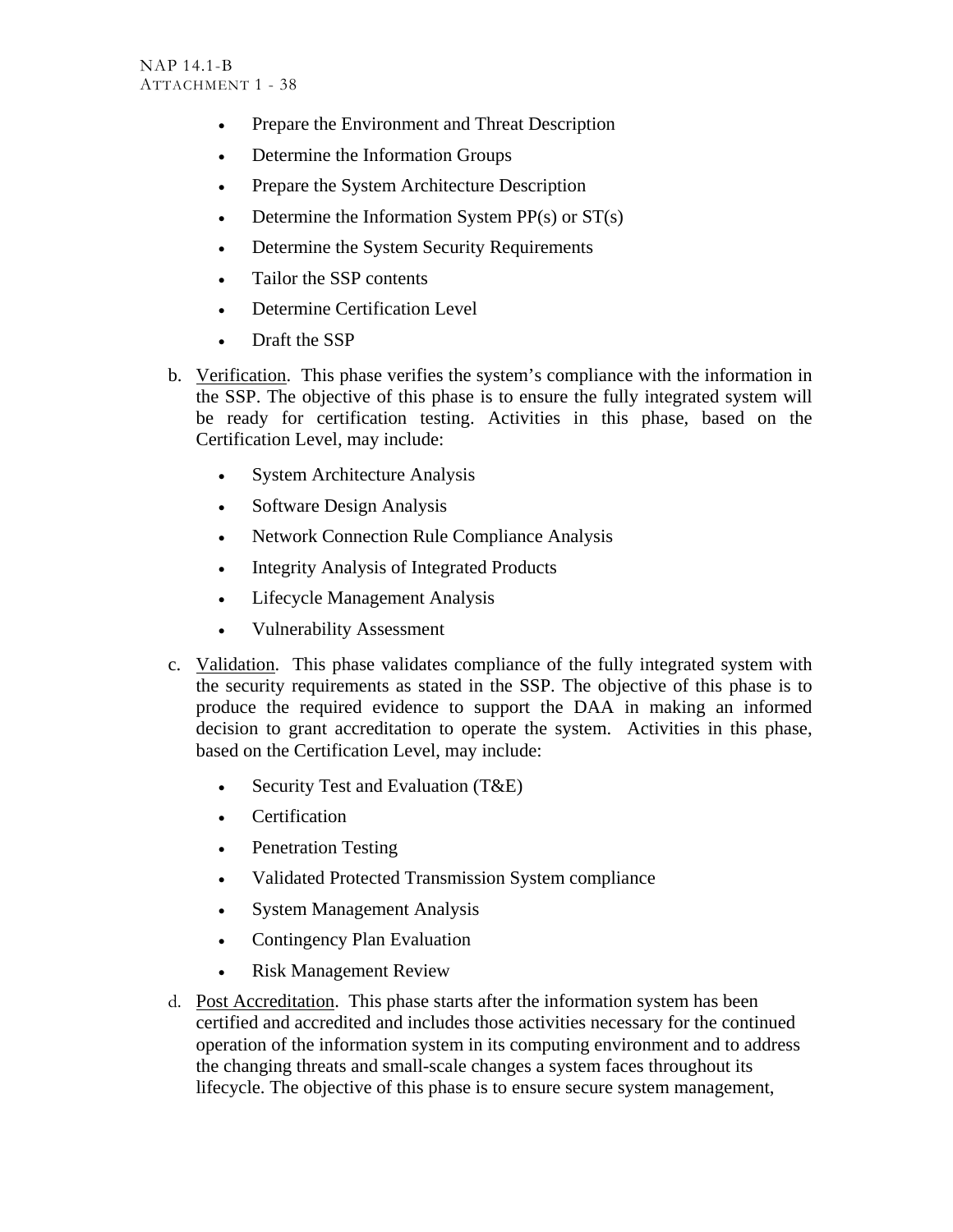- Prepare the Environment and Threat Description
- Determine the Information Groups
- Prepare the System Architecture Description
- Determine the Information System  $PP(s)$  or  $ST(s)$
- Determine the System Security Requirements
- Tailor the SSP contents
- Determine Certification Level
- Draft the SSP
- b. Verification. This phase verifies the system's compliance with the information in the SSP. The objective of this phase is to ensure the fully integrated system will be ready for certification testing. Activities in this phase, based on the Certification Level, may include:
	- System Architecture Analysis
	- Software Design Analysis
	- Network Connection Rule Compliance Analysis
	- Integrity Analysis of Integrated Products
	- Lifecycle Management Analysis
	- Vulnerability Assessment
- c. Validation. This phase validates compliance of the fully integrated system with the security requirements as stated in the SSP. The objective of this phase is to produce the required evidence to support the DAA in making an informed decision to grant accreditation to operate the system. Activities in this phase, based on the Certification Level, may include:
	- Security Test and Evaluation (T&E)
	- Certification
	- Penetration Testing
	- Validated Protected Transmission System compliance
	- System Management Analysis
	- Contingency Plan Evaluation
	- Risk Management Review
- d. Post Accreditation. This phase starts after the information system has been certified and accredited and includes those activities necessary for the continued operation of the information system in its computing environment and to address the changing threats and small-scale changes a system faces throughout its lifecycle. The objective of this phase is to ensure secure system management,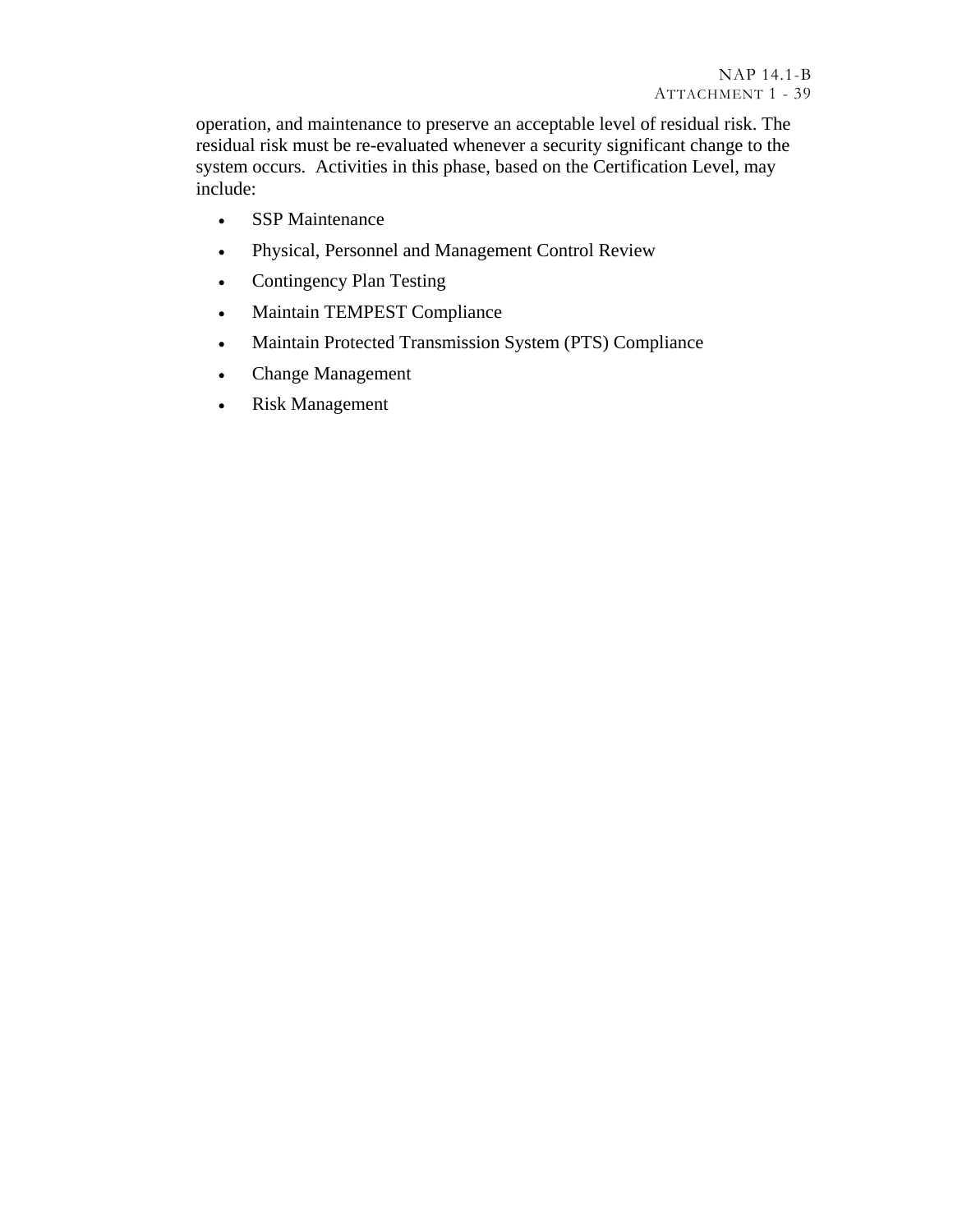operation, and maintenance to preserve an acceptable level of residual risk. The residual risk must be re-evaluated whenever a security significant change to the system occurs. Activities in this phase, based on the Certification Level, may include:

- **SSP** Maintenance
- Physical, Personnel and Management Control Review
- Contingency Plan Testing
- Maintain TEMPEST Compliance
- Maintain Protected Transmission System (PTS) Compliance
- Change Management
- Risk Management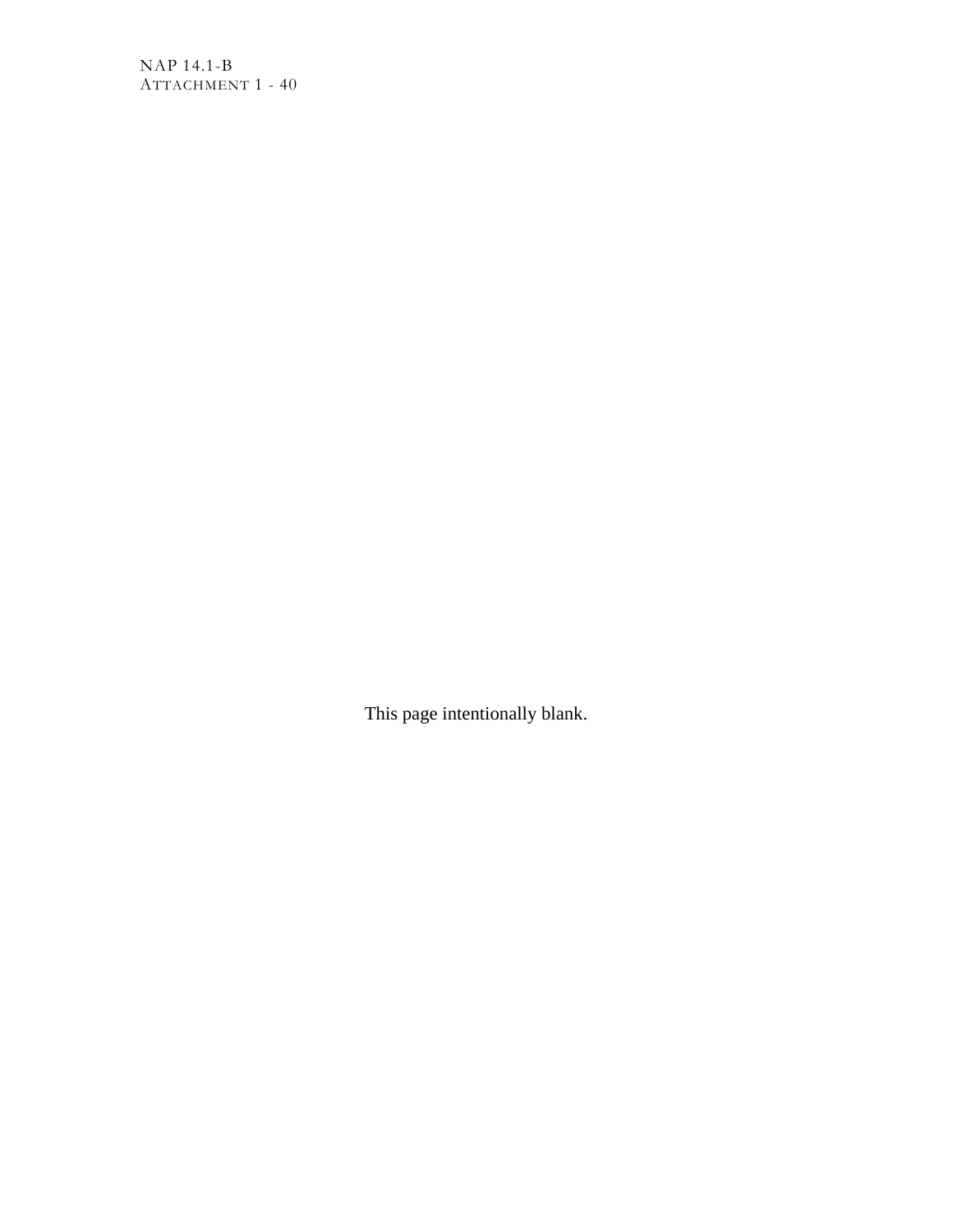NAP 14.1-B ATTACHMENT 1 - 40

This page intentionally blank.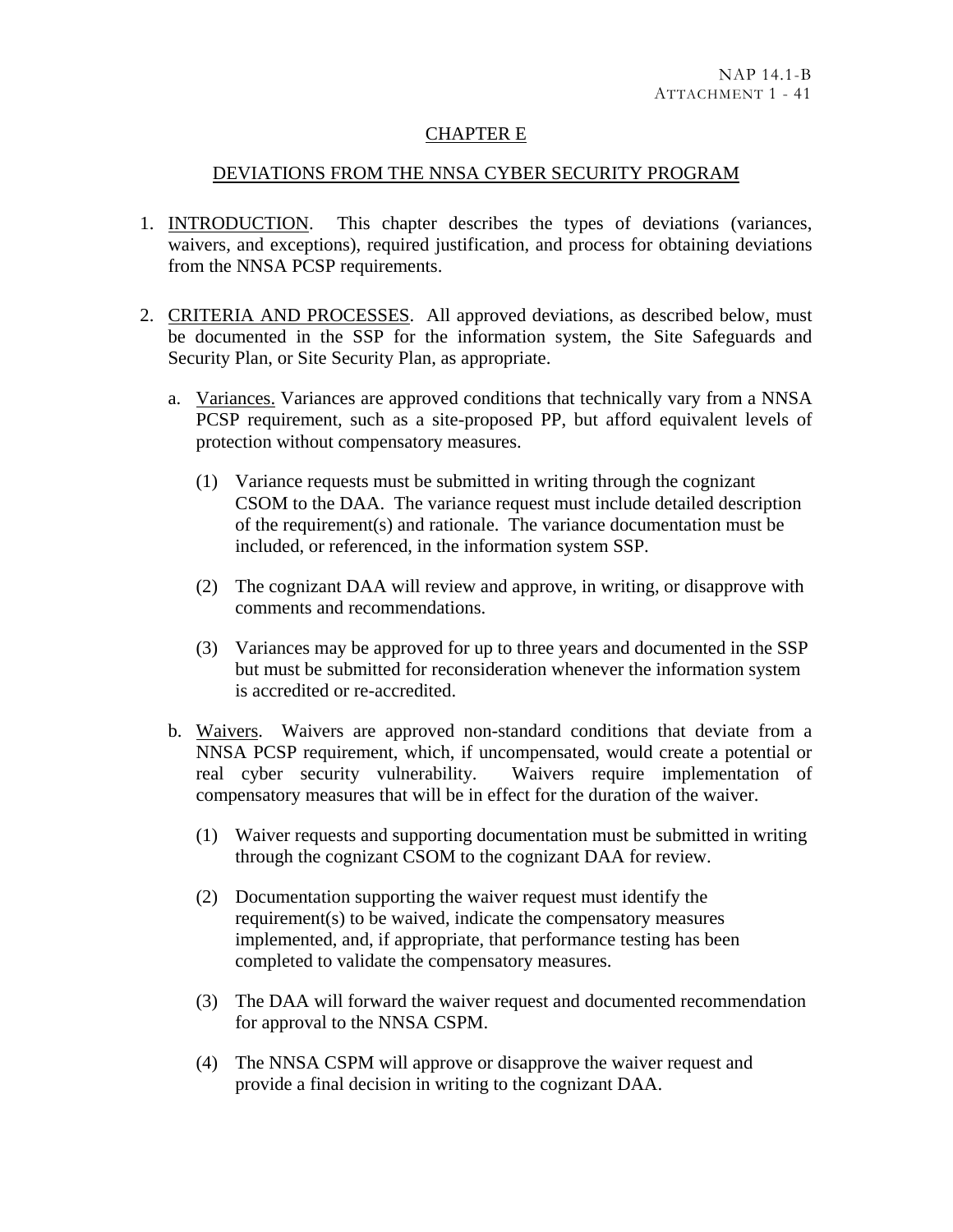#### CHAPTER E

#### DEVIATIONS FROM THE NNSA CYBER SECURITY PROGRAM

- 1. INTRODUCTION. This chapter describes the types of deviations (variances, waivers, and exceptions), required justification, and process for obtaining deviations from the NNSA PCSP requirements.
- 2. CRITERIA AND PROCESSES. All approved deviations, as described below, must be documented in the SSP for the information system, the Site Safeguards and Security Plan, or Site Security Plan, as appropriate.
	- a. Variances. Variances are approved conditions that technically vary from a NNSA PCSP requirement, such as a site-proposed PP, but afford equivalent levels of protection without compensatory measures.
		- (1) Variance requests must be submitted in writing through the cognizant CSOM to the DAA. The variance request must include detailed description of the requirement(s) and rationale. The variance documentation must be included, or referenced, in the information system SSP.
		- (2) The cognizant DAA will review and approve, in writing, or disapprove with comments and recommendations.
		- (3) Variances may be approved for up to three years and documented in the SSP but must be submitted for reconsideration whenever the information system is accredited or re-accredited.
	- b. Waivers. Waivers are approved non-standard conditions that deviate from a NNSA PCSP requirement, which, if uncompensated, would create a potential or real cyber security vulnerability. Waivers require implementation of compensatory measures that will be in effect for the duration of the waiver.
		- (1) Waiver requests and supporting documentation must be submitted in writing through the cognizant CSOM to the cognizant DAA for review.
		- (2) Documentation supporting the waiver request must identify the requirement(s) to be waived, indicate the compensatory measures implemented, and, if appropriate, that performance testing has been completed to validate the compensatory measures.
		- (3) The DAA will forward the waiver request and documented recommendation for approval to the NNSA CSPM.
		- (4) The NNSA CSPM will approve or disapprove the waiver request and provide a final decision in writing to the cognizant DAA.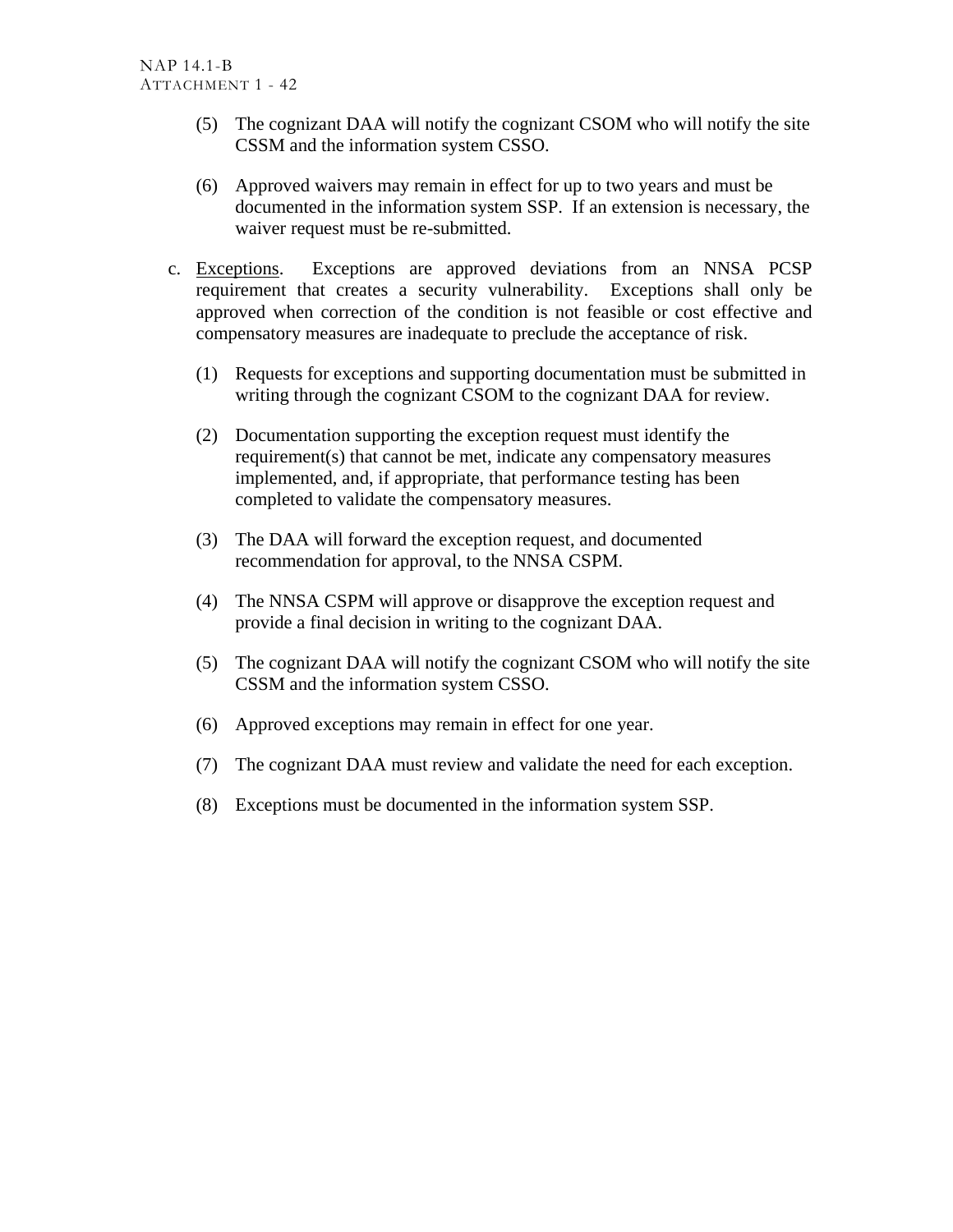- (5) The cognizant DAA will notify the cognizant CSOM who will notify the site CSSM and the information system CSSO.
- (6) Approved waivers may remain in effect for up to two years and must be documented in the information system SSP. If an extension is necessary, the waiver request must be re-submitted.
- c. Exceptions. Exceptions are approved deviations from an NNSA PCSP requirement that creates a security vulnerability. Exceptions shall only be approved when correction of the condition is not feasible or cost effective and compensatory measures are inadequate to preclude the acceptance of risk.
	- (1) Requests for exceptions and supporting documentation must be submitted in writing through the cognizant CSOM to the cognizant DAA for review.
	- (2) Documentation supporting the exception request must identify the requirement(s) that cannot be met, indicate any compensatory measures implemented, and, if appropriate, that performance testing has been completed to validate the compensatory measures.
	- (3) The DAA will forward the exception request, and documented recommendation for approval, to the NNSA CSPM.
	- (4) The NNSA CSPM will approve or disapprove the exception request and provide a final decision in writing to the cognizant DAA.
	- (5) The cognizant DAA will notify the cognizant CSOM who will notify the site CSSM and the information system CSSO.
	- (6) Approved exceptions may remain in effect for one year.
	- (7) The cognizant DAA must review and validate the need for each exception.
	- (8) Exceptions must be documented in the information system SSP.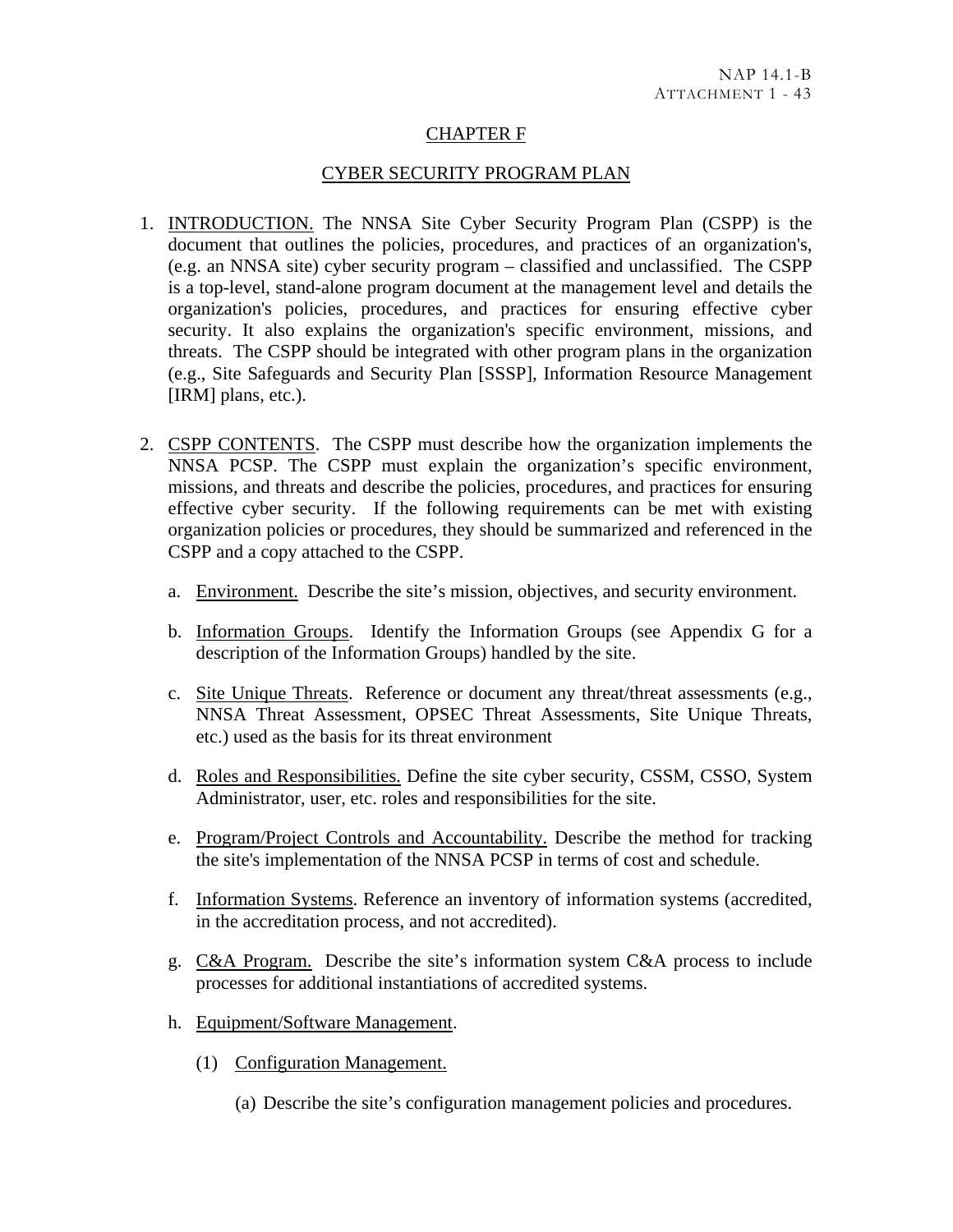## CHAPTER F

### CYBER SECURITY PROGRAM PLAN

- 1. INTRODUCTION. The NNSA Site Cyber Security Program Plan (CSPP) is the document that outlines the policies, procedures, and practices of an organization's, (e.g. an NNSA site) cyber security program – classified and unclassified. The CSPP is a top-level, stand-alone program document at the management level and details the organization's policies, procedures, and practices for ensuring effective cyber security. It also explains the organization's specific environment, missions, and threats. The CSPP should be integrated with other program plans in the organization (e.g., Site Safeguards and Security Plan [SSSP], Information Resource Management [IRM] plans, etc.).
- 2. CSPP CONTENTS. The CSPP must describe how the organization implements the NNSA PCSP. The CSPP must explain the organization's specific environment, missions, and threats and describe the policies, procedures, and practices for ensuring effective cyber security. If the following requirements can be met with existing organization policies or procedures, they should be summarized and referenced in the CSPP and a copy attached to the CSPP.
	- a. Environment. Describe the site's mission, objectives, and security environment.
	- b. Information Groups. Identify the Information Groups (see Appendix G for a description of the Information Groups) handled by the site.
	- c. Site Unique Threats. Reference or document any threat/threat assessments (e.g., NNSA Threat Assessment, OPSEC Threat Assessments, Site Unique Threats, etc.) used as the basis for its threat environment
	- d. Roles and Responsibilities. Define the site cyber security, CSSM, CSSO, System Administrator, user, etc. roles and responsibilities for the site.
	- e. Program/Project Controls and Accountability. Describe the method for tracking the site's implementation of the NNSA PCSP in terms of cost and schedule.
	- f. Information Systems. Reference an inventory of information systems (accredited, in the accreditation process, and not accredited).
	- g. C&A Program. Describe the site's information system C&A process to include processes for additional instantiations of accredited systems.
	- h. Equipment/Software Management.
		- (1) Configuration Management.
			- (a) Describe the site's configuration management policies and procedures.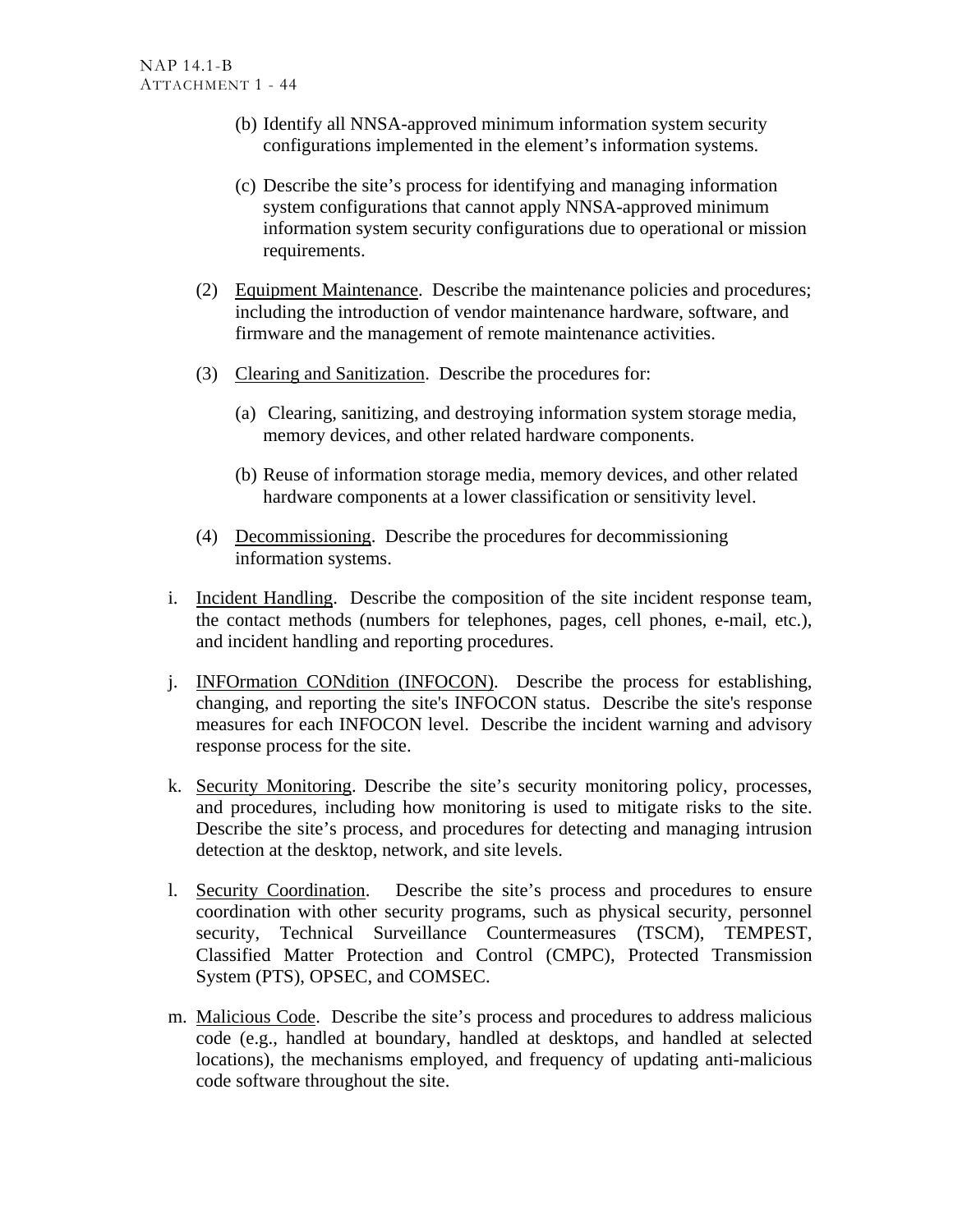- (b) Identify all NNSA-approved minimum information system security configurations implemented in the element's information systems.
- (c) Describe the site's process for identifying and managing information system configurations that cannot apply NNSA-approved minimum information system security configurations due to operational or mission requirements.
- (2) Equipment Maintenance. Describe the maintenance policies and procedures; including the introduction of vendor maintenance hardware, software, and firmware and the management of remote maintenance activities.
- (3) Clearing and Sanitization. Describe the procedures for:
	- (a) Clearing, sanitizing, and destroying information system storage media, memory devices, and other related hardware components.
	- (b) Reuse of information storage media, memory devices, and other related hardware components at a lower classification or sensitivity level.
- (4) Decommissioning. Describe the procedures for decommissioning information systems.
- i. Incident Handling. Describe the composition of the site incident response team, the contact methods (numbers for telephones, pages, cell phones, e-mail, etc.), and incident handling and reporting procedures.
- j. INFOrmation CONdition (INFOCON). Describe the process for establishing, changing, and reporting the site's INFOCON status. Describe the site's response measures for each INFOCON level. Describe the incident warning and advisory response process for the site.
- k. Security Monitoring. Describe the site's security monitoring policy, processes, and procedures, including how monitoring is used to mitigate risks to the site. Describe the site's process, and procedures for detecting and managing intrusion detection at the desktop, network, and site levels.
- l. Security Coordination. Describe the site's process and procedures to ensure coordination with other security programs, such as physical security, personnel security, Technical Surveillance Countermeasures (TSCM), TEMPEST, Classified Matter Protection and Control (CMPC), Protected Transmission System (PTS), OPSEC, and COMSEC.
- m. Malicious Code. Describe the site's process and procedures to address malicious code (e.g., handled at boundary, handled at desktops, and handled at selected locations), the mechanisms employed, and frequency of updating anti-malicious code software throughout the site.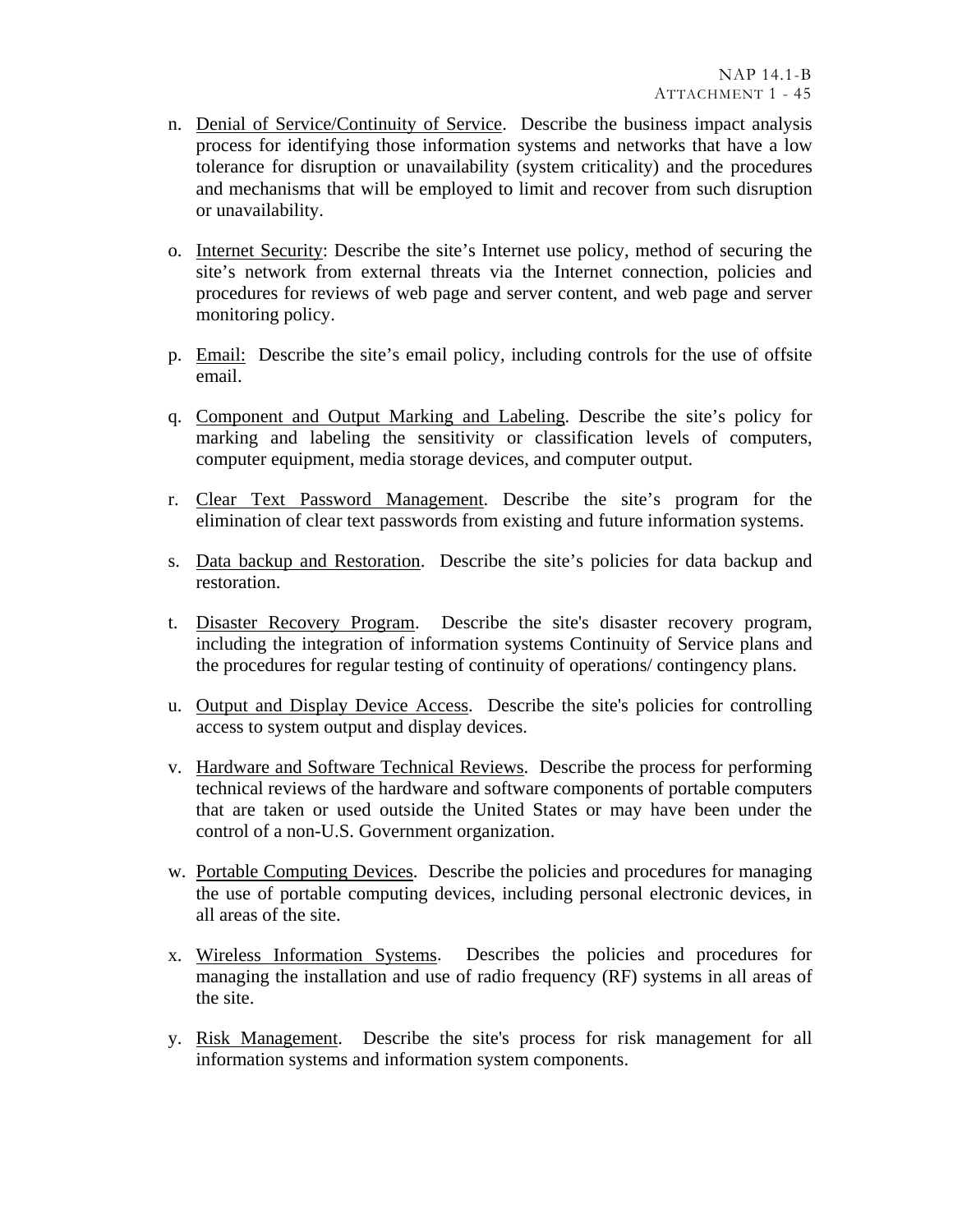- n. Denial of Service/Continuity of Service. Describe the business impact analysis process for identifying those information systems and networks that have a low tolerance for disruption or unavailability (system criticality) and the procedures and mechanisms that will be employed to limit and recover from such disruption or unavailability.
- o. Internet Security: Describe the site's Internet use policy, method of securing the site's network from external threats via the Internet connection, policies and procedures for reviews of web page and server content, and web page and server monitoring policy.
- p. Email: Describe the site's email policy, including controls for the use of offsite email.
- q. Component and Output Marking and Labeling. Describe the site's policy for marking and labeling the sensitivity or classification levels of computers, computer equipment, media storage devices, and computer output.
- r. Clear Text Password Management. Describe the site's program for the elimination of clear text passwords from existing and future information systems.
- s. Data backup and Restoration. Describe the site's policies for data backup and restoration.
- t. Disaster Recovery Program. Describe the site's disaster recovery program, including the integration of information systems Continuity of Service plans and the procedures for regular testing of continuity of operations/ contingency plans.
- u. Output and Display Device Access. Describe the site's policies for controlling access to system output and display devices.
- v. Hardware and Software Technical Reviews. Describe the process for performing technical reviews of the hardware and software components of portable computers that are taken or used outside the United States or may have been under the control of a non-U.S. Government organization.
- w. Portable Computing Devices. Describe the policies and procedures for managing the use of portable computing devices, including personal electronic devices, in all areas of the site.
- x. Wireless Information Systems. Describes the policies and procedures for managing the installation and use of radio frequency (RF) systems in all areas of the site.
- y. Risk Management. Describe the site's process for risk management for all information systems and information system components.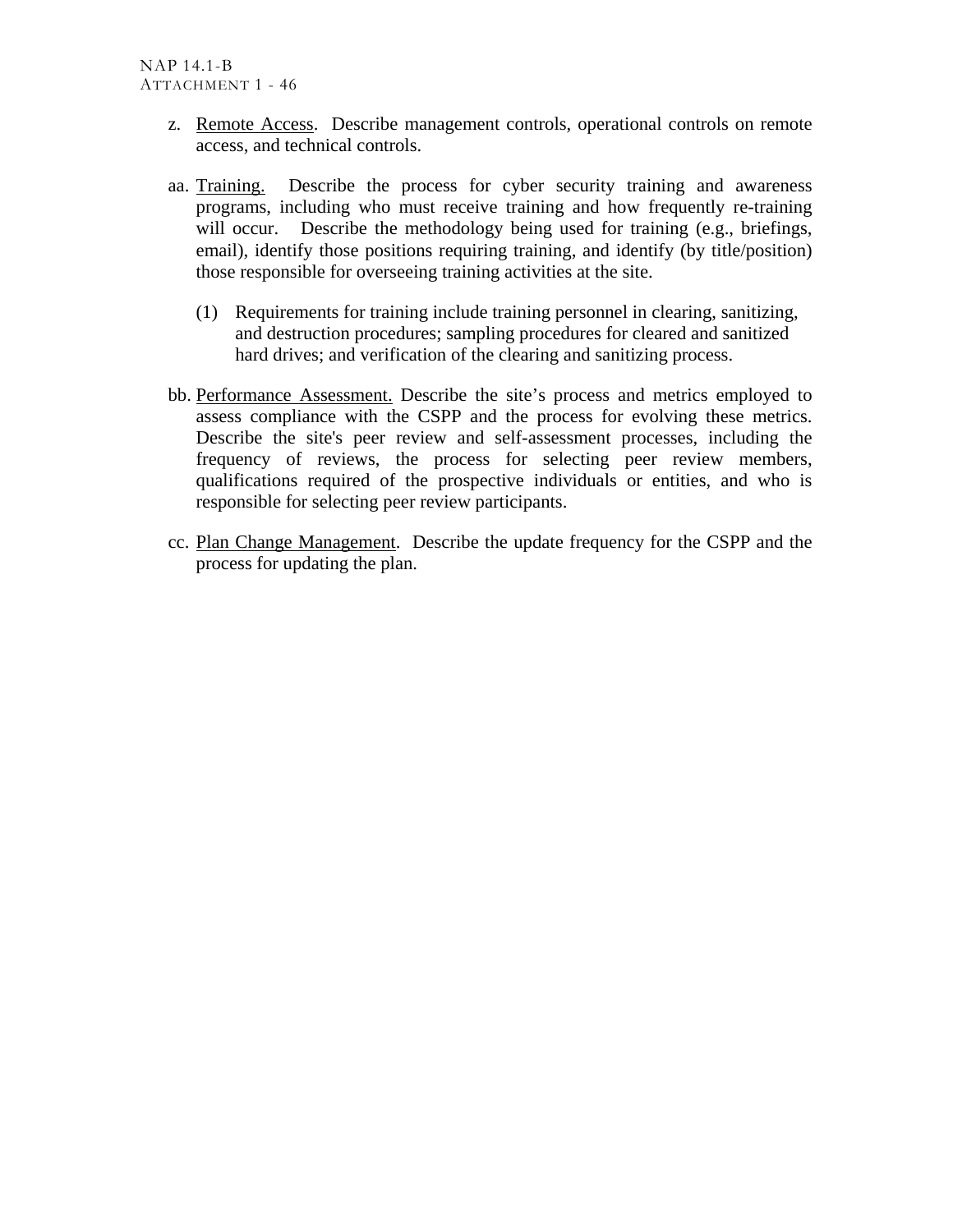- z. Remote Access. Describe management controls, operational controls on remote access, and technical controls.
- aa. Training. Describe the process for cyber security training and awareness programs, including who must receive training and how frequently re-training will occur. Describe the methodology being used for training (e.g., briefings, email), identify those positions requiring training, and identify (by title/position) those responsible for overseeing training activities at the site.
	- (1) Requirements for training include training personnel in clearing, sanitizing, and destruction procedures; sampling procedures for cleared and sanitized hard drives; and verification of the clearing and sanitizing process.
- bb. Performance Assessment. Describe the site's process and metrics employed to assess compliance with the CSPP and the process for evolving these metrics. Describe the site's peer review and self-assessment processes, including the frequency of reviews, the process for selecting peer review members, qualifications required of the prospective individuals or entities, and who is responsible for selecting peer review participants.
- cc. Plan Change Management. Describe the update frequency for the CSPP and the process for updating the plan.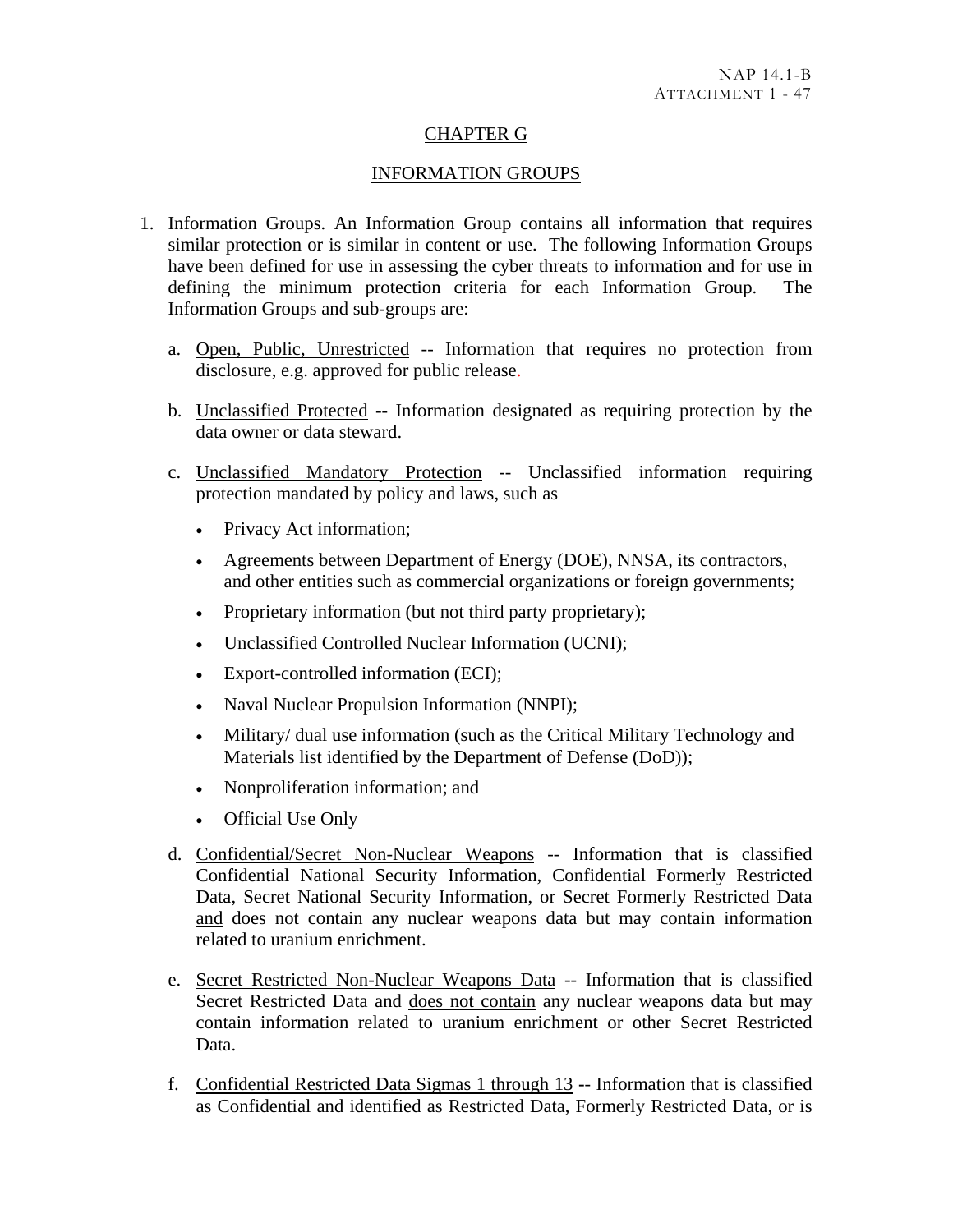# CHAPTER G

### INFORMATION GROUPS

- 1. Information Groups. An Information Group contains all information that requires similar protection or is similar in content or use. The following Information Groups have been defined for use in assessing the cyber threats to information and for use in defining the minimum protection criteria for each Information Group. The Information Groups and sub-groups are:
	- a. Open, Public, Unrestricted -- Information that requires no protection from disclosure, e.g. approved for public release.
	- b. Unclassified Protected -- Information designated as requiring protection by the data owner or data steward.
	- c. Unclassified Mandatory Protection -- Unclassified information requiring protection mandated by policy and laws, such as
		- Privacy Act information;
		- Agreements between Department of Energy (DOE), NNSA, its contractors, and other entities such as commercial organizations or foreign governments;
		- Proprietary information (but not third party proprietary);
		- Unclassified Controlled Nuclear Information (UCNI);
		- Export-controlled information (ECI);
		- Naval Nuclear Propulsion Information (NNPI);
		- Military/ dual use information (such as the Critical Military Technology and Materials list identified by the Department of Defense (DoD));
		- Nonproliferation information; and
		- Official Use Only
	- d. Confidential/Secret Non-Nuclear Weapons -- Information that is classified Confidential National Security Information, Confidential Formerly Restricted Data, Secret National Security Information, or Secret Formerly Restricted Data and does not contain any nuclear weapons data but may contain information related to uranium enrichment.
	- e. Secret Restricted Non-Nuclear Weapons Data -- Information that is classified Secret Restricted Data and does not contain any nuclear weapons data but may contain information related to uranium enrichment or other Secret Restricted Data.
	- f. Confidential Restricted Data Sigmas 1 through 13 **-** Information that is classified as Confidential and identified as Restricted Data, Formerly Restricted Data, or is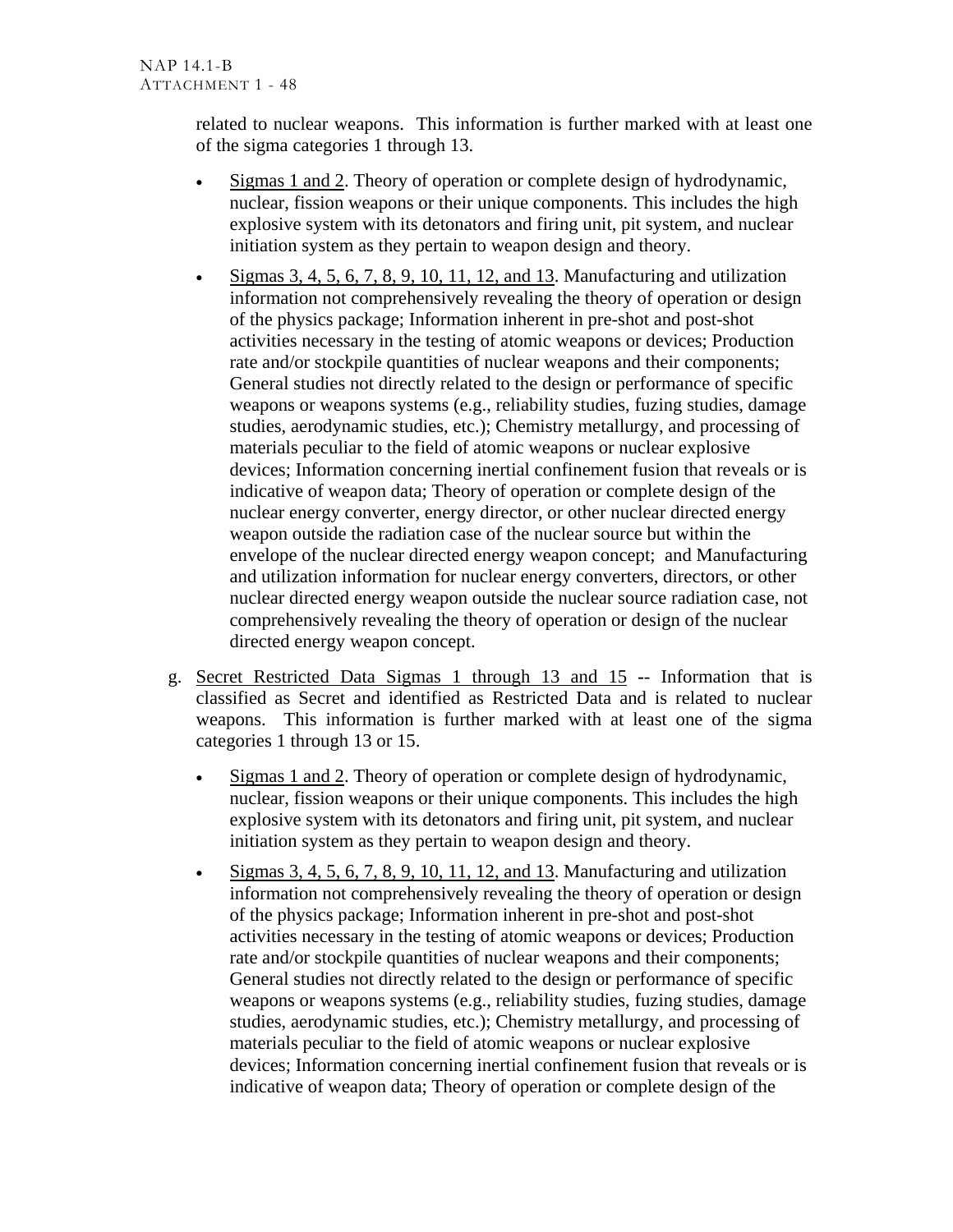related to nuclear weapons. This information is further marked with at least one of the sigma categories 1 through 13.

- Sigmas 1 and 2. Theory of operation or complete design of hydrodynamic, nuclear, fission weapons or their unique components. This includes the high explosive system with its detonators and firing unit, pit system, and nuclear initiation system as they pertain to weapon design and theory.
- Sigmas  $3, 4, 5, 6, 7, 8, 9, 10, 11, 12,$  and  $13$ . Manufacturing and utilization information not comprehensively revealing the theory of operation or design of the physics package; Information inherent in pre-shot and post-shot activities necessary in the testing of atomic weapons or devices; Production rate and/or stockpile quantities of nuclear weapons and their components; General studies not directly related to the design or performance of specific weapons or weapons systems (e.g., reliability studies, fuzing studies, damage studies, aerodynamic studies, etc.); Chemistry metallurgy, and processing of materials peculiar to the field of atomic weapons or nuclear explosive devices; Information concerning inertial confinement fusion that reveals or is indicative of weapon data; Theory of operation or complete design of the nuclear energy converter, energy director, or other nuclear directed energy weapon outside the radiation case of the nuclear source but within the envelope of the nuclear directed energy weapon concept; and Manufacturing and utilization information for nuclear energy converters, directors, or other nuclear directed energy weapon outside the nuclear source radiation case, not comprehensively revealing the theory of operation or design of the nuclear directed energy weapon concept.
- g. Secret Restricted Data Sigmas 1 through 13 and 15 **-** Information that is classified as Secret and identified as Restricted Data and is related to nuclear weapons. This information is further marked with at least one of the sigma categories 1 through 13 or 15.
	- Sigmas 1 and 2. Theory of operation or complete design of hydrodynamic, nuclear, fission weapons or their unique components. This includes the high explosive system with its detonators and firing unit, pit system, and nuclear initiation system as they pertain to weapon design and theory.
	- Sigmas  $3, 4, 5, 6, 7, 8, 9, 10, 11, 12,$  and 13. Manufacturing and utilization information not comprehensively revealing the theory of operation or design of the physics package; Information inherent in pre-shot and post-shot activities necessary in the testing of atomic weapons or devices; Production rate and/or stockpile quantities of nuclear weapons and their components; General studies not directly related to the design or performance of specific weapons or weapons systems (e.g., reliability studies, fuzing studies, damage studies, aerodynamic studies, etc.); Chemistry metallurgy, and processing of materials peculiar to the field of atomic weapons or nuclear explosive devices; Information concerning inertial confinement fusion that reveals or is indicative of weapon data; Theory of operation or complete design of the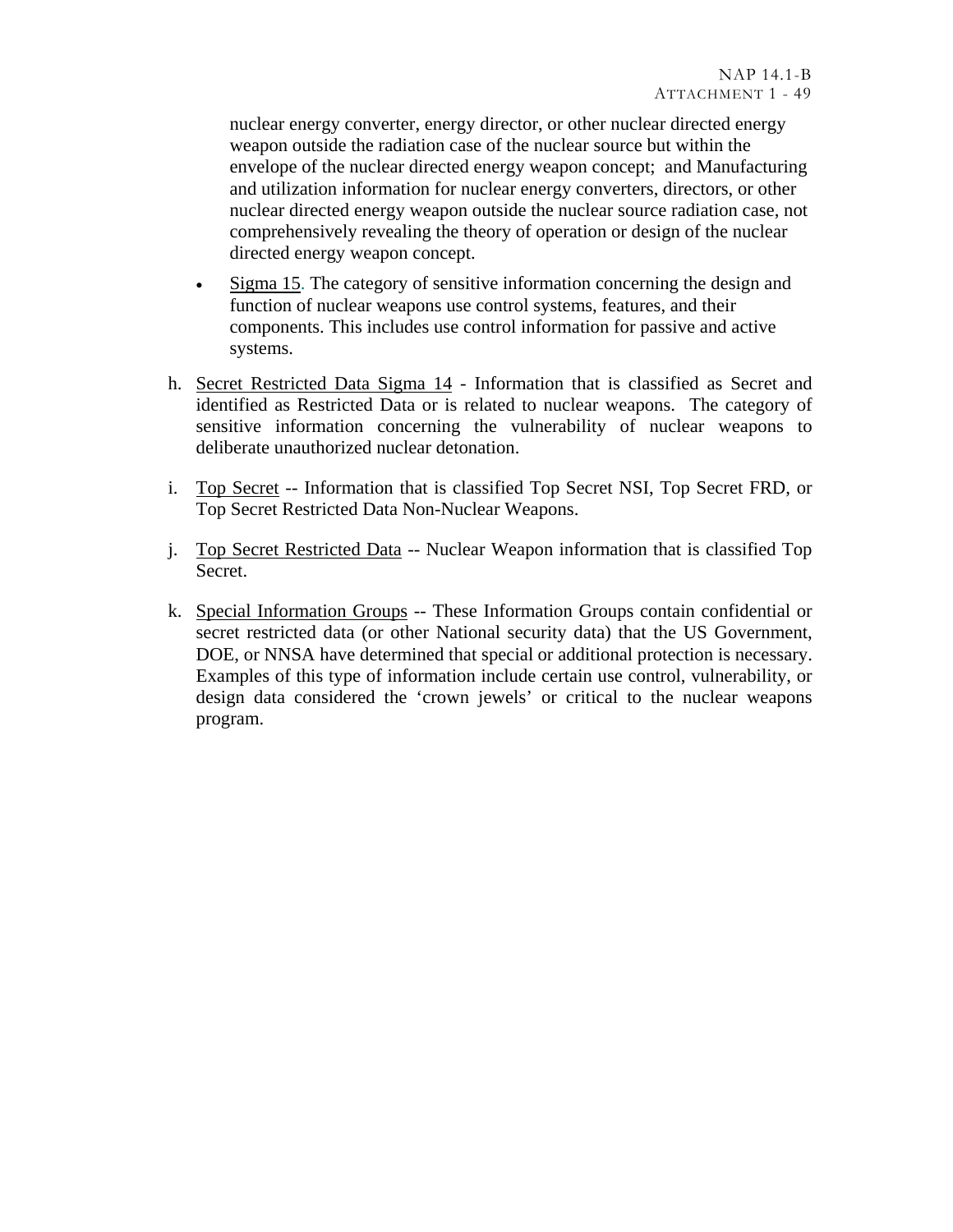nuclear energy converter, energy director, or other nuclear directed energy weapon outside the radiation case of the nuclear source but within the envelope of the nuclear directed energy weapon concept; and Manufacturing and utilization information for nuclear energy converters, directors, or other nuclear directed energy weapon outside the nuclear source radiation case, not comprehensively revealing the theory of operation or design of the nuclear directed energy weapon concept.

- Sigma 15. The category of sensitive information concerning the design and function of nuclear weapons use control systems, features, and their components. This includes use control information for passive and active systems.
- h. Secret Restricted Data Sigma 14 Information that is classified as Secret and identified as Restricted Data or is related to nuclear weapons. The category of sensitive information concerning the vulnerability of nuclear weapons to deliberate unauthorized nuclear detonation.
- i. Top Secret -- Information that is classified Top Secret NSI, Top Secret FRD, or Top Secret Restricted Data Non-Nuclear Weapons.
- j. Top Secret Restricted Data -- Nuclear Weapon information that is classified Top Secret.
- k. Special Information Groups -- These Information Groups contain confidential or secret restricted data (or other National security data) that the US Government, DOE, or NNSA have determined that special or additional protection is necessary. Examples of this type of information include certain use control, vulnerability, or design data considered the 'crown jewels' or critical to the nuclear weapons program.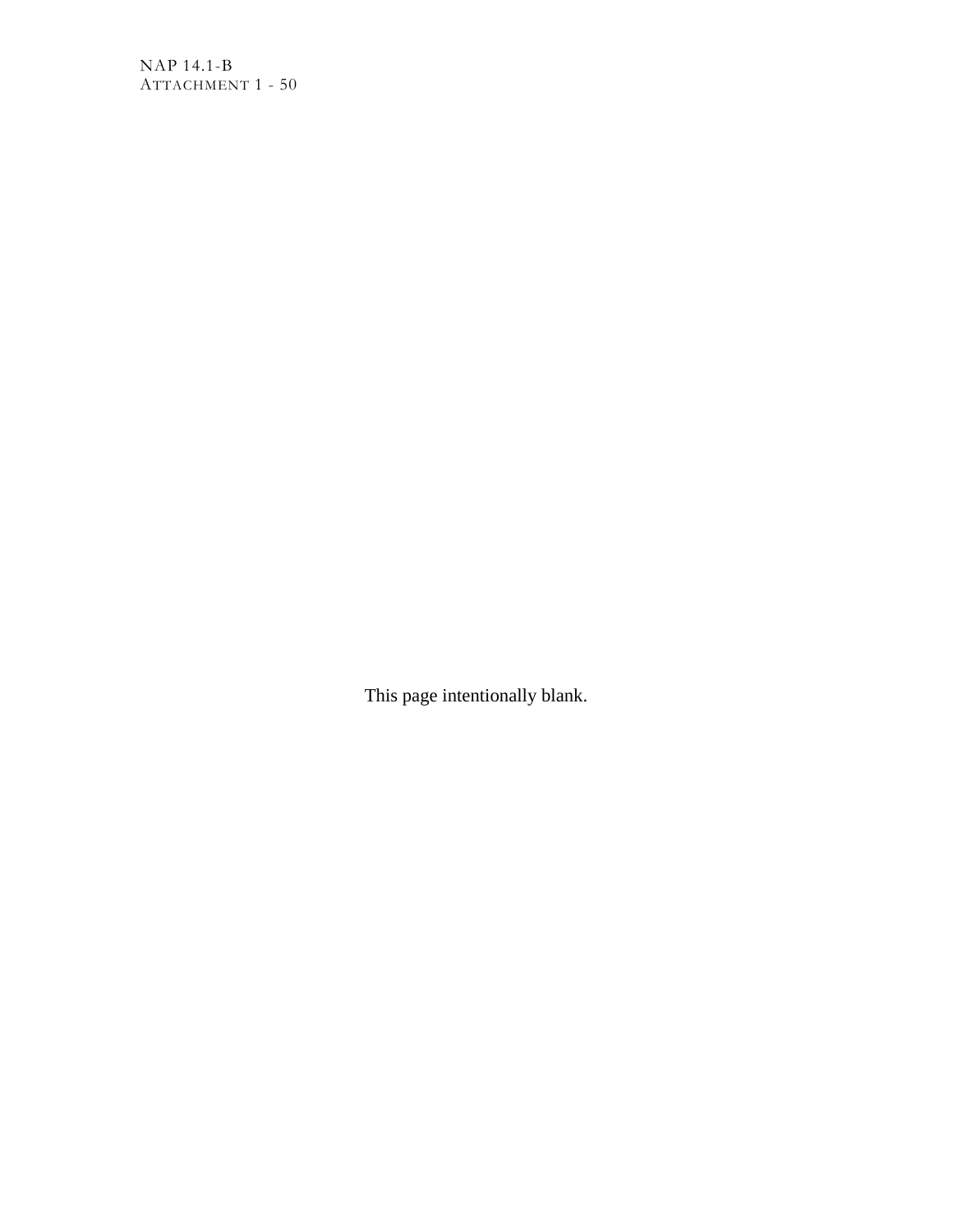NAP 14.1-B ATTACHMENT 1 - 50

This page intentionally blank.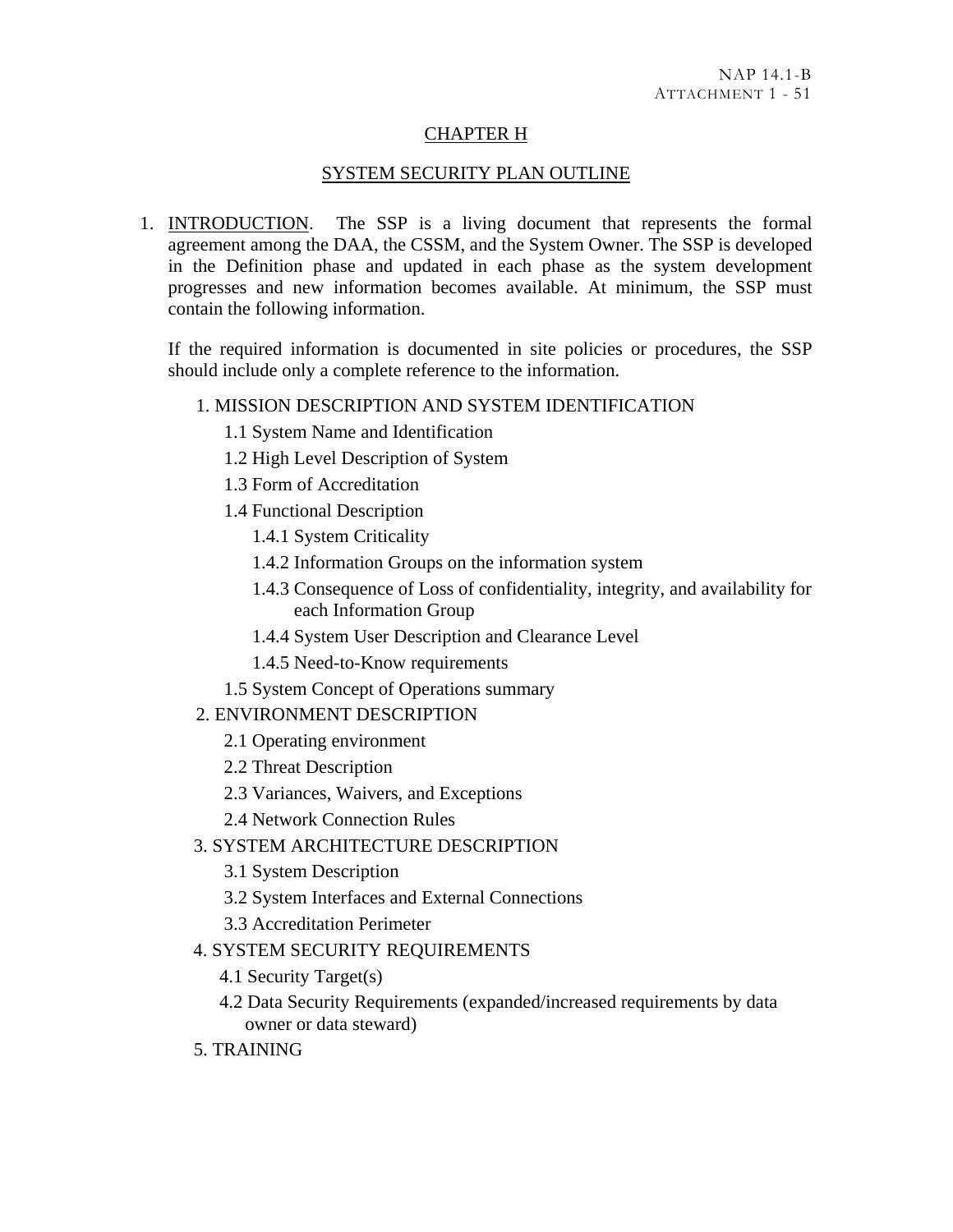## CHAPTER H

#### SYSTEM SECURITY PLAN OUTLINE

1. INTRODUCTION. The SSP is a living document that represents the formal agreement among the DAA, the CSSM, and the System Owner. The SSP is developed in the Definition phase and updated in each phase as the system development progresses and new information becomes available. At minimum, the SSP must contain the following information.

If the required information is documented in site policies or procedures, the SSP should include only a complete reference to the information.

### 1. MISSION DESCRIPTION AND SYSTEM IDENTIFICATION

- 1.1 System Name and Identification
- 1.2 High Level Description of System
- 1.3 Form of Accreditation
- 1.4 Functional Description
	- 1.4.1 System Criticality
	- 1.4.2 Information Groups on the information system
	- 1.4.3 Consequence of Loss of confidentiality, integrity, and availability for each Information Group
	- 1.4.4 System User Description and Clearance Level
	- 1.4.5 Need-to-Know requirements
- 1.5 System Concept of Operations summary

## 2. ENVIRONMENT DESCRIPTION

- 2.1 Operating environment
- 2.2 Threat Description
- 2.3 Variances, Waivers, and Exceptions
- 2.4 Network Connection Rules
- 3. SYSTEM ARCHITECTURE DESCRIPTION
	- 3.1 System Description
	- 3.2 System Interfaces and External Connections
	- 3.3 Accreditation Perimeter

### 4. SYSTEM SECURITY REQUIREMENTS

- 4.1 Security Target(s)
- 4.2 Data Security Requirements (expanded/increased requirements by data owner or data steward)
- 5. TRAINING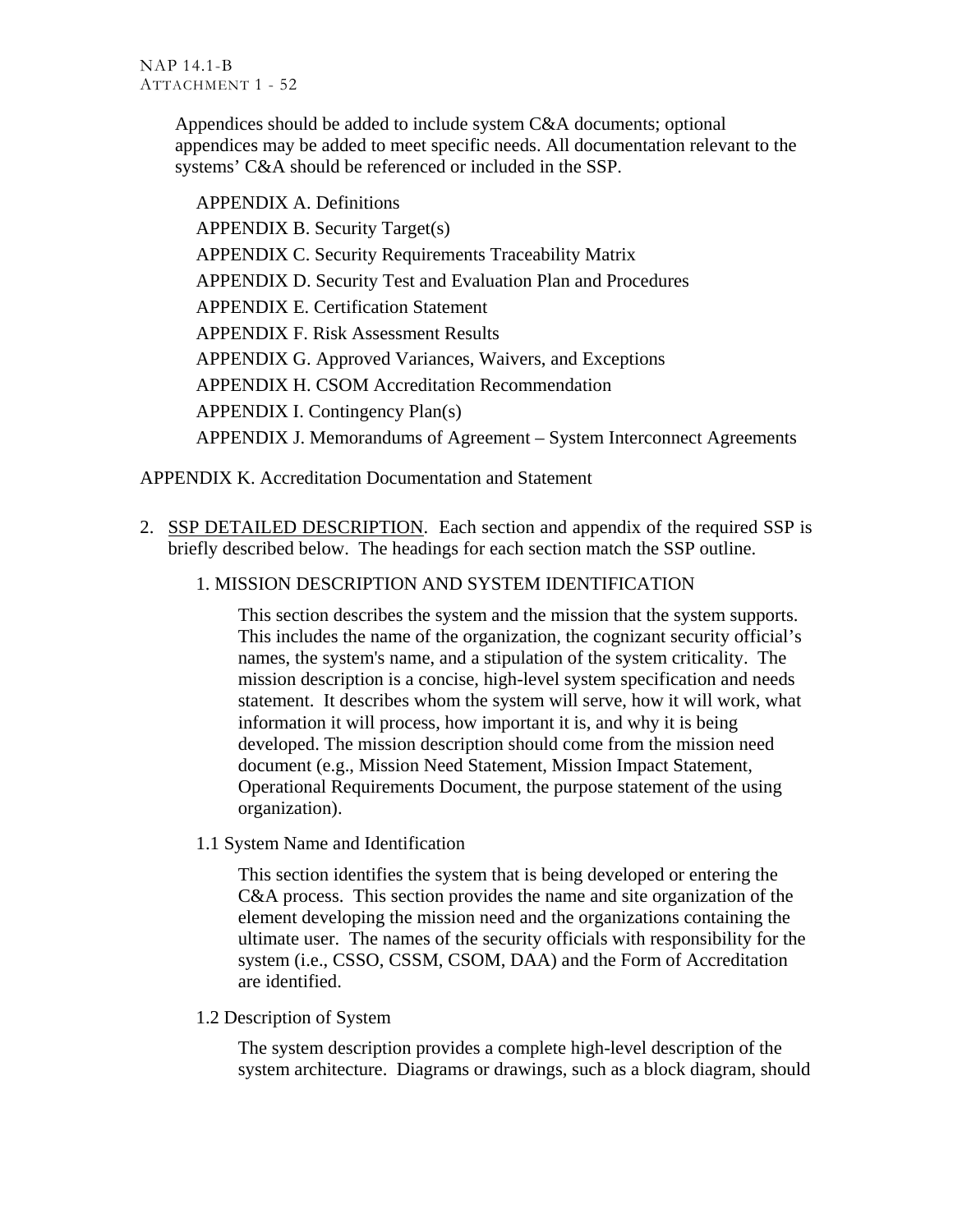Appendices should be added to include system C&A documents; optional appendices may be added to meet specific needs. All documentation relevant to the systems' C&A should be referenced or included in the SSP.

APPENDIX A. Definitions APPENDIX B. Security Target(s) APPENDIX C. Security Requirements Traceability Matrix APPENDIX D. Security Test and Evaluation Plan and Procedures APPENDIX E. Certification Statement APPENDIX F. Risk Assessment Results APPENDIX G. Approved Variances, Waivers, and Exceptions APPENDIX H. CSOM Accreditation Recommendation APPENDIX I. Contingency Plan(s) APPENDIX J. Memorandums of Agreement – System Interconnect Agreements

APPENDIX K. Accreditation Documentation and Statement

2. SSP DETAILED DESCRIPTION. Each section and appendix of the required SSP is briefly described below. The headings for each section match the SSP outline.

## 1. MISSION DESCRIPTION AND SYSTEM IDENTIFICATION

This section describes the system and the mission that the system supports. This includes the name of the organization, the cognizant security official's names, the system's name, and a stipulation of the system criticality. The mission description is a concise, high-level system specification and needs statement. It describes whom the system will serve, how it will work, what information it will process, how important it is, and why it is being developed. The mission description should come from the mission need document (e.g., Mission Need Statement, Mission Impact Statement, Operational Requirements Document, the purpose statement of the using organization).

1.1 System Name and Identification

This section identifies the system that is being developed or entering the C&A process. This section provides the name and site organization of the element developing the mission need and the organizations containing the ultimate user. The names of the security officials with responsibility for the system (i.e., CSSO, CSSM, CSOM, DAA) and the Form of Accreditation are identified.

1.2 Description of System

The system description provides a complete high-level description of the system architecture. Diagrams or drawings, such as a block diagram, should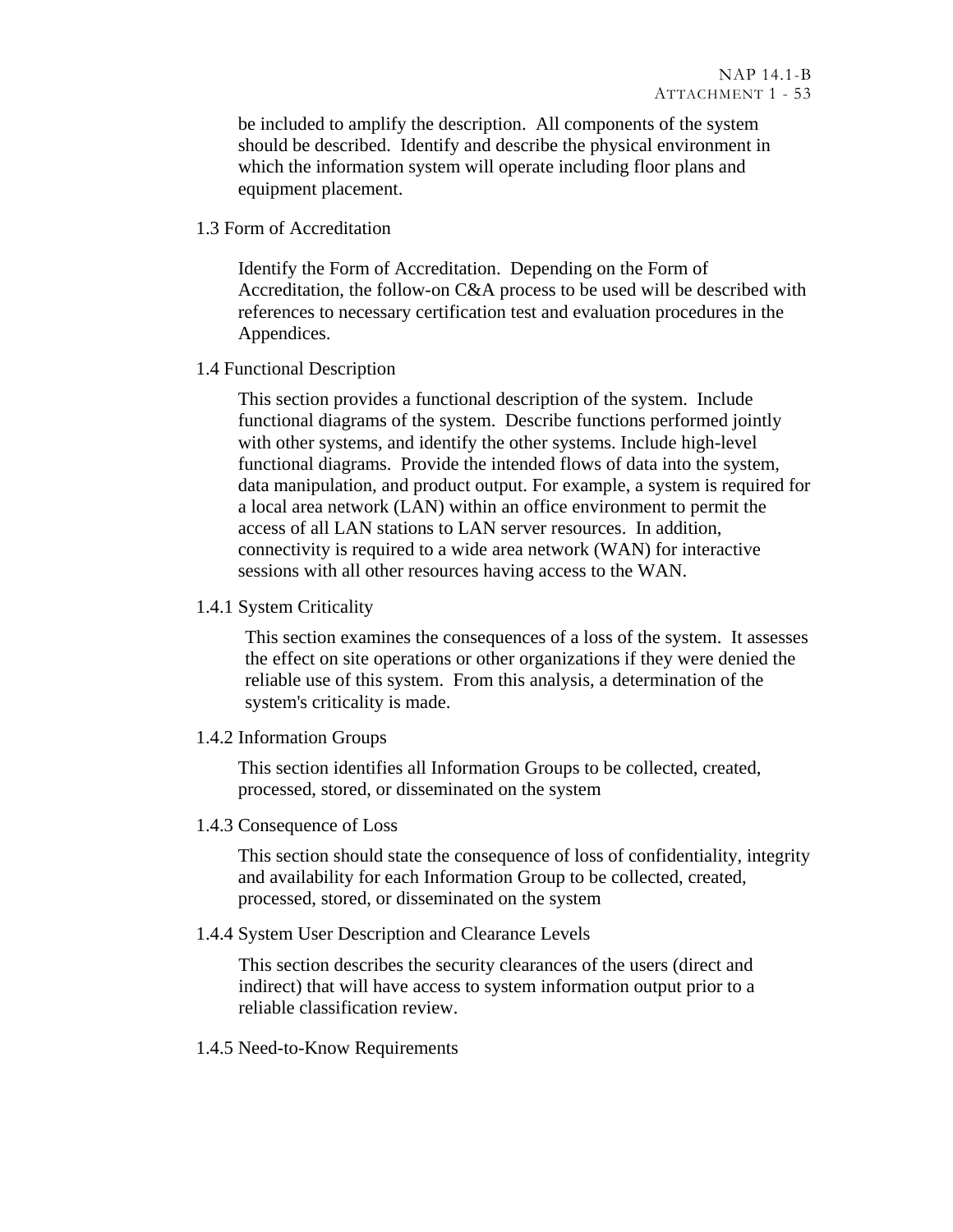be included to amplify the description. All components of the system should be described. Identify and describe the physical environment in which the information system will operate including floor plans and equipment placement.

1.3 Form of Accreditation

Identify the Form of Accreditation. Depending on the Form of Accreditation, the follow-on C&A process to be used will be described with references to necessary certification test and evaluation procedures in the Appendices.

1.4 Functional Description

This section provides a functional description of the system. Include functional diagrams of the system. Describe functions performed jointly with other systems, and identify the other systems. Include high-level functional diagrams. Provide the intended flows of data into the system, data manipulation, and product output. For example, a system is required for a local area network (LAN) within an office environment to permit the access of all LAN stations to LAN server resources. In addition, connectivity is required to a wide area network (WAN) for interactive sessions with all other resources having access to the WAN.

1.4.1 System Criticality

This section examines the consequences of a loss of the system. It assesses the effect on site operations or other organizations if they were denied the reliable use of this system. From this analysis, a determination of the system's criticality is made.

1.4.2 Information Groups

This section identifies all Information Groups to be collected, created, processed, stored, or disseminated on the system

1.4.3 Consequence of Loss

This section should state the consequence of loss of confidentiality, integrity and availability for each Information Group to be collected, created, processed, stored, or disseminated on the system

1.4.4 System User Description and Clearance Levels

This section describes the security clearances of the users (direct and indirect) that will have access to system information output prior to a reliable classification review.

1.4.5 Need-to-Know Requirements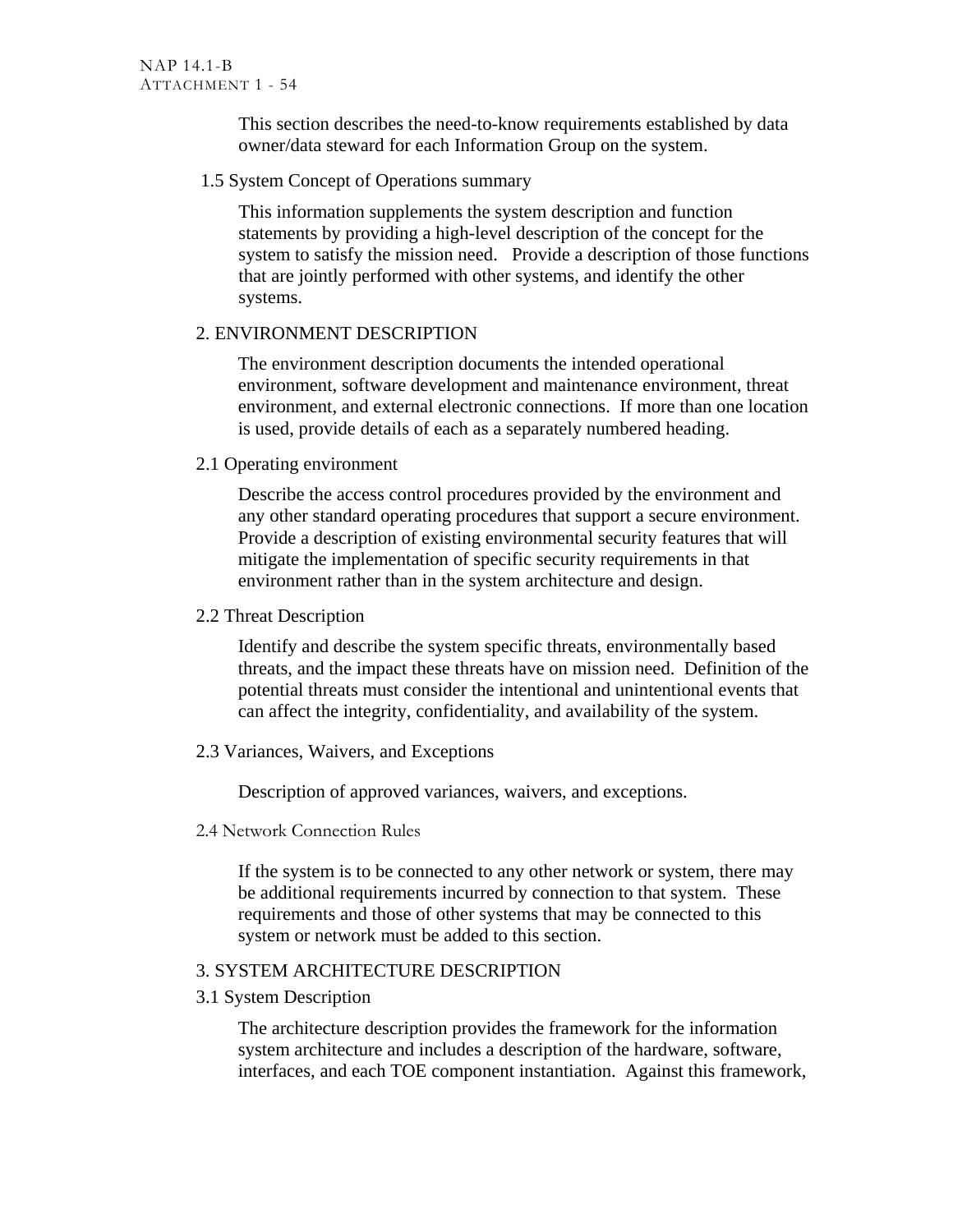This section describes the need-to-know requirements established by data owner/data steward for each Information Group on the system.

1.5 System Concept of Operations summary

This information supplements the system description and function statements by providing a high-level description of the concept for the system to satisfy the mission need. Provide a description of those functions that are jointly performed with other systems, and identify the other systems.

### 2. ENVIRONMENT DESCRIPTION

The environment description documents the intended operational environment, software development and maintenance environment, threat environment, and external electronic connections. If more than one location is used, provide details of each as a separately numbered heading.

#### 2.1 Operating environment

Describe the access control procedures provided by the environment and any other standard operating procedures that support a secure environment. Provide a description of existing environmental security features that will mitigate the implementation of specific security requirements in that environment rather than in the system architecture and design.

2.2 Threat Description

Identify and describe the system specific threats, environmentally based threats, and the impact these threats have on mission need. Definition of the potential threats must consider the intentional and unintentional events that can affect the integrity, confidentiality, and availability of the system.

2.3 Variances, Waivers, and Exceptions

Description of approved variances, waivers, and exceptions.

2.4 Network Connection Rules

If the system is to be connected to any other network or system, there may be additional requirements incurred by connection to that system. These requirements and those of other systems that may be connected to this system or network must be added to this section.

### 3. SYSTEM ARCHITECTURE DESCRIPTION

3.1 System Description

The architecture description provides the framework for the information system architecture and includes a description of the hardware, software, interfaces, and each TOE component instantiation. Against this framework,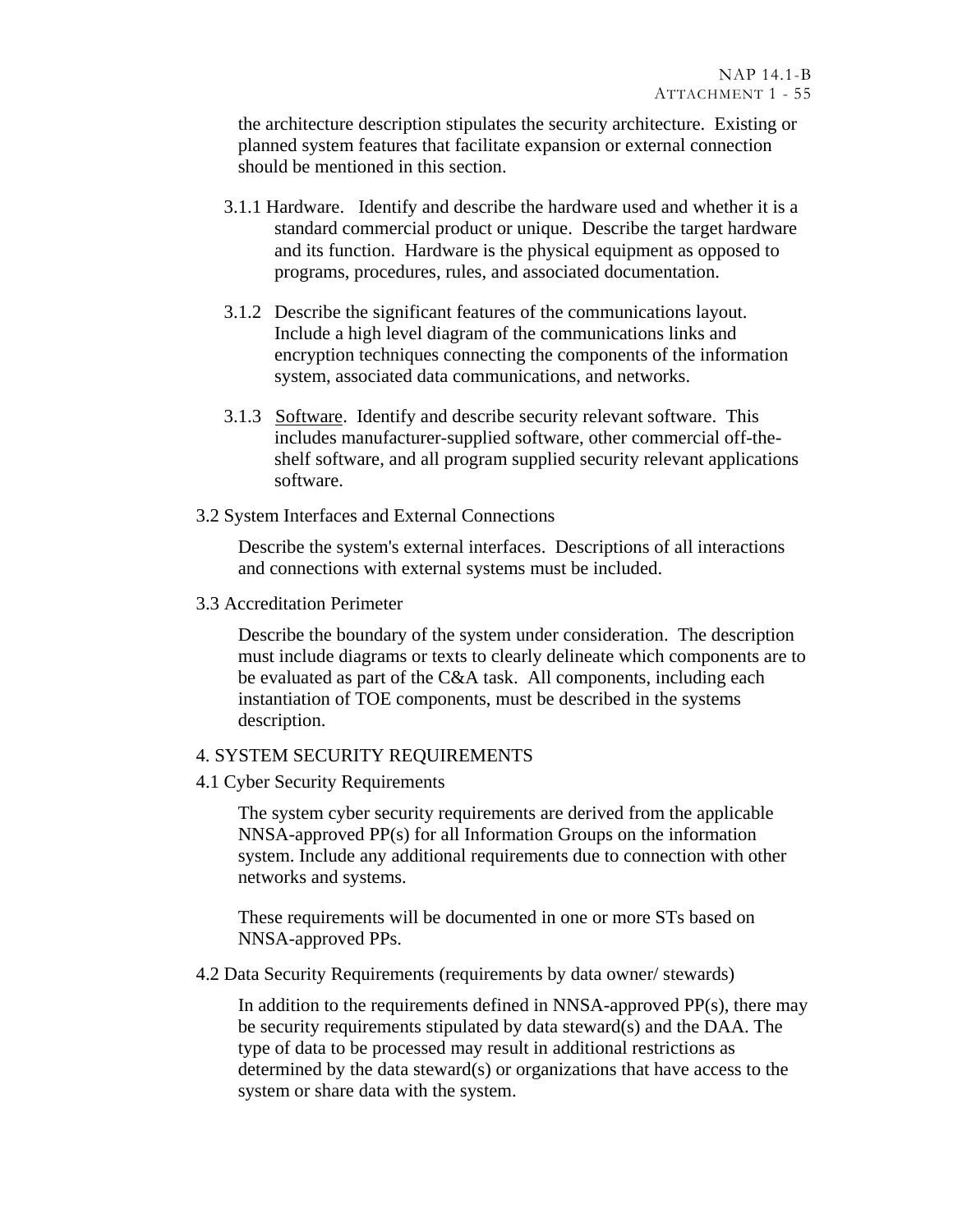the architecture description stipulates the security architecture. Existing or planned system features that facilitate expansion or external connection should be mentioned in this section.

- 3.1.1 Hardware. Identify and describe the hardware used and whether it is a standard commercial product or unique. Describe the target hardware and its function. Hardware is the physical equipment as opposed to programs, procedures, rules, and associated documentation.
- 3.1.2 Describe the significant features of the communications layout. Include a high level diagram of the communications links and encryption techniques connecting the components of the information system, associated data communications, and networks.
- 3.1.3 Software. Identify and describe security relevant software. This includes manufacturer-supplied software, other commercial off-theshelf software, and all program supplied security relevant applications software.
- 3.2 System Interfaces and External Connections

Describe the system's external interfaces. Descriptions of all interactions and connections with external systems must be included.

3.3 Accreditation Perimeter

Describe the boundary of the system under consideration. The description must include diagrams or texts to clearly delineate which components are to be evaluated as part of the C&A task. All components, including each instantiation of TOE components, must be described in the systems description.

### 4. SYSTEM SECURITY REQUIREMENTS

4.1 Cyber Security Requirements

The system cyber security requirements are derived from the applicable NNSA-approved PP(s) for all Information Groups on the information system. Include any additional requirements due to connection with other networks and systems.

These requirements will be documented in one or more STs based on NNSA-approved PPs.

4.2 Data Security Requirements (requirements by data owner/ stewards)

In addition to the requirements defined in NNSA-approved PP(s), there may be security requirements stipulated by data steward(s) and the DAA. The type of data to be processed may result in additional restrictions as determined by the data steward(s) or organizations that have access to the system or share data with the system.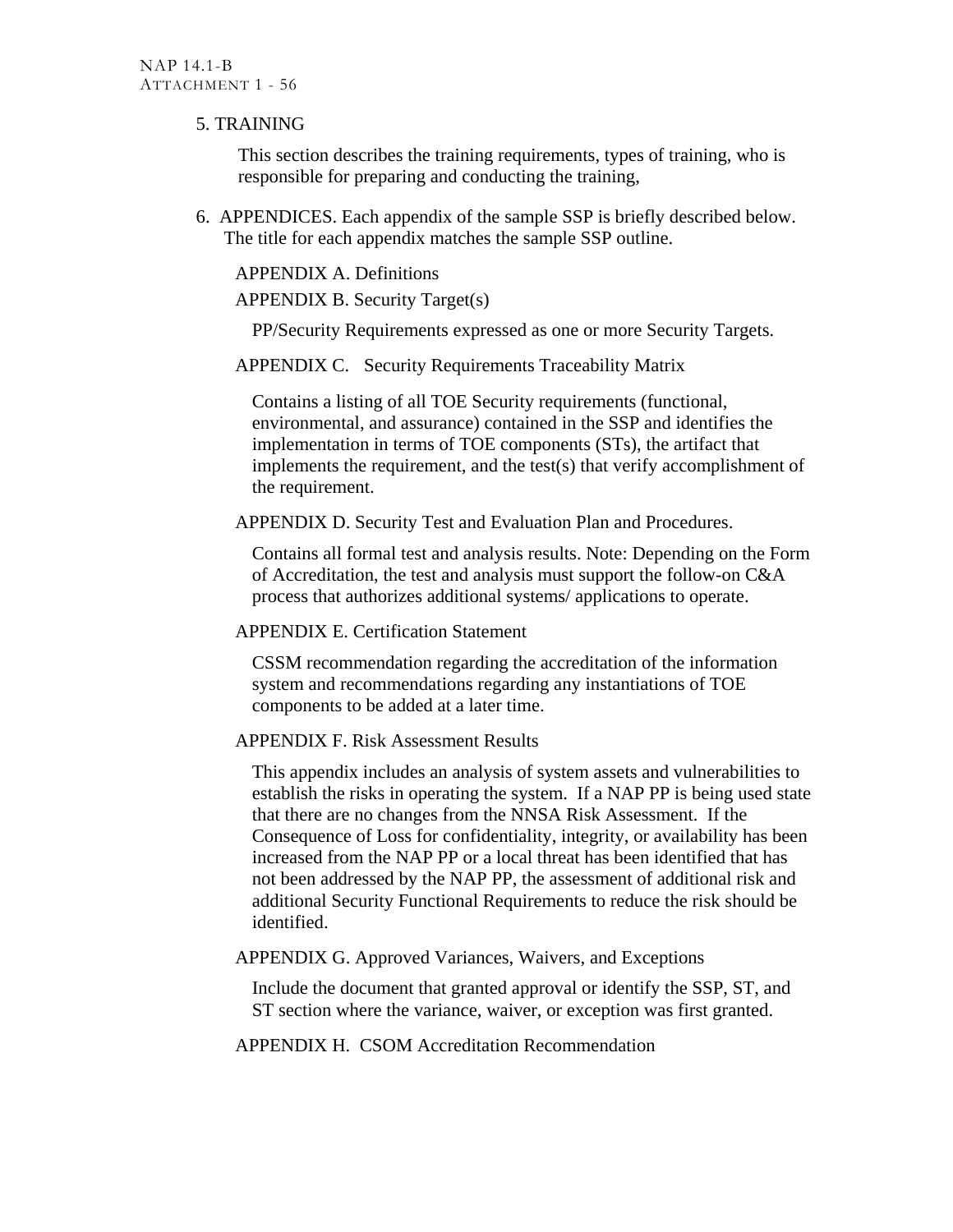### 5. TRAINING

This section describes the training requirements, types of training, who is responsible for preparing and conducting the training,

6. APPENDICES. Each appendix of the sample SSP is briefly described below. The title for each appendix matches the sample SSP outline.

APPENDIX A. Definitions

APPENDIX B. Security Target(s)

PP/Security Requirements expressed as one or more Security Targets.

APPENDIX C. Security Requirements Traceability Matrix

Contains a listing of all TOE Security requirements (functional, environmental, and assurance) contained in the SSP and identifies the implementation in terms of TOE components (STs), the artifact that implements the requirement, and the test(s) that verify accomplishment of the requirement.

APPENDIX D. Security Test and Evaluation Plan and Procedures.

Contains all formal test and analysis results. Note: Depending on the Form of Accreditation, the test and analysis must support the follow-on C&A process that authorizes additional systems/ applications to operate.

### APPENDIX E. Certification Statement

CSSM recommendation regarding the accreditation of the information system and recommendations regarding any instantiations of TOE components to be added at a later time.

## APPENDIX F. Risk Assessment Results

This appendix includes an analysis of system assets and vulnerabilities to establish the risks in operating the system. If a NAP PP is being used state that there are no changes from the NNSA Risk Assessment. If the Consequence of Loss for confidentiality, integrity, or availability has been increased from the NAP PP or a local threat has been identified that has not been addressed by the NAP PP, the assessment of additional risk and additional Security Functional Requirements to reduce the risk should be identified.

APPENDIX G. Approved Variances, Waivers, and Exceptions

Include the document that granted approval or identify the SSP, ST, and ST section where the variance, waiver, or exception was first granted.

APPENDIX H. CSOM Accreditation Recommendation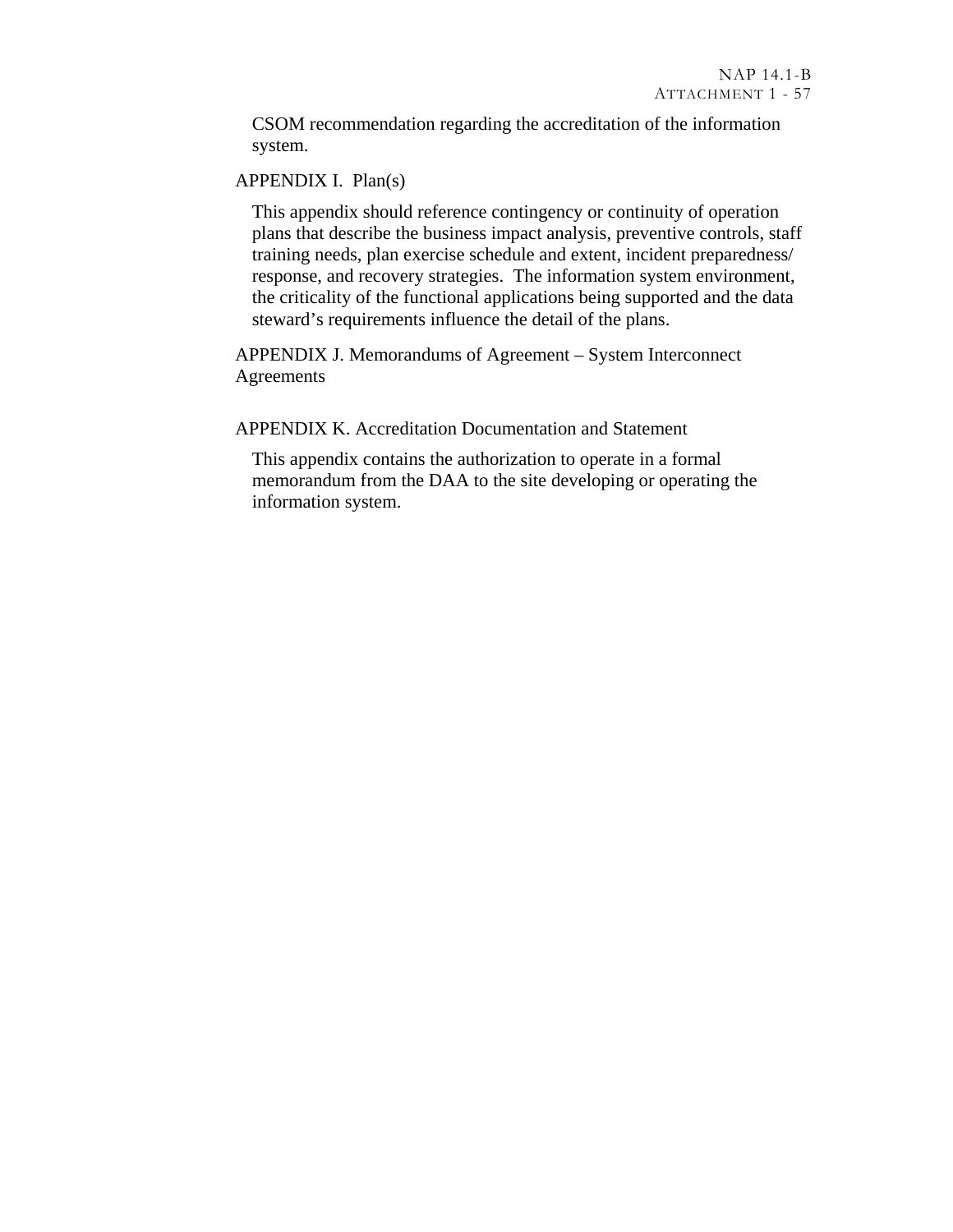CSOM recommendation regarding the accreditation of the information system.

## APPENDIX I. Plan(s)

This appendix should reference contingency or continuity of operation plans that describe the business impact analysis, preventive controls, staff training needs, plan exercise schedule and extent, incident preparedness/ response, and recovery strategies. The information system environment, the criticality of the functional applications being supported and the data steward's requirements influence the detail of the plans.

APPENDIX J. Memorandums of Agreement – System Interconnect Agreements

### APPENDIX K. Accreditation Documentation and Statement

This appendix contains the authorization to operate in a formal memorandum from the DAA to the site developing or operating the information system.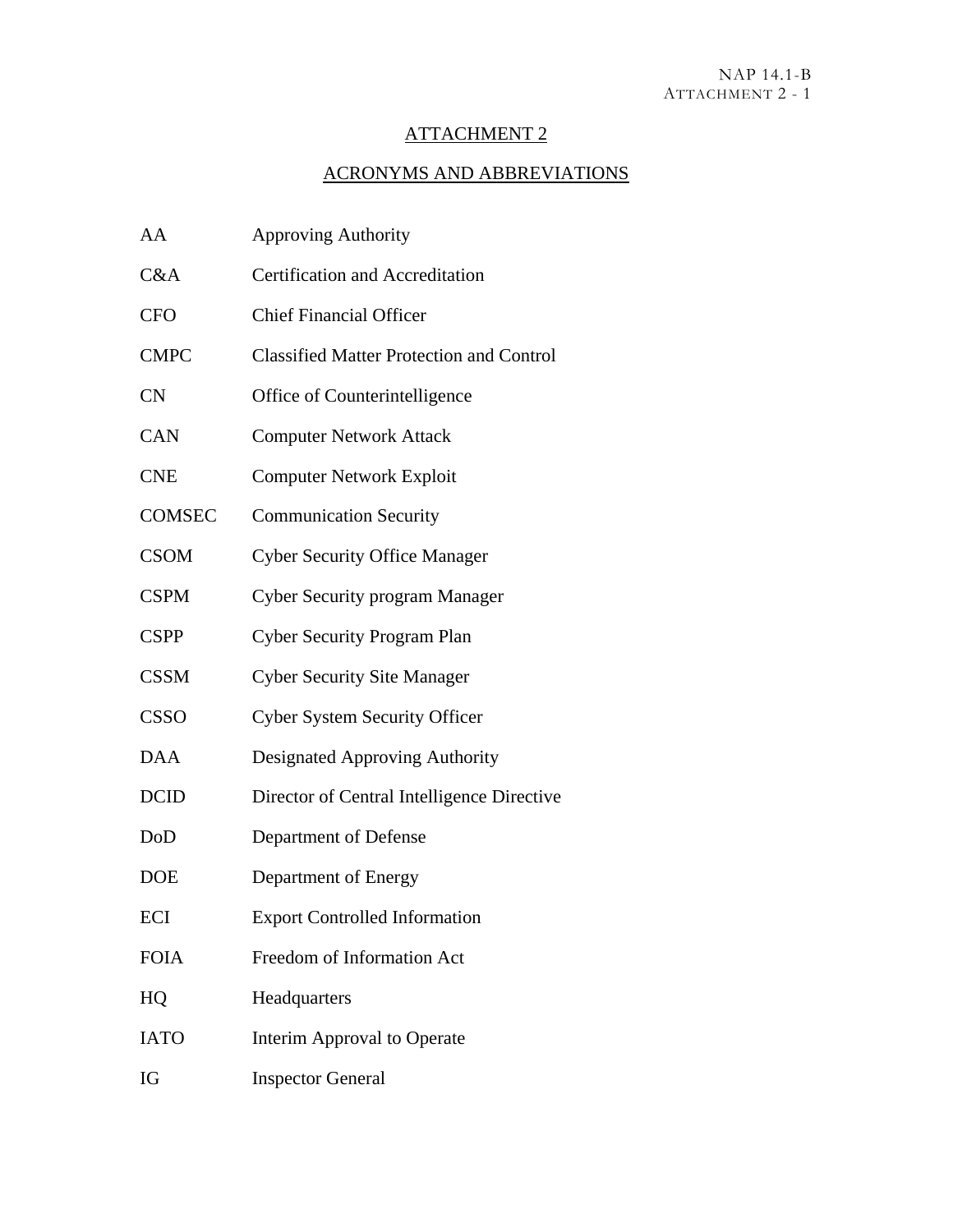## ATTACHMENT 2

## ACRONYMS AND ABBREVIATIONS

- AA Approving Authority
- C&A Certification and Accreditation
- CFO Chief Financial Officer
- CMPC Classified Matter Protection and Control
- CN Office of Counterintelligence
- CAN Computer Network Attack
- CNE Computer Network Exploit
- COMSEC Communication Security
- CSOM Cyber Security Office Manager
- CSPM Cyber Security program Manager
- CSPP Cyber Security Program Plan
- CSSM Cyber Security Site Manager
- CSSO Cyber System Security Officer
- DAA Designated Approving Authority
- DCID Director of Central Intelligence Directive
- DoD Department of Defense
- DOE Department of Energy
- ECI Export Controlled Information
- FOIA Freedom of Information Act
- HQ Headquarters
- IATO Interim Approval to Operate
- IG Inspector General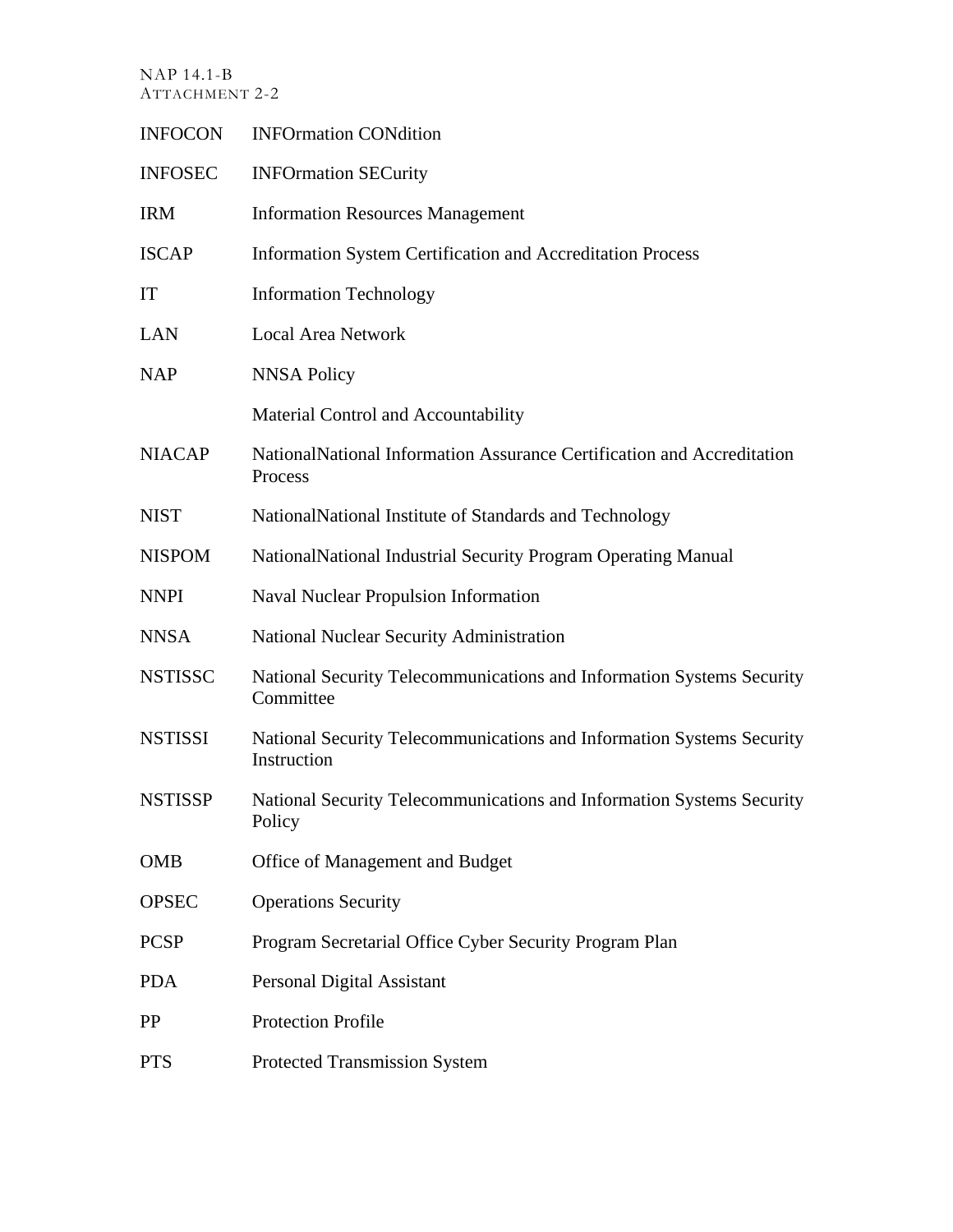### NAP 14.1-B ATTACHMENT 2-2

| <b>INFOCON</b> | <b>INFOrmation CONdition</b>                                                         |
|----------------|--------------------------------------------------------------------------------------|
| <b>INFOSEC</b> | <b>INFOrmation SECurity</b>                                                          |
| <b>IRM</b>     | <b>Information Resources Management</b>                                              |
| <b>ISCAP</b>   | <b>Information System Certification and Accreditation Process</b>                    |
| IT             | <b>Information Technology</b>                                                        |
| <b>LAN</b>     | <b>Local Area Network</b>                                                            |
| <b>NAP</b>     | <b>NNSA Policy</b>                                                                   |
|                | Material Control and Accountability                                                  |
| <b>NIACAP</b>  | NationalNational Information Assurance Certification and Accreditation<br>Process    |
| <b>NIST</b>    | NationalNational Institute of Standards and Technology                               |
| <b>NISPOM</b>  | NationalNational Industrial Security Program Operating Manual                        |
| <b>NNPI</b>    | <b>Naval Nuclear Propulsion Information</b>                                          |
| <b>NNSA</b>    | <b>National Nuclear Security Administration</b>                                      |
| <b>NSTISSC</b> | National Security Telecommunications and Information Systems Security<br>Committee   |
| <b>NSTISSI</b> | National Security Telecommunications and Information Systems Security<br>Instruction |
| <b>NSTISSP</b> | National Security Telecommunications and Information Systems Security<br>Policy      |
| <b>OMB</b>     | Office of Management and Budget                                                      |
| <b>OPSEC</b>   | <b>Operations Security</b>                                                           |
| <b>PCSP</b>    | Program Secretarial Office Cyber Security Program Plan                               |
| <b>PDA</b>     | Personal Digital Assistant                                                           |
| PP             | <b>Protection Profile</b>                                                            |
| <b>PTS</b>     | <b>Protected Transmission System</b>                                                 |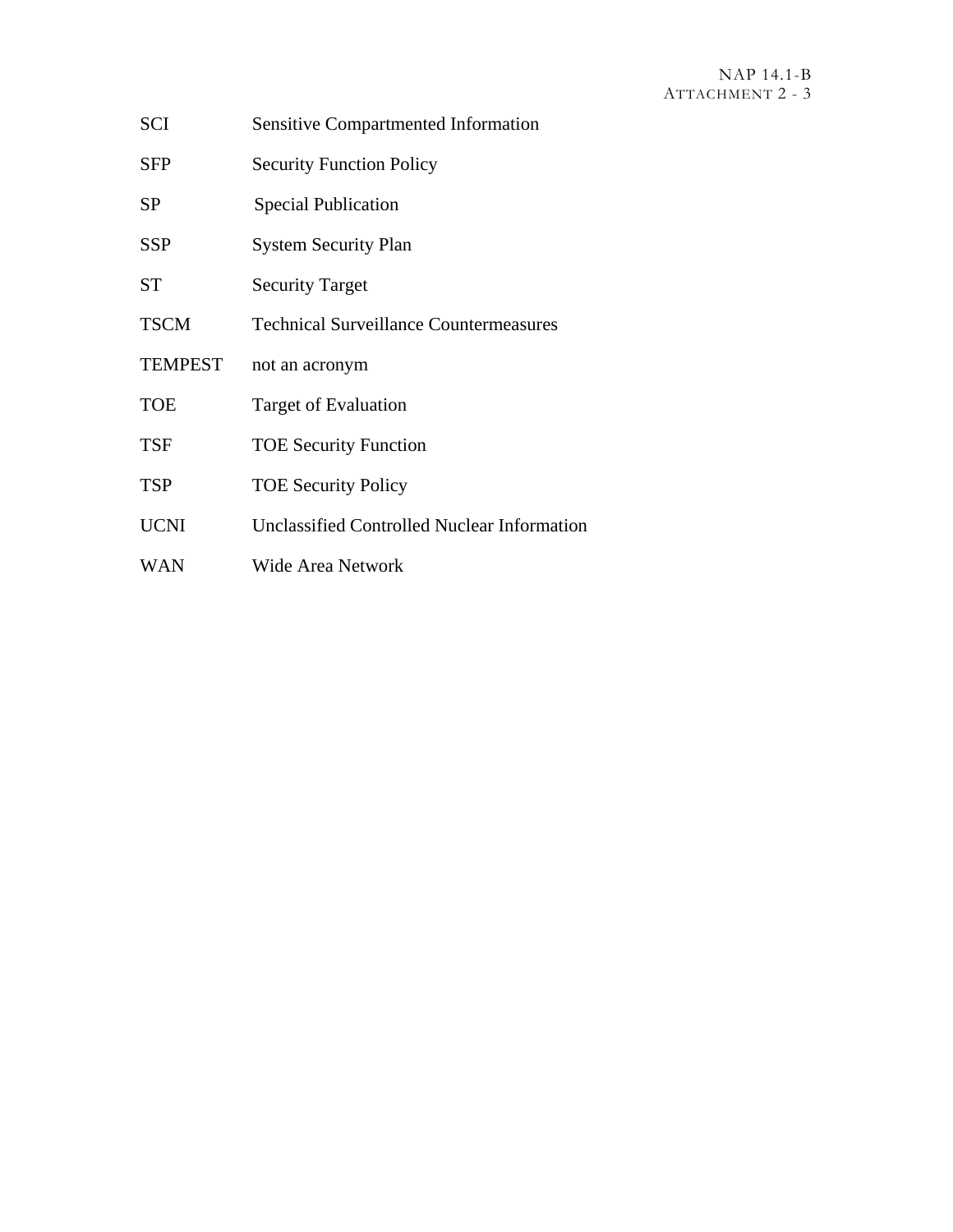- SCI Sensitive Compartmented Information
- SFP Security Function Policy
- SP Special Publication
- SSP System Security Plan
- ST Security Target
- TSCM Technical Surveillance Countermeasures
- TEMPEST not an acronym
- TOE Target of Evaluation
- TSF TOE Security Function
- TSP TOE Security Policy
- UCNI Unclassified Controlled Nuclear Information
- WAN Wide Area Network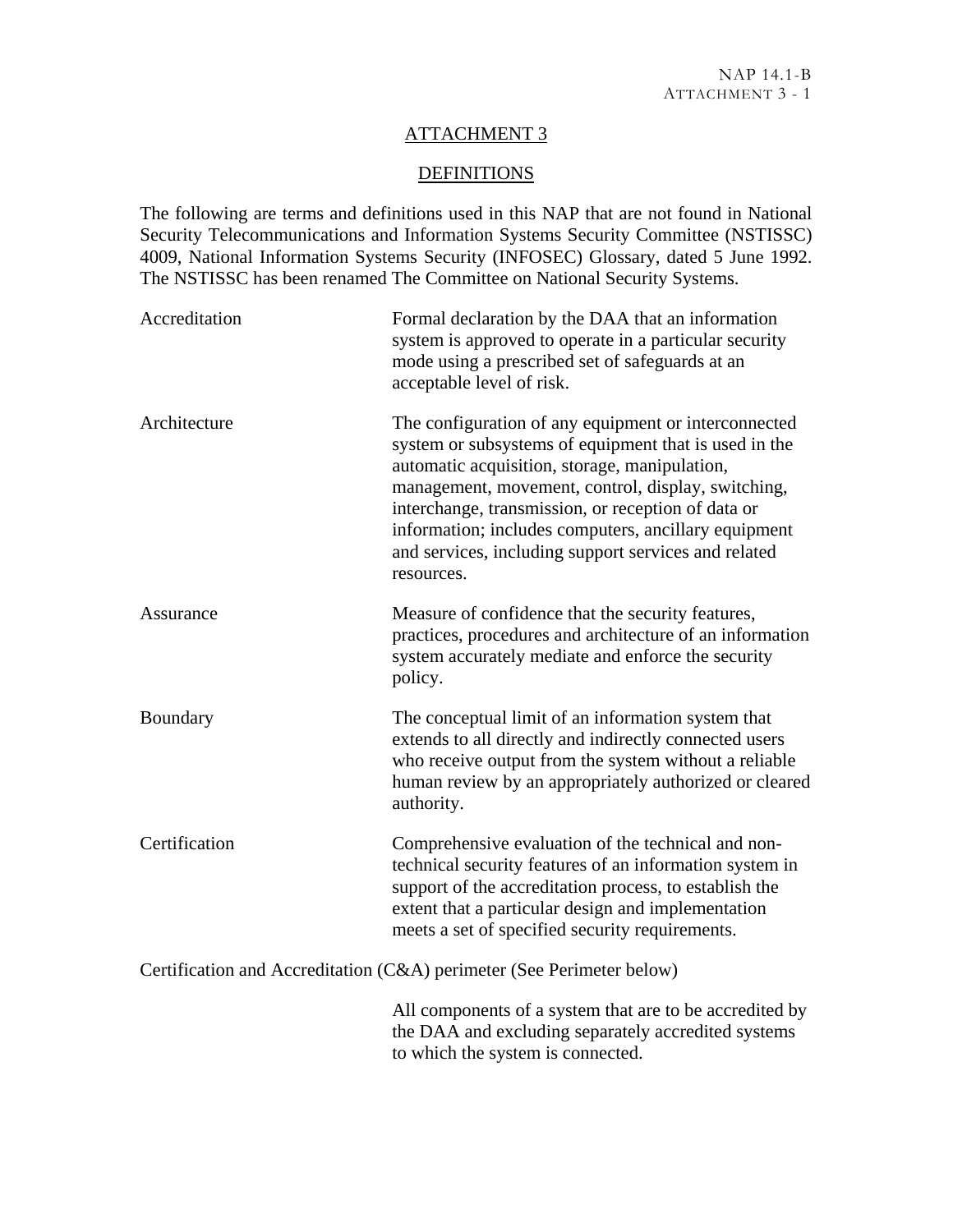## ATTACHMENT 3

# **DEFINITIONS**

The following are terms and definitions used in this NAP that are not found in National Security Telecommunications and Information Systems Security Committee (NSTISSC) 4009, National Information Systems Security (INFOSEC) Glossary, dated 5 June 1992. The NSTISSC has been renamed The Committee on National Security Systems.

| Accreditation | Formal declaration by the DAA that an information<br>system is approved to operate in a particular security<br>mode using a prescribed set of safeguards at an<br>acceptable level of risk.                                                                                                                                                                                                              |
|---------------|----------------------------------------------------------------------------------------------------------------------------------------------------------------------------------------------------------------------------------------------------------------------------------------------------------------------------------------------------------------------------------------------------------|
| Architecture  | The configuration of any equipment or interconnected<br>system or subsystems of equipment that is used in the<br>automatic acquisition, storage, manipulation,<br>management, movement, control, display, switching,<br>interchange, transmission, or reception of data or<br>information; includes computers, ancillary equipment<br>and services, including support services and related<br>resources. |
| Assurance     | Measure of confidence that the security features,<br>practices, procedures and architecture of an information<br>system accurately mediate and enforce the security<br>policy.                                                                                                                                                                                                                           |
| Boundary      | The conceptual limit of an information system that<br>extends to all directly and indirectly connected users<br>who receive output from the system without a reliable<br>human review by an appropriately authorized or cleared<br>authority.                                                                                                                                                            |
| Certification | Comprehensive evaluation of the technical and non-<br>technical security features of an information system in<br>support of the accreditation process, to establish the<br>extent that a particular design and implementation<br>meets a set of specified security requirements.                                                                                                                         |
|               | Certification and Accreditation (C&A) perimeter (See Perimeter below)                                                                                                                                                                                                                                                                                                                                    |
|               | All components of a system that are to be accredited by<br>the DAA and excluding separately accredited systems<br>to which the system is connected.                                                                                                                                                                                                                                                      |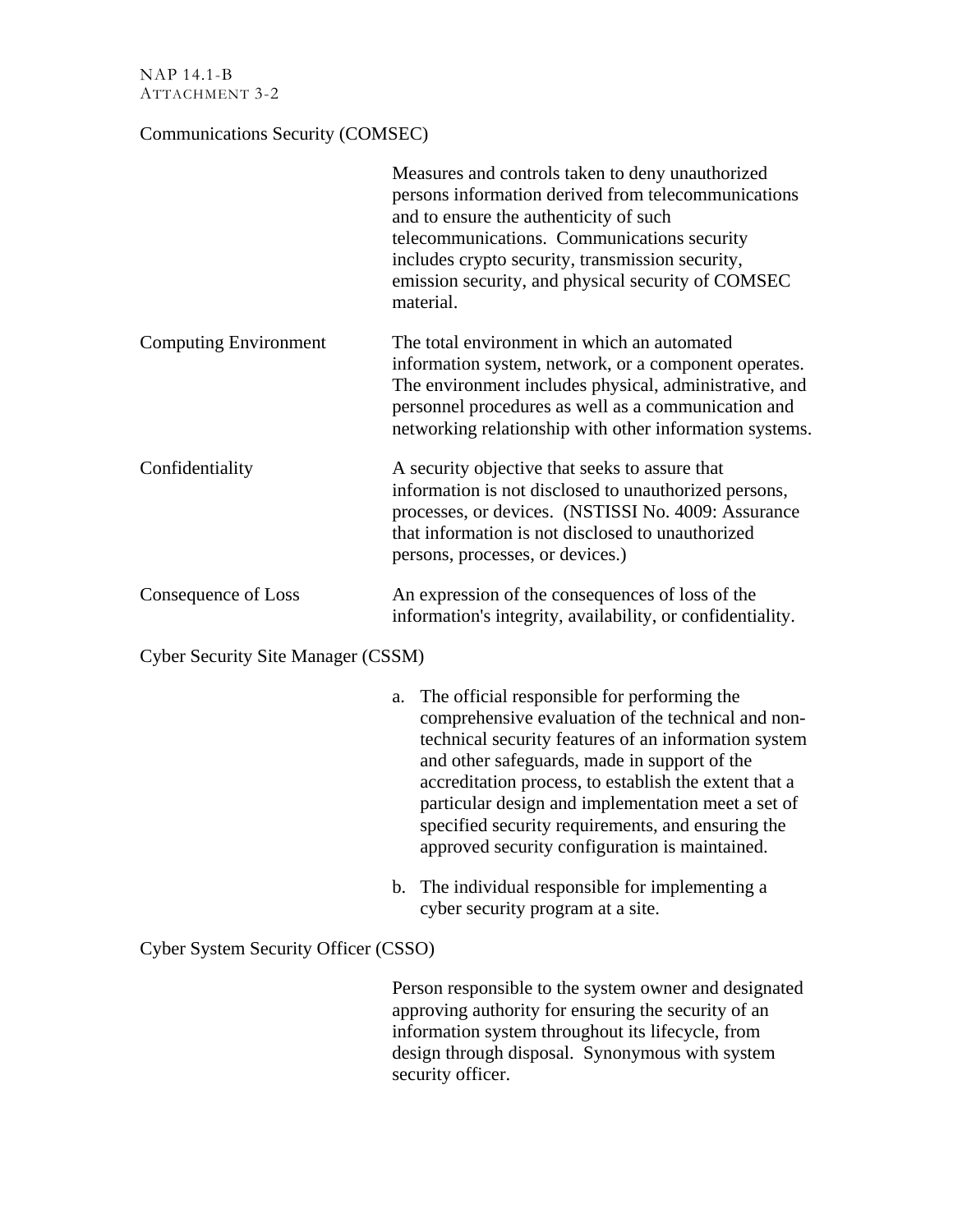NAP 14.1-B ATTACHMENT 3-2

### Communications Security (COMSEC)

|                                           | Measures and controls taken to deny unauthorized<br>persons information derived from telecommunications<br>and to ensure the authenticity of such<br>telecommunications. Communications security<br>includes crypto security, transmission security,<br>emission security, and physical security of COMSEC<br>material. |
|-------------------------------------------|-------------------------------------------------------------------------------------------------------------------------------------------------------------------------------------------------------------------------------------------------------------------------------------------------------------------------|
| <b>Computing Environment</b>              | The total environment in which an automated<br>information system, network, or a component operates.<br>The environment includes physical, administrative, and<br>personnel procedures as well as a communication and<br>networking relationship with other information systems.                                        |
| Confidentiality                           | A security objective that seeks to assure that<br>information is not disclosed to unauthorized persons,<br>processes, or devices. (NSTISSI No. 4009: Assurance<br>that information is not disclosed to unauthorized<br>persons, processes, or devices.)                                                                 |
| Consequence of Loss                       | An expression of the consequences of loss of the<br>information's integrity, availability, or confidentiality.                                                                                                                                                                                                          |
| <b>Cyber Security Site Manager (CSSM)</b> |                                                                                                                                                                                                                                                                                                                         |

a. The official responsible for performing the comprehensive evaluation of the technical and nontechnical security features of an information system and other safeguards, made in support of the accreditation process, to establish the extent that a particular design and implementation meet a set of specified security requirements, and ensuring the approved security configuration is maintained.

b. The individual responsible for implementing a cyber security program at a site.

Cyber System Security Officer (CSSO)

Person responsible to the system owner and designated approving authority for ensuring the security of an information system throughout its lifecycle, from design through disposal. Synonymous with system security officer.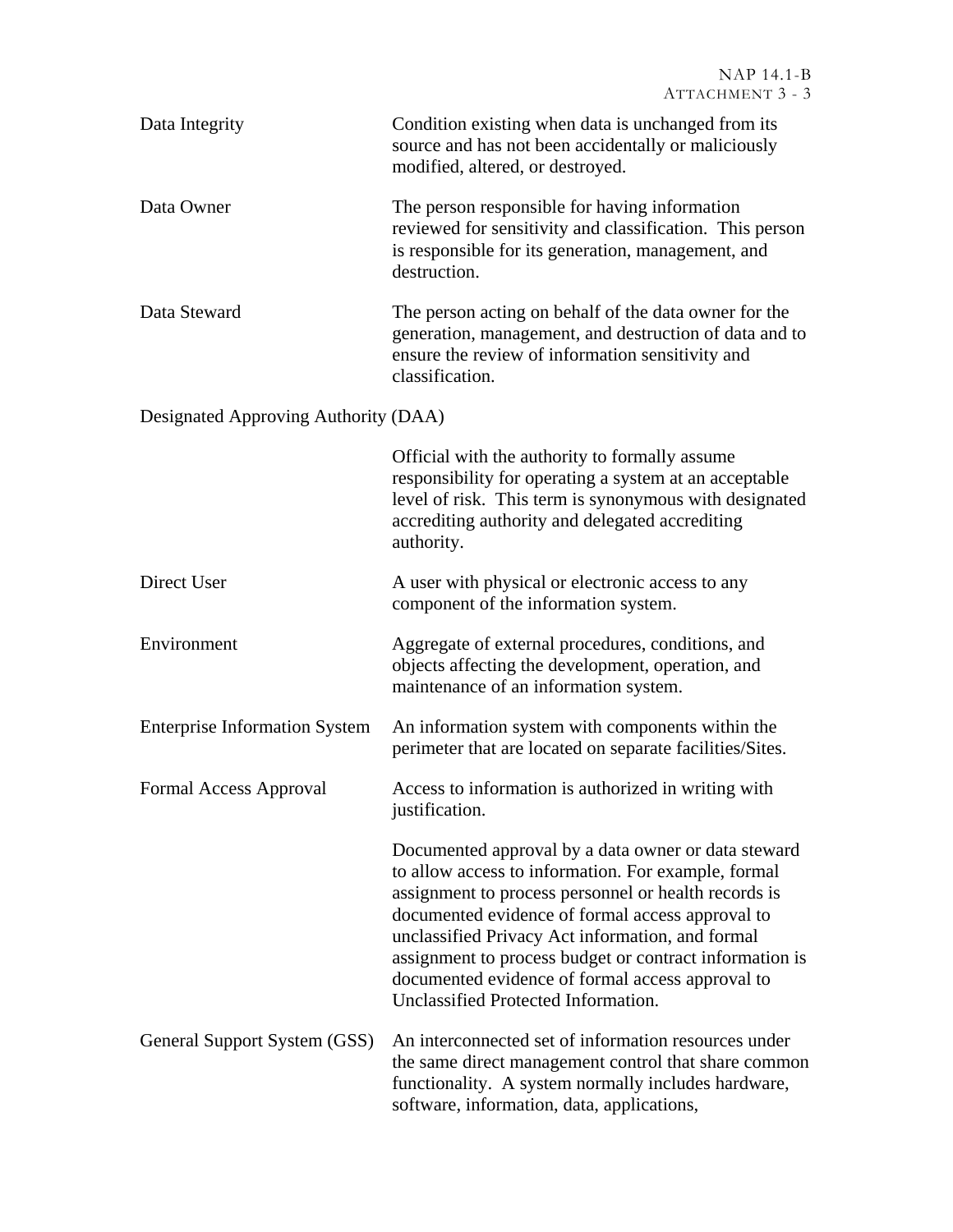| Data Integrity                       | Condition existing when data is unchanged from its<br>source and has not been accidentally or maliciously<br>modified, altered, or destroyed.                                                                                                                                                                                                                                                                                    |
|--------------------------------------|----------------------------------------------------------------------------------------------------------------------------------------------------------------------------------------------------------------------------------------------------------------------------------------------------------------------------------------------------------------------------------------------------------------------------------|
| Data Owner                           | The person responsible for having information<br>reviewed for sensitivity and classification. This person<br>is responsible for its generation, management, and<br>destruction.                                                                                                                                                                                                                                                  |
| Data Steward                         | The person acting on behalf of the data owner for the<br>generation, management, and destruction of data and to<br>ensure the review of information sensitivity and<br>classification.                                                                                                                                                                                                                                           |
| Designated Approving Authority (DAA) |                                                                                                                                                                                                                                                                                                                                                                                                                                  |
|                                      | Official with the authority to formally assume<br>responsibility for operating a system at an acceptable<br>level of risk. This term is synonymous with designated<br>accrediting authority and delegated accrediting<br>authority.                                                                                                                                                                                              |
| Direct User                          | A user with physical or electronic access to any<br>component of the information system.                                                                                                                                                                                                                                                                                                                                         |
| Environment                          | Aggregate of external procedures, conditions, and<br>objects affecting the development, operation, and<br>maintenance of an information system.                                                                                                                                                                                                                                                                                  |
| <b>Enterprise Information System</b> | An information system with components within the<br>perimeter that are located on separate facilities/Sites.                                                                                                                                                                                                                                                                                                                     |
| Formal Access Approval               | Access to information is authorized in writing with<br>justification.                                                                                                                                                                                                                                                                                                                                                            |
|                                      | Documented approval by a data owner or data steward<br>to allow access to information. For example, formal<br>assignment to process personnel or health records is<br>documented evidence of formal access approval to<br>unclassified Privacy Act information, and formal<br>assignment to process budget or contract information is<br>documented evidence of formal access approval to<br>Unclassified Protected Information. |
| General Support System (GSS)         | An interconnected set of information resources under<br>the same direct management control that share common<br>functionality. A system normally includes hardware,<br>software, information, data, applications,                                                                                                                                                                                                                |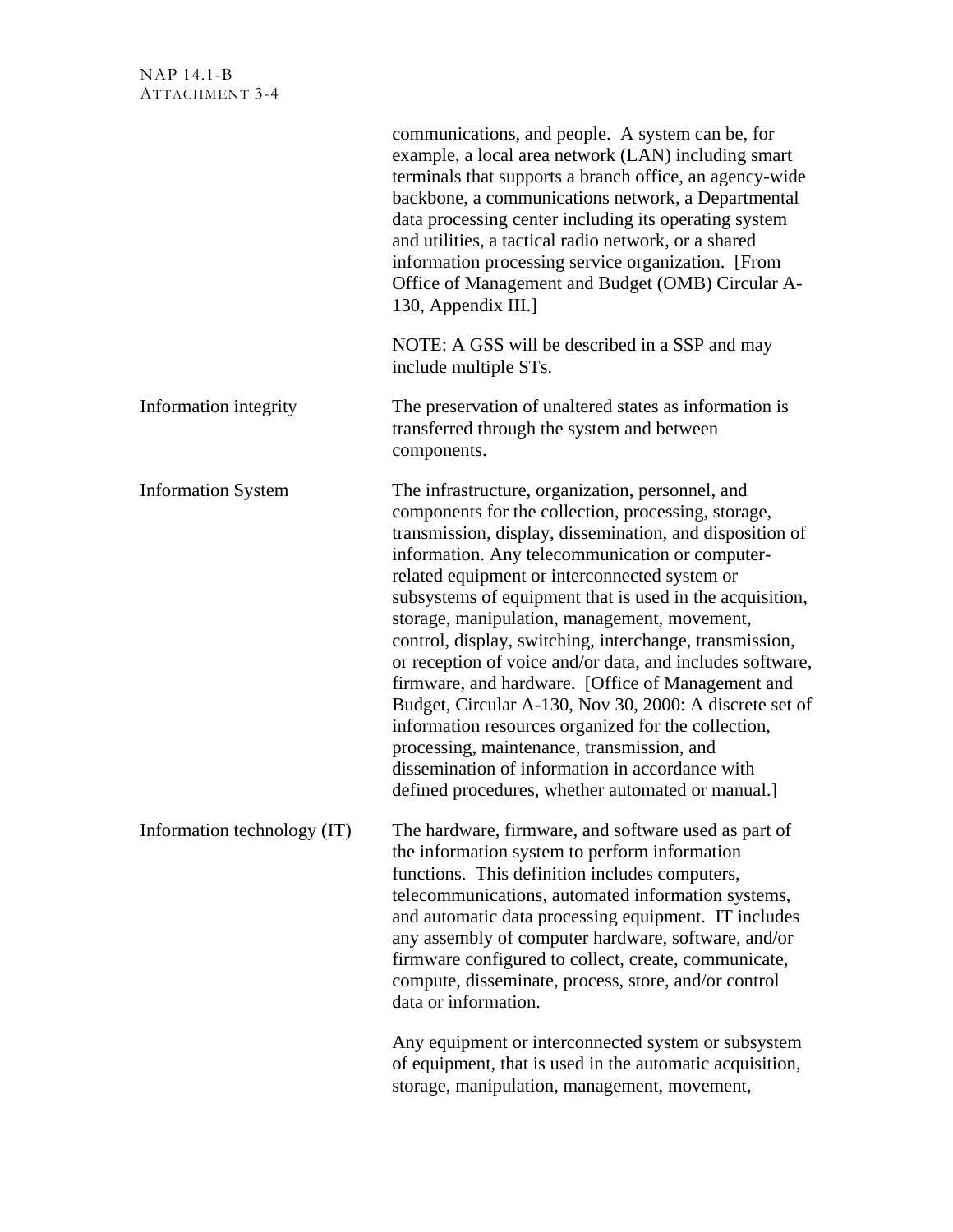|                             | communications, and people. A system can be, for<br>example, a local area network (LAN) including smart<br>terminals that supports a branch office, an agency-wide<br>backbone, a communications network, a Departmental<br>data processing center including its operating system<br>and utilities, a tactical radio network, or a shared<br>information processing service organization. [From<br>Office of Management and Budget (OMB) Circular A-<br>130, Appendix III.]                                                                                                                                                                                                                                                                                                                                                              |
|-----------------------------|------------------------------------------------------------------------------------------------------------------------------------------------------------------------------------------------------------------------------------------------------------------------------------------------------------------------------------------------------------------------------------------------------------------------------------------------------------------------------------------------------------------------------------------------------------------------------------------------------------------------------------------------------------------------------------------------------------------------------------------------------------------------------------------------------------------------------------------|
|                             | NOTE: A GSS will be described in a SSP and may<br>include multiple STs.                                                                                                                                                                                                                                                                                                                                                                                                                                                                                                                                                                                                                                                                                                                                                                  |
| Information integrity       | The preservation of unaltered states as information is<br>transferred through the system and between<br>components.                                                                                                                                                                                                                                                                                                                                                                                                                                                                                                                                                                                                                                                                                                                      |
| <b>Information System</b>   | The infrastructure, organization, personnel, and<br>components for the collection, processing, storage,<br>transmission, display, dissemination, and disposition of<br>information. Any telecommunication or computer-<br>related equipment or interconnected system or<br>subsystems of equipment that is used in the acquisition,<br>storage, manipulation, management, movement,<br>control, display, switching, interchange, transmission,<br>or reception of voice and/or data, and includes software,<br>firmware, and hardware. [Office of Management and<br>Budget, Circular A-130, Nov 30, 2000: A discrete set of<br>information resources organized for the collection,<br>processing, maintenance, transmission, and<br>dissemination of information in accordance with<br>defined procedures, whether automated or manual.] |
| Information technology (IT) | The hardware, firmware, and software used as part of<br>the information system to perform information<br>functions. This definition includes computers,<br>telecommunications, automated information systems,<br>and automatic data processing equipment. IT includes<br>any assembly of computer hardware, software, and/or<br>firmware configured to collect, create, communicate,<br>compute, disseminate, process, store, and/or control<br>data or information.                                                                                                                                                                                                                                                                                                                                                                     |
|                             | Any equipment or interconnected system or subsystem<br>of equipment, that is used in the automatic acquisition,<br>storage, manipulation, management, movement,                                                                                                                                                                                                                                                                                                                                                                                                                                                                                                                                                                                                                                                                          |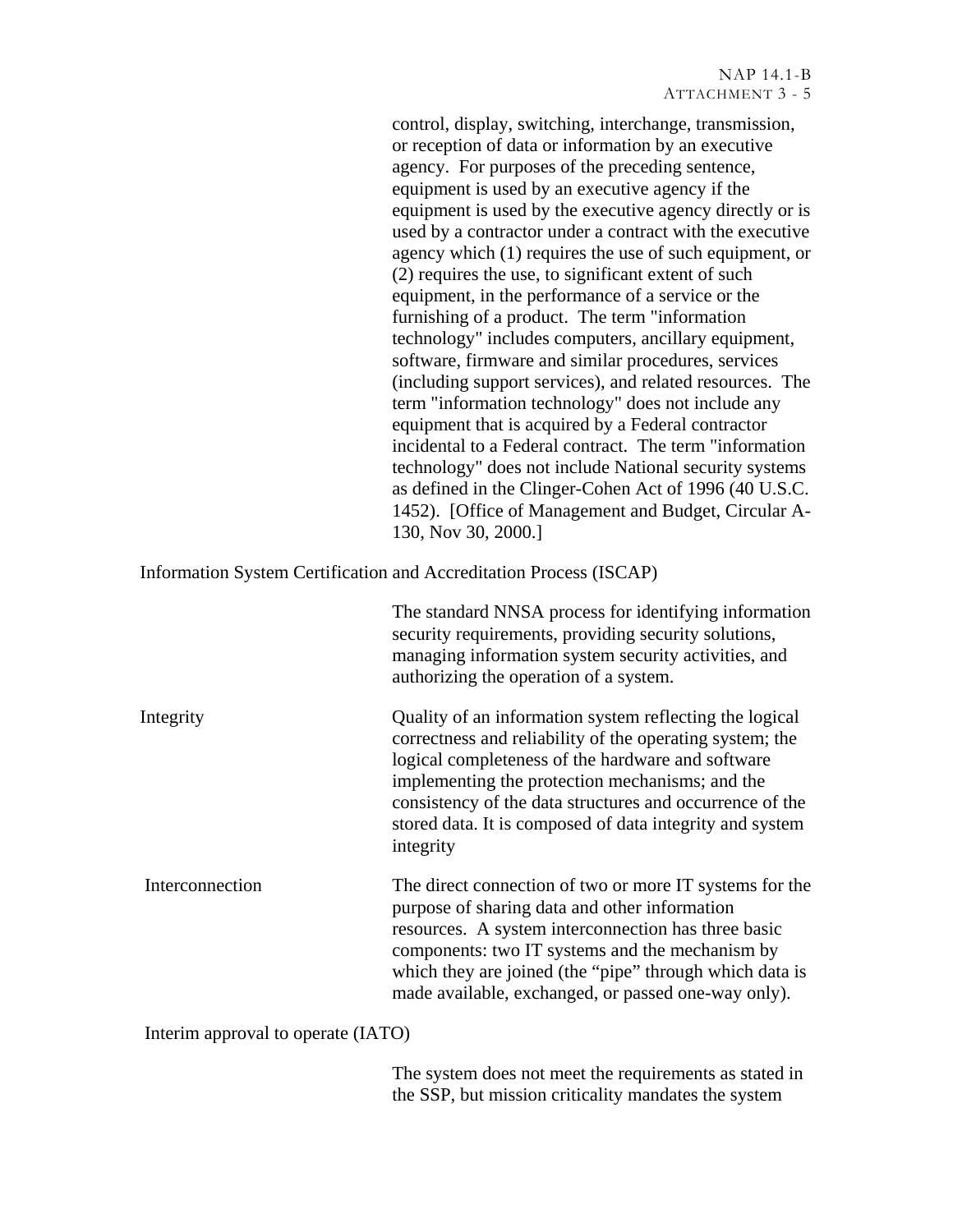#### NAP 14.1-B ATTACHMENT 3 - 5

control, display, switching, interchange, transmission, or reception of data or information by an executive agency. For purposes of the preceding sentence, equipment is used by an executive agency if the equipment is used by the executive agency directly or is used by a contractor under a contract with the executive agency which (1) requires the use of such equipment, or (2) requires the use, to significant extent of such equipment, in the performance of a service or the furnishing of a product. The term "information technology" includes computers, ancillary equipment, software, firmware and similar procedures, services (including support services), and related resources. The term "information technology" does not include any equipment that is acquired by a Federal contractor incidental to a Federal contract. The term "information technology" does not include National security systems as defined in the Clinger-Cohen Act of 1996 (40 U.S.C. 1452). [Office of Management and Budget, Circular A-130, Nov 30, 2000.]

Information System Certification and Accreditation Process (ISCAP)

|                 | The standard NNSA process for identifying information<br>security requirements, providing security solutions,<br>managing information system security activities, and<br>authorizing the operation of a system.                                                                                                                                                  |
|-----------------|------------------------------------------------------------------------------------------------------------------------------------------------------------------------------------------------------------------------------------------------------------------------------------------------------------------------------------------------------------------|
| Integrity       | Quality of an information system reflecting the logical<br>correctness and reliability of the operating system; the<br>logical completeness of the hardware and software<br>implementing the protection mechanisms; and the<br>consistency of the data structures and occurrence of the<br>stored data. It is composed of data integrity and system<br>integrity |
| Interconnection | The direct connection of two or more IT systems for the<br>purpose of sharing data and other information<br>resources. A system interconnection has three basic<br>components: two IT systems and the mechanism by<br>which they are joined (the "pipe" through which data is<br>made available, exchanged, or passed one-way only).                             |

Interim approval to operate (IATO)

The system does not meet the requirements as stated in the SSP, but mission criticality mandates the system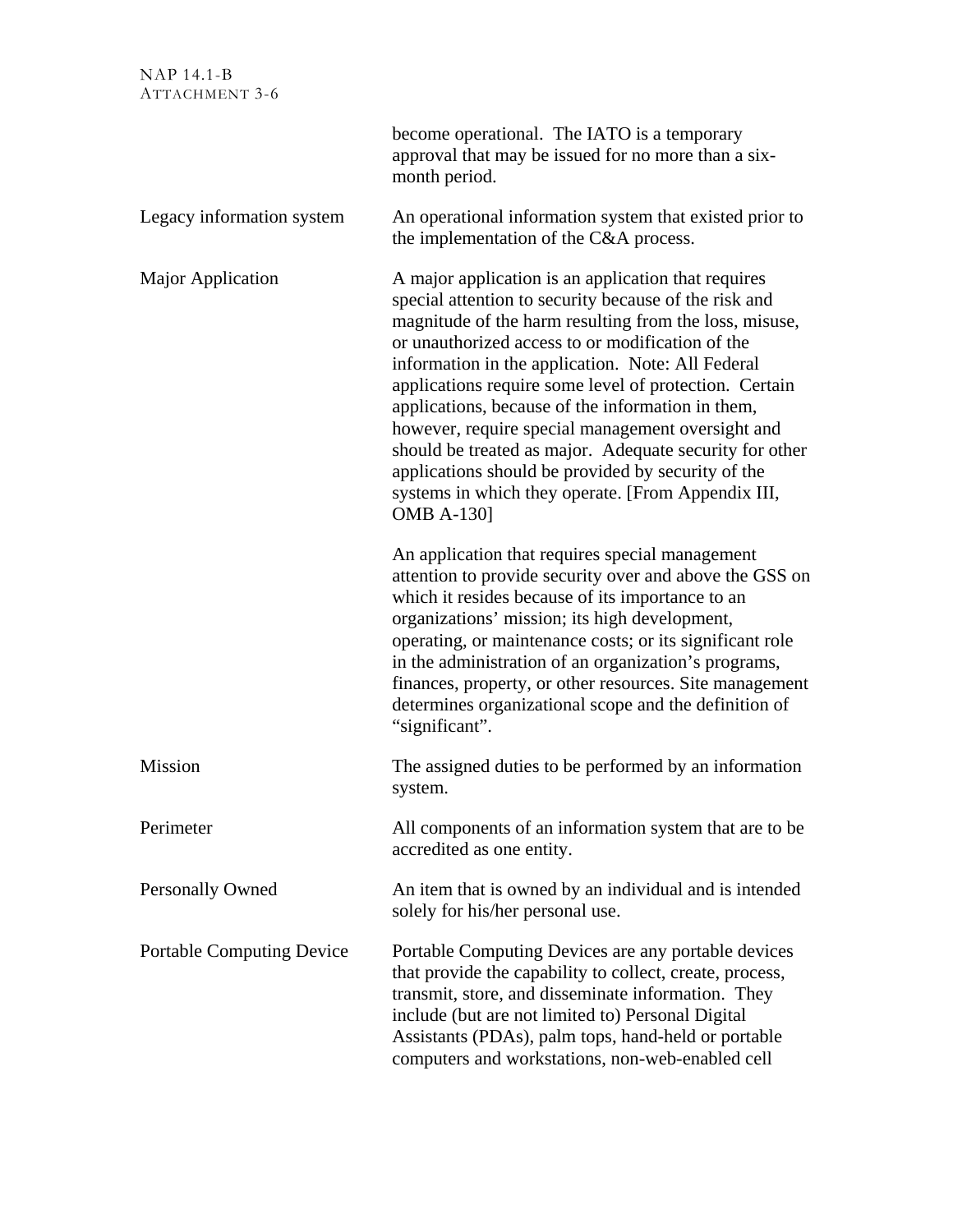NAP 14.1-B ATTACHMENT 3-6

|                                  | become operational. The IATO is a temporary<br>approval that may be issued for no more than a six-<br>month period.                                                                                                                                                                                                                                                                                                                                                                                                                                                                                                                             |
|----------------------------------|-------------------------------------------------------------------------------------------------------------------------------------------------------------------------------------------------------------------------------------------------------------------------------------------------------------------------------------------------------------------------------------------------------------------------------------------------------------------------------------------------------------------------------------------------------------------------------------------------------------------------------------------------|
| Legacy information system        | An operational information system that existed prior to<br>the implementation of the C&A process.                                                                                                                                                                                                                                                                                                                                                                                                                                                                                                                                               |
| <b>Major Application</b>         | A major application is an application that requires<br>special attention to security because of the risk and<br>magnitude of the harm resulting from the loss, misuse,<br>or unauthorized access to or modification of the<br>information in the application. Note: All Federal<br>applications require some level of protection. Certain<br>applications, because of the information in them,<br>however, require special management oversight and<br>should be treated as major. Adequate security for other<br>applications should be provided by security of the<br>systems in which they operate. [From Appendix III,<br><b>OMB A-130]</b> |
|                                  | An application that requires special management<br>attention to provide security over and above the GSS on<br>which it resides because of its importance to an<br>organizations' mission; its high development,<br>operating, or maintenance costs; or its significant role<br>in the administration of an organization's programs,<br>finances, property, or other resources. Site management<br>determines organizational scope and the definition of<br>"significant".                                                                                                                                                                       |
| <b>Mission</b>                   | The assigned duties to be performed by an information<br>system.                                                                                                                                                                                                                                                                                                                                                                                                                                                                                                                                                                                |
| Perimeter                        | All components of an information system that are to be<br>accredited as one entity.                                                                                                                                                                                                                                                                                                                                                                                                                                                                                                                                                             |
| Personally Owned                 | An item that is owned by an individual and is intended<br>solely for his/her personal use.                                                                                                                                                                                                                                                                                                                                                                                                                                                                                                                                                      |
| <b>Portable Computing Device</b> | Portable Computing Devices are any portable devices<br>that provide the capability to collect, create, process,<br>transmit, store, and disseminate information. They<br>include (but are not limited to) Personal Digital<br>Assistants (PDAs), palm tops, hand-held or portable<br>computers and workstations, non-web-enabled cell                                                                                                                                                                                                                                                                                                           |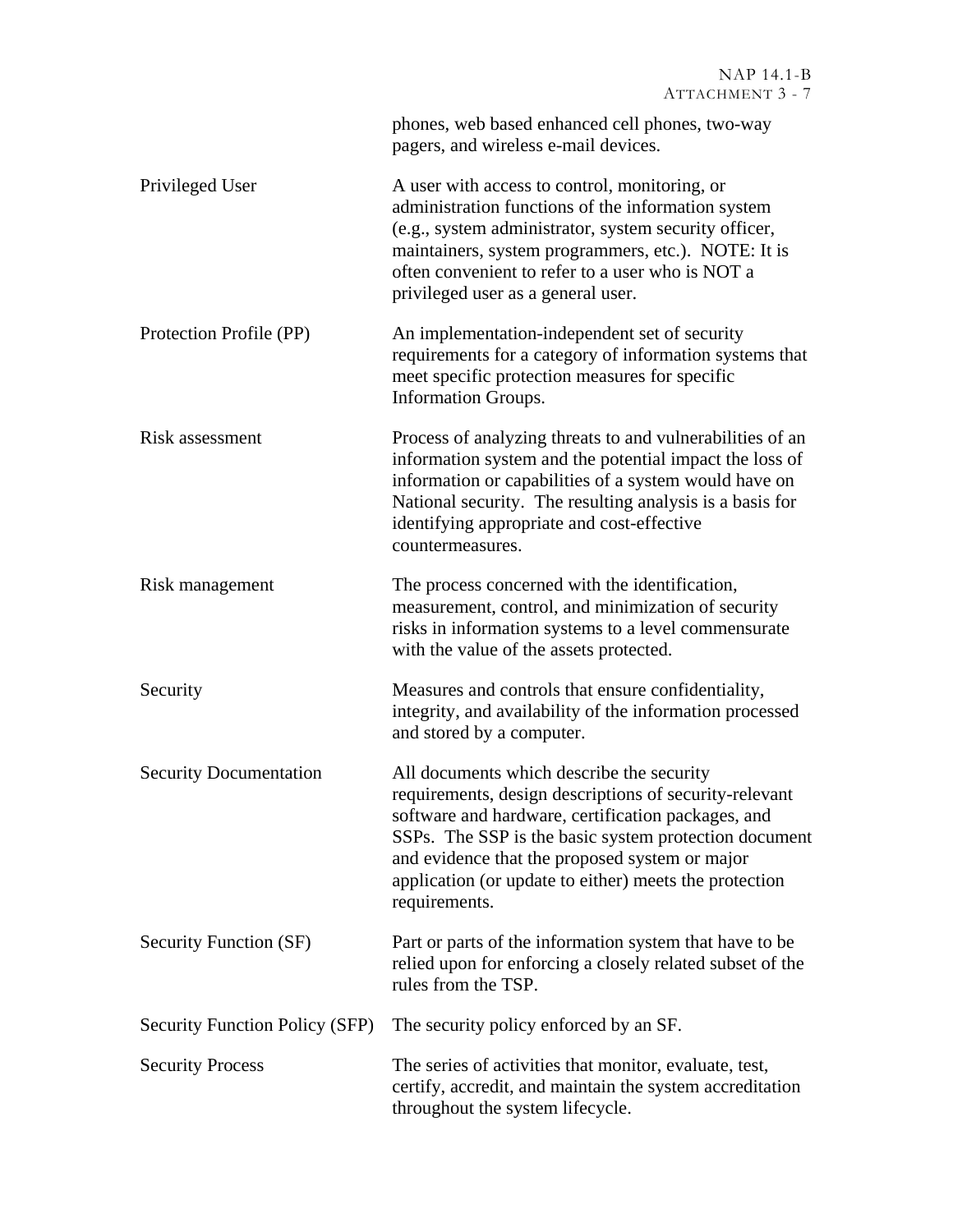|                                       | phones, web based enhanced cell phones, two-way<br>pagers, and wireless e-mail devices.                                                                                                                                                                                                                                                         |
|---------------------------------------|-------------------------------------------------------------------------------------------------------------------------------------------------------------------------------------------------------------------------------------------------------------------------------------------------------------------------------------------------|
| Privileged User                       | A user with access to control, monitoring, or<br>administration functions of the information system<br>(e.g., system administrator, system security officer,<br>maintainers, system programmers, etc.). NOTE: It is<br>often convenient to refer to a user who is NOT a<br>privileged user as a general user.                                   |
| Protection Profile (PP)               | An implementation-independent set of security<br>requirements for a category of information systems that<br>meet specific protection measures for specific<br><b>Information Groups.</b>                                                                                                                                                        |
| Risk assessment                       | Process of analyzing threats to and vulnerabilities of an<br>information system and the potential impact the loss of<br>information or capabilities of a system would have on<br>National security. The resulting analysis is a basis for<br>identifying appropriate and cost-effective<br>countermeasures.                                     |
| Risk management                       | The process concerned with the identification,<br>measurement, control, and minimization of security<br>risks in information systems to a level commensurate<br>with the value of the assets protected.                                                                                                                                         |
| Security                              | Measures and controls that ensure confidentiality,<br>integrity, and availability of the information processed<br>and stored by a computer.                                                                                                                                                                                                     |
| <b>Security Documentation</b>         | All documents which describe the security<br>requirements, design descriptions of security-relevant<br>software and hardware, certification packages, and<br>SSPs. The SSP is the basic system protection document<br>and evidence that the proposed system or major<br>application (or update to either) meets the protection<br>requirements. |
| Security Function (SF)                | Part or parts of the information system that have to be<br>relied upon for enforcing a closely related subset of the<br>rules from the TSP.                                                                                                                                                                                                     |
| <b>Security Function Policy (SFP)</b> | The security policy enforced by an SF.                                                                                                                                                                                                                                                                                                          |
| <b>Security Process</b>               | The series of activities that monitor, evaluate, test,<br>certify, accredit, and maintain the system accreditation<br>throughout the system lifecycle.                                                                                                                                                                                          |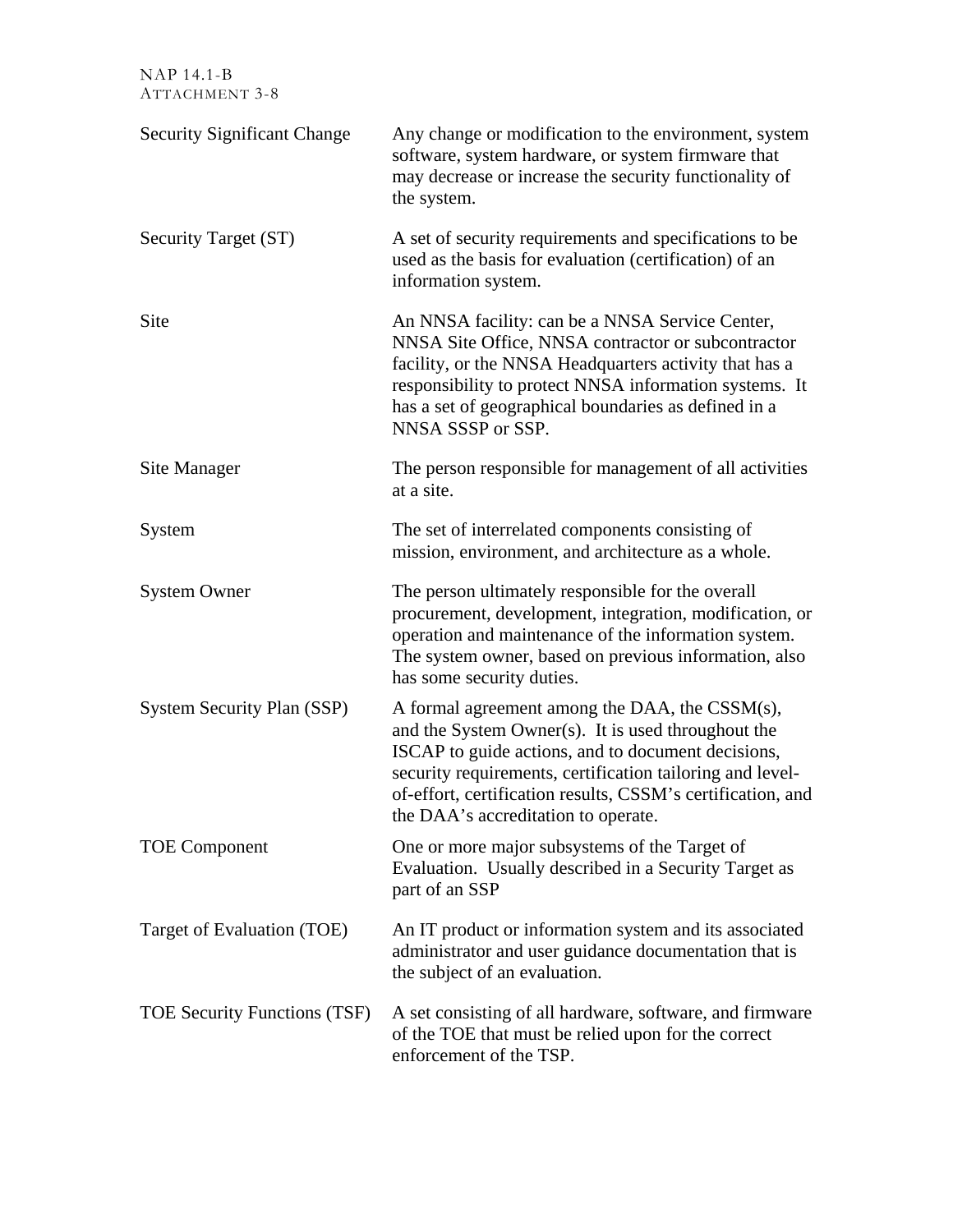NAP 14.1-B ATTACHMENT 3-8

| <b>Security Significant Change</b>  | Any change or modification to the environment, system<br>software, system hardware, or system firmware that<br>may decrease or increase the security functionality of<br>the system.                                                                                                                                          |
|-------------------------------------|-------------------------------------------------------------------------------------------------------------------------------------------------------------------------------------------------------------------------------------------------------------------------------------------------------------------------------|
| Security Target (ST)                | A set of security requirements and specifications to be<br>used as the basis for evaluation (certification) of an<br>information system.                                                                                                                                                                                      |
| Site                                | An NNSA facility: can be a NNSA Service Center,<br>NNSA Site Office, NNSA contractor or subcontractor<br>facility, or the NNSA Headquarters activity that has a<br>responsibility to protect NNSA information systems. It<br>has a set of geographical boundaries as defined in a<br>NNSA SSSP or SSP.                        |
| Site Manager                        | The person responsible for management of all activities<br>at a site.                                                                                                                                                                                                                                                         |
| System                              | The set of interrelated components consisting of<br>mission, environment, and architecture as a whole.                                                                                                                                                                                                                        |
| <b>System Owner</b>                 | The person ultimately responsible for the overall<br>procurement, development, integration, modification, or<br>operation and maintenance of the information system.<br>The system owner, based on previous information, also<br>has some security duties.                                                                    |
| <b>System Security Plan (SSP)</b>   | A formal agreement among the DAA, the CSSM(s),<br>and the System Owner(s). It is used throughout the<br>ISCAP to guide actions, and to document decisions,<br>security requirements, certification tailoring and level-<br>of-effort, certification results, CSSM's certification, and<br>the DAA's accreditation to operate. |
| <b>TOE Component</b>                | One or more major subsystems of the Target of<br>Evaluation. Usually described in a Security Target as<br>part of an SSP                                                                                                                                                                                                      |
| Target of Evaluation (TOE)          | An IT product or information system and its associated<br>administrator and user guidance documentation that is<br>the subject of an evaluation.                                                                                                                                                                              |
| <b>TOE Security Functions (TSF)</b> | A set consisting of all hardware, software, and firmware<br>of the TOE that must be relied upon for the correct<br>enforcement of the TSP.                                                                                                                                                                                    |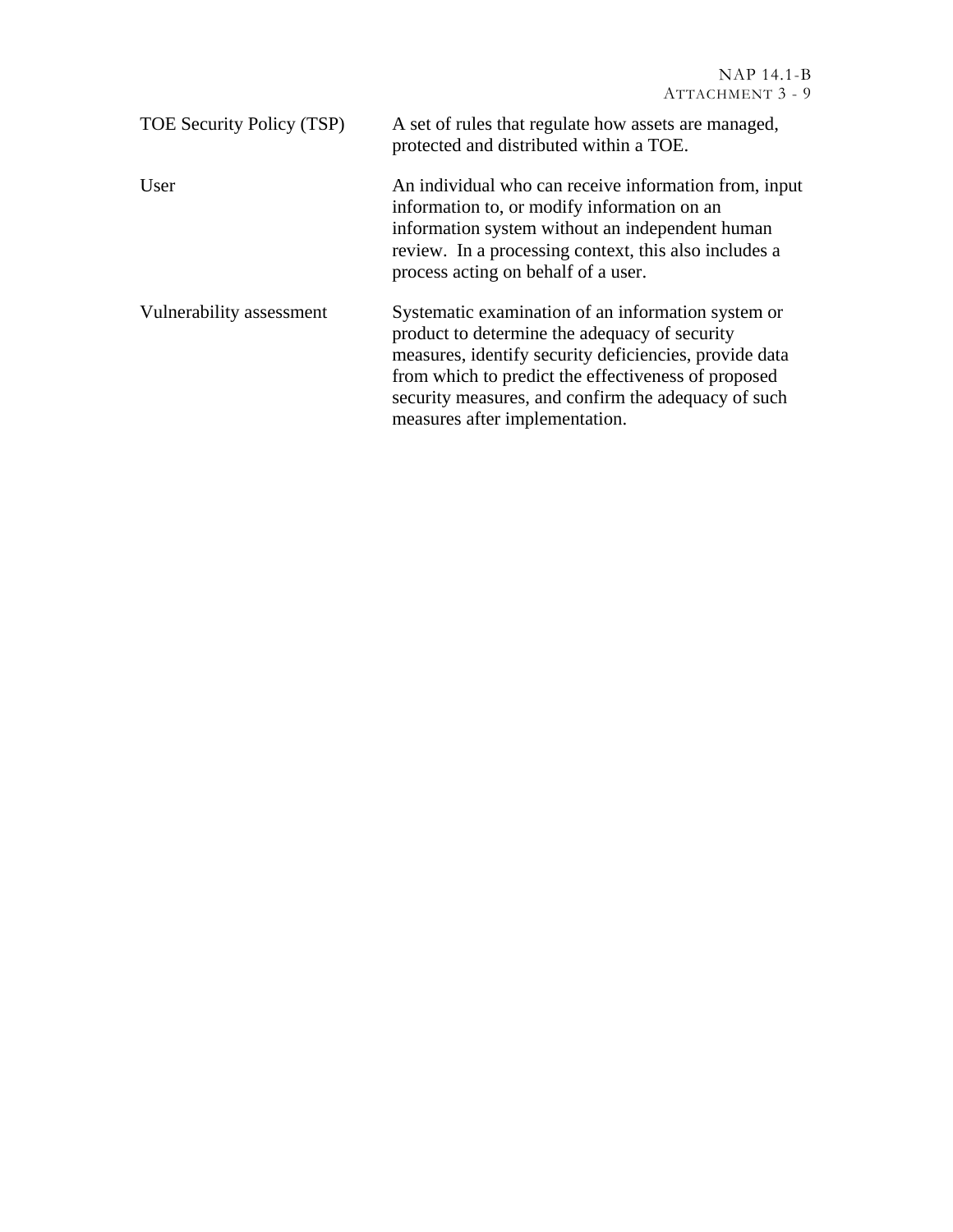| TOE Security Policy (TSP) | A set of rules that regulate how assets are managed,<br>protected and distributed within a TOE.                                                                                                                                                                                                               |
|---------------------------|---------------------------------------------------------------------------------------------------------------------------------------------------------------------------------------------------------------------------------------------------------------------------------------------------------------|
| User                      | An individual who can receive information from, input<br>information to, or modify information on an<br>information system without an independent human<br>review. In a processing context, this also includes a<br>process acting on behalf of a user.                                                       |
| Vulnerability assessment  | Systematic examination of an information system or<br>product to determine the adequacy of security<br>measures, identify security deficiencies, provide data<br>from which to predict the effectiveness of proposed<br>security measures, and confirm the adequacy of such<br>measures after implementation. |